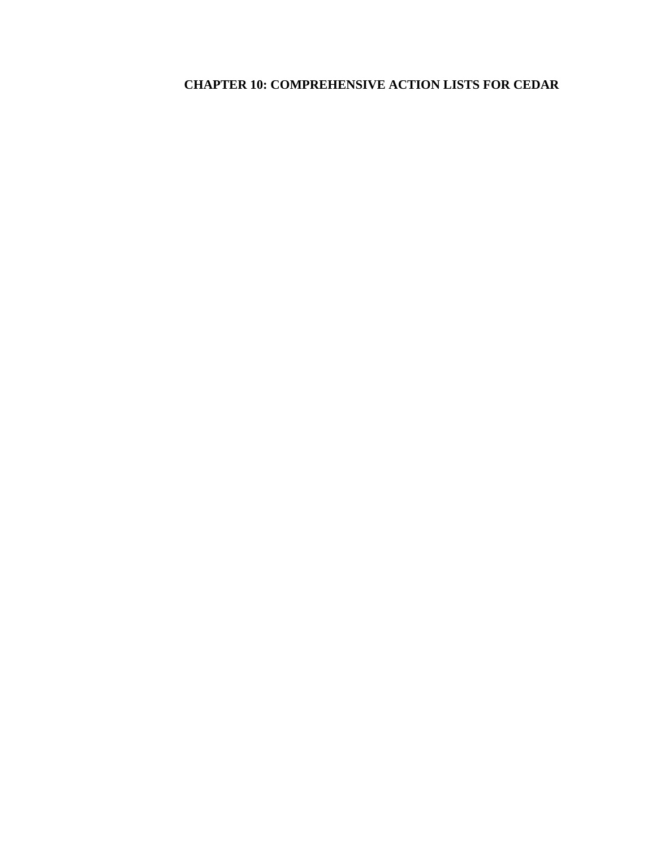# **CHAPTER 10: COMPREHENSIVE ACTION LISTS FOR CEDAR**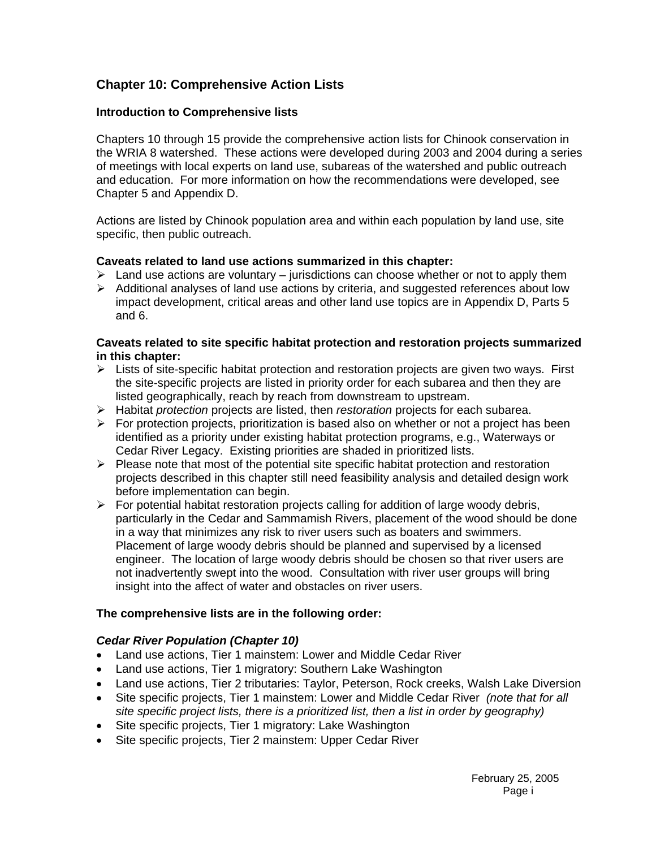# **Chapter 10: Comprehensive Action Lists**

# **Introduction to Comprehensive lists**

Chapters 10 through 15 provide the comprehensive action lists for Chinook conservation in the WRIA 8 watershed. These actions were developed during 2003 and 2004 during a series of meetings with local experts on land use, subareas of the watershed and public outreach and education. For more information on how the recommendations were developed, see Chapter 5 and Appendix D.

Actions are listed by Chinook population area and within each population by land use, site specific, then public outreach.

# **Caveats related to land use actions summarized in this chapter:**

- $\triangleright$  Land use actions are voluntary jurisdictions can choose whether or not to apply them
- $\triangleright$  Additional analyses of land use actions by criteria, and suggested references about low impact development, critical areas and other land use topics are in Appendix D, Parts 5 and 6.

# **Caveats related to site specific habitat protection and restoration projects summarized in this chapter:**

- $\triangleright$  Lists of site-specific habitat protection and restoration projects are given two ways. First the site-specific projects are listed in priority order for each subarea and then they are listed geographically, reach by reach from downstream to upstream.
- ¾ Habitat *protection* projects are listed, then *restoration* projects for each subarea.
- $\triangleright$  For protection projects, prioritization is based also on whether or not a project has been identified as a priority under existing habitat protection programs, e.g., Waterways or Cedar River Legacy. Existing priorities are shaded in prioritized lists.
- $\triangleright$  Please note that most of the potential site specific habitat protection and restoration projects described in this chapter still need feasibility analysis and detailed design work before implementation can begin.
- $\triangleright$  For potential habitat restoration projects calling for addition of large woody debris, particularly in the Cedar and Sammamish Rivers, placement of the wood should be done in a way that minimizes any risk to river users such as boaters and swimmers. Placement of large woody debris should be planned and supervised by a licensed engineer. The location of large woody debris should be chosen so that river users are not inadvertently swept into the wood. Consultation with river user groups will bring insight into the affect of water and obstacles on river users.

# **The comprehensive lists are in the following order:**

# *Cedar River Population (Chapter 10)*

- Land use actions, Tier 1 mainstem: Lower and Middle Cedar River
- Land use actions, Tier 1 migratory: Southern Lake Washington
- Land use actions, Tier 2 tributaries: Taylor, Peterson, Rock creeks, Walsh Lake Diversion
- Site specific projects, Tier 1 mainstem: Lower and Middle Cedar River *(note that for all site specific project lists, there is a prioritized list, then a list in order by geography)*
- Site specific projects, Tier 1 migratory: Lake Washington
- Site specific projects, Tier 2 mainstem: Upper Cedar River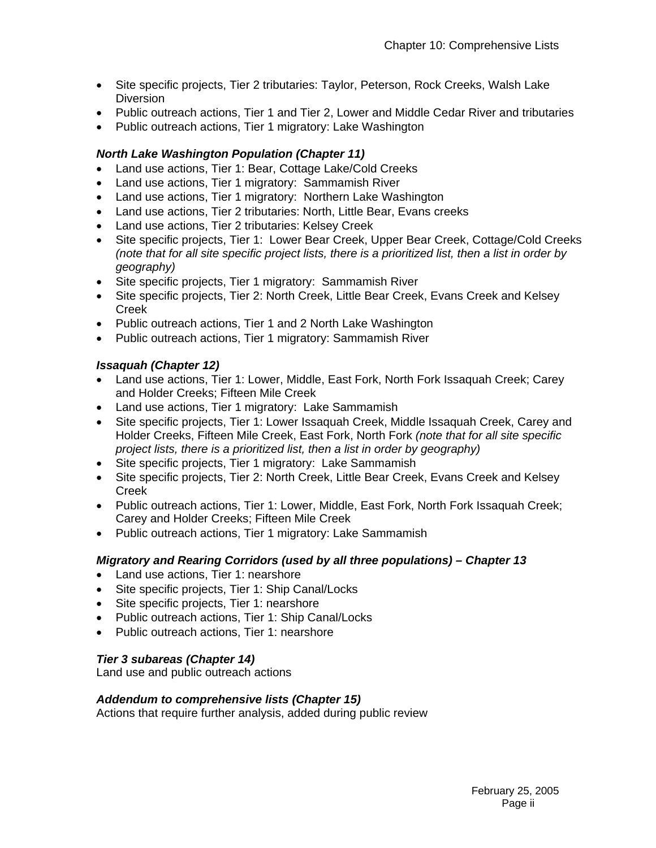- Site specific projects, Tier 2 tributaries: Taylor, Peterson, Rock Creeks, Walsh Lake **Diversion**
- Public outreach actions, Tier 1 and Tier 2, Lower and Middle Cedar River and tributaries
- Public outreach actions, Tier 1 migratory: Lake Washington

# *North Lake Washington Population (Chapter 11)*

- Land use actions, Tier 1: Bear, Cottage Lake/Cold Creeks
- Land use actions, Tier 1 migratory: Sammamish River
- Land use actions, Tier 1 migratory: Northern Lake Washington
- Land use actions, Tier 2 tributaries: North, Little Bear, Evans creeks
- Land use actions, Tier 2 tributaries: Kelsey Creek
- Site specific projects, Tier 1: Lower Bear Creek, Upper Bear Creek, Cottage/Cold Creeks *(note that for all site specific project lists, there is a prioritized list, then a list in order by geography)*
- Site specific projects, Tier 1 migratory: Sammamish River
- Site specific projects, Tier 2: North Creek, Little Bear Creek, Evans Creek and Kelsey Creek
- Public outreach actions, Tier 1 and 2 North Lake Washington
- Public outreach actions, Tier 1 migratory: Sammamish River

# *Issaquah (Chapter 12)*

- Land use actions, Tier 1: Lower, Middle, East Fork, North Fork Issaquah Creek; Carey and Holder Creeks; Fifteen Mile Creek
- Land use actions, Tier 1 migratory: Lake Sammamish
- Site specific projects, Tier 1: Lower Issaquah Creek, Middle Issaquah Creek, Carey and Holder Creeks, Fifteen Mile Creek, East Fork, North Fork *(note that for all site specific project lists, there is a prioritized list, then a list in order by geography)*
- Site specific projects, Tier 1 migratory: Lake Sammamish
- Site specific projects, Tier 2: North Creek, Little Bear Creek, Evans Creek and Kelsey Creek
- Public outreach actions, Tier 1: Lower, Middle, East Fork, North Fork Issaquah Creek; Carey and Holder Creeks; Fifteen Mile Creek
- Public outreach actions, Tier 1 migratory: Lake Sammamish

# *Migratory and Rearing Corridors (used by all three populations) – Chapter 13*

- Land use actions, Tier 1: nearshore
- Site specific projects, Tier 1: Ship Canal/Locks
- Site specific projects, Tier 1: nearshore
- Public outreach actions, Tier 1: Ship Canal/Locks
- Public outreach actions, Tier 1: nearshore

# *Tier 3 subareas (Chapter 14)*

Land use and public outreach actions

# *Addendum to comprehensive lists (Chapter 15)*

Actions that require further analysis, added during public review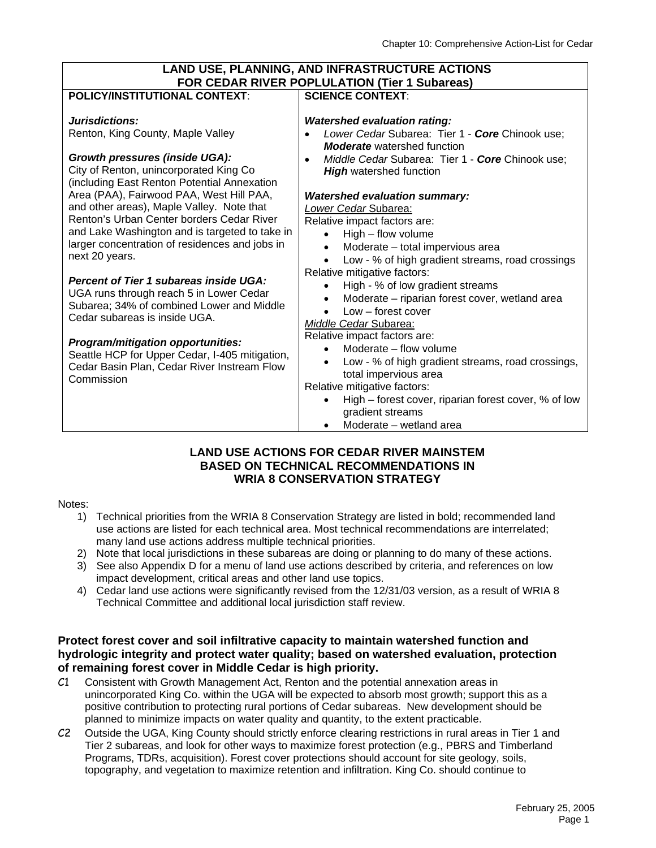| LAND USE, PLANNING, AND INFRASTRUCTURE ACTIONS                                                                                                                                                                                                                                                                                                                                                                                  |                                                                                                                                                                                                                                                                                                                                                                                                                                                                                                      |  |  |  |  |
|---------------------------------------------------------------------------------------------------------------------------------------------------------------------------------------------------------------------------------------------------------------------------------------------------------------------------------------------------------------------------------------------------------------------------------|------------------------------------------------------------------------------------------------------------------------------------------------------------------------------------------------------------------------------------------------------------------------------------------------------------------------------------------------------------------------------------------------------------------------------------------------------------------------------------------------------|--|--|--|--|
| FOR CEDAR RIVER POPLULATION (Tier 1 Subareas)                                                                                                                                                                                                                                                                                                                                                                                   |                                                                                                                                                                                                                                                                                                                                                                                                                                                                                                      |  |  |  |  |
| <b>POLICY/INSTITUTIONAL CONTEXT:</b>                                                                                                                                                                                                                                                                                                                                                                                            | <b>SCIENCE CONTEXT:</b>                                                                                                                                                                                                                                                                                                                                                                                                                                                                              |  |  |  |  |
| Jurisdictions:<br>Renton, King County, Maple Valley<br><b>Growth pressures (inside UGA):</b><br>City of Renton, unincorporated King Co<br>(including East Renton Potential Annexation<br>Area (PAA), Fairwood PAA, West Hill PAA,<br>and other areas), Maple Valley. Note that<br>Renton's Urban Center borders Cedar River<br>and Lake Washington and is targeted to take in<br>larger concentration of residences and jobs in | <b>Watershed evaluation rating:</b><br>Lower Cedar Subarea: Tier 1 - Core Chinook use;<br><b>Moderate</b> watershed function<br>Middle Cedar Subarea: Tier 1 - Core Chinook use;<br><b>High</b> watershed function<br><b>Watershed evaluation summary:</b><br>Lower Cedar Subarea:<br>Relative impact factors are:<br>High - flow volume<br>Moderate - total impervious area                                                                                                                         |  |  |  |  |
| next 20 years.<br><b>Percent of Tier 1 subareas inside UGA:</b><br>UGA runs through reach 5 in Lower Cedar<br>Subarea; 34% of combined Lower and Middle<br>Cedar subareas is inside UGA.<br>Program/mitigation opportunities:<br>Seattle HCP for Upper Cedar, I-405 mitigation,<br>Cedar Basin Plan, Cedar River Instream Flow<br>Commission                                                                                    | Low - % of high gradient streams, road crossings<br>Relative mitigative factors:<br>High - % of low gradient streams<br>Moderate - riparian forest cover, wetland area<br>Low – forest cover<br>Middle Cedar Subarea:<br>Relative impact factors are:<br>Moderate - flow volume<br>Low - % of high gradient streams, road crossings,<br>total impervious area<br>Relative mitigative factors:<br>High – forest cover, riparian forest cover, % of low<br>gradient streams<br>Moderate - wetland area |  |  |  |  |

#### **LAND USE ACTIONS FOR CEDAR RIVER MAINSTEM BASED ON TECHNICAL RECOMMENDATIONS IN WRIA 8 CONSERVATION STRATEGY**

#### Notes:

- 1) Technical priorities from the WRIA 8 Conservation Strategy are listed in bold; recommended land use actions are listed for each technical area. Most technical recommendations are interrelated; many land use actions address multiple technical priorities.
- 2) Note that local jurisdictions in these subareas are doing or planning to do many of these actions.
- 3) See also Appendix D for a menu of land use actions described by criteria, and references on low impact development, critical areas and other land use topics.
- 4) Cedar land use actions were significantly revised from the 12/31/03 version, as a result of WRIA 8 Technical Committee and additional local jurisdiction staff review.

#### **Protect forest cover and soil infiltrative capacity to maintain watershed function and hydrologic integrity and protect water quality; based on watershed evaluation, protection of remaining forest cover in Middle Cedar is high priority.**

- C1 Consistent with Growth Management Act, Renton and the potential annexation areas in unincorporated King Co. within the UGA will be expected to absorb most growth; support this as a positive contribution to protecting rural portions of Cedar subareas. New development should be planned to minimize impacts on water quality and quantity, to the extent practicable.
- C2 Outside the UGA, King County should strictly enforce clearing restrictions in rural areas in Tier 1 and Tier 2 subareas, and look for other ways to maximize forest protection (e.g., PBRS and Timberland Programs, TDRs, acquisition). Forest cover protections should account for site geology, soils, topography, and vegetation to maximize retention and infiltration. King Co. should continue to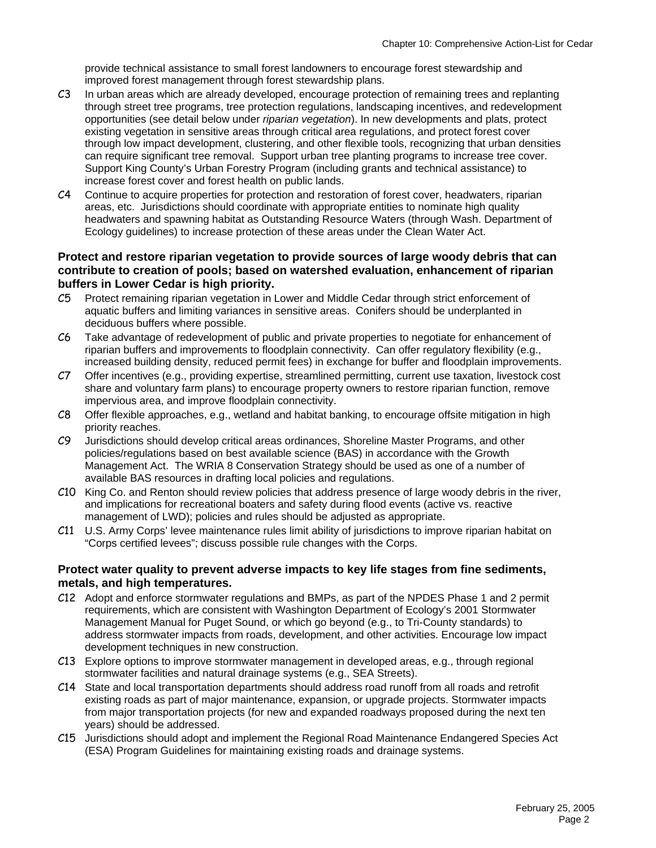provide technical assistance to small forest landowners to encourage forest stewardship and improved forest management through forest stewardship plans.

- C3 In urban areas which are already developed, encourage protection of remaining trees and replanting through street tree programs, tree protection regulations, landscaping incentives, and redevelopment opportunities (see detail below under *riparian vegetation*). In new developments and plats, protect existing vegetation in sensitive areas through critical area regulations, and protect forest cover through low impact development, clustering, and other flexible tools, recognizing that urban densities can require significant tree removal. Support urban tree planting programs to increase tree cover. Support King County's Urban Forestry Program (including grants and technical assistance) to increase forest cover and forest health on public lands.
- C4 Continue to acquire properties for protection and restoration of forest cover, headwaters, riparian areas, etc. Jurisdictions should coordinate with appropriate entities to nominate high quality headwaters and spawning habitat as Outstanding Resource Waters (through Wash. Department of Ecology guidelines) to increase protection of these areas under the Clean Water Act.

#### **Protect and restore riparian vegetation to provide sources of large woody debris that can contribute to creation of pools; based on watershed evaluation, enhancement of riparian buffers in Lower Cedar is high priority.**

- C5 Protect remaining riparian vegetation in Lower and Middle Cedar through strict enforcement of aquatic buffers and limiting variances in sensitive areas. Conifers should be underplanted in deciduous buffers where possible.
- C6 Take advantage of redevelopment of public and private properties to negotiate for enhancement of riparian buffers and improvements to floodplain connectivity. Can offer regulatory flexibility (e.g., increased building density, reduced permit fees) in exchange for buffer and floodplain improvements.
- C7 Offer incentives (e.g., providing expertise, streamlined permitting, current use taxation, livestock cost share and voluntary farm plans) to encourage property owners to restore riparian function, remove impervious area, and improve floodplain connectivity.
- C8 Offer flexible approaches, e.g., wetland and habitat banking, to encourage offsite mitigation in high priority reaches.
- C9 Jurisdictions should develop critical areas ordinances, Shoreline Master Programs, and other policies/regulations based on best available science (BAS) in accordance with the Growth Management Act. The WRIA 8 Conservation Strategy should be used as one of a number of available BAS resources in drafting local policies and regulations.
- C10 King Co. and Renton should review policies that address presence of large woody debris in the river, and implications for recreational boaters and safety during flood events (active vs. reactive management of LWD); policies and rules should be adjusted as appropriate.
- C11 U.S. Army Corps' levee maintenance rules limit ability of jurisdictions to improve riparian habitat on "Corps certified levees"; discuss possible rule changes with the Corps.

#### **Protect water quality to prevent adverse impacts to key life stages from fine sediments, metals, and high temperatures.**

- C12 Adopt and enforce stormwater regulations and BMPs, as part of the NPDES Phase 1 and 2 permit requirements, which are consistent with Washington Department of Ecology's 2001 Stormwater Management Manual for Puget Sound, or which go beyond (e.g., to Tri-County standards) to address stormwater impacts from roads, development, and other activities. Encourage low impact development techniques in new construction.
- C13 Explore options to improve stormwater management in developed areas, e.g., through regional stormwater facilities and natural drainage systems (e.g., SEA Streets).
- C14 State and local transportation departments should address road runoff from all roads and retrofit existing roads as part of major maintenance, expansion, or upgrade projects. Stormwater impacts from major transportation projects (for new and expanded roadways proposed during the next ten years) should be addressed.
- C15 Jurisdictions should adopt and implement the Regional Road Maintenance Endangered Species Act (ESA) Program Guidelines for maintaining existing roads and drainage systems.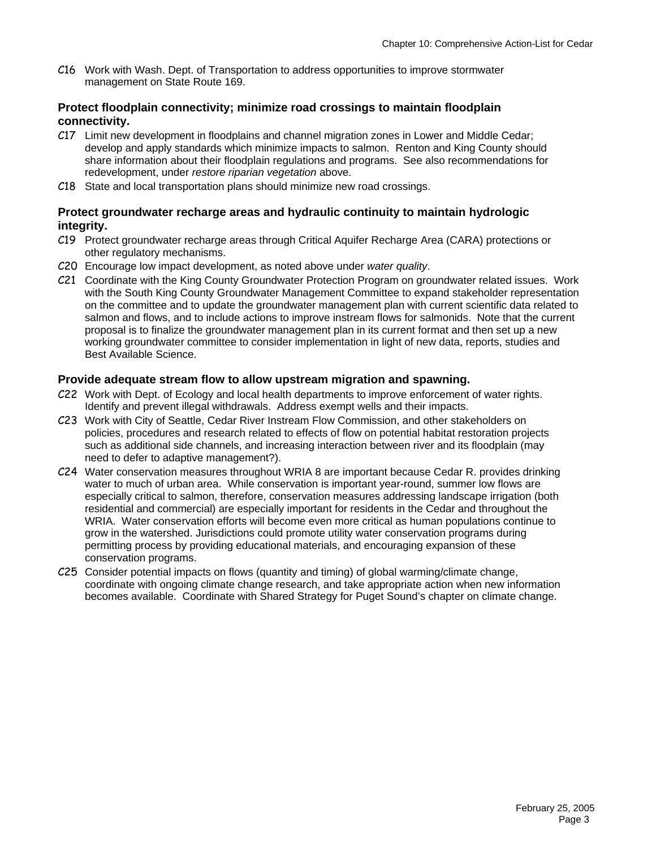C16 Work with Wash. Dept. of Transportation to address opportunities to improve stormwater management on State Route 169.

#### **Protect floodplain connectivity; minimize road crossings to maintain floodplain connectivity.**

- C17 Limit new development in floodplains and channel migration zones in Lower and Middle Cedar; develop and apply standards which minimize impacts to salmon. Renton and King County should share information about their floodplain regulations and programs. See also recommendations for redevelopment, under *restore riparian vegetation* above.
- C18 State and local transportation plans should minimize new road crossings.

#### **Protect groundwater recharge areas and hydraulic continuity to maintain hydrologic integrity.**

- C19 Protect groundwater recharge areas through Critical Aquifer Recharge Area (CARA) protections or other regulatory mechanisms.
- C20 Encourage low impact development, as noted above under *water quality*.
- C21 Coordinate with the King County Groundwater Protection Program on groundwater related issues. Work with the South King County Groundwater Management Committee to expand stakeholder representation on the committee and to update the groundwater management plan with current scientific data related to salmon and flows, and to include actions to improve instream flows for salmonids. Note that the current proposal is to finalize the groundwater management plan in its current format and then set up a new working groundwater committee to consider implementation in light of new data, reports, studies and Best Available Science.

#### **Provide adequate stream flow to allow upstream migration and spawning.**

- C22 Work with Dept. of Ecology and local health departments to improve enforcement of water rights. Identify and prevent illegal withdrawals. Address exempt wells and their impacts.
- C23 Work with City of Seattle, Cedar River Instream Flow Commission, and other stakeholders on policies, procedures and research related to effects of flow on potential habitat restoration projects such as additional side channels, and increasing interaction between river and its floodplain (may need to defer to adaptive management?).
- C24 Water conservation measures throughout WRIA 8 are important because Cedar R. provides drinking water to much of urban area. While conservation is important year-round, summer low flows are especially critical to salmon, therefore, conservation measures addressing landscape irrigation (both residential and commercial) are especially important for residents in the Cedar and throughout the WRIA. Water conservation efforts will become even more critical as human populations continue to grow in the watershed. Jurisdictions could promote utility water conservation programs during permitting process by providing educational materials, and encouraging expansion of these conservation programs.
- C25 Consider potential impacts on flows (quantity and timing) of global warming/climate change, coordinate with ongoing climate change research, and take appropriate action when new information becomes available. Coordinate with Shared Strategy for Puget Sound's chapter on climate change.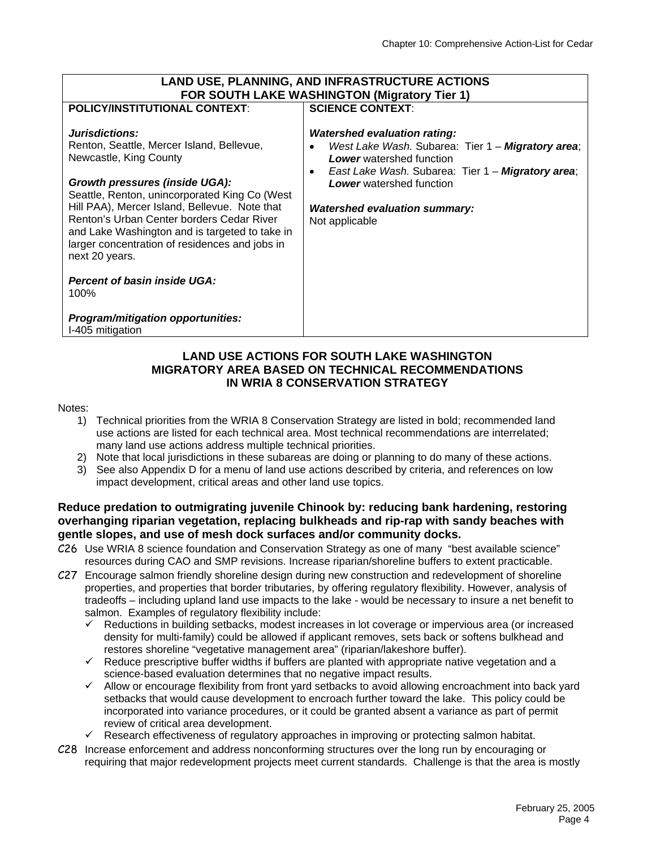| <b>LAND USE, PLANNING, AND INFRASTRUCTURE ACTIONS</b><br><b>FOR SOUTH LAKE WASHINGTON (Migratory Tier 1)</b>                                                                                                     |                                                                                                                                                                                                                                                     |  |  |  |  |  |
|------------------------------------------------------------------------------------------------------------------------------------------------------------------------------------------------------------------|-----------------------------------------------------------------------------------------------------------------------------------------------------------------------------------------------------------------------------------------------------|--|--|--|--|--|
| <b>POLICY/INSTITUTIONAL CONTEXT:</b><br>Jurisdictions:<br>Renton, Seattle, Mercer Island, Bellevue,<br>Newcastle, King County<br>Growth pressures (inside UGA):<br>Seattle, Renton, unincorporated King Co (West | <b>SCIENCE CONTEXT:</b><br><b>Watershed evaluation rating:</b><br>West Lake Wash. Subarea: Tier 1 - Migratory area;<br><b>Lower</b> watershed function<br>East Lake Wash. Subarea: Tier 1 - Migratory area;<br>٠<br><b>Lower</b> watershed function |  |  |  |  |  |
| Hill PAA), Mercer Island, Bellevue. Note that<br>Renton's Urban Center borders Cedar River<br>and Lake Washington and is targeted to take in<br>larger concentration of residences and jobs in<br>next 20 years. | <b>Watershed evaluation summary:</b><br>Not applicable                                                                                                                                                                                              |  |  |  |  |  |
| <b>Percent of basin inside UGA:</b><br>100%<br>Program/mitigation opportunities:                                                                                                                                 |                                                                                                                                                                                                                                                     |  |  |  |  |  |
| I-405 mitigation                                                                                                                                                                                                 |                                                                                                                                                                                                                                                     |  |  |  |  |  |

#### **LAND USE ACTIONS FOR SOUTH LAKE WASHINGTON MIGRATORY AREA BASED ON TECHNICAL RECOMMENDATIONS IN WRIA 8 CONSERVATION STRATEGY**

#### Notes:

- 1) Technical priorities from the WRIA 8 Conservation Strategy are listed in bold; recommended land use actions are listed for each technical area. Most technical recommendations are interrelated; many land use actions address multiple technical priorities.
- 2) Note that local jurisdictions in these subareas are doing or planning to do many of these actions.
- 3) See also Appendix D for a menu of land use actions described by criteria, and references on low impact development, critical areas and other land use topics.

#### **Reduce predation to outmigrating juvenile Chinook by: reducing bank hardening, restoring overhanging riparian vegetation, replacing bulkheads and rip-rap with sandy beaches with gentle slopes, and use of mesh dock surfaces and/or community docks.**

- C26 Use WRIA 8 science foundation and Conservation Strategy as one of many "best available science" resources during CAO and SMP revisions. Increase riparian/shoreline buffers to extent practicable.
- C27 Encourage salmon friendly shoreline design during new construction and redevelopment of shoreline properties, and properties that border tributaries, by offering regulatory flexibility. However, analysis of tradeoffs – including upland land use impacts to the lake - would be necessary to insure a net benefit to salmon. Examples of regulatory flexibility include:
	- $\checkmark$  Reductions in building setbacks, modest increases in lot coverage or impervious area (or increased density for multi-family) could be allowed if applicant removes, sets back or softens bulkhead and restores shoreline "vegetative management area" (riparian/lakeshore buffer).
	- $\checkmark$  Reduce prescriptive buffer widths if buffers are planted with appropriate native vegetation and a science-based evaluation determines that no negative impact results.
	- $\checkmark$  Allow or encourage flexibility from front yard setbacks to avoid allowing encroachment into back yard setbacks that would cause development to encroach further toward the lake. This policy could be incorporated into variance procedures, or it could be granted absent a variance as part of permit review of critical area development.
	- $\checkmark$  Research effectiveness of regulatory approaches in improving or protecting salmon habitat.
- C28 Increase enforcement and address nonconforming structures over the long run by encouraging or requiring that major redevelopment projects meet current standards. Challenge is that the area is mostly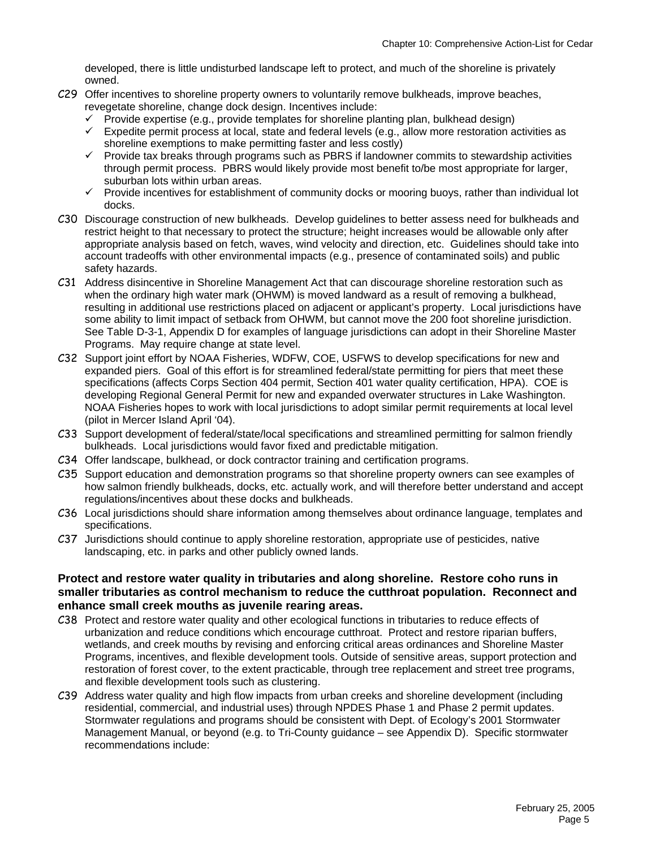developed, there is little undisturbed landscape left to protect, and much of the shoreline is privately owned.

- C29 Offer incentives to shoreline property owners to voluntarily remove bulkheads, improve beaches, revegetate shoreline, change dock design. Incentives include:
	- $\checkmark$  Provide expertise (e.g., provide templates for shoreline planting plan, bulkhead design)
	- $\checkmark$  Expedite permit process at local, state and federal levels (e.g., allow more restoration activities as shoreline exemptions to make permitting faster and less costly)
	- $\checkmark$  Provide tax breaks through programs such as PBRS if landowner commits to stewardship activities through permit process. PBRS would likely provide most benefit to/be most appropriate for larger, suburban lots within urban areas.
	- $\checkmark$  Provide incentives for establishment of community docks or mooring buoys, rather than individual lot docks.
- C30 Discourage construction of new bulkheads. Develop guidelines to better assess need for bulkheads and restrict height to that necessary to protect the structure; height increases would be allowable only after appropriate analysis based on fetch, waves, wind velocity and direction, etc. Guidelines should take into account tradeoffs with other environmental impacts (e.g., presence of contaminated soils) and public safety hazards.
- C31 Address disincentive in Shoreline Management Act that can discourage shoreline restoration such as when the ordinary high water mark (OHWM) is moved landward as a result of removing a bulkhead, resulting in additional use restrictions placed on adjacent or applicant's property. Local jurisdictions have some ability to limit impact of setback from OHWM, but cannot move the 200 foot shoreline jurisdiction. See Table D-3-1, Appendix D for examples of language jurisdictions can adopt in their Shoreline Master Programs. May require change at state level.
- C32 Support joint effort by NOAA Fisheries, WDFW, COE, USFWS to develop specifications for new and expanded piers. Goal of this effort is for streamlined federal/state permitting for piers that meet these specifications (affects Corps Section 404 permit, Section 401 water quality certification, HPA). COE is developing Regional General Permit for new and expanded overwater structures in Lake Washington. NOAA Fisheries hopes to work with local jurisdictions to adopt similar permit requirements at local level (pilot in Mercer Island April '04).
- C33 Support development of federal/state/local specifications and streamlined permitting for salmon friendly bulkheads. Local jurisdictions would favor fixed and predictable mitigation.
- C34 Offer landscape, bulkhead, or dock contractor training and certification programs.
- C35 Support education and demonstration programs so that shoreline property owners can see examples of how salmon friendly bulkheads, docks, etc. actually work, and will therefore better understand and accept regulations/incentives about these docks and bulkheads.
- C36 Local jurisdictions should share information among themselves about ordinance language, templates and specifications.
- C37 Jurisdictions should continue to apply shoreline restoration, appropriate use of pesticides, native landscaping, etc. in parks and other publicly owned lands.

#### **Protect and restore water quality in tributaries and along shoreline. Restore coho runs in smaller tributaries as control mechanism to reduce the cutthroat population. Reconnect and enhance small creek mouths as juvenile rearing areas.**

- C38 Protect and restore water quality and other ecological functions in tributaries to reduce effects of urbanization and reduce conditions which encourage cutthroat. Protect and restore riparian buffers, wetlands, and creek mouths by revising and enforcing critical areas ordinances and Shoreline Master Programs, incentives, and flexible development tools. Outside of sensitive areas, support protection and restoration of forest cover, to the extent practicable, through tree replacement and street tree programs, and flexible development tools such as clustering.
- C39 Address water quality and high flow impacts from urban creeks and shoreline development (including residential, commercial, and industrial uses) through NPDES Phase 1 and Phase 2 permit updates. Stormwater regulations and programs should be consistent with Dept. of Ecology's 2001 Stormwater Management Manual, or beyond (e.g. to Tri-County guidance – see Appendix D). Specific stormwater recommendations include: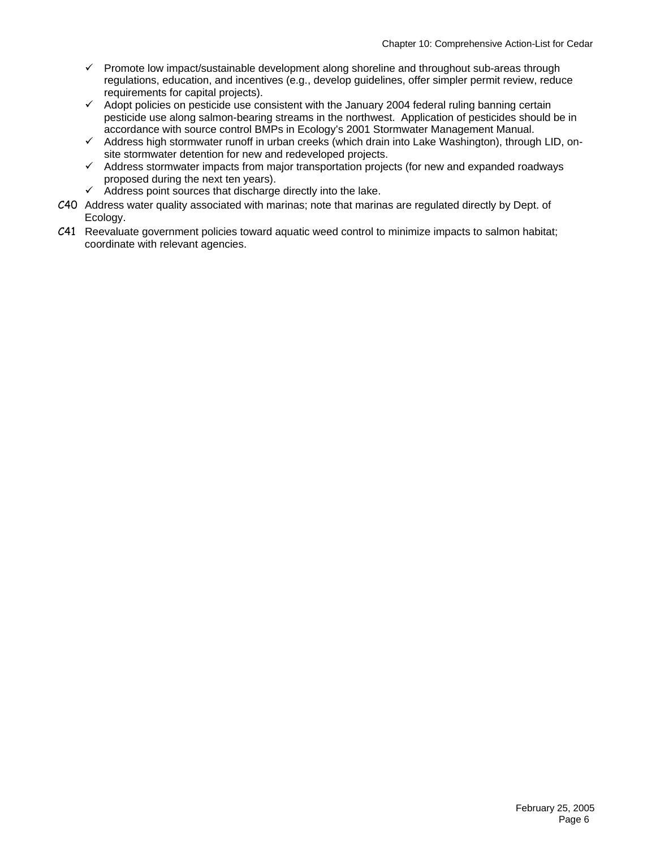- $\checkmark$  Promote low impact/sustainable development along shoreline and throughout sub-areas through regulations, education, and incentives (e.g., develop guidelines, offer simpler permit review, reduce requirements for capital projects).
- $\checkmark$  Adopt policies on pesticide use consistent with the January 2004 federal ruling banning certain pesticide use along salmon-bearing streams in the northwest. Application of pesticides should be in accordance with source control BMPs in Ecology's 2001 Stormwater Management Manual.
- $\checkmark$  Address high stormwater runoff in urban creeks (which drain into Lake Washington), through LID, onsite stormwater detention for new and redeveloped projects.
- $\checkmark$  Address stormwater impacts from major transportation projects (for new and expanded roadways proposed during the next ten years).
- $\checkmark$  Address point sources that discharge directly into the lake.
- C40 Address water quality associated with marinas; note that marinas are regulated directly by Dept. of Ecology.
- C41 Reevaluate government policies toward aquatic weed control to minimize impacts to salmon habitat; coordinate with relevant agencies.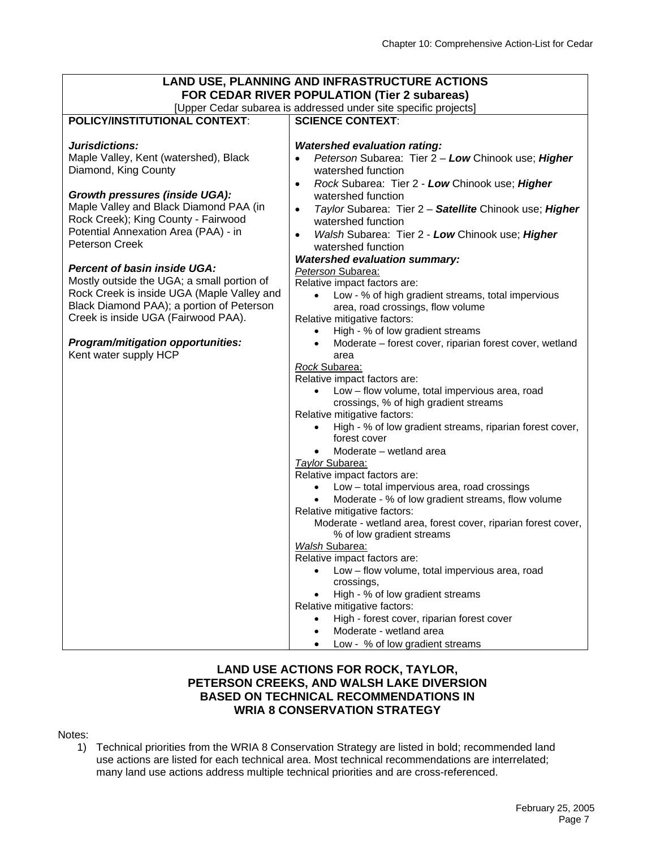| LAND USE, PLANNING AND INFRASTRUCTURE ACTIONS                   |                                                                                         |  |  |  |  |
|-----------------------------------------------------------------|-----------------------------------------------------------------------------------------|--|--|--|--|
| FOR CEDAR RIVER POPULATION (Tier 2 subareas)                    |                                                                                         |  |  |  |  |
| [Upper Cedar subarea is addressed under site specific projects] |                                                                                         |  |  |  |  |
| <b>POLICY/INSTITUTIONAL CONTEXT:</b>                            | <b>SCIENCE CONTEXT:</b>                                                                 |  |  |  |  |
|                                                                 |                                                                                         |  |  |  |  |
| Jurisdictions:                                                  | <b>Watershed evaluation rating:</b>                                                     |  |  |  |  |
| Maple Valley, Kent (watershed), Black                           | Peterson Subarea: Tier 2 - Low Chinook use; Higher<br>$\bullet$                         |  |  |  |  |
| Diamond, King County                                            | watershed function                                                                      |  |  |  |  |
| <b>Growth pressures (inside UGA):</b>                           | Rock Subarea: Tier 2 - Low Chinook use; Higher<br>$\bullet$                             |  |  |  |  |
| Maple Valley and Black Diamond PAA (in                          | watershed function                                                                      |  |  |  |  |
| Rock Creek); King County - Fairwood                             | Taylor Subarea: Tier 2 - Satellite Chinook use; Higher<br>$\bullet$                     |  |  |  |  |
| Potential Annexation Area (PAA) - in                            | watershed function                                                                      |  |  |  |  |
| <b>Peterson Creek</b>                                           | Walsh Subarea: Tier 2 - Low Chinook use; Higher<br>$\bullet$                            |  |  |  |  |
|                                                                 | watershed function                                                                      |  |  |  |  |
| <b>Percent of basin inside UGA:</b>                             | <b>Watershed evaluation summary:</b>                                                    |  |  |  |  |
| Mostly outside the UGA; a small portion of                      | Peterson Subarea:                                                                       |  |  |  |  |
| Rock Creek is inside UGA (Maple Valley and                      | Relative impact factors are:                                                            |  |  |  |  |
| Black Diamond PAA); a portion of Peterson                       | Low - % of high gradient streams, total impervious<br>area, road crossings, flow volume |  |  |  |  |
| Creek is inside UGA (Fairwood PAA).                             | Relative mitigative factors:                                                            |  |  |  |  |
|                                                                 | High - % of low gradient streams<br>$\bullet$                                           |  |  |  |  |
| Program/mitigation opportunities:                               | Moderate - forest cover, riparian forest cover, wetland<br>$\bullet$                    |  |  |  |  |
| Kent water supply HCP                                           | area                                                                                    |  |  |  |  |
|                                                                 | Rock Subarea:                                                                           |  |  |  |  |
|                                                                 | Relative impact factors are:                                                            |  |  |  |  |
|                                                                 | Low - flow volume, total impervious area, road                                          |  |  |  |  |
|                                                                 | crossings, % of high gradient streams                                                   |  |  |  |  |
|                                                                 | Relative mitigative factors:                                                            |  |  |  |  |
|                                                                 | High - % of low gradient streams, riparian forest cover,<br>$\bullet$<br>forest cover   |  |  |  |  |
|                                                                 | Moderate - wetland area<br>$\bullet$                                                    |  |  |  |  |
|                                                                 | Taylor Subarea:                                                                         |  |  |  |  |
|                                                                 | Relative impact factors are:                                                            |  |  |  |  |
|                                                                 | Low - total impervious area, road crossings                                             |  |  |  |  |
|                                                                 | Moderate - % of low gradient streams, flow volume                                       |  |  |  |  |
|                                                                 | Relative mitigative factors:                                                            |  |  |  |  |
|                                                                 | Moderate - wetland area, forest cover, riparian forest cover,                           |  |  |  |  |
|                                                                 | % of low gradient streams                                                               |  |  |  |  |
|                                                                 | Walsh Subarea:                                                                          |  |  |  |  |
|                                                                 | Relative impact factors are:                                                            |  |  |  |  |
|                                                                 | Low - flow volume, total impervious area, road                                          |  |  |  |  |
|                                                                 | crossings,                                                                              |  |  |  |  |
|                                                                 | High - % of low gradient streams                                                        |  |  |  |  |
|                                                                 | Relative mitigative factors:                                                            |  |  |  |  |
|                                                                 | High - forest cover, riparian forest cover<br>$\bullet$<br>Moderate - wetland area      |  |  |  |  |
|                                                                 |                                                                                         |  |  |  |  |
|                                                                 | Low - % of low gradient streams                                                         |  |  |  |  |

## **LAND USE ACTIONS FOR ROCK, TAYLOR, PETERSON CREEKS, AND WALSH LAKE DIVERSION BASED ON TECHNICAL RECOMMENDATIONS IN WRIA 8 CONSERVATION STRATEGY**

#### Notes:

1) Technical priorities from the WRIA 8 Conservation Strategy are listed in bold; recommended land use actions are listed for each technical area. Most technical recommendations are interrelated; many land use actions address multiple technical priorities and are cross-referenced.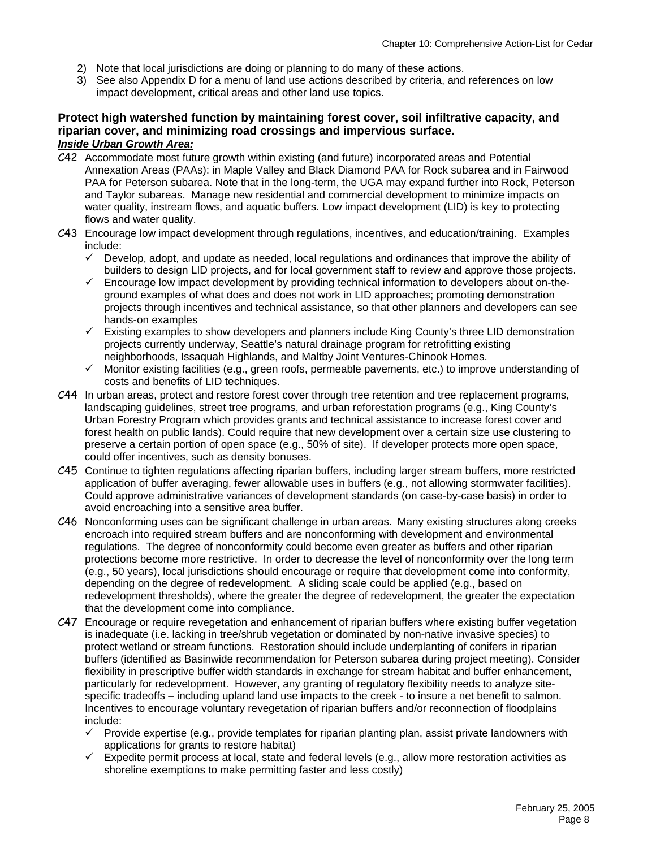- 2) Note that local jurisdictions are doing or planning to do many of these actions.
- 3) See also Appendix D for a menu of land use actions described by criteria, and references on low impact development, critical areas and other land use topics.

#### **Protect high watershed function by maintaining forest cover, soil infiltrative capacity, and riparian cover, and minimizing road crossings and impervious surface.**  *Inside Urban Growth Area:*

- C42 Accommodate most future growth within existing (and future) incorporated areas and Potential Annexation Areas (PAAs): in Maple Valley and Black Diamond PAA for Rock subarea and in Fairwood PAA for Peterson subarea. Note that in the long-term, the UGA may expand further into Rock, Peterson and Taylor subareas. Manage new residential and commercial development to minimize impacts on water quality, instream flows, and aquatic buffers. Low impact development (LID) is key to protecting flows and water quality.
- C43 Encourage low impact development through regulations, incentives, and education/training. Examples include:
	- Develop, adopt, and update as needed, local regulations and ordinances that improve the ability of builders to design LID projects, and for local government staff to review and approve those projects.
	- 9 Encourage low impact development by providing technical information to developers about on-theground examples of what does and does not work in LID approaches; promoting demonstration projects through incentives and technical assistance, so that other planners and developers can see hands-on examples
	- $\checkmark$  Existing examples to show developers and planners include King County's three LID demonstration projects currently underway, Seattle's natural drainage program for retrofitting existing neighborhoods, Issaquah Highlands, and Maltby Joint Ventures-Chinook Homes.
	- $\checkmark$  Monitor existing facilities (e.g., green roofs, permeable pavements, etc.) to improve understanding of costs and benefits of LID techniques.
- C44 In urban areas, protect and restore forest cover through tree retention and tree replacement programs, landscaping guidelines, street tree programs, and urban reforestation programs (e.g., King County's Urban Forestry Program which provides grants and technical assistance to increase forest cover and forest health on public lands). Could require that new development over a certain size use clustering to preserve a certain portion of open space (e.g., 50% of site). If developer protects more open space, could offer incentives, such as density bonuses.
- C45 Continue to tighten regulations affecting riparian buffers, including larger stream buffers, more restricted application of buffer averaging, fewer allowable uses in buffers (e.g., not allowing stormwater facilities). Could approve administrative variances of development standards (on case-by-case basis) in order to avoid encroaching into a sensitive area buffer.
- C46 Nonconforming uses can be significant challenge in urban areas.Many existing structures along creeks encroach into required stream buffers and are nonconforming with development and environmental regulations. The degree of nonconformity could become even greater as buffers and other riparian protections become more restrictive. In order to decrease the level of nonconformity over the long term (e.g., 50 years), local jurisdictions should encourage or require that development come into conformity, depending on the degree of redevelopment. A sliding scale could be applied (e.g., based on redevelopment thresholds), where the greater the degree of redevelopment, the greater the expectation that the development come into compliance.
- C47 Encourage or require revegetation and enhancement of riparian buffers where existing buffer vegetation is inadequate (i.e. lacking in tree/shrub vegetation or dominated by non-native invasive species) to protect wetland or stream functions. Restoration should include underplanting of conifers in riparian buffers (identified as Basinwide recommendation for Peterson subarea during project meeting). Consider flexibility in prescriptive buffer width standards in exchange for stream habitat and buffer enhancement, particularly for redevelopment. However, any granting of regulatory flexibility needs to analyze sitespecific tradeoffs – including upland land use impacts to the creek - to insure a net benefit to salmon. Incentives to encourage voluntary revegetation of riparian buffers and/or reconnection of floodplains include:
	- Provide expertise (e.g., provide templates for riparian planting plan, assist private landowners with applications for grants to restore habitat)
	- $\checkmark$  Expedite permit process at local, state and federal levels (e.g., allow more restoration activities as shoreline exemptions to make permitting faster and less costly)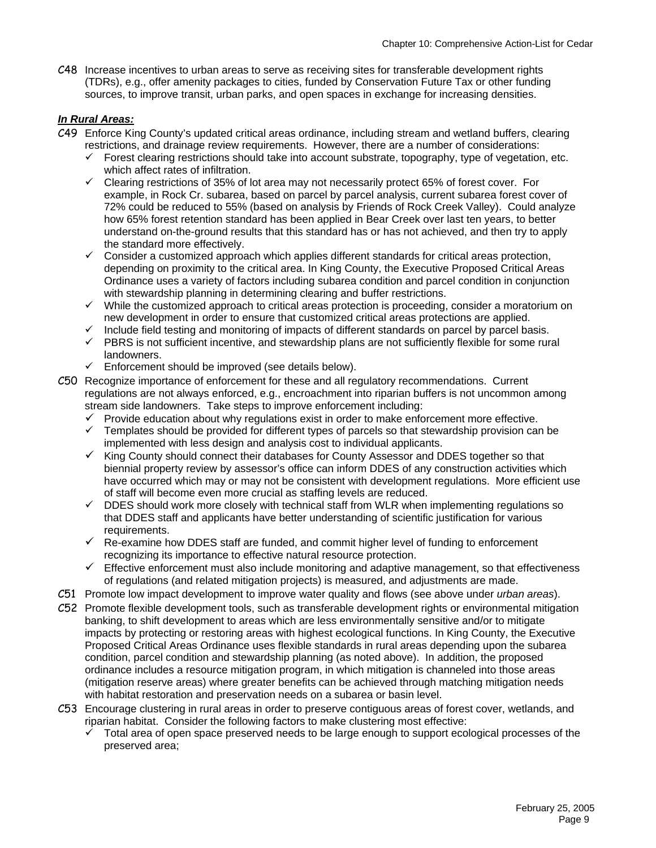C48 Increase incentives to urban areas to serve as receiving sites for transferable development rights (TDRs), e.g., offer amenity packages to cities, funded by Conservation Future Tax or other funding sources, to improve transit, urban parks, and open spaces in exchange for increasing densities.

#### *In Rural Areas:*

- C49 Enforce King County's updated critical areas ordinance, including stream and wetland buffers, clearing restrictions, and drainage review requirements. However, there are a number of considerations:
	- $\checkmark$  Forest clearing restrictions should take into account substrate, topography, type of vegetation, etc. which affect rates of infiltration.
	- $\checkmark$  Clearing restrictions of 35% of lot area may not necessarily protect 65% of forest cover. For example, in Rock Cr. subarea, based on parcel by parcel analysis, current subarea forest cover of 72% could be reduced to 55% (based on analysis by Friends of Rock Creek Valley). Could analyze how 65% forest retention standard has been applied in Bear Creek over last ten years, to better understand on-the-ground results that this standard has or has not achieved, and then try to apply the standard more effectively.
	- $\checkmark$  Consider a customized approach which applies different standards for critical areas protection, depending on proximity to the critical area. In King County, the Executive Proposed Critical Areas Ordinance uses a variety of factors including subarea condition and parcel condition in conjunction with stewardship planning in determining clearing and buffer restrictions.
	- $\checkmark$  While the customized approach to critical areas protection is proceeding, consider a moratorium on new development in order to ensure that customized critical areas protections are applied.
	- $\checkmark$  Include field testing and monitoring of impacts of different standards on parcel by parcel basis.
	- $\checkmark$  PBRS is not sufficient incentive, and stewardship plans are not sufficiently flexible for some rural landowners.
	- $\checkmark$  Enforcement should be improved (see details below).
- C50 Recognize importance of enforcement for these and all regulatory recommendations. Current regulations are not always enforced, e.g., encroachment into riparian buffers is not uncommon among stream side landowners. Take steps to improve enforcement including:
	- $\checkmark$  Provide education about why regulations exist in order to make enforcement more effective.
	- $\checkmark$  Templates should be provided for different types of parcels so that stewardship provision can be implemented with less design and analysis cost to individual applicants.
	- $\checkmark$  King County should connect their databases for County Assessor and DDES together so that biennial property review by assessor's office can inform DDES of any construction activities which have occurred which may or may not be consistent with development regulations. More efficient use of staff will become even more crucial as staffing levels are reduced.
	- $\checkmark$  DDES should work more closely with technical staff from WLR when implementing regulations so that DDES staff and applicants have better understanding of scientific justification for various requirements.
	- $\checkmark$  Re-examine how DDES staff are funded, and commit higher level of funding to enforcement recognizing its importance to effective natural resource protection.
	- $\checkmark$  Effective enforcement must also include monitoring and adaptive management, so that effectiveness of regulations (and related mitigation projects) is measured, and adjustments are made.
- C51 Promote low impact development to improve water quality and flows (see above under *urban areas*).
- C52 Promote flexible development tools, such as transferable development rights or environmental mitigation banking, to shift development to areas which are less environmentally sensitive and/or to mitigate impacts by protecting or restoring areas with highest ecological functions. In King County, the Executive Proposed Critical Areas Ordinance uses flexible standards in rural areas depending upon the subarea condition, parcel condition and stewardship planning (as noted above). In addition, the proposed ordinance includes a resource mitigation program, in which mitigation is channeled into those areas (mitigation reserve areas) where greater benefits can be achieved through matching mitigation needs with habitat restoration and preservation needs on a subarea or basin level.
- C53 Encourage clustering in rural areas in order to preserve contiguous areas of forest cover, wetlands, and riparian habitat. Consider the following factors to make clustering most effective:
	- 9 Total area of open space preserved needs to be large enough to support ecological processes of the preserved area;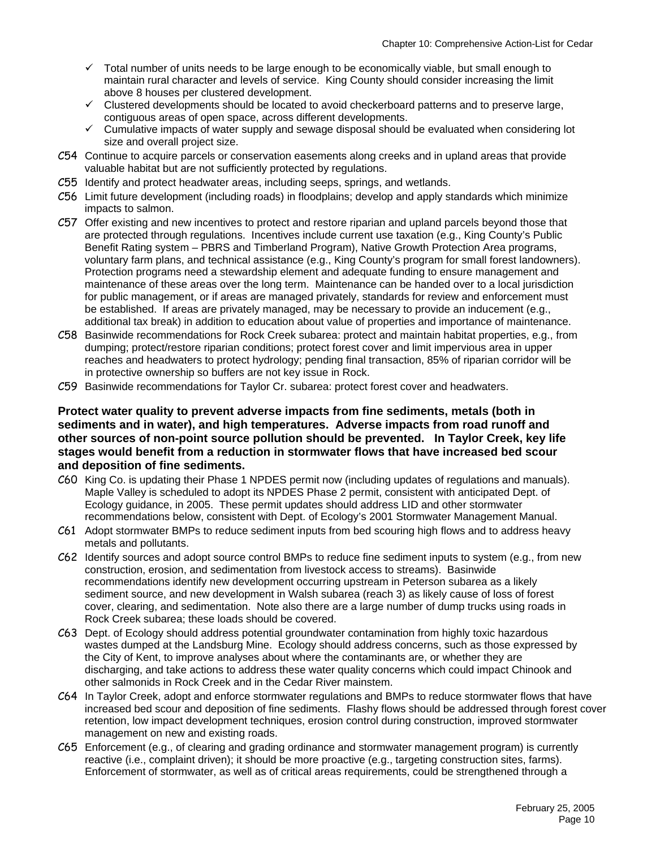- $\checkmark$  Total number of units needs to be large enough to be economically viable, but small enough to maintain rural character and levels of service. King County should consider increasing the limit above 8 houses per clustered development.
- $\checkmark$  Clustered developments should be located to avoid checkerboard patterns and to preserve large, contiguous areas of open space, across different developments.
- $\checkmark$  Cumulative impacts of water supply and sewage disposal should be evaluated when considering lot size and overall project size.
- C54 Continue to acquire parcels or conservation easements along creeks and in upland areas that provide valuable habitat but are not sufficiently protected by regulations.
- C55 Identify and protect headwater areas, including seeps, springs, and wetlands.
- C56 Limit future development (including roads) in floodplains; develop and apply standards which minimize impacts to salmon.
- C57 Offer existing and new incentives to protect and restore riparian and upland parcels beyond those that are protected through regulations. Incentives include current use taxation (e.g., King County's Public Benefit Rating system – PBRS and Timberland Program), Native Growth Protection Area programs, voluntary farm plans, and technical assistance (e.g., King County's program for small forest landowners). Protection programs need a stewardship element and adequate funding to ensure management and maintenance of these areas over the long term. Maintenance can be handed over to a local jurisdiction for public management, or if areas are managed privately, standards for review and enforcement must be established. If areas are privately managed, may be necessary to provide an inducement (e.g., additional tax break) in addition to education about value of properties and importance of maintenance.
- C58 Basinwide recommendations for Rock Creek subarea: protect and maintain habitat properties, e.g., from dumping; protect/restore riparian conditions; protect forest cover and limit impervious area in upper reaches and headwaters to protect hydrology; pending final transaction, 85% of riparian corridor will be in protective ownership so buffers are not key issue in Rock.
- C59 Basinwide recommendations for Taylor Cr. subarea: protect forest cover and headwaters.

#### **Protect water quality to prevent adverse impacts from fine sediments, metals (both in sediments and in water), and high temperatures. Adverse impacts from road runoff and other sources of non-point source pollution should be prevented. In Taylor Creek, key life stages would benefit from a reduction in stormwater flows that have increased bed scour and deposition of fine sediments.**

- C60 King Co. is updating their Phase 1 NPDES permit now (including updates of regulations and manuals). Maple Valley is scheduled to adopt its NPDES Phase 2 permit, consistent with anticipated Dept. of Ecology guidance, in 2005. These permit updates should address LID and other stormwater recommendations below, consistent with Dept. of Ecology's 2001 Stormwater Management Manual.
- C61 Adopt stormwater BMPs to reduce sediment inputs from bed scouring high flows and to address heavy metals and pollutants.
- C62 Identify sources and adopt source control BMPs to reduce fine sediment inputs to system (e.g., from new construction, erosion, and sedimentation from livestock access to streams). Basinwide recommendations identify new development occurring upstream in Peterson subarea as a likely sediment source, and new development in Walsh subarea (reach 3) as likely cause of loss of forest cover, clearing, and sedimentation. Note also there are a large number of dump trucks using roads in Rock Creek subarea; these loads should be covered.
- C63 Dept. of Ecology should address potential groundwater contamination from highly toxic hazardous wastes dumped at the Landsburg Mine. Ecology should address concerns, such as those expressed by the City of Kent, to improve analyses about where the contaminants are, or whether they are discharging, and take actions to address these water quality concerns which could impact Chinook and other salmonids in Rock Creek and in the Cedar River mainstem.
- C64 In Taylor Creek, adopt and enforce stormwater regulations and BMPs to reduce stormwater flows that have increased bed scour and deposition of fine sediments. Flashy flows should be addressed through forest cover retention, low impact development techniques, erosion control during construction, improved stormwater management on new and existing roads.
- C65 Enforcement (e.g., of clearing and grading ordinance and stormwater management program) is currently reactive (i.e., complaint driven); it should be more proactive (e.g., targeting construction sites, farms). Enforcement of stormwater, as well as of critical areas requirements, could be strengthened through a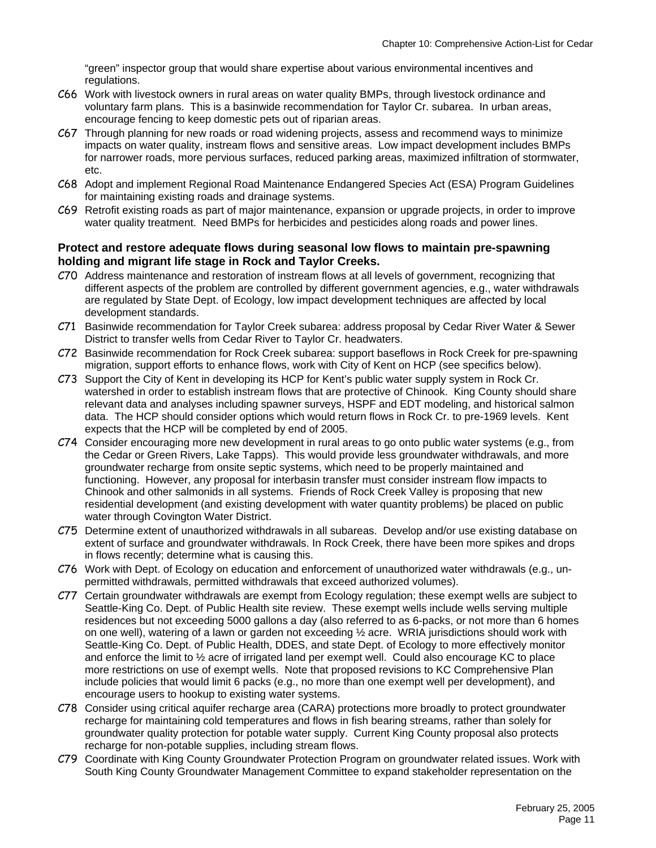"green" inspector group that would share expertise about various environmental incentives and regulations.

- C66 Work with livestock owners in rural areas on water quality BMPs, through livestock ordinance and voluntary farm plans. This is a basinwide recommendation for Taylor Cr. subarea. In urban areas, encourage fencing to keep domestic pets out of riparian areas.
- C67 Through planning for new roads or road widening projects, assess and recommend ways to minimize impacts on water quality, instream flows and sensitive areas. Low impact development includes BMPs for narrower roads, more pervious surfaces, reduced parking areas, maximized infiltration of stormwater, etc.
- C68 Adopt and implement Regional Road Maintenance Endangered Species Act (ESA) Program Guidelines for maintaining existing roads and drainage systems.
- C69 Retrofit existing roads as part of major maintenance, expansion or upgrade projects, in order to improve water quality treatment. Need BMPs for herbicides and pesticides along roads and power lines.

#### **Protect and restore adequate flows during seasonal low flows to maintain pre-spawning holding and migrant life stage in Rock and Taylor Creeks.**

- C70 Address maintenance and restoration of instream flows at all levels of government, recognizing that different aspects of the problem are controlled by different government agencies, e.g., water withdrawals are regulated by State Dept. of Ecology, low impact development techniques are affected by local development standards.
- C71 Basinwide recommendation for Taylor Creek subarea: address proposal by Cedar River Water & Sewer District to transfer wells from Cedar River to Taylor Cr. headwaters.
- C72 Basinwide recommendation for Rock Creek subarea: support baseflows in Rock Creek for pre-spawning migration, support efforts to enhance flows, work with City of Kent on HCP (see specifics below).
- C73 Support the City of Kent in developing its HCP for Kent's public water supply system in Rock Cr. watershed in order to establish instream flows that are protective of Chinook. King County should share relevant data and analyses including spawner surveys, HSPF and EDT modeling, and historical salmon data. The HCP should consider options which would return flows in Rock Cr. to pre-1969 levels. Kent expects that the HCP will be completed by end of 2005.
- C74 Consider encouraging more new development in rural areas to go onto public water systems (e.g., from the Cedar or Green Rivers, Lake Tapps). This would provide less groundwater withdrawals, and more groundwater recharge from onsite septic systems, which need to be properly maintained and functioning. However, any proposal for interbasin transfer must consider instream flow impacts to Chinook and other salmonids in all systems. Friends of Rock Creek Valley is proposing that new residential development (and existing development with water quantity problems) be placed on public water through Covington Water District.
- C75 Determine extent of unauthorized withdrawals in all subareas. Develop and/or use existing database on extent of surface and groundwater withdrawals. In Rock Creek, there have been more spikes and drops in flows recently; determine what is causing this.
- C76 Work with Dept. of Ecology on education and enforcement of unauthorized water withdrawals (e.g., unpermitted withdrawals, permitted withdrawals that exceed authorized volumes).
- C77 Certain groundwater withdrawals are exempt from Ecology regulation; these exempt wells are subject to Seattle-King Co. Dept. of Public Health site review. These exempt wells include wells serving multiple residences but not exceeding 5000 gallons a day (also referred to as 6-packs, or not more than 6 homes on one well), watering of a lawn or garden not exceeding ½ acre. WRIA jurisdictions should work with Seattle-King Co. Dept. of Public Health, DDES, and state Dept. of Ecology to more effectively monitor and enforce the limit to ½ acre of irrigated land per exempt well. Could also encourage KC to place more restrictions on use of exempt wells. Note that proposed revisions to KC Comprehensive Plan include policies that would limit 6 packs (e.g., no more than one exempt well per development), and encourage users to hookup to existing water systems.
- C78 Consider using critical aquifer recharge area (CARA) protections more broadly to protect groundwater recharge for maintaining cold temperatures and flows in fish bearing streams, rather than solely for groundwater quality protection for potable water supply. Current King County proposal also protects recharge for non-potable supplies, including stream flows.
- C79 Coordinate with King County Groundwater Protection Program on groundwater related issues. Work with South King County Groundwater Management Committee to expand stakeholder representation on the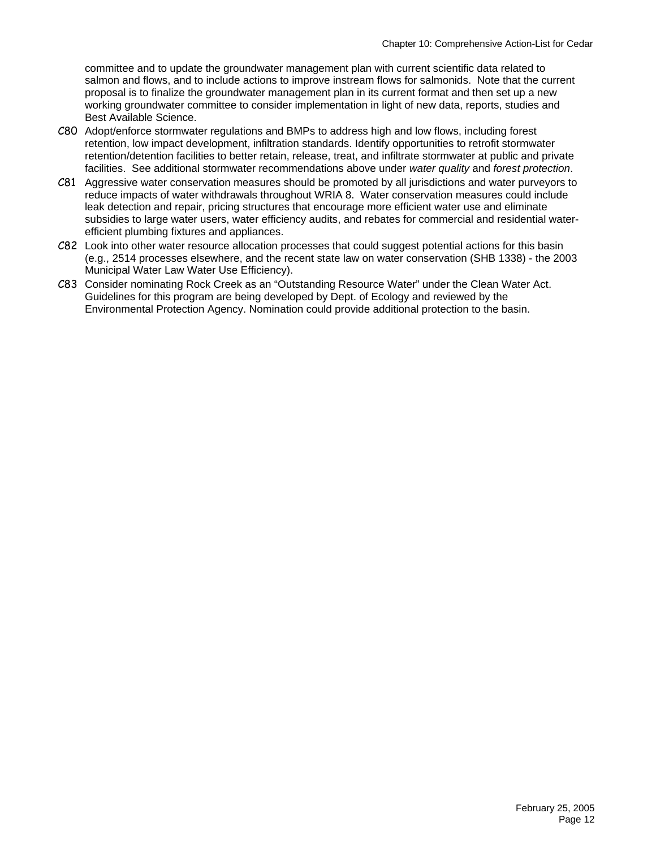committee and to update the groundwater management plan with current scientific data related to salmon and flows, and to include actions to improve instream flows for salmonids. Note that the current proposal is to finalize the groundwater management plan in its current format and then set up a new working groundwater committee to consider implementation in light of new data, reports, studies and Best Available Science.

- C80 Adopt/enforce stormwater regulations and BMPs to address high and low flows, including forest retention, low impact development, infiltration standards. Identify opportunities to retrofit stormwater retention/detention facilities to better retain, release, treat, and infiltrate stormwater at public and private facilities. See additional stormwater recommendations above under *water quality* and *forest protection*.
- C81 Aggressive water conservation measures should be promoted by all jurisdictions and water purveyors to reduce impacts of water withdrawals throughout WRIA 8. Water conservation measures could include leak detection and repair, pricing structures that encourage more efficient water use and eliminate subsidies to large water users, water efficiency audits, and rebates for commercial and residential waterefficient plumbing fixtures and appliances.
- C82 Look into other water resource allocation processes that could suggest potential actions for this basin (e.g., 2514 processes elsewhere, and the recent state law on water conservation (SHB 1338) - the 2003 Municipal Water Law Water Use Efficiency).
- C83 Consider nominating Rock Creek as an "Outstanding Resource Water" under the Clean Water Act. Guidelines for this program are being developed by Dept. of Ecology and reviewed by the Environmental Protection Agency. Nomination could provide additional protection to the basin.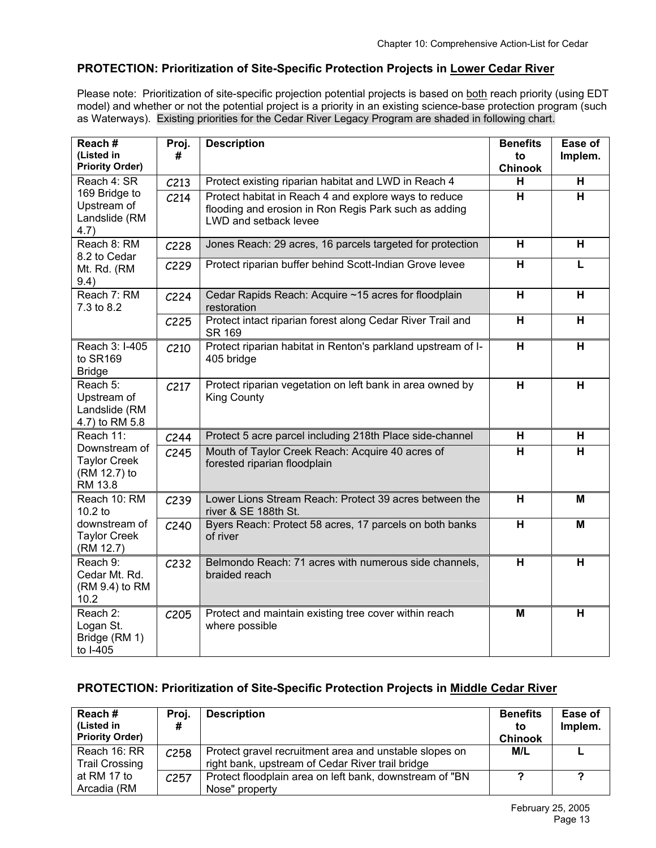# **PROTECTION: Prioritization of Site-Specific Protection Projects in Lower Cedar River**

Please note: Prioritization of site-specific projection potential projects is based on both reach priority (using EDT model) and whether or not the potential project is a priority in an existing science-base protection program (such as Waterways). Existing priorities for the Cedar River Legacy Program are shaded in following chart.

| Reach#<br>(Listed in<br><b>Priority Order)</b>                  | Proj.<br>#       | <b>Description</b>                                                                                                                      | <b>Benefits</b><br>to<br><b>Chinook</b> | Ease of<br>Implem.      |
|-----------------------------------------------------------------|------------------|-----------------------------------------------------------------------------------------------------------------------------------------|-----------------------------------------|-------------------------|
| Reach 4: SR                                                     | C <sub>213</sub> | Protect existing riparian habitat and LWD in Reach 4                                                                                    | н                                       | Н                       |
| 169 Bridge to<br>Upstream of<br>Landslide (RM<br>4.7)           | C <sub>214</sub> | Protect habitat in Reach 4 and explore ways to reduce<br>flooding and erosion in Ron Regis Park such as adding<br>LWD and setback levee | $\overline{\mathsf{H}}$                 | $\overline{\mathsf{H}}$ |
| Reach 8: RM<br>8.2 to Cedar                                     | C <sub>228</sub> | Jones Reach: 29 acres, 16 parcels targeted for protection                                                                               | н                                       | н                       |
| Mt. Rd. (RM<br>9.4)                                             | C229             | Protect riparian buffer behind Scott-Indian Grove levee                                                                                 | н                                       | L                       |
| Reach 7: RM<br>7.3 to 8.2                                       | C <sub>224</sub> | Cedar Rapids Reach: Acquire ~15 acres for floodplain<br>restoration                                                                     | H                                       | H                       |
|                                                                 | C225             | Protect intact riparian forest along Cedar River Trail and<br><b>SR 169</b>                                                             | H                                       | H                       |
| Reach 3: I-405<br>to SR169<br><b>Bridge</b>                     | C <sub>210</sub> | Protect riparian habitat in Renton's parkland upstream of I-<br>405 bridge                                                              | H.                                      | H                       |
| Reach 5:<br>Upstream of<br>Landslide (RM<br>4.7) to RM 5.8      | C <sub>217</sub> | Protect riparian vegetation on left bank in area owned by<br><b>King County</b>                                                         | H                                       | н                       |
| Reach 11:                                                       | C <sub>244</sub> | Protect 5 acre parcel including 218th Place side-channel                                                                                | н                                       | н                       |
| Downstream of<br><b>Taylor Creek</b><br>(RM 12.7) to<br>RM 13.8 | C <sub>245</sub> | Mouth of Taylor Creek Reach: Acquire 40 acres of<br>forested riparian floodplain                                                        | H                                       | H                       |
| Reach 10: RM<br>10.2 to                                         | C <sub>239</sub> | Lower Lions Stream Reach: Protect 39 acres between the<br>river & SE 188th St.                                                          | H                                       | M                       |
| downstream of<br><b>Taylor Creek</b><br>(RM 12.7)               | C <sub>240</sub> | Byers Reach: Protect 58 acres, 17 parcels on both banks<br>of river                                                                     | $\overline{\mathsf{H}}$                 | M                       |
| Reach 9:<br>Cedar Mt. Rd.<br>(RM 9.4) to RM<br>10.2             | C <sub>232</sub> | Belmondo Reach: 71 acres with numerous side channels,<br>braided reach                                                                  | H                                       | H                       |
| Reach 2:<br>Logan St.<br>Bridge (RM 1)<br>to I-405              | C205             | Protect and maintain existing tree cover within reach<br>where possible                                                                 | M                                       | H                       |

# **PROTECTION: Prioritization of Site-Specific Protection Projects in Middle Cedar River**

| Reach#<br>(Listed in<br><b>Priority Order)</b> | Proj.<br>#       | <b>Description</b>                                                                                         | <b>Benefits</b><br>to<br><b>Chinook</b> | Ease of<br>Implem. |
|------------------------------------------------|------------------|------------------------------------------------------------------------------------------------------------|-----------------------------------------|--------------------|
| Reach 16: RR<br><b>Trail Crossing</b>          | C <sub>258</sub> | Protect gravel recruitment area and unstable slopes on<br>right bank, upstream of Cedar River trail bridge | M/L                                     |                    |
| at RM 17 to<br>Arcadia (RM                     | C <sub>257</sub> | Protect floodplain area on left bank, downstream of "BN<br>Nose" property                                  | っ                                       |                    |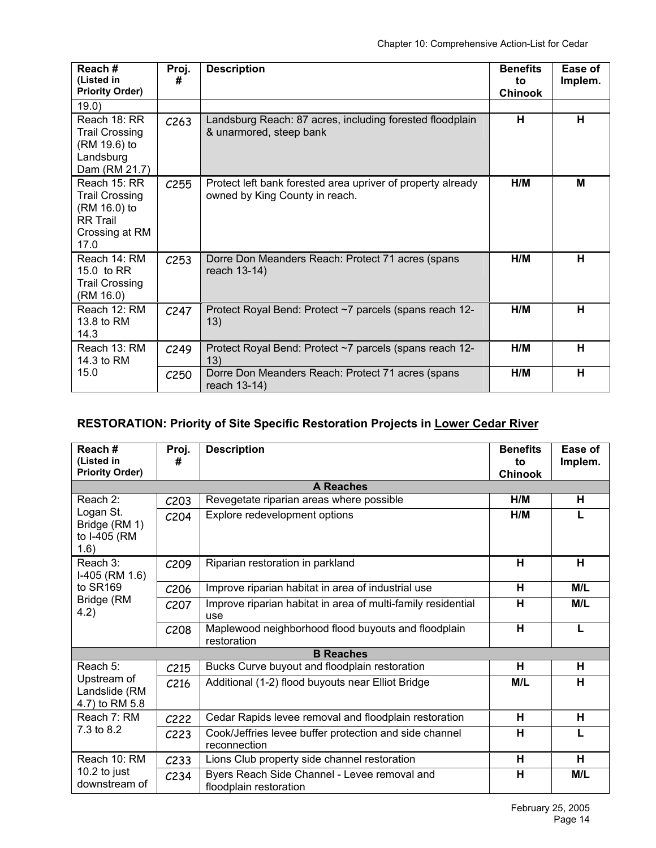| Reach#<br>(Listed in<br><b>Priority Order)</b>                                                     | Proj.<br>#       | <b>Description</b>                                                                            | <b>Benefits</b><br>to<br><b>Chinook</b> | Ease of<br>Implem. |
|----------------------------------------------------------------------------------------------------|------------------|-----------------------------------------------------------------------------------------------|-----------------------------------------|--------------------|
| 19.0)                                                                                              |                  |                                                                                               |                                         |                    |
| Reach 18: RR<br><b>Trail Crossing</b><br>(RM 19.6) to<br>Landsburg<br>Dam (RM 21.7)                | C <sub>263</sub> | Landsburg Reach: 87 acres, including forested floodplain<br>& unarmored, steep bank           | н                                       | н                  |
| Reach 15: RR<br><b>Trail Crossing</b><br>(RM 16.0) to<br><b>RR Trail</b><br>Crossing at RM<br>17.0 | C255             | Protect left bank forested area upriver of property already<br>owned by King County in reach. | H/M                                     | M                  |
| Reach 14: RM<br>15.0 to RR<br><b>Trail Crossing</b><br>(RM 16.0)                                   | C <sub>253</sub> | Dorre Don Meanders Reach: Protect 71 acres (spans<br>reach 13-14)                             | H/M                                     | н                  |
| Reach 12: RM<br>13.8 to RM<br>14.3                                                                 | C <sub>247</sub> | Protect Royal Bend: Protect ~7 parcels (spans reach 12-<br>13)                                | H/M                                     | н                  |
| Reach 13: RM<br>14.3 to RM                                                                         | C <sub>249</sub> | Protect Royal Bend: Protect ~7 parcels (spans reach 12-<br>13)                                | H/M                                     | н                  |
| 15.0                                                                                               | C <sub>250</sub> | Dorre Don Meanders Reach: Protect 71 acres (spans<br>reach 13-14)                             | H/M                                     | H                  |

# **RESTORATION: Priority of Site Specific Restoration Projects in Lower Cedar River**

| Reach#<br>(Listed in<br><b>Priority Order)</b>     | Proj.<br>#        | <b>Description</b>                                                     | <b>Benefits</b><br>to<br><b>Chinook</b> | Ease of<br>Implem. |
|----------------------------------------------------|-------------------|------------------------------------------------------------------------|-----------------------------------------|--------------------|
|                                                    |                   | <b>A Reaches</b>                                                       |                                         |                    |
| Reach 2:                                           | C <sub>203</sub>  | Revegetate riparian areas where possible                               | H/M                                     | н                  |
| Logan St.<br>Bridge (RM 1)<br>to I-405 (RM<br>1.6) | C <sub>204</sub>  | Explore redevelopment options                                          | H/M                                     | L.                 |
| Reach 3:<br>$I-405$ (RM 1.6)                       | C <sub>209</sub>  | Riparian restoration in parkland                                       | н                                       | н                  |
| to SR169                                           | C <sub>206</sub>  | Improve riparian habitat in area of industrial use                     | н                                       | M/L                |
| Bridge (RM<br>4.2)                                 | C <sub>20</sub> 7 | Improve riparian habitat in area of multi-family residential<br>use    | н                                       | M/L                |
|                                                    | C <sub>208</sub>  | Maplewood neighborhood flood buyouts and floodplain<br>restoration     | H                                       | L                  |
|                                                    |                   | <b>B</b> Reaches                                                       |                                         |                    |
| Reach 5:                                           | C <sub>215</sub>  | Bucks Curve buyout and floodplain restoration                          | H                                       | н                  |
| Upstream of<br>Landslide (RM<br>4.7) to RM 5.8     | C <sub>216</sub>  | Additional (1-2) flood buyouts near Elliot Bridge                      | M/L                                     | н                  |
| Reach 7: RM                                        | C <sub>222</sub>  | Cedar Rapids levee removal and floodplain restoration                  | н                                       | н                  |
| 7.3 to 8.2                                         | C <sub>223</sub>  | Cook/Jeffries levee buffer protection and side channel<br>reconnection | н                                       |                    |
| Reach 10: RM                                       | C <sub>233</sub>  | Lions Club property side channel restoration                           | н                                       | н                  |
| 10.2 to just<br>downstream of                      | C <sub>234</sub>  | Byers Reach Side Channel - Levee removal and<br>floodplain restoration | н                                       | M/L                |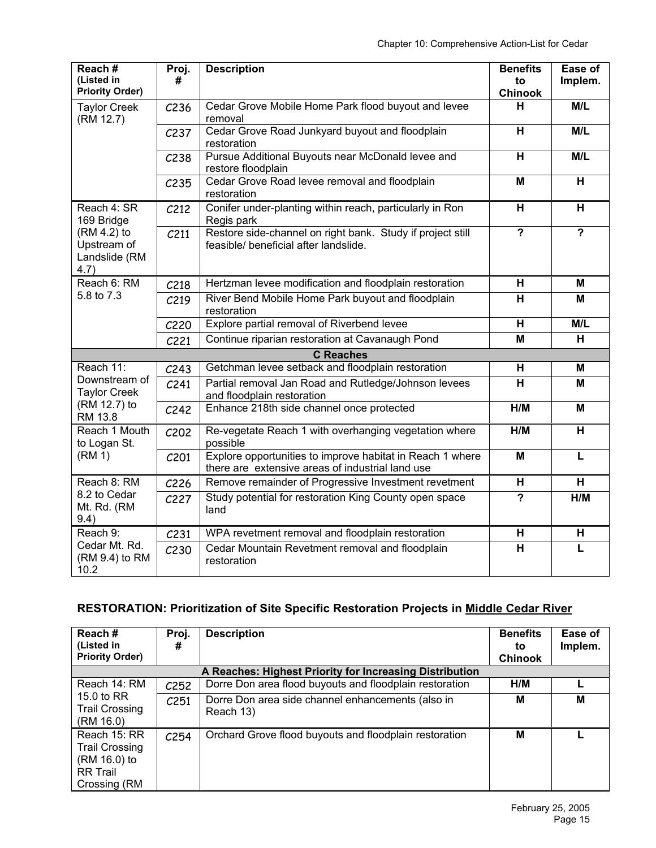| Reach#<br>(Listed in<br><b>Priority Order)</b>      | Proj.<br>#       | <b>Description</b>                                                                                            | <b>Benefits</b><br>to<br><b>Chinook</b> | Ease of<br>Implem. |
|-----------------------------------------------------|------------------|---------------------------------------------------------------------------------------------------------------|-----------------------------------------|--------------------|
| <b>Taylor Creek</b><br>(RM 12.7)                    | C <sub>236</sub> | Cedar Grove Mobile Home Park flood buyout and levee<br>removal                                                | н                                       | M/L                |
|                                                     | C <sub>237</sub> | Cedar Grove Road Junkyard buyout and floodplain<br>restoration                                                | $\overline{\mathbf{H}}$                 | M/L                |
|                                                     | C <sub>238</sub> | Pursue Additional Buyouts near McDonald levee and<br>restore floodplain                                       | H                                       | M/L                |
|                                                     | C <sub>235</sub> | Cedar Grove Road levee removal and floodplain<br>restoration                                                  | M                                       | H                  |
| Reach 4: SR<br>169 Bridge                           | C <sub>212</sub> | Conifer under-planting within reach, particularly in Ron<br>Regis park                                        | H                                       | H                  |
| (RM 4.2) to<br>Upstream of<br>Landslide (RM<br>4.7) | C211             | Restore side-channel on right bank. Study if project still<br>feasible/ beneficial after landslide.           | $\overline{\mathbf{?}}$                 | $\overline{?}$     |
| Reach 6: RM                                         | C <sub>218</sub> | Hertzman levee modification and floodplain restoration                                                        | H                                       | M                  |
| 5.8 to 7.3                                          | C <sub>219</sub> | River Bend Mobile Home Park buyout and floodplain<br>restoration                                              | $\overline{\mathbf{H}}$                 | M                  |
|                                                     | C220             | Explore partial removal of Riverbend levee                                                                    | H                                       | M/L                |
|                                                     | C221             | Continue riparian restoration at Cavanaugh Pond                                                               | M                                       | H                  |
|                                                     |                  | <b>C</b> Reaches                                                                                              |                                         |                    |
| Reach 11:                                           | C <sub>243</sub> | Getchman levee setback and floodplain restoration                                                             | H                                       | M                  |
| Downstream of<br><b>Taylor Creek</b>                | C <sub>241</sub> | Partial removal Jan Road and Rutledge/Johnson levees<br>and floodplain restoration                            | H                                       | M                  |
| (RM 12.7) to<br>RM 13.8                             | C <sub>242</sub> | Enhance 218th side channel once protected                                                                     | H/M                                     | M                  |
| Reach 1 Mouth<br>to Logan St.                       | C202             | Re-vegetate Reach 1 with overhanging vegetation where<br>possible                                             | H/M                                     | н                  |
| (RM 1)                                              | C <sub>201</sub> | Explore opportunities to improve habitat in Reach 1 where<br>there are extensive areas of industrial land use | M                                       | L                  |
| Reach 8: RM                                         | C <sub>226</sub> | Remove remainder of Progressive Investment revetment                                                          | H                                       | H                  |
| 8.2 to Cedar<br>Mt. Rd. (RM<br>9.4)                 | C227             | Study potential for restoration King County open space<br>land                                                | $\overline{?}$                          | H/M                |
| Reach 9:                                            | C <sub>231</sub> | WPA revetment removal and floodplain restoration                                                              | H                                       | H                  |
| Cedar Mt. Rd.<br>(RM 9.4) to RM<br>10.2             | C <sub>230</sub> | Cedar Mountain Revetment removal and floodplain<br>restoration                                                | H                                       | L                  |

# **RESTORATION: Prioritization of Site Specific Restoration Projects in Middle Cedar River**

| Reach#<br>(Listed in<br><b>Priority Order)</b>                                           | Proj.<br>#       | <b>Description</b>                                             | <b>Benefits</b><br>to<br><b>Chinook</b> | Ease of<br>Implem. |
|------------------------------------------------------------------------------------------|------------------|----------------------------------------------------------------|-----------------------------------------|--------------------|
|                                                                                          |                  | A Reaches: Highest Priority for Increasing Distribution        |                                         |                    |
| Reach 14: RM                                                                             | C <sub>252</sub> | Dorre Don area flood buyouts and floodplain restoration        | H/M                                     |                    |
| 15.0 to RR<br><b>Trail Crossing</b><br>(RM 16.0)                                         | C <sub>251</sub> | Dorre Don area side channel enhancements (also in<br>Reach 13) | М                                       | M                  |
| Reach 15: RR<br><b>Trail Crossing</b><br>(RM 16.0) to<br><b>RR Trail</b><br>Crossing (RM | C <sub>254</sub> | Orchard Grove flood buyouts and floodplain restoration         | M                                       |                    |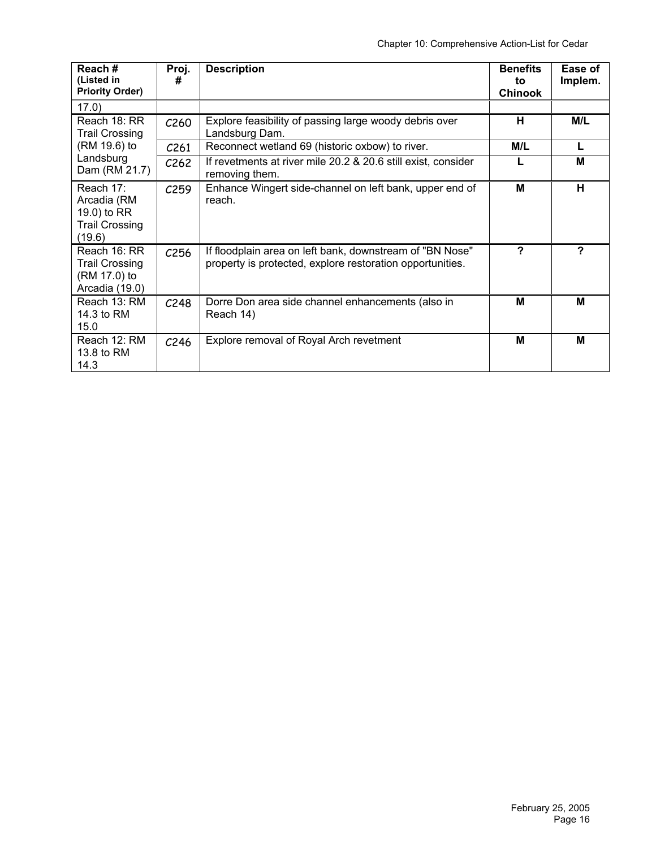| Reach#<br>(Listed in<br><b>Priority Order)</b>                             | Proj.<br>#       | <b>Description</b>                                                                                                    | <b>Benefits</b><br>to<br><b>Chinook</b> | Ease of<br>Implem. |
|----------------------------------------------------------------------------|------------------|-----------------------------------------------------------------------------------------------------------------------|-----------------------------------------|--------------------|
| 17.0)                                                                      |                  |                                                                                                                       |                                         |                    |
| Reach 18: RR<br><b>Trail Crossing</b>                                      | C <sub>260</sub> | Explore feasibility of passing large woody debris over<br>Landsburg Dam.                                              | н                                       | M/L                |
| (RM 19.6) to                                                               | C <sub>261</sub> | Reconnect wetland 69 (historic oxbow) to river.                                                                       | M/L                                     | L                  |
| Landsburg<br>Dam (RM 21.7)                                                 | C <sub>262</sub> | If revetments at river mile 20.2 & 20.6 still exist, consider<br>removing them.                                       |                                         | M                  |
| Reach 17:<br>Arcadia (RM<br>19.0) to RR<br><b>Trail Crossing</b><br>(19.6) | C <sub>259</sub> | Enhance Wingert side-channel on left bank, upper end of<br>reach.                                                     | M                                       | н                  |
| Reach 16: RR<br><b>Trail Crossing</b><br>(RM 17.0) to<br>Arcadia (19.0)    | C <sub>256</sub> | If floodplain area on left bank, downstream of "BN Nose"<br>property is protected, explore restoration opportunities. | ?                                       | ?                  |
| Reach 13: RM<br>14.3 to RM<br>15.0                                         | C <sub>248</sub> | Dorre Don area side channel enhancements (also in<br>Reach 14)                                                        | M                                       | M                  |
| Reach 12: RM<br>13.8 to RM<br>14.3                                         | C <sub>246</sub> | Explore removal of Royal Arch revetment                                                                               | M                                       | M                  |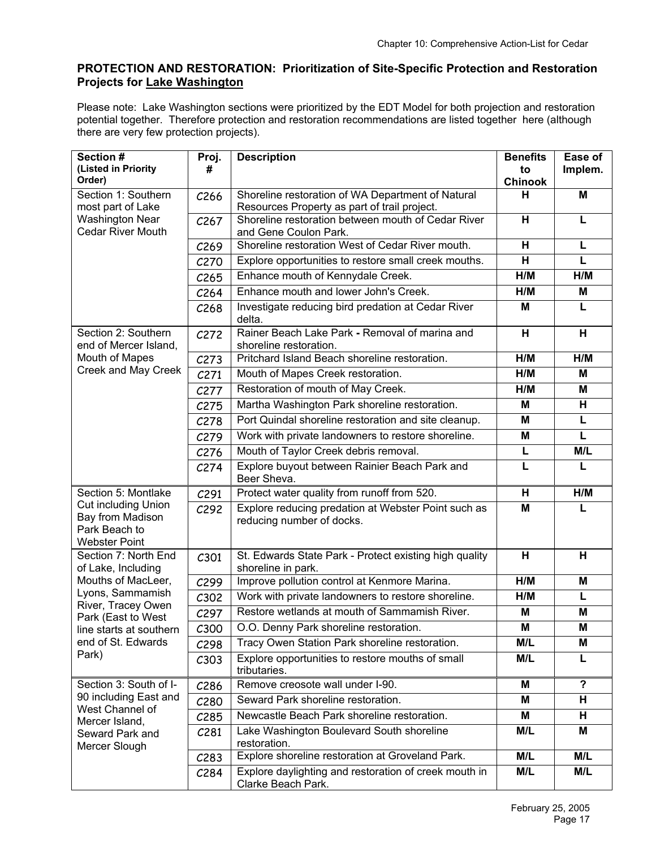# **PROTECTION AND RESTORATION: Prioritization of Site-Specific Protection and Restoration Projects for Lake Washington**

Please note: Lake Washington sections were prioritized by the EDT Model for both projection and restoration potential together. Therefore protection and restoration recommendations are listed together here (although there are very few protection projects).

| Section #                                                                                      | Proj.                    | <b>Description</b>                                                          | <b>Benefits</b>      | Ease of        |
|------------------------------------------------------------------------------------------------|--------------------------|-----------------------------------------------------------------------------|----------------------|----------------|
| (Listed in Priority<br>Order)                                                                  | #                        |                                                                             | to<br><b>Chinook</b> | Implem.        |
| Section 1: Southern                                                                            | C <sub>266</sub>         | Shoreline restoration of WA Department of Natural                           | н                    | M              |
| most part of Lake                                                                              |                          | Resources Property as part of trail project.                                |                      |                |
| <b>Washington Near</b><br><b>Cedar River Mouth</b>                                             | C <sub>267</sub>         | Shoreline restoration between mouth of Cedar River                          | H                    | L              |
|                                                                                                | C <sub>269</sub>         | and Gene Coulon Park.<br>Shoreline restoration West of Cedar River mouth.   | н                    | L              |
|                                                                                                | C <sub>270</sub>         | Explore opportunities to restore small creek mouths.                        | Н                    | L              |
|                                                                                                | C <sub>265</sub>         | Enhance mouth of Kennydale Creek.                                           | H/M                  | H/M            |
|                                                                                                | C <sub>264</sub>         | Enhance mouth and lower John's Creek.                                       | H/M                  | M              |
|                                                                                                | C <sub>268</sub>         | Investigate reducing bird predation at Cedar River                          | M                    | L              |
|                                                                                                |                          | delta.                                                                      |                      |                |
| Section 2: Southern                                                                            | C272                     | Rainer Beach Lake Park - Removal of marina and                              | н                    | н              |
| end of Mercer Island,<br>Mouth of Mapes                                                        | C273                     | shoreline restoration.<br>Pritchard Island Beach shoreline restoration.     | H/M                  | H/M            |
| Creek and May Creek                                                                            |                          | Mouth of Mapes Creek restoration.                                           | H/M                  | M              |
|                                                                                                | C <sub>271</sub><br>C277 | Restoration of mouth of May Creek.                                          | H/M                  | M              |
|                                                                                                |                          | Martha Washington Park shoreline restoration.                               | M                    | н              |
|                                                                                                | C275                     | Port Quindal shoreline restoration and site cleanup.                        | M                    | L              |
|                                                                                                | C278                     | Work with private landowners to restore shoreline.                          | M                    | L              |
|                                                                                                | C279                     | Mouth of Taylor Creek debris removal.                                       | L                    | M/L            |
|                                                                                                | C <sub>276</sub>         | Explore buyout between Rainier Beach Park and                               |                      |                |
|                                                                                                | C <sub>274</sub>         | Beer Sheva.                                                                 |                      |                |
| Section 5: Montlake                                                                            | C <sub>291</sub>         | Protect water quality from runoff from 520.                                 | H                    | H/M            |
| <b>Cut including Union</b>                                                                     | C292                     | Explore reducing predation at Webster Point such as                         | M                    |                |
| Bay from Madison<br>Park Beach to                                                              |                          | reducing number of docks.                                                   |                      |                |
| <b>Webster Point</b>                                                                           |                          |                                                                             |                      |                |
| Section 7: North End                                                                           | C301                     | St. Edwards State Park - Protect existing high quality                      | H                    | H              |
| of Lake, Including<br>Mouths of MacLeer,                                                       | C299                     | shoreline in park.<br>Improve pollution control at Kenmore Marina.          | H/M                  | M              |
| Lyons, Sammamish                                                                               | C302                     | Work with private landowners to restore shoreline.                          | H/M                  | L              |
| River, Tracey Owen                                                                             | C297                     | Restore wetlands at mouth of Sammamish River.                               | M                    | M              |
| Park (East to West<br>line starts at southern                                                  | C300                     | O.O. Denny Park shoreline restoration.                                      | M                    | M              |
| end of St. Edwards                                                                             | C298                     | Tracy Owen Station Park shoreline restoration.                              | M/L                  | Μ              |
| Park)                                                                                          | C303                     | Explore opportunities to restore mouths of small                            | M/L                  |                |
|                                                                                                |                          | tributaries.                                                                |                      |                |
| Section 3: South of I-                                                                         | C <sub>286</sub>         | Remove creosote wall under I-90.                                            | М                    | $\overline{?}$ |
| 90 including East and<br>West Channel of<br>Mercer Island,<br>Seward Park and<br>Mercer Slough | C <sub>280</sub>         | Seward Park shoreline restoration.                                          | M                    | н              |
|                                                                                                | C <sub>285</sub>         | Newcastle Beach Park shoreline restoration.                                 | M                    | H              |
|                                                                                                | C <sub>281</sub>         | Lake Washington Boulevard South shoreline<br>restoration.                   | M/L                  | Μ              |
|                                                                                                | C283                     | Explore shoreline restoration at Groveland Park.                            | M/L                  | M/L            |
|                                                                                                | C <sub>284</sub>         | Explore daylighting and restoration of creek mouth in<br>Clarke Beach Park. | M/L                  | M/L            |
|                                                                                                |                          |                                                                             |                      |                |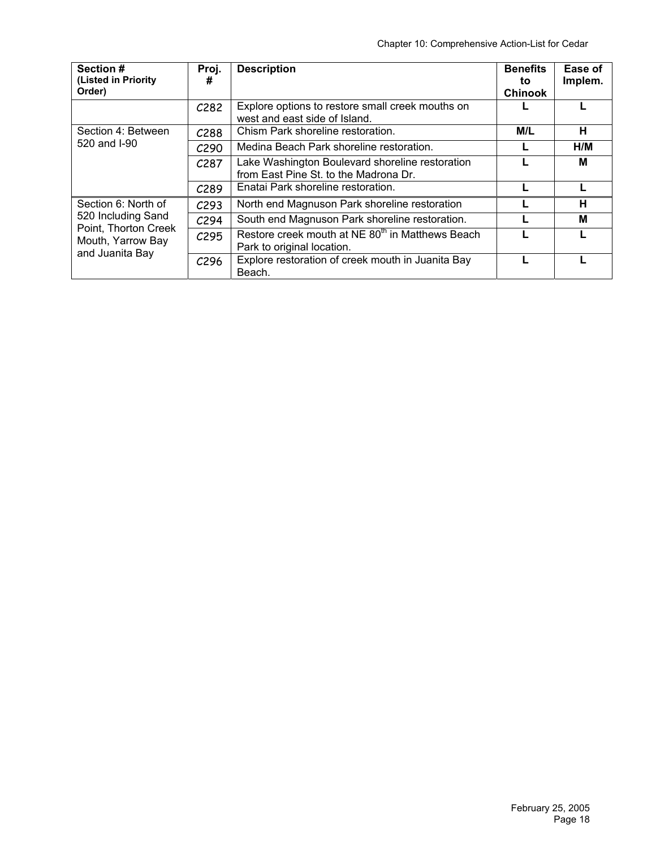| Section #<br>(Listed in Priority<br>Order)                      | Proj.<br>#       | <b>Description</b>                                                                         | <b>Benefits</b><br>to<br><b>Chinook</b> | Ease of<br>Implem. |
|-----------------------------------------------------------------|------------------|--------------------------------------------------------------------------------------------|-----------------------------------------|--------------------|
|                                                                 | C <sub>282</sub> | Explore options to restore small creek mouths on<br>west and east side of Island.          |                                         |                    |
| Section 4: Between                                              | C <sub>288</sub> | Chism Park shoreline restoration.                                                          | M/L                                     | н                  |
| 520 and I-90                                                    | C <sub>290</sub> | Medina Beach Park shoreline restoration.                                                   |                                         | H/M                |
|                                                                 | C <sub>287</sub> | Lake Washington Boulevard shoreline restoration<br>from East Pine St. to the Madrona Dr.   |                                         | м                  |
|                                                                 | C <sub>289</sub> | Enatai Park shoreline restoration.                                                         |                                         |                    |
| Section 6: North of                                             | C <sub>293</sub> | North end Magnuson Park shoreline restoration                                              |                                         | н                  |
| 520 Including Sand<br>Point, Thorton Creek<br>Mouth, Yarrow Bay | C <sub>294</sub> | South end Magnuson Park shoreline restoration.                                             |                                         | м                  |
|                                                                 | C <sub>295</sub> | Restore creek mouth at NE 80 <sup>th</sup> in Matthews Beach<br>Park to original location. |                                         |                    |
| and Juanita Bay                                                 | C <sub>296</sub> | Explore restoration of creek mouth in Juanita Bay<br>Beach.                                |                                         |                    |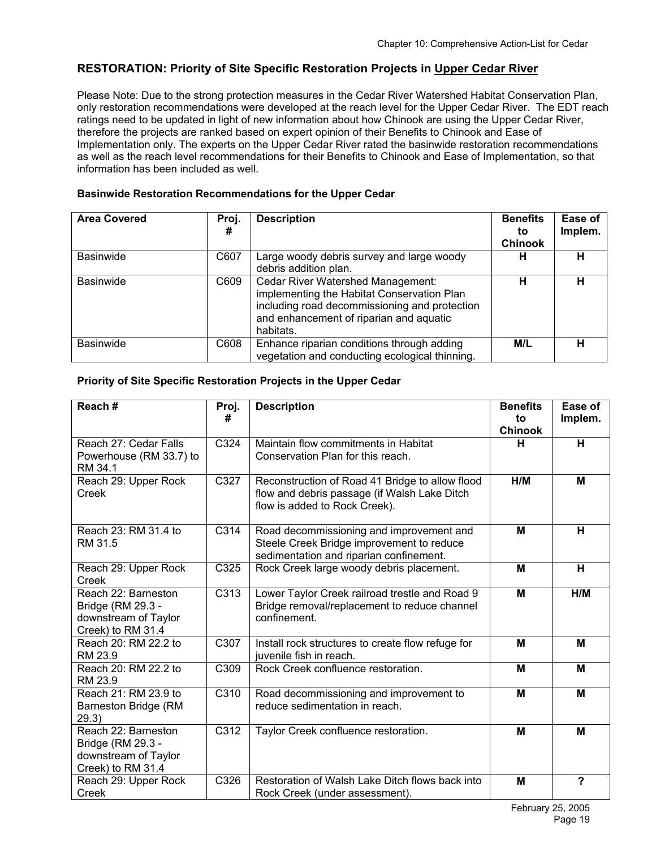#### **RESTORATION: Priority of Site Specific Restoration Projects in Upper Cedar River**

Please Note: Due to the strong protection measures in the Cedar River Watershed Habitat Conservation Plan, only restoration recommendations were developed at the reach level for the Upper Cedar River. The EDT reach ratings need to be updated in light of new information about how Chinook are using the Upper Cedar River, therefore the projects are ranked based on expert opinion of their Benefits to Chinook and Ease of Implementation only. The experts on the Upper Cedar River rated the basinwide restoration recommendations as well as the reach level recommendations for their Benefits to Chinook and Ease of Implementation, so that information has been included as well.

#### **Basinwide Restoration Recommendations for the Upper Cedar**

| <b>Area Covered</b> | Proj.<br># | <b>Description</b>                                                                                                                                                                       | <b>Benefits</b><br>to | Ease of<br>Implem. |
|---------------------|------------|------------------------------------------------------------------------------------------------------------------------------------------------------------------------------------------|-----------------------|--------------------|
|                     |            |                                                                                                                                                                                          | <b>Chinook</b>        |                    |
| <b>Basinwide</b>    | C607       | Large woody debris survey and large woody<br>debris addition plan.                                                                                                                       | н                     | н                  |
| <b>Basinwide</b>    | C609       | Cedar River Watershed Management:<br>implementing the Habitat Conservation Plan<br>including road decommissioning and protection<br>and enhancement of riparian and aquatic<br>habitats. | н                     | н                  |
| <b>Basinwide</b>    | C608       | Enhance riparian conditions through adding<br>vegetation and conducting ecological thinning.                                                                                             | M/L                   |                    |

#### **Priority of Site Specific Restoration Projects in the Upper Cedar**

| Reach#                                                                                | Proj.<br># | <b>Description</b>                                                                                                               | <b>Benefits</b><br>to<br><b>Chinook</b> | Ease of<br>Implem.      |
|---------------------------------------------------------------------------------------|------------|----------------------------------------------------------------------------------------------------------------------------------|-----------------------------------------|-------------------------|
| Reach 27: Cedar Falls<br>Powerhouse (RM 33.7) to<br>RM 34.1                           | C324       | Maintain flow commitments in Habitat<br>Conservation Plan for this reach.                                                        | н                                       | H                       |
| Reach 29: Upper Rock<br>Creek                                                         | C327       | Reconstruction of Road 41 Bridge to allow flood<br>flow and debris passage (if Walsh Lake Ditch<br>flow is added to Rock Creek). | H/M                                     | M                       |
| Reach 23: RM 31.4 to<br>RM 31.5                                                       | C314       | Road decommissioning and improvement and<br>Steele Creek Bridge improvement to reduce<br>sedimentation and riparian confinement. | M                                       | H                       |
| Reach 29: Upper Rock<br>Creek                                                         | C325       | Rock Creek large woody debris placement.                                                                                         | M                                       | H                       |
| Reach 22: Barneston<br>Bridge (RM 29.3 -<br>downstream of Taylor<br>Creek) to RM 31.4 | C313       | Lower Taylor Creek railroad trestle and Road 9<br>Bridge removal/replacement to reduce channel<br>confinement.                   | M                                       | H/M                     |
| Reach 20: RM 22.2 to<br>RM 23.9                                                       | C307       | Install rock structures to create flow refuge for<br>juvenile fish in reach.                                                     | M                                       | M                       |
| Reach 20: RM 22.2 to<br>RM 23.9                                                       | C309       | Rock Creek confluence restoration.                                                                                               | M                                       | M                       |
| Reach 21: RM 23.9 to<br>Barneston Bridge (RM<br>29.3)                                 | C310       | Road decommissioning and improvement to<br>reduce sedimentation in reach.                                                        | M                                       | M                       |
| Reach 22: Barneston<br>Bridge (RM 29.3 -<br>downstream of Taylor<br>Creek) to RM 31.4 | C312       | Taylor Creek confluence restoration.                                                                                             | M                                       | M                       |
| Reach 29: Upper Rock<br>Creek                                                         | C326       | Restoration of Walsh Lake Ditch flows back into<br>Rock Creek (under assessment).                                                | M                                       | $\overline{\mathbf{?}}$ |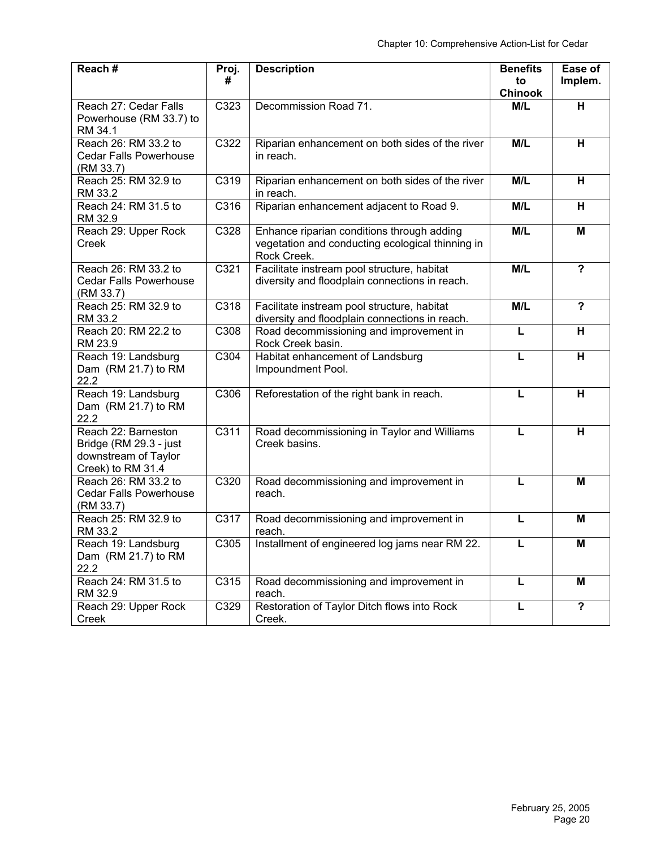| Reach#                                                                                     | Proj.<br>#        | <b>Description</b>                                                                                            | <b>Benefits</b><br>to | Ease of<br>Implem.      |
|--------------------------------------------------------------------------------------------|-------------------|---------------------------------------------------------------------------------------------------------------|-----------------------|-------------------------|
|                                                                                            |                   |                                                                                                               | <b>Chinook</b>        |                         |
| Reach 27: Cedar Falls<br>Powerhouse (RM 33.7) to<br>RM 34.1                                | C323              | Decommission Road 71.                                                                                         | M/L                   | H                       |
| Reach 26: RM 33.2 to<br><b>Cedar Falls Powerhouse</b><br>(RM 33.7)                         | C322              | Riparian enhancement on both sides of the river<br>in reach.                                                  | M/L                   | H                       |
| Reach 25: RM 32.9 to<br>RM 33.2                                                            | C319              | Riparian enhancement on both sides of the river<br>in reach.                                                  | M/L                   | H                       |
| Reach 24: RM 31.5 to<br>RM 32.9                                                            | C316              | Riparian enhancement adjacent to Road 9.                                                                      | M/L                   | H                       |
| Reach 29: Upper Rock<br>Creek                                                              | C328              | Enhance riparian conditions through adding<br>vegetation and conducting ecological thinning in<br>Rock Creek. | M/L                   | M                       |
| Reach 26: RM 33.2 to<br><b>Cedar Falls Powerhouse</b><br>(RM 33.7)                         | C321              | Facilitate instream pool structure, habitat<br>diversity and floodplain connections in reach.                 | M/L                   | $\overline{\mathbf{?}}$ |
| Reach 25: RM 32.9 to<br>RM 33.2                                                            | C318              | Facilitate instream pool structure, habitat<br>diversity and floodplain connections in reach.                 | M/L                   | $\overline{\mathbf{P}}$ |
| Reach 20: RM 22.2 to<br>RM 23.9                                                            | C308              | Road decommissioning and improvement in<br>Rock Creek basin.                                                  | L                     | H                       |
| Reach 19: Landsburg<br>Dam (RM 21.7) to RM<br>22.2                                         | $\overline{C3}04$ | Habitat enhancement of Landsburg<br>Impoundment Pool.                                                         | L                     | H                       |
| Reach 19: Landsburg<br>Dam (RM 21.7) to RM<br>22.2                                         | C306              | Reforestation of the right bank in reach.                                                                     | L                     | H                       |
| Reach 22: Barneston<br>Bridge (RM 29.3 - just<br>downstream of Taylor<br>Creek) to RM 31.4 | C <sub>311</sub>  | Road decommissioning in Taylor and Williams<br>Creek basins.                                                  | L                     | н                       |
| Reach 26: RM 33.2 to<br><b>Cedar Falls Powerhouse</b><br>(RM 33.7)                         | C320              | Road decommissioning and improvement in<br>reach.                                                             | L                     | M                       |
| Reach 25: RM 32.9 to<br>RM 33.2                                                            | C317              | Road decommissioning and improvement in<br>reach.                                                             | L                     | M                       |
| Reach 19: Landsburg<br>Dam (RM 21.7) to RM<br>22.2                                         | C305              | Installment of engineered log jams near RM 22.                                                                | L                     | M                       |
| Reach 24: RM 31.5 to<br>RM 32.9                                                            | C315              | Road decommissioning and improvement in<br>reach.                                                             | L                     | M                       |
| Reach 29: Upper Rock<br>Creek                                                              | C329              | Restoration of Taylor Ditch flows into Rock<br>Creek.                                                         | L                     | $\overline{\mathbf{P}}$ |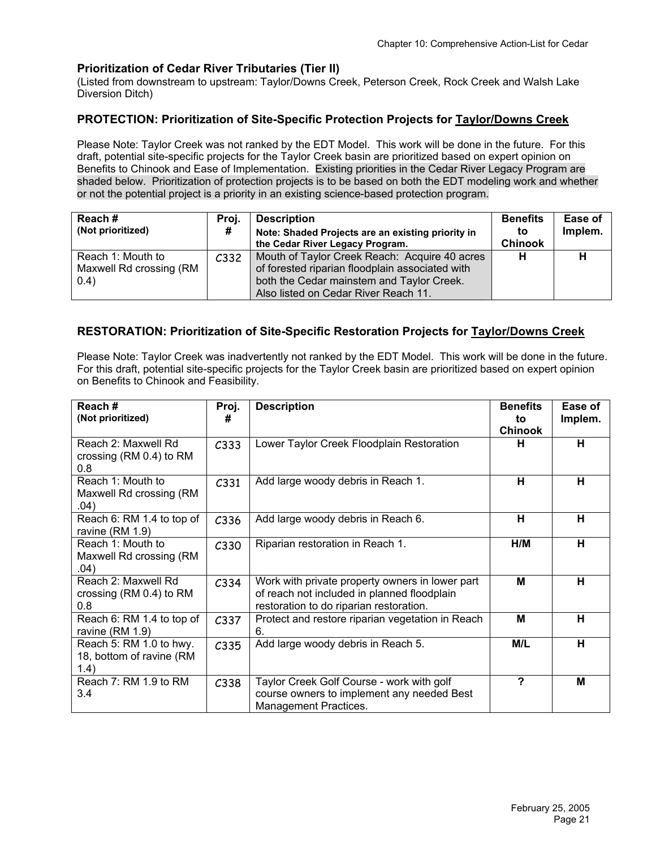#### **Prioritization of Cedar River Tributaries (Tier II)**

(Listed from downstream to upstream: Taylor/Downs Creek, Peterson Creek, Rock Creek and Walsh Lake Diversion Ditch)

#### **PROTECTION: Prioritization of Site-Specific Protection Projects for Taylor/Downs Creek**

Please Note: Taylor Creek was not ranked by the EDT Model. This work will be done in the future. For this draft, potential site-specific projects for the Taylor Creek basin are prioritized based on expert opinion on Benefits to Chinook and Ease of Implementation. Existing priorities in the Cedar River Legacy Program are shaded below. Prioritization of protection projects is to be based on both the EDT modeling work and whether or not the potential project is a priority in an existing science-based protection program.

| Reach#<br>(Not prioritized)                           | Proi.<br>#       | <b>Description</b><br>Note: Shaded Projects are an existing priority in<br>the Cedar River Legacy Program.                                                                            | <b>Benefits</b><br>to<br><b>Chinook</b> | Ease of<br>Implem. |
|-------------------------------------------------------|------------------|---------------------------------------------------------------------------------------------------------------------------------------------------------------------------------------|-----------------------------------------|--------------------|
| Reach 1: Mouth to<br>Maxwell Rd crossing (RM<br>(0.4) | C <sub>332</sub> | Mouth of Taylor Creek Reach: Acquire 40 acres<br>of forested riparian floodplain associated with<br>both the Cedar mainstem and Taylor Creek.<br>Also listed on Cedar River Reach 11. | н                                       |                    |

#### **RESTORATION: Prioritization of Site-Specific Restoration Projects for Taylor/Downs Creek**

Please Note: Taylor Creek was inadvertently not ranked by the EDT Model. This work will be done in the future. For this draft, potential site-specific projects for the Taylor Creek basin are prioritized based on expert opinion on Benefits to Chinook and Feasibility.

| Reach#<br>(Not prioritized)                                 | Proj.<br>#       | <b>Description</b>                                                                                                                        | <b>Benefits</b><br>to<br><b>Chinook</b> | Ease of<br>Implem. |
|-------------------------------------------------------------|------------------|-------------------------------------------------------------------------------------------------------------------------------------------|-----------------------------------------|--------------------|
| Reach 2: Maxwell Rd<br>crossing ( $RM$ 0.4) to $RM$<br>0.8  | C333             | Lower Taylor Creek Floodplain Restoration                                                                                                 | н                                       | н                  |
| Reach 1: Mouth to<br>Maxwell Rd crossing (RM<br>.04)        | C <sub>331</sub> | Add large woody debris in Reach 1.                                                                                                        | н                                       | н                  |
| Reach 6: RM 1.4 to top of<br>ravine (RM 1.9)                | C <sub>336</sub> | Add large woody debris in Reach 6.                                                                                                        | н                                       | н                  |
| Reach 1: Mouth to<br>Maxwell Rd crossing (RM<br>.04)        | C <sub>330</sub> | Riparian restoration in Reach 1.                                                                                                          | H/M                                     | н                  |
| Reach 2: Maxwell Rd<br>crossing (RM 0.4) to RM<br>0.8       | C <sub>334</sub> | Work with private property owners in lower part<br>of reach not included in planned floodplain<br>restoration to do riparian restoration. | М                                       | н                  |
| Reach 6: RM 1.4 to top of<br>ravine $(RM 1.9)$              | C <sub>337</sub> | Protect and restore riparian vegetation in Reach<br>6.                                                                                    | M                                       | н                  |
| Reach 5: RM 1.0 to hwy.<br>18, bottom of ravine (RM<br>1.4) | C335             | Add large woody debris in Reach 5.                                                                                                        | M/L                                     | н                  |
| Reach 7: RM 1.9 to RM<br>3.4                                | C338             | Taylor Creek Golf Course - work with golf<br>course owners to implement any needed Best<br>Management Practices.                          | ?                                       | M                  |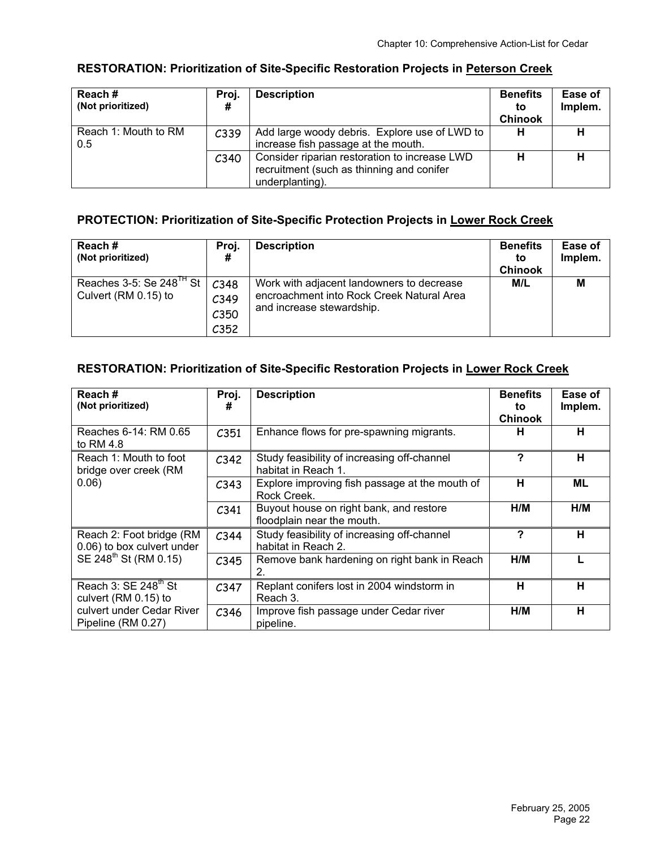#### **Reach # (Not prioritized) Proj. # Description** Benefits **to Chinook Ease of Implem.**  Reach 1: Mouth to RM  $\begin{array}{|c|c|c|c|}\hline \text{C339} & \text{Add large woody debris.} & \text{Explore use of LWD to} & \text{H} & \text{H} \ \hline \end{array}$ increase fish passage at the mouth. 0.5 C340 Consider riparian restoration to increase LWD recruitment (such as thinning and conifer underplanting). **H H**

#### **RESTORATION: Prioritization of Site-Specific Restoration Projects in Peterson Creek**

# **PROTECTION: Prioritization of Site-Specific Protection Projects in Lower Rock Creek**

| Reach#<br>(Not prioritized)                                  | Proi.<br>#                               | <b>Description</b>                                                                                                  | <b>Benefits</b><br>to<br><b>Chinook</b> | Ease of<br>Implem. |
|--------------------------------------------------------------|------------------------------------------|---------------------------------------------------------------------------------------------------------------------|-----------------------------------------|--------------------|
| Reaches 3-5: Se 248 <sup>1H</sup> St<br>Culvert (RM 0.15) to | C348<br>C349<br>C350<br>C <sub>352</sub> | Work with adjacent landowners to decrease<br>encroachment into Rock Creek Natural Area<br>and increase stewardship. | M/L                                     | М                  |

# **RESTORATION: Prioritization of Site-Specific Restoration Projects in Lower Rock Creek**

| Reach#<br>(Not prioritized)                              | Proj.<br>#       | <b>Description</b>                                                    | <b>Benefits</b><br>to<br><b>Chinook</b> | Ease of<br>Implem. |
|----------------------------------------------------------|------------------|-----------------------------------------------------------------------|-----------------------------------------|--------------------|
| Reaches 6-14: RM 0.65<br>to RM $4.8$                     | C351             | Enhance flows for pre-spawning migrants.                              | н                                       | н                  |
| Reach 1: Mouth to foot<br>bridge over creek (RM          | C <sub>342</sub> | Study feasibility of increasing off-channel<br>habitat in Reach 1.    | ?                                       | н                  |
| 0.06)                                                    | C343             | Explore improving fish passage at the mouth of<br>Rock Creek.         | н                                       | <b>ML</b>          |
|                                                          | C <sub>341</sub> | Buyout house on right bank, and restore<br>floodplain near the mouth. | H/M                                     | H/M                |
| Reach 2: Foot bridge (RM<br>0.06) to box culvert under   | C <sub>344</sub> | Study feasibility of increasing off-channel<br>habitat in Reach 2.    | ?                                       | н                  |
| SE 248 <sup>th</sup> St (RM 0.15)                        | C345             | Remove bank hardening on right bank in Reach<br>2.                    | H/M                                     |                    |
| Reach 3: SE 248 <sup>th</sup> St<br>culvert (RM 0.15) to | C <sub>347</sub> | Replant conifers lost in 2004 windstorm in<br>Reach 3.                | н                                       | н                  |
| culvert under Cedar River<br>Pipeline (RM 0.27)          | C <sub>346</sub> | Improve fish passage under Cedar river<br>pipeline.                   | H/M                                     | Н                  |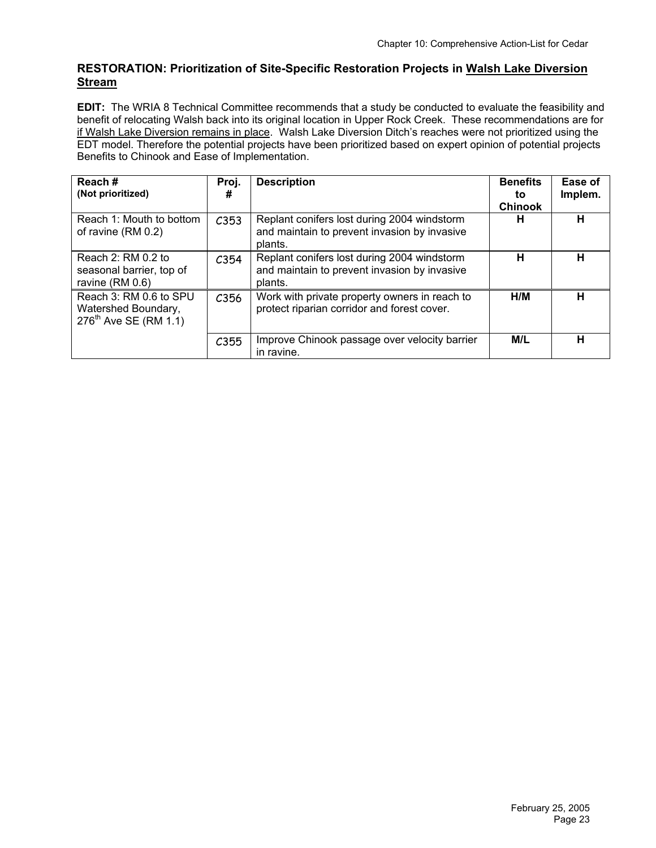# **RESTORATION: Prioritization of Site-Specific Restoration Projects in Walsh Lake Diversion Stream**

**EDIT:** The WRIA 8 Technical Committee recommends that a study be conducted to evaluate the feasibility and benefit of relocating Walsh back into its original location in Upper Rock Creek. These recommendations are for if Walsh Lake Diversion remains in place. Walsh Lake Diversion Ditch's reaches were not prioritized using the EDT model. Therefore the potential projects have been prioritized based on expert opinion of potential projects Benefits to Chinook and Ease of Implementation.

| Reach#<br>(Not prioritized)                                                        | Proj.<br>#       | <b>Description</b>                                                                                     | <b>Benefits</b><br>to<br><b>Chinook</b> | Ease of<br>Implem. |
|------------------------------------------------------------------------------------|------------------|--------------------------------------------------------------------------------------------------------|-----------------------------------------|--------------------|
| Reach 1: Mouth to bottom<br>of ravine (RM 0.2)                                     | C353             | Replant conifers lost during 2004 windstorm<br>and maintain to prevent invasion by invasive<br>plants. | н                                       | н                  |
| Reach $2: RM 0.2$ to<br>seasonal barrier, top of<br>ravine (RM 0.6)                | C <sub>354</sub> | Replant conifers lost during 2004 windstorm<br>and maintain to prevent invasion by invasive<br>plants. | н                                       | н                  |
| Reach 3: RM 0.6 to SPU<br>Watershed Boundary,<br>276 <sup>th</sup> Ave SE (RM 1.1) | C356             | Work with private property owners in reach to<br>protect riparian corridor and forest cover.           | H/M                                     | н                  |
|                                                                                    | C355             | Improve Chinook passage over velocity barrier<br>in ravine.                                            | M/L                                     | н                  |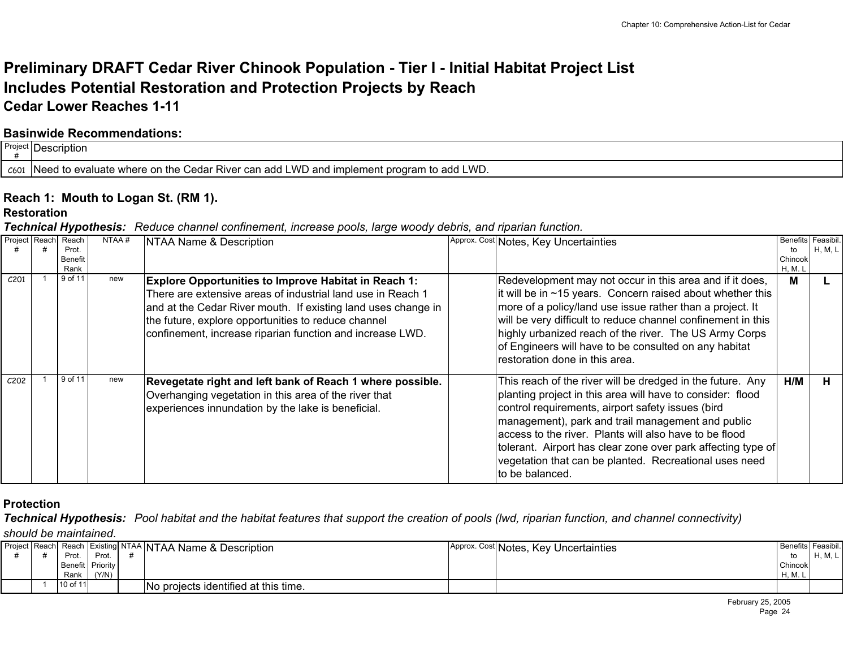# **Preliminary DRAFT Cedar River Chinook Population - Tier I - Initial Habitat Project List Includes Potential Restoration and Protection Projects by Reach Cedar Lower Reaches 1-11**

# **Basinwide Recommendations:**

| Project <b>r</b> |                                                                                                         |
|------------------|---------------------------------------------------------------------------------------------------------|
| C601             | າ to add LWD.<br>LWD and implement program<br>J to evaluate where on the Cedar River can add I<br>INAAC |

# **Reach 1: Mouth to Logan St. (RM 1).**

#### **Restoration**

*Technical Hypothesis: Reduce channel confinement, increase pools, large woody debris, and riparian function.*

| Project Reach    | . .<br>Reach    | NTAA# | NTAA Name & Description                                                                                                                                                                                                                                                                                         | Approx. Cost Notes, Key Uncertainties                                                                                                                                                                                                                                                                                                                                                                                                      | Benefits Feasibil. |         |
|------------------|-----------------|-------|-----------------------------------------------------------------------------------------------------------------------------------------------------------------------------------------------------------------------------------------------------------------------------------------------------------------|--------------------------------------------------------------------------------------------------------------------------------------------------------------------------------------------------------------------------------------------------------------------------------------------------------------------------------------------------------------------------------------------------------------------------------------------|--------------------|---------|
|                  | Prot.           |       |                                                                                                                                                                                                                                                                                                                 |                                                                                                                                                                                                                                                                                                                                                                                                                                            | to                 | H, M, L |
|                  | Benefit<br>Rank |       |                                                                                                                                                                                                                                                                                                                 |                                                                                                                                                                                                                                                                                                                                                                                                                                            | Chinook<br>H, M. I |         |
| C <sub>201</sub> | 9 of 11         | new   | <b>Explore Opportunities to Improve Habitat in Reach 1:</b><br>There are extensive areas of industrial land use in Reach 1<br>and at the Cedar River mouth. If existing land uses change in<br>the future, explore opportunities to reduce channel<br>confinement, increase riparian function and increase LWD. | Redevelopment may not occur in this area and if it does,<br>it will be in $\sim$ 15 years. Concern raised about whether this<br>more of a policy/land use issue rather than a project. It<br>will be very difficult to reduce channel confinement in this<br>highly urbanized reach of the river. The US Army Corps<br>of Engineers will have to be consulted on any habitat<br>restoration done in this area.                             | M                  |         |
| C <sub>202</sub> | 9 of 11         | new   | Revegetate right and left bank of Reach 1 where possible.<br>Overhanging vegetation in this area of the river that<br>experiences innundation by the lake is beneficial.                                                                                                                                        | This reach of the river will be dredged in the future. Any<br>planting project in this area will have to consider: flood<br>control requirements, airport safety issues (bird<br>management), park and trail management and public<br>access to the river. Plants will also have to be flood<br>tolerant. Airport has clear zone over park affecting type of<br>vegetation that can be planted. Recreational uses need<br>lto be balanced. | H/M                |         |

# **Protection**

*Technical Hypothesis: Pool habitat and the habitat features that support the creation of pools (lwd, riparian function, and channel connectivity)* 

*should be maintained.*

|  |          |                  | Project Reach Reach Existing NTAA NTAA Name & Description | Approx. Cost Notes, Key Uncertainties |         | Benefits Feasibil. |
|--|----------|------------------|-----------------------------------------------------------|---------------------------------------|---------|--------------------|
|  | Prot.    | Prot.            |                                                           |                                       | to      | H, M, L            |
|  |          | Benefit Priority |                                                           |                                       | Chinook |                    |
|  | Rank     | (Y/N)            |                                                           |                                       | H. M. L |                    |
|  | 10 of 11 |                  | No projects identified at this time.                      |                                       |         |                    |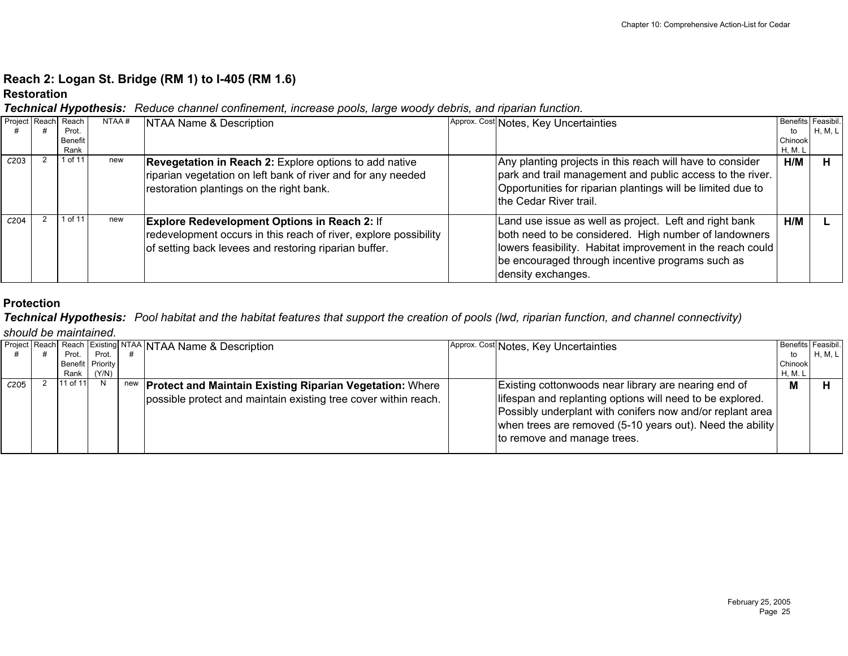# **Reach 2: Logan St. Bridge (RM 1) to I-405 (RM 1.6)**

#### **Restoration**

*Technical Hypothesis: Reduce channel confinement, increase pools, large woody debris, and riparian function.*

| Project Reach Reach |         | NTAA# | NTAA Name & Description                                          | Approx. Cost Notes, Key Uncertainties                       | Benefits Feasibil. |         |
|---------------------|---------|-------|------------------------------------------------------------------|-------------------------------------------------------------|--------------------|---------|
|                     | Prot.   |       |                                                                  |                                                             | to                 | H, M, L |
|                     | Benefit |       |                                                                  |                                                             | Chinook            |         |
|                     | Rank    |       |                                                                  |                                                             | H, M. L            |         |
| C <sub>203</sub>    | 1 of 11 | new   | <b>Revegetation in Reach 2:</b> Explore options to add native    | Any planting projects in this reach will have to consider   | H/M                |         |
|                     |         |       | riparian vegetation on left bank of river and for any needed     | park and trail management and public access to the river.   |                    |         |
|                     |         |       |                                                                  |                                                             |                    |         |
|                     |         |       | restoration plantings on the right bank.                         | Opportunities for riparian plantings will be limited due to |                    |         |
|                     |         |       |                                                                  | the Cedar River trail.                                      |                    |         |
|                     |         |       |                                                                  |                                                             |                    |         |
| C <sub>204</sub>    | of 11   | new   | <b>Explore Redevelopment Options in Reach 2: If</b>              | Land use issue as well as project. Left and right bank      | H/M                |         |
|                     |         |       | redevelopment occurs in this reach of river, explore possibility | both need to be considered. High number of landowners       |                    |         |
|                     |         |       |                                                                  |                                                             |                    |         |
|                     |         |       | of setting back levees and restoring riparian buffer.            | lowers feasibility. Habitat improvement in the reach could  |                    |         |
|                     |         |       |                                                                  | be encouraged through incentive programs such as            |                    |         |
|                     |         |       |                                                                  | density exchanges.                                          |                    |         |
|                     |         |       |                                                                  |                                                             |                    |         |

# **Protection**

*Technical Hypothesis: Pool habitat and the habitat features that support the creation of pools (lwd, riparian function, and channel connectivity) should be maintained.*

|      |                  |       | Project Reach Reach Existing NTAA NTAA Name & Description           | Approx. Cost Notes, Key Uncertainties                                                                                                                                                                              | Benefits Feasibil. |         |
|------|------------------|-------|---------------------------------------------------------------------|--------------------------------------------------------------------------------------------------------------------------------------------------------------------------------------------------------------------|--------------------|---------|
|      | Prot. I          | Prot. |                                                                     |                                                                                                                                                                                                                    | to                 | H, M, L |
|      | Benefit Priority |       |                                                                     |                                                                                                                                                                                                                    | Chinook            |         |
|      | Rank l           | (Y/N) |                                                                     |                                                                                                                                                                                                                    | H, M. L            |         |
| C205 | 11 of 11         |       | new <b>Protect and Maintain Existing Riparian Vegetation:</b> Where | Existing cottonwoods near library are nearing end of                                                                                                                                                               | м                  |         |
|      |                  |       | possible protect and maintain existing tree cover within reach.     | lifespan and replanting options will need to be explored.<br>Possibly underplant with conifers now and/or replant area<br>when trees are removed (5-10 years out). Need the ability<br>to remove and manage trees. |                    |         |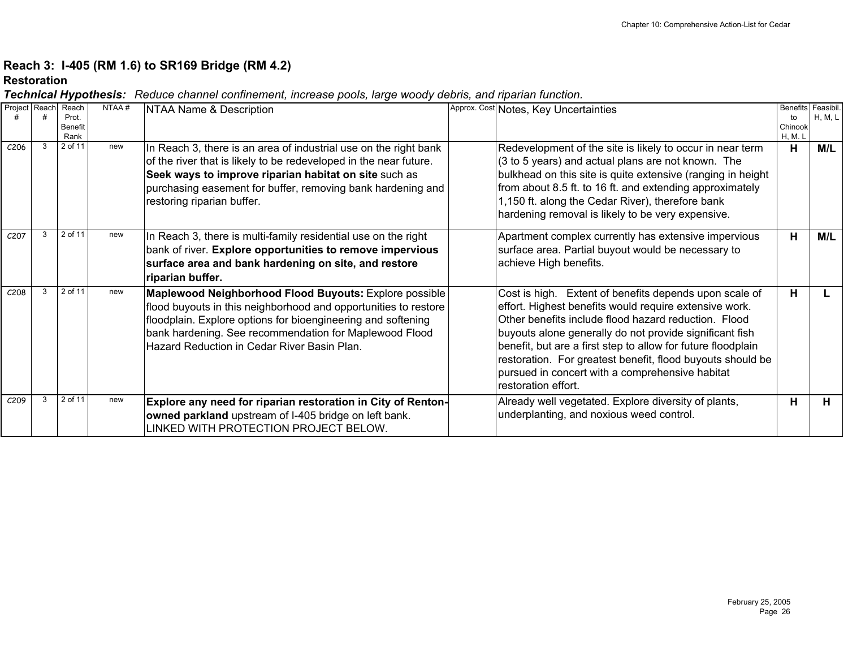# **Reach 3: I-405 (RM 1.6) to SR169 Bridge (RM 4.2)**

#### **Restoration**

| Project Reach    | Reach<br>Prot.<br>Benefit<br>Rank | NTAA# | NTAA Name & Description                                                                                                                                                                                                                                                                            | Approx. Cost Notes, Key Uncertainties                                                                                                                                                                                                                                                                                                                                                                                                       | <b>Benefits</b><br>to<br>Chinook<br>H, M. L | Feasibil.<br>H, M, L |
|------------------|-----------------------------------|-------|----------------------------------------------------------------------------------------------------------------------------------------------------------------------------------------------------------------------------------------------------------------------------------------------------|---------------------------------------------------------------------------------------------------------------------------------------------------------------------------------------------------------------------------------------------------------------------------------------------------------------------------------------------------------------------------------------------------------------------------------------------|---------------------------------------------|----------------------|
| C <sub>206</sub> | 2 of 11                           | new   | In Reach 3, there is an area of industrial use on the right bank<br>of the river that is likely to be redeveloped in the near future.<br>Seek ways to improve riparian habitat on site such as<br>purchasing easement for buffer, removing bank hardening and<br>restoring riparian buffer.        | Redevelopment of the site is likely to occur in near term<br>(3 to 5 years) and actual plans are not known. The<br>bulkhead on this site is quite extensive (ranging in height<br>from about 8.5 ft. to 16 ft. and extending approximately<br>1,150 ft. along the Cedar River), therefore bank<br>hardening removal is likely to be very expensive.                                                                                         | н                                           | M/L                  |
| C <sub>207</sub> | 2 of 11                           | new   | In Reach 3, there is multi-family residential use on the right<br>bank of river. Explore opportunities to remove impervious<br>surface area and bank hardening on site, and restore<br>riparian buffer.                                                                                            | Apartment complex currently has extensive impervious<br>surface area. Partial buyout would be necessary to<br>achieve High benefits.                                                                                                                                                                                                                                                                                                        | н                                           | M/L                  |
| C <sub>208</sub> | 2 of 11                           | new   | Maplewood Neighborhood Flood Buyouts: Explore possible<br>flood buyouts in this neighborhood and opportunities to restore<br>floodplain. Explore options for bioengineering and softening<br>bank hardening. See recommendation for Maplewood Flood<br>Hazard Reduction in Cedar River Basin Plan. | Cost is high. Extent of benefits depends upon scale of<br>effort. Highest benefits would require extensive work.<br>Other benefits include flood hazard reduction. Flood<br>buyouts alone generally do not provide significant fish<br>benefit, but are a first step to allow for future floodplain<br>restoration. For greatest benefit, flood buyouts should be<br>pursued in concert with a comprehensive habitat<br>restoration effort. | н                                           |                      |
| C <sub>209</sub> | 2 of 11                           | new   | Explore any need for riparian restoration in City of Renton-<br>owned parkland upstream of I-405 bridge on left bank.<br>LINKED WITH PROTECTION PROJECT BELOW.                                                                                                                                     | Already well vegetated. Explore diversity of plants,<br>underplanting, and noxious weed control.                                                                                                                                                                                                                                                                                                                                            | н                                           | H.                   |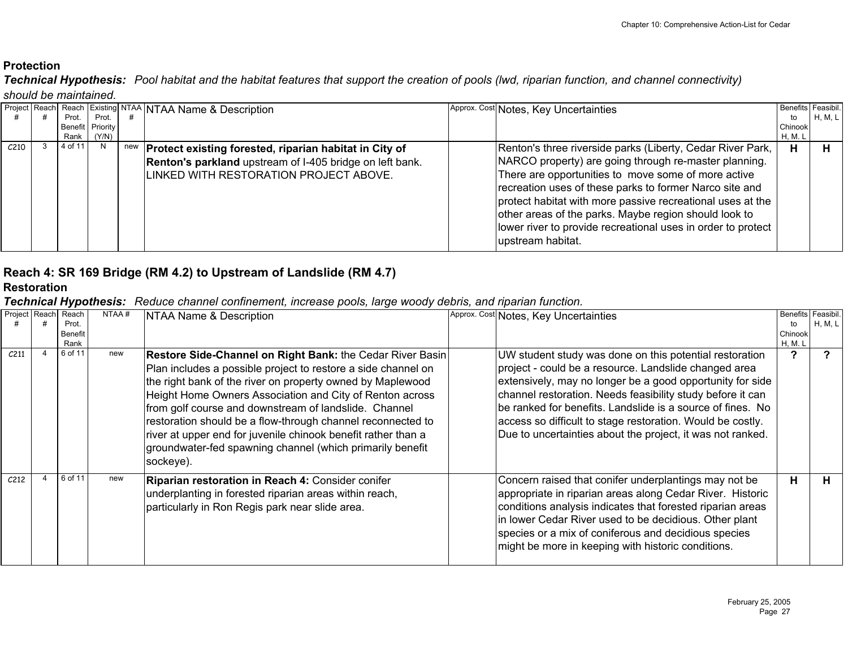*Technical Hypothesis: Pool habitat and the habitat features that support the creation of pools (lwd, riparian function, and channel connectivity) should be maintained.*

|                  |            |                  |     | Project Reach Reach Existing NTAA NTAA Name & Description | Approx. Cost Notes, Key Uncertainties                        | Benefits Feasibil. |         |
|------------------|------------|------------------|-----|-----------------------------------------------------------|--------------------------------------------------------------|--------------------|---------|
|                  | Prot.      | Prot.            |     |                                                           |                                                              | to                 | H, M, L |
|                  |            | Benefit Priority |     |                                                           |                                                              | Chinook            |         |
|                  | Rank (Y/N) |                  |     |                                                           |                                                              | H, M. L            |         |
| C <sub>210</sub> | 4 of 11    | N                | new | Protect existing forested, riparian habitat in City of    | Renton's three riverside parks (Liberty, Cedar River Park,   | н                  |         |
|                  |            |                  |     | Renton's parkland upstream of I-405 bridge on left bank.  | NARCO property) are going through re-master planning.        |                    |         |
|                  |            |                  |     | ILINKED WITH RESTORATION PROJECT ABOVE.                   | There are opportunities to move some of more active          |                    |         |
|                  |            |                  |     |                                                           | recreation uses of these parks to former Narco site and      |                    |         |
|                  |            |                  |     |                                                           | protect habitat with more passive recreational uses at the   |                    |         |
|                  |            |                  |     |                                                           | other areas of the parks. Maybe region should look to        |                    |         |
|                  |            |                  |     |                                                           | lower river to provide recreational uses in order to protect |                    |         |
|                  |            |                  |     |                                                           |                                                              |                    |         |
|                  |            |                  |     |                                                           | upstream habitat.                                            |                    |         |

# **Reach 4: SR 169 Bridge (RM 4.2) to Upstream of Landslide (RM 4.7)**

#### **Restoration**

| Project Reach    | Reach   | NTAA# | NTAA Name & Description                                                                                                                                                                                                                                                                                                                                                                                                                                                                                                 | Approx. Cost Notes, Key Uncertainties                                                                                                                                                                                                                                                                                                                                                                                                 |         | Benefits Feasibil. |
|------------------|---------|-------|-------------------------------------------------------------------------------------------------------------------------------------------------------------------------------------------------------------------------------------------------------------------------------------------------------------------------------------------------------------------------------------------------------------------------------------------------------------------------------------------------------------------------|---------------------------------------------------------------------------------------------------------------------------------------------------------------------------------------------------------------------------------------------------------------------------------------------------------------------------------------------------------------------------------------------------------------------------------------|---------|--------------------|
|                  | Prot.   |       |                                                                                                                                                                                                                                                                                                                                                                                                                                                                                                                         |                                                                                                                                                                                                                                                                                                                                                                                                                                       | to      | H, M, L            |
|                  | Benefit |       |                                                                                                                                                                                                                                                                                                                                                                                                                                                                                                                         |                                                                                                                                                                                                                                                                                                                                                                                                                                       | Chinook |                    |
|                  | Rank    |       |                                                                                                                                                                                                                                                                                                                                                                                                                                                                                                                         |                                                                                                                                                                                                                                                                                                                                                                                                                                       | H, M. L |                    |
| C <sub>211</sub> | 6 of 11 | new   | Restore Side-Channel on Right Bank: the Cedar River Basin<br>Plan includes a possible project to restore a side channel on<br>the right bank of the river on property owned by Maplewood<br>Height Home Owners Association and City of Renton across<br>from golf course and downstream of landslide. Channel<br>restoration should be a flow-through channel reconnected to<br>river at upper end for juvenile chinook benefit rather than a<br>groundwater-fed spawning channel (which primarily benefit<br>sockeye). | UW student study was done on this potential restoration<br>project - could be a resource. Landslide changed area<br>extensively, may no longer be a good opportunity for side<br>channel restoration. Needs feasibility study before it can<br>be ranked for benefits. Landslide is a source of fines. No<br>access so difficult to stage restoration. Would be costly.<br>Due to uncertainties about the project, it was not ranked. | າ       |                    |
| C <sub>212</sub> | 6 of 11 | new   | Riparian restoration in Reach 4: Consider conifer<br>underplanting in forested riparian areas within reach,<br>particularly in Ron Regis park near slide area.                                                                                                                                                                                                                                                                                                                                                          | Concern raised that conifer underplantings may not be<br>appropriate in riparian areas along Cedar River. Historic<br>conditions analysis indicates that forested riparian areas<br>in lower Cedar River used to be decidious. Other plant<br>species or a mix of coniferous and decidious species<br>might be more in keeping with historic conditions.                                                                              | Н.      | н                  |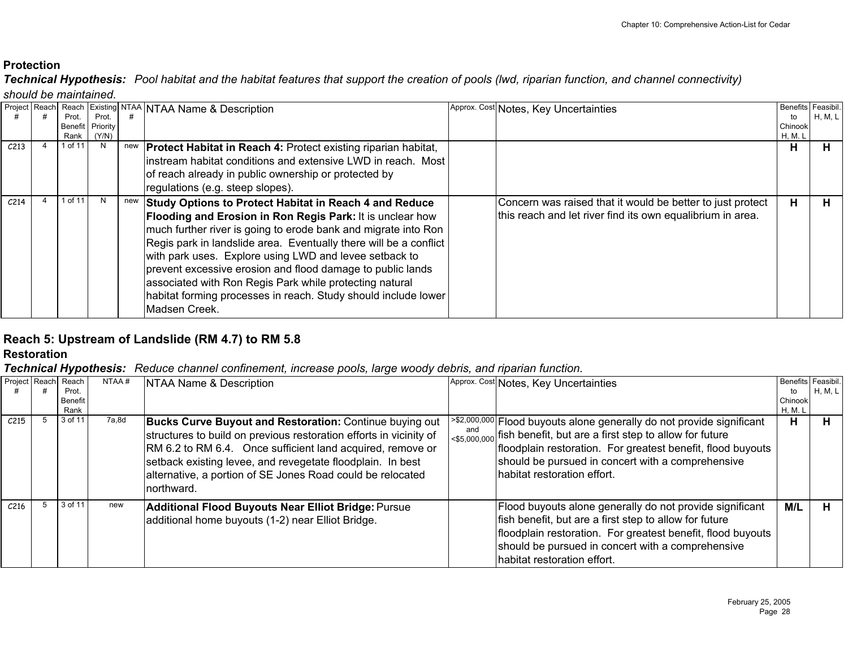*Technical Hypothesis: Pool habitat and the habitat features that support the creation of pools (lwd, riparian function, and channel connectivity)* 

*should be maintained.*

|                  | Prot.           | Prot.             |     | Project Reach Reach Existing NTAA NTAA Name & Description                                                                                                                                                                                                                                                                                                                                                                                                                                                                        | Approx. Cost Notes, Key Uncertainties                                                                                    | Benefits<br>to     | Feasibil.<br>H, M, L |
|------------------|-----------------|-------------------|-----|----------------------------------------------------------------------------------------------------------------------------------------------------------------------------------------------------------------------------------------------------------------------------------------------------------------------------------------------------------------------------------------------------------------------------------------------------------------------------------------------------------------------------------|--------------------------------------------------------------------------------------------------------------------------|--------------------|----------------------|
|                  | Benefit<br>Rank | Priority<br>(Y/N) |     |                                                                                                                                                                                                                                                                                                                                                                                                                                                                                                                                  |                                                                                                                          | Chinook<br>H, M. L |                      |
| C <sub>213</sub> | 1 of 11         |                   | new | <b>Protect Habitat in Reach 4: Protect existing riparian habitat,</b><br>linstream habitat conditions and extensive LWD in reach. Most<br>of reach already in public ownership or protected by<br>regulations (e.g. steep slopes).                                                                                                                                                                                                                                                                                               |                                                                                                                          | н                  | п.                   |
| C <sub>214</sub> | 1 of 11         |                   | new | Study Options to Protect Habitat in Reach 4 and Reduce<br>Flooding and Erosion in Ron Regis Park: It is unclear how<br>much further river is going to erode bank and migrate into Ron<br>Regis park in landslide area. Eventually there will be a conflict<br>with park uses. Explore using LWD and levee setback to<br>prevent excessive erosion and flood damage to public lands<br>associated with Ron Regis Park while protecting natural<br>habitat forming processes in reach. Study should include lower<br>Madsen Creek. | Concern was raised that it would be better to just protect<br>this reach and let river find its own equalibrium in area. | н                  |                      |

# **Reach 5: Upstream of Landslide (RM 4.7) to RM 5.8**

**Restoration**

| <b>Project Reachl</b> | . .<br>Reach             | NTAA# | NTAA Name & Description                                                                                                                                                                                                                                                                                                                      |     | Approx. Cost Notes, Key Uncertainties                                                                                                                                                                                                                                                                              | Benefits Feasibil.       |         |
|-----------------------|--------------------------|-------|----------------------------------------------------------------------------------------------------------------------------------------------------------------------------------------------------------------------------------------------------------------------------------------------------------------------------------------------|-----|--------------------------------------------------------------------------------------------------------------------------------------------------------------------------------------------------------------------------------------------------------------------------------------------------------------------|--------------------------|---------|
|                       | Prot.<br>Benefit<br>Rank |       |                                                                                                                                                                                                                                                                                                                                              |     |                                                                                                                                                                                                                                                                                                                    | to<br>Chinook<br>H, M. L | H, M, L |
| C <sub>215</sub>      | 3 of 11                  | 7a,8d | <b>Bucks Curve Buyout and Restoration: Continue buying out</b><br>structures to build on previous restoration efforts in vicinity of<br>RM 6.2 to RM 6.4. Once sufficient land acquired, remove or<br>setback existing levee, and revegetate floodplain. In best<br>alternative, a portion of SE Jones Road could be relocated<br>northward. | and | >\$2,000,000 Flood buyouts alone generally do not provide significant<br>$\left.\right _{< $5,000,000}$ fish benefit, but are a first step to allow for future<br>floodplain restoration. For greatest benefit, flood buyouts<br>should be pursued in concert with a comprehensive<br>Ihabitat restoration effort. | н                        |         |
| C <sub>216</sub>      | 3 of 11                  | new   | <b>Additional Flood Buyouts Near Elliot Bridge: Pursue</b><br>additional home buyouts (1-2) near Elliot Bridge.                                                                                                                                                                                                                              |     | Flood buyouts alone generally do not provide significant<br>fish benefit, but are a first step to allow for future<br>floodplain restoration. For greatest benefit, flood buyouts<br>should be pursued in concert with a comprehensive<br>habitat restoration effort.                                              | M/L                      |         |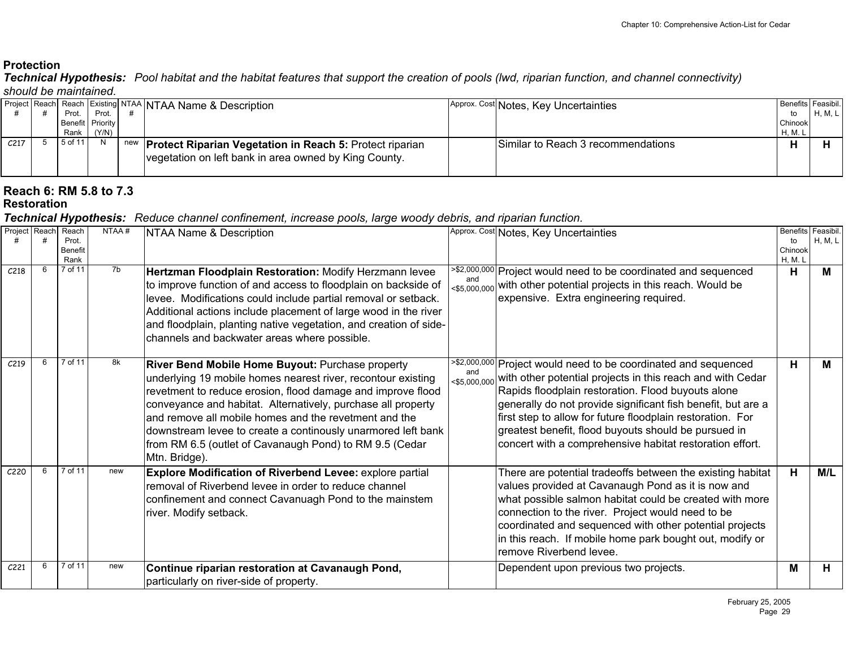*Technical Hypothesis: Pool habitat and the habitat features that support the creation of pools (lwd, riparian function, and channel connectivity) should be maintained.*

|                  |         |                  | Project Reach Reach Existing NTAA NTAA Name & Description                                                                    | Approx. Cost Notes, Key Uncertainties | Benefits Feasibil. |           |
|------------------|---------|------------------|------------------------------------------------------------------------------------------------------------------------------|---------------------------------------|--------------------|-----------|
|                  | Prot.   | Prot.            |                                                                                                                              |                                       | to                 | H, M, L I |
|                  |         | Benefit Priority |                                                                                                                              |                                       | Chinook            |           |
|                  | Rank    | (Y/N)            |                                                                                                                              |                                       | H, M. L            |           |
| C <sub>217</sub> | 5 of 11 |                  | new <b>Protect Riparian Vegetation in Reach 5:</b> Protect riparian<br>vegetation on left bank in area owned by King County. | Similar to Reach 3 recommendations    |                    |           |

#### **Reach 6: RM 5.8 to 7.3 Restoration**

| Project Reach    | Reach<br>Prot.<br>Benefit<br>Rank | NTAA#          | NTAA Name & Description                                                                                                                                                                                                                                                                                                                                                                                                                              |     | Approx. Cost Notes, Key Uncertainties                                                                                                                                                                                                                                                                                                                                                                                                                         | <b>Benefits</b><br>to<br>Chinook<br>H, M. L | Feasibil.<br>H, M, L |
|------------------|-----------------------------------|----------------|------------------------------------------------------------------------------------------------------------------------------------------------------------------------------------------------------------------------------------------------------------------------------------------------------------------------------------------------------------------------------------------------------------------------------------------------------|-----|---------------------------------------------------------------------------------------------------------------------------------------------------------------------------------------------------------------------------------------------------------------------------------------------------------------------------------------------------------------------------------------------------------------------------------------------------------------|---------------------------------------------|----------------------|
| C <sub>218</sub> | 7 of 11                           | 7 <sub>b</sub> | Hertzman Floodplain Restoration: Modify Herzmann levee<br>to improve function of and access to floodplain on backside of<br>levee. Modifications could include partial removal or setback.<br>Additional actions include placement of large wood in the river<br>and floodplain, planting native vegetation, and creation of side-<br>channels and backwater areas where possible.                                                                   |     | <sup>&gt;\$2,000,000</sup> Project would need to be coordinated and sequenced<br><\$5,000,000 with other potential projects in this reach. Would be<br>expensive. Extra engineering required.                                                                                                                                                                                                                                                                 | н                                           | M                    |
| C <sub>219</sub> | 7 of 11                           | 8k             | River Bend Mobile Home Buyout: Purchase property<br>underlying 19 mobile homes nearest river, recontour existing<br>revetment to reduce erosion, flood damage and improve flood<br>conveyance and habitat. Alternatively, purchase all property<br>and remove all mobile homes and the revetment and the<br>downstream levee to create a continously unarmored left bank<br>from RM 6.5 (outlet of Cavanaugh Pond) to RM 9.5 (Cedar<br>Mtn. Bridge). | and | <sup>2\$2,000,000</sup> Project would need to be coordinated and sequenced<br><\$5,000,000 with other potential projects in this reach and with Cedar<br>Rapids floodplain restoration. Flood buyouts alone<br>generally do not provide significant fish benefit, but are a<br>first step to allow for future floodplain restoration. For<br>greatest benefit, flood buyouts should be pursued in<br>concert with a comprehensive habitat restoration effort. | н                                           | M                    |
| C <sub>220</sub> | 7 of 11                           | new            | Explore Modification of Riverbend Levee: explore partial<br>removal of Riverbend levee in order to reduce channel<br>confinement and connect Cavanuagh Pond to the mainstem<br>river. Modify setback.                                                                                                                                                                                                                                                |     | There are potential tradeoffs between the existing habitat<br>values provided at Cavanaugh Pond as it is now and<br>what possible salmon habitat could be created with more<br>connection to the river. Project would need to be<br>coordinated and sequenced with other potential projects<br>in this reach. If mobile home park bought out, modify or<br>remove Riverbend levee.                                                                            | н                                           | M/L                  |
| C <sub>221</sub> | 7 of 11                           | new            | Continue riparian restoration at Cavanaugh Pond,<br>particularly on river-side of property.                                                                                                                                                                                                                                                                                                                                                          |     | Dependent upon previous two projects.                                                                                                                                                                                                                                                                                                                                                                                                                         | M                                           | н                    |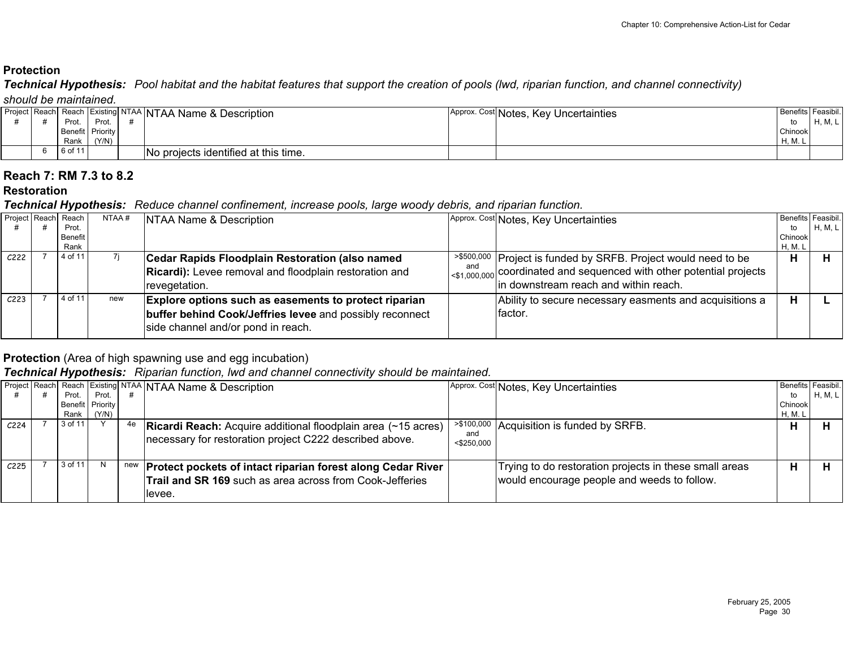*Technical Hypothesis: Pool habitat and the habitat features that support the creation of pools (lwd, riparian function, and channel connectivity) should be maintained.*

|  |                  |       |  | Project Reach Reach Existing NTAA NTAA Name & Description |  | Approx. Cost Notes, Key Uncertainties |          | Benefits Feasibil. |  |  |  |
|--|------------------|-------|--|-----------------------------------------------------------|--|---------------------------------------|----------|--------------------|--|--|--|
|  | Prot.            | Prot. |  |                                                           |  |                                       | to       | H, M, L            |  |  |  |
|  | Benefit Priority |       |  |                                                           |  |                                       | Chinook  |                    |  |  |  |
|  | Rank             | (Y/N) |  |                                                           |  |                                       | $H, M$ . |                    |  |  |  |
|  | 6 of 11          |       |  | No projects identified at this time.                      |  |                                       |          |                    |  |  |  |

#### **Reach 7: RM 7.3 to 8.2**

#### **Restoration**

#### *Technical Hypothesis: Reduce channel confinement, increase pools, large woody debris, and riparian function.*

|                  | Project Reach Reach | NTAA# | NTAA Name & Description                                       |     | Approx. Cost Notes, Key Uncertainties                                                                 |         | Benefits Feasibil. |
|------------------|---------------------|-------|---------------------------------------------------------------|-----|-------------------------------------------------------------------------------------------------------|---------|--------------------|
|                  | Prot.               |       |                                                               |     |                                                                                                       | to      | H, M, L            |
|                  | Benefit             |       |                                                               |     |                                                                                                       | Chinook |                    |
|                  | Rank                |       |                                                               |     |                                                                                                       | H, M. L |                    |
| C <sub>222</sub> | 4 of 11             |       | Cedar Rapids Floodplain Restoration (also named               |     | <sup>&gt;\$500,000</sup> Project is funded by SRFB. Project would need to be                          | н       |                    |
|                  |                     |       | <b>Ricardi):</b> Levee removal and floodplain restoration and | and | $\left  \cos \theta_{\text{000,000}} \right $ coordinated and sequenced with other potential projects |         |                    |
|                  |                     |       | Irevegetation.                                                |     | In downstream reach and within reach.                                                                 |         |                    |
| C <sub>223</sub> | 4 of 11             | new   | <b>Explore options such as easements to protect riparian</b>  |     | Ability to secure necessary easments and acquisitions a                                               | н       |                    |
|                  |                     |       | buffer behind Cook/Jeffries levee and possibly reconnect      |     | factor.                                                                                               |         |                    |
|                  |                     |       |                                                               |     |                                                                                                       |         |                    |
|                  |                     |       | side channel and/or pond in reach.                            |     |                                                                                                       |         |                    |
|                  |                     |       |                                                               |     |                                                                                                       |         |                    |

# **Protection** (Area of high spawning use and egg incubation)

# *Technical Hypothesis: Riparian function, lwd and channel connectivity should be maintained.*

|                  |         |                  |     | Project Reach Reach Existing NTAA NTAA Name & Description                                                                                        |                      | Approx. Cost Notes, Key Uncertainties                                                                 | Benefits Feasibil. |                |
|------------------|---------|------------------|-----|--------------------------------------------------------------------------------------------------------------------------------------------------|----------------------|-------------------------------------------------------------------------------------------------------|--------------------|----------------|
|                  | Prot.   | Prot.            |     |                                                                                                                                                  |                      |                                                                                                       | to                 | <b>H, M, L</b> |
|                  |         | Benefit Priority |     |                                                                                                                                                  |                      |                                                                                                       | Chinook            |                |
|                  | Rank    | (Y/N)            |     |                                                                                                                                                  |                      |                                                                                                       | H, M. L            |                |
| C <sub>224</sub> | 3 of 11 |                  | 4e  | <b>Ricardi Reach:</b> Acquire additional floodplain area (~15 acres)<br>necessary for restoration project C222 described above.                  | and<br>$<$ \$250,000 | <sup>&gt;\$100,000</sup> Acquisition is funded by SRFB.                                               |                    |                |
| C <sub>225</sub> | 3 of 11 |                  | new | <b>Protect pockets of intact riparian forest along Cedar River</b><br><b>Trail and SR 169</b> such as area across from Cook-Jefferies<br>llevee. |                      | Trying to do restoration projects in these small areas<br>would encourage people and weeds to follow. |                    |                |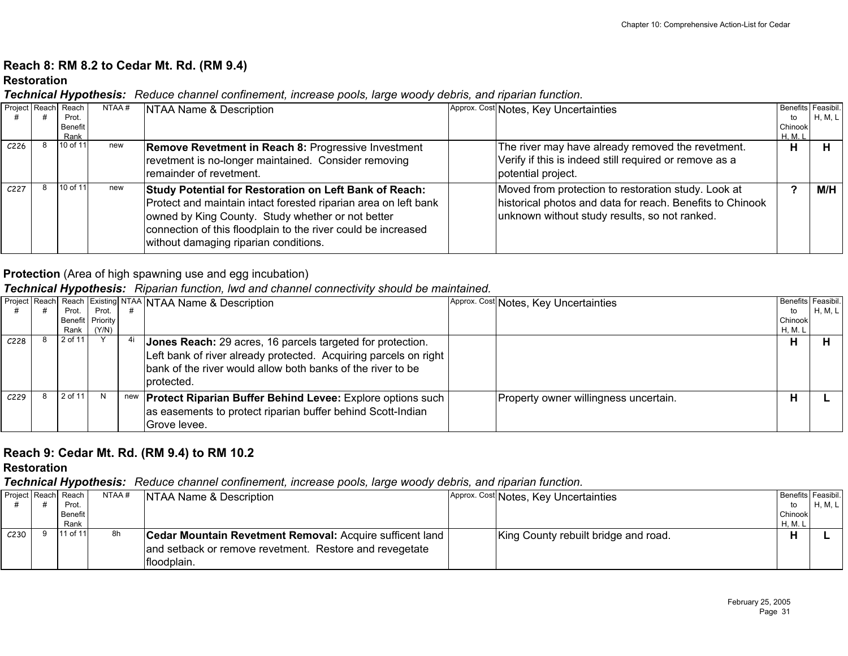# **Reach 8: RM 8.2 to Cedar Mt. Rd. (RM 9.4)**

#### **Restoration**

*Technical Hypothesis: Reduce channel confinement, increase pools, large woody debris, and riparian function.*

| Project Reach Reach | Prot.<br>Benefit | NTAA# | NTAA Name & Description                                                                                                                                                                                                                                                                  | Approx. Cost Notes, Key Uncertainties                                                                                                                             | to<br>Chinook | Benefits Feasibil.<br><b>H, M, L</b> |
|---------------------|------------------|-------|------------------------------------------------------------------------------------------------------------------------------------------------------------------------------------------------------------------------------------------------------------------------------------------|-------------------------------------------------------------------------------------------------------------------------------------------------------------------|---------------|--------------------------------------|
| C <sub>226</sub>    | Rank<br>10 of 11 | new   | <b>Remove Revetment in Reach 8: Progressive Investment</b><br>revetment is no-longer maintained. Consider removing<br>remainder of revetment.                                                                                                                                            | The river may have already removed the revetment.<br>Verify if this is indeed still required or remove as a<br>potential project.                                 | H. M. I<br>н  |                                      |
| C <sub>227</sub>    | 10 of 11         | new   | Study Potential for Restoration on Left Bank of Reach:<br>Protect and maintain intact forested riparian area on left bank<br>owned by King County. Study whether or not better<br>connection of this floodplain to the river could be increased<br>without damaging riparian conditions. | Moved from protection to restoration study. Look at<br>historical photos and data for reach. Benefits to Chinook<br>unknown without study results, so not ranked. |               | M/H                                  |

# **Protection** (Area of high spawning use and egg incubation)

# *Technical Hypothesis: Riparian function, lwd and channel connectivity should be maintained.*

|                  |         |                  | Project Reach Reach Existing NTAA NTAA Name & Description             | Approx. Cost Notes, Key Uncertainties | Benefits Feasibil. |         |
|------------------|---------|------------------|-----------------------------------------------------------------------|---------------------------------------|--------------------|---------|
|                  | Prot.   | Prot.            |                                                                       |                                       | to                 | H, M, L |
|                  |         | Benefit Priority |                                                                       |                                       | Chinook            |         |
|                  | Rank l  | (Y/N)            |                                                                       |                                       | H, M. I            |         |
| C <sub>228</sub> | 2 of 11 |                  | Jones Reach: 29 acres, 16 parcels targeted for protection.            |                                       | ш                  |         |
|                  |         |                  | Left bank of river already protected. Acquiring parcels on right      |                                       |                    |         |
|                  |         |                  | bank of the river would allow both banks of the river to be           |                                       |                    |         |
|                  |         |                  | Iprotected.                                                           |                                       |                    |         |
| C <sub>229</sub> | 2 of 11 |                  | new <b>Protect Riparian Buffer Behind Levee:</b> Explore options such | Property owner willingness uncertain. |                    |         |
|                  |         |                  |                                                                       |                                       |                    |         |
|                  |         |                  | as easements to protect riparian buffer behind Scott-Indian           |                                       |                    |         |
|                  |         |                  | Grove levee.                                                          |                                       |                    |         |
|                  |         |                  |                                                                       |                                       |                    |         |

# **Reach 9: Cedar Mt. Rd. (RM 9.4) to RM 10.2**

**Restoration**

|                  | Project Reach Reach | NTAA# | NTAA Name & Description                                  | Approx. Cost Notes, Key Uncertainties | Benefits Feasibil. |           |
|------------------|---------------------|-------|----------------------------------------------------------|---------------------------------------|--------------------|-----------|
|                  | Prot.               |       |                                                          |                                       | to                 | H, M, L I |
|                  | Benefit             |       |                                                          |                                       | Chinook            |           |
|                  | Rank                |       |                                                          |                                       | H, M. I            |           |
| C <sub>230</sub> | $11$ of 11          | 8h    | Cedar Mountain Revetment Removal: Acquire sufficent land | King County rebuilt bridge and road.  |                    |           |
|                  |                     |       | and setback or remove revetment. Restore and revegetate  |                                       |                    |           |
|                  |                     |       | floodplain.                                              |                                       |                    |           |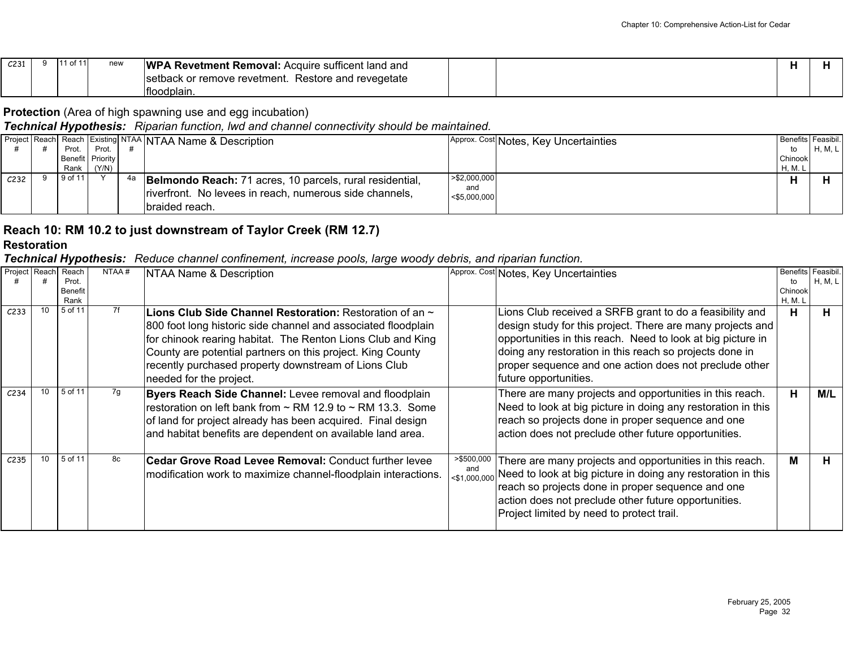| C <sub>231</sub> | l of 11 | new | <b>WP</b><br><b>\ Revetment Removal:</b> Acquire sufficent land and |  |
|------------------|---------|-----|---------------------------------------------------------------------|--|
|                  |         |     | . Restore and revegetate<br>setback or remove revetment.            |  |
|                  |         |     | Ifloodplain.                                                        |  |

# **Protection** (Area of high spawning use and egg incubation)

# *Technical Hypothesis: Riparian function, lwd and channel connectivity should be maintained.*

|                  | Prot.<br>Rank | Prot.<br>Benefit Priority<br>(Y/N) |    | Project Reach Reach Existing NTAA NTAA Name & Description                                                                              |                                         | Approx. Cost Notes, Key Uncertainties | Benefits Feasibil.<br>to<br>Chinook<br>H, M. | <b>H, M, L</b> |
|------------------|---------------|------------------------------------|----|----------------------------------------------------------------------------------------------------------------------------------------|-----------------------------------------|---------------------------------------|----------------------------------------------|----------------|
| C <sub>232</sub> | 9 of 11       |                                    | 4а | Belmondo Reach: 71 acres, 10 parcels, rural residential,<br>riverfront. No levees in reach, numerous side channels,<br>Ibraided reach. | > \$2,000,000<br>and<br>$<$ \$5,000,000 |                                       |                                              |                |

# **Reach 10: RM 10.2 to just downstream of Taylor Creek (RM 12.7)**

**Restoration**

|                  |    | ,,,                    |       |                                                                                                                                                                                                                                                                                                                                                |                   |                                                                                                                                                                                                                                                                                                                                     |                  |           |
|------------------|----|------------------------|-------|------------------------------------------------------------------------------------------------------------------------------------------------------------------------------------------------------------------------------------------------------------------------------------------------------------------------------------------------|-------------------|-------------------------------------------------------------------------------------------------------------------------------------------------------------------------------------------------------------------------------------------------------------------------------------------------------------------------------------|------------------|-----------|
| Project Reach    |    | Reach                  | NTAA# | NTAA Name & Description                                                                                                                                                                                                                                                                                                                        |                   | Approx. Cost Notes, Key Uncertainties                                                                                                                                                                                                                                                                                               | Benefits         | Feasibil. |
|                  |    | Prot.                  |       |                                                                                                                                                                                                                                                                                                                                                |                   |                                                                                                                                                                                                                                                                                                                                     | to               | H, M, L   |
|                  |    | <b>Benefit</b><br>Rank |       |                                                                                                                                                                                                                                                                                                                                                |                   |                                                                                                                                                                                                                                                                                                                                     | Chinook<br>H, M. |           |
| C <sub>233</sub> | 10 | 5 of 11                | 7f    | Lions Club Side Channel Restoration: Restoration of an $\sim$<br>800 foot long historic side channel and associated floodplain<br>for chinook rearing habitat. The Renton Lions Club and King<br>County are potential partners on this project. King County<br>recently purchased property downstream of Lions Club<br>needed for the project. |                   | Lions Club received a SRFB grant to do a feasibility and<br>design study for this project. There are many projects and<br>opportunities in this reach. Need to look at big picture in<br>doing any restoration in this reach so projects done in<br>proper sequence and one action does not preclude other<br>future opportunities. | н                | н.        |
| C <sub>234</sub> | 10 | 5 of 11                | 7g    | Byers Reach Side Channel: Levee removal and floodplain<br>restoration on left bank from $\sim$ RM 12.9 to $\sim$ RM 13.3. Some<br>of land for project already has been acquired. Final design<br>and habitat benefits are dependent on available land area.                                                                                    |                   | There are many projects and opportunities in this reach.<br>Need to look at big picture in doing any restoration in this<br>reach so projects done in proper sequence and one<br>action does not preclude other future opportunities.                                                                                               | н                | M/L       |
| C <sub>235</sub> | 10 | 5 of 11                | 8c    | Cedar Grove Road Levee Removal: Conduct further levee<br>modification work to maximize channel-floodplain interactions.                                                                                                                                                                                                                        | >\$500,000<br>and | There are many projects and opportunities in this reach.<br><\$1,000,000 Need to look at big picture in doing any restoration in this<br>reach so projects done in proper sequence and one<br>action does not preclude other future opportunities.<br>Project limited by need to protect trail.                                     | М                | п.        |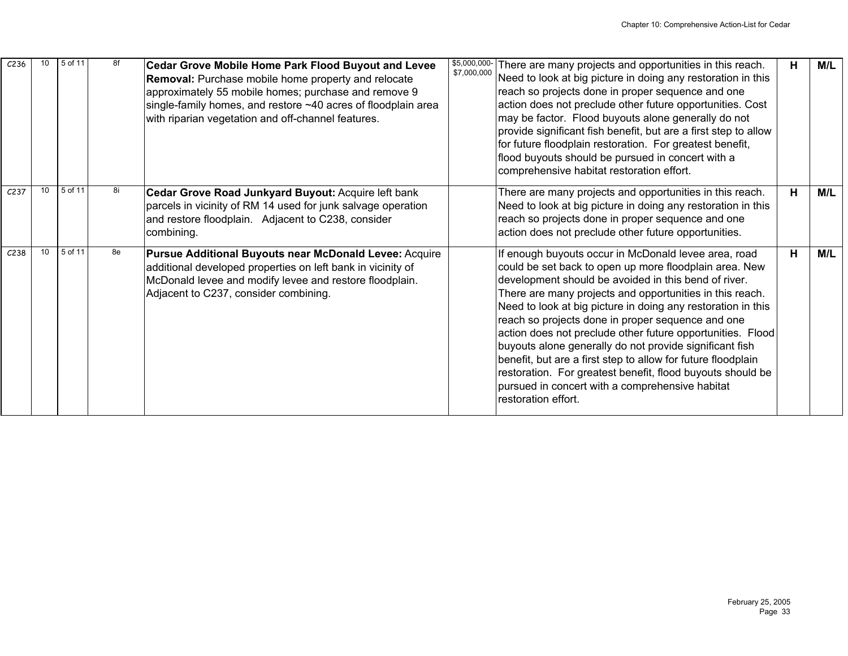| C <sub>236</sub> |    | 5 of 11 | 8f | <b>Cedar Grove Mobile Home Park Flood Buyout and Levee</b><br><b>Removal:</b> Purchase mobile home property and relocate<br>approximately 55 mobile homes; purchase and remove 9<br>single-family homes, and restore ~40 acres of floodplain area<br>with riparian vegetation and off-channel features. | \$5,000,000-<br>There are many projects and opportunities in this reach.<br>\$7,000,000<br>Need to look at big picture in doing any restoration in this<br>reach so projects done in proper sequence and one<br>action does not preclude other future opportunities. Cost<br>may be factor. Flood buyouts alone generally do not<br>provide significant fish benefit, but are a first step to allow<br>for future floodplain restoration. For greatest benefit,<br>flood buyouts should be pursued in concert with a<br>comprehensive habitat restoration effort.                                                                                                                        | н | M/L |
|------------------|----|---------|----|---------------------------------------------------------------------------------------------------------------------------------------------------------------------------------------------------------------------------------------------------------------------------------------------------------|------------------------------------------------------------------------------------------------------------------------------------------------------------------------------------------------------------------------------------------------------------------------------------------------------------------------------------------------------------------------------------------------------------------------------------------------------------------------------------------------------------------------------------------------------------------------------------------------------------------------------------------------------------------------------------------|---|-----|
| C <sub>237</sub> | 10 | 5 of 11 | 8i | Cedar Grove Road Junkyard Buyout: Acquire left bank<br>parcels in vicinity of RM 14 used for junk salvage operation<br>and restore floodplain. Adjacent to C238, consider<br>combining.                                                                                                                 | There are many projects and opportunities in this reach.<br>Need to look at big picture in doing any restoration in this<br>reach so projects done in proper sequence and one<br>action does not preclude other future opportunities.                                                                                                                                                                                                                                                                                                                                                                                                                                                    | н | M/L |
| C <sub>238</sub> |    | 5 of 11 | 8e | Pursue Additional Buyouts near McDonald Levee: Acquire<br>additional developed properties on left bank in vicinity of<br>McDonald levee and modify levee and restore floodplain.<br>Adjacent to C237, consider combining.                                                                               | If enough buyouts occur in McDonald levee area, road<br>could be set back to open up more floodplain area. New<br>development should be avoided in this bend of river.<br>There are many projects and opportunities in this reach.<br>Need to look at big picture in doing any restoration in this<br>reach so projects done in proper sequence and one<br>action does not preclude other future opportunities. Flood<br>buyouts alone generally do not provide significant fish<br>benefit, but are a first step to allow for future floodplain<br>restoration. For greatest benefit, flood buyouts should be<br>pursued in concert with a comprehensive habitat<br>restoration effort. | н | M/L |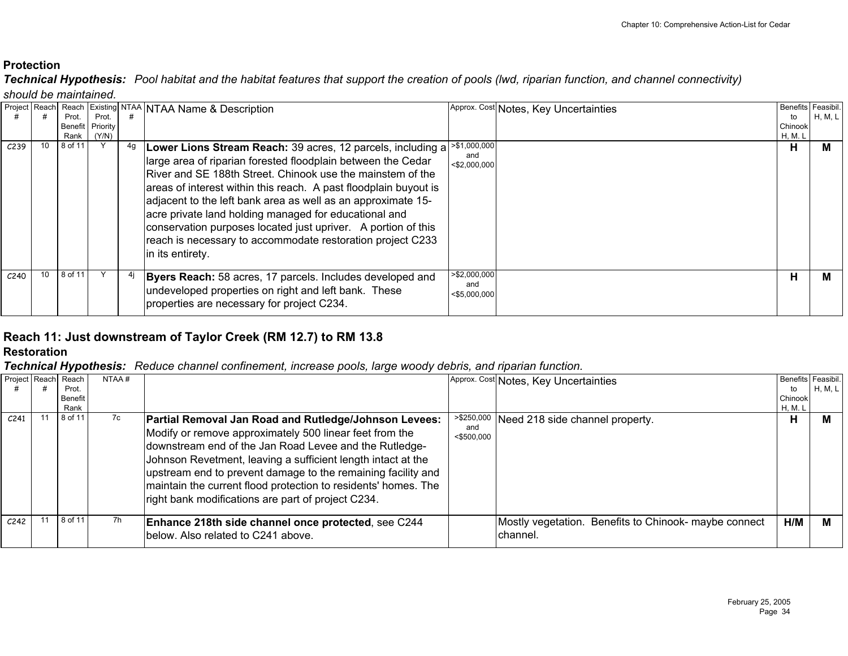*Technical Hypothesis: Pool habitat and the habitat features that support the creation of pools (lwd, riparian function, and channel connectivity)* 

*should be maintained.*

| Project Reach    |                 |         |                 |    | Reach Existing NTAA NTAA Name & Description                                                                                                                                                                                                                                                                                                                                                                                                                                                                                                                           |                                        | Approx. Cost Notes, Key Uncertainties | <b>Benefits</b> | Feasibil. |
|------------------|-----------------|---------|-----------------|----|-----------------------------------------------------------------------------------------------------------------------------------------------------------------------------------------------------------------------------------------------------------------------------------------------------------------------------------------------------------------------------------------------------------------------------------------------------------------------------------------------------------------------------------------------------------------------|----------------------------------------|---------------------------------------|-----------------|-----------|
|                  |                 | Prot.   | Prot.           |    |                                                                                                                                                                                                                                                                                                                                                                                                                                                                                                                                                                       |                                        |                                       | to              | H, M, L   |
|                  |                 | Benefit | <b>Priority</b> |    |                                                                                                                                                                                                                                                                                                                                                                                                                                                                                                                                                                       |                                        |                                       | Chinook         |           |
|                  |                 | Rank    | (Y/N)           |    |                                                                                                                                                                                                                                                                                                                                                                                                                                                                                                                                                                       |                                        |                                       | H, M. L         |           |
| C <sub>239</sub> | 10 <sup>1</sup> | 8 of 11 |                 | 4g | Lower Lions Stream Reach: 39 acres, 12 parcels, including a <sup> &gt;\$1,000,000</sup><br>large area of riparian forested floodplain between the Cedar<br>River and SE 188th Street. Chinook use the mainstem of the<br>areas of interest within this reach. A past floodplain buyout is<br>adjacent to the left bank area as well as an approximate 15-<br>acre private land holding managed for educational and<br>conservation purposes located just upriver. A portion of this<br>reach is necessary to accommodate restoration project C233<br>in its entirety. | and<br>$<$ \$2,000,000                 |                                       | н               | м         |
|                  |                 |         |                 |    |                                                                                                                                                                                                                                                                                                                                                                                                                                                                                                                                                                       |                                        |                                       |                 |           |
| C <sub>240</sub> | 10              | 8 of 11 |                 |    | Byers Reach: 58 acres, 17 parcels. Includes developed and<br>undeveloped properties on right and left bank. These<br>properties are necessary for project C234.                                                                                                                                                                                                                                                                                                                                                                                                       | >\$2,000,000<br>and<br>$<$ \$5,000,000 |                                       | н               | м         |

## **Reach 11: Just downstream of Taylor Creek (RM 12.7) to RM 13.8**

### **Restoration**

## *Technical Hypothesis: Reduce channel confinement, increase pools, large woody debris, and riparian function.*

| Project Reach    | Reach<br>Prot.<br><b>Benefit</b><br>Rank | NTAA# |                                                                                                                                                                                                                                                                                                                                                                                                                                    |                                     | Approx. Cost Notes, Key Uncertainties                              | Benefits Feasibil.<br>to<br>Chinook<br>H, M. L | H, M, L |
|------------------|------------------------------------------|-------|------------------------------------------------------------------------------------------------------------------------------------------------------------------------------------------------------------------------------------------------------------------------------------------------------------------------------------------------------------------------------------------------------------------------------------|-------------------------------------|--------------------------------------------------------------------|------------------------------------------------|---------|
| C <sub>241</sub> | 8 of 11                                  | 7c    | Partial Removal Jan Road and Rutledge/Johnson Levees:<br>Modify or remove approximately 500 linear feet from the<br>downstream end of the Jan Road Levee and the Rutledge-<br>Johnson Revetment, leaving a sufficient length intact at the<br>upstream end to prevent damage to the remaining facility and<br>maintain the current flood protection to residents' homes. The<br>right bank modifications are part of project C234. | > \$250,000<br>and<br>$<$ \$500,000 | Need 218 side channel property.                                    | Н                                              |         |
| C <sub>242</sub> | 8 of 11                                  | 7h    | Enhance 218th side channel once protected, see C244<br>below. Also related to C241 above.                                                                                                                                                                                                                                                                                                                                          |                                     | Mostly vegetation. Benefits to Chinook- maybe connect<br>Ichannel. | H/M                                            | М       |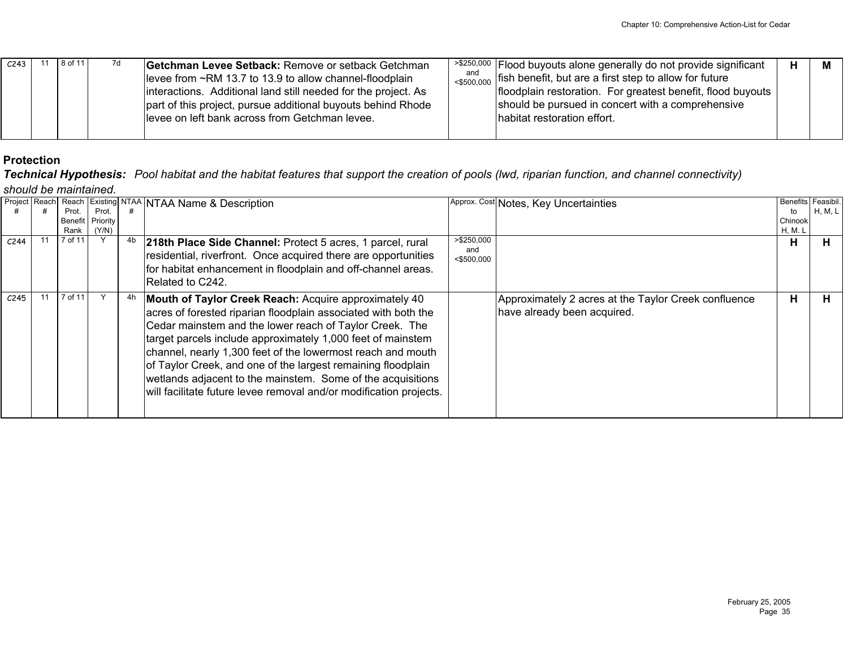| C <sub>243</sub> | 8 of 11 | 7d | Getchman Levee Setback: Remove or setback Getchman<br>levee from ~RM 13.7 to 13.9 to allow channel-floodplain<br>interactions. Additional land still needed for the project. As<br>part of this project, pursue additional buyouts behind Rhode<br>levee on left bank across from Getchman levee. | and<br>$<$ \$500.000 | $\frac{1}{2}$ >\$250,000  Flood buyouts alone generally do not provide significant<br>fish benefit, but are a first step to allow for future<br>floodplain restoration. For greatest benefit, flood buyouts<br>should be pursued in concert with a comprehensive<br>habitat restoration effort. |  |  |
|------------------|---------|----|---------------------------------------------------------------------------------------------------------------------------------------------------------------------------------------------------------------------------------------------------------------------------------------------------|----------------------|-------------------------------------------------------------------------------------------------------------------------------------------------------------------------------------------------------------------------------------------------------------------------------------------------|--|--|
|                  |         |    |                                                                                                                                                                                                                                                                                                   |                      |                                                                                                                                                                                                                                                                                                 |  |  |

*Technical Hypothesis: Pool habitat and the habitat features that support the creation of pools (lwd, riparian function, and channel connectivity) should be maintained.*

|                  | Project Reach |         | Reach Existing | <b>NTAA</b> | NTAA Name & Description                                                                                                                                                                                                                                                                                                                                                                                                                                                                                               |                                    | Approx. Cost Notes, Key Uncertainties                                               | <b>Benefits</b> | Feasibil. |  |  |  |
|------------------|---------------|---------|----------------|-------------|-----------------------------------------------------------------------------------------------------------------------------------------------------------------------------------------------------------------------------------------------------------------------------------------------------------------------------------------------------------------------------------------------------------------------------------------------------------------------------------------------------------------------|------------------------------------|-------------------------------------------------------------------------------------|-----------------|-----------|--|--|--|
|                  |               | Prot.   | Prot.          |             |                                                                                                                                                                                                                                                                                                                                                                                                                                                                                                                       |                                    |                                                                                     | to              | H, M, L   |  |  |  |
|                  |               | Benefit | Priority       |             |                                                                                                                                                                                                                                                                                                                                                                                                                                                                                                                       |                                    |                                                                                     | Chinook         |           |  |  |  |
|                  |               | Rank    | (Y/N)          |             |                                                                                                                                                                                                                                                                                                                                                                                                                                                                                                                       |                                    |                                                                                     | H, M. L         |           |  |  |  |
| C <sub>244</sub> |               | 7 of 11 |                | -4b         | 218th Place Side Channel: Protect 5 acres, 1 parcel, rural<br>residential, riverfront. Once acquired there are opportunities<br>for habitat enhancement in floodplain and off-channel areas.<br>Related to C242.                                                                                                                                                                                                                                                                                                      | >\$250,000<br>and<br>$<$ \$500,000 |                                                                                     | н               | н         |  |  |  |
| C <sub>245</sub> |               | 7 of 11 |                | 4r          | Mouth of Taylor Creek Reach: Acquire approximately 40<br>acres of forested riparian floodplain associated with both the<br>Cedar mainstem and the lower reach of Taylor Creek. The<br>target parcels include approximately 1,000 feet of mainstem<br>channel, nearly 1,300 feet of the lowermost reach and mouth<br>of Taylor Creek, and one of the largest remaining floodplain<br>wetlands adjacent to the mainstem. Some of the acquisitions<br>will facilitate future levee removal and/or modification projects. |                                    | Approximately 2 acres at the Taylor Creek confluence<br>have already been acquired. | н               |           |  |  |  |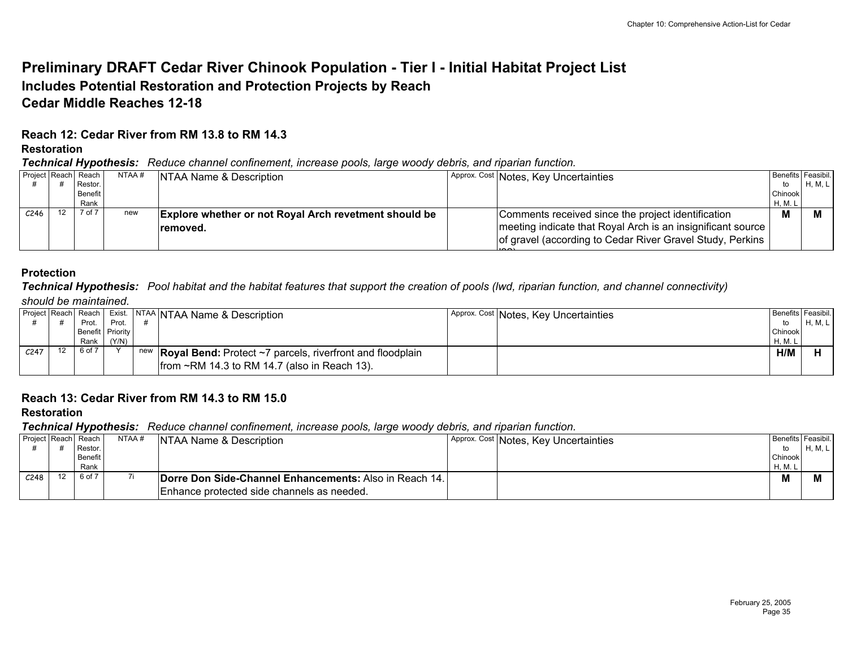## **Preliminary DRAFT Cedar River Chinook Population - Tier I - Initial Habitat Project List Includes Potential Restoration and Protection Projects by Reach Cedar Middle Reaches 12-18**

## **Reach 12: Cedar River from RM 13.8 to RM 14.3**

#### **Restoration**

*Technical Hypothesis: Reduce channel confinement, increase pools, large woody debris, and riparian function.*

|      |    | Project Reach Reach | NTAA # | NTAA Name & Description                                      | Approx. Cost Notes, Key Uncertainties                                 |         | Benefits Feasibil. |
|------|----|---------------------|--------|--------------------------------------------------------------|-----------------------------------------------------------------------|---------|--------------------|
|      |    | Restor.             |        |                                                              |                                                                       | to      | H, M, L            |
|      |    | <b>Benefit</b>      |        |                                                              |                                                                       | Chinook |                    |
|      |    | Rank                |        |                                                              |                                                                       | H, M. L |                    |
| C246 | 12 | 7 of 7              | new    | <b>Explore whether or not Royal Arch revetment should be</b> | Comments received since the project identification                    | M       |                    |
|      |    |                     |        | removed.                                                     | meeting indicate that Royal Arch is an insignificant source           |         |                    |
|      |    |                     |        |                                                              | of gravel (according to Cedar River Gravel Study, Perkins  <br>$\sim$ |         |                    |
|      |    |                     |        |                                                              |                                                                       |         |                    |

#### **Protection**

*Technical Hypothesis: Pool habitat and the habitat features that support the creation of pools (lwd, riparian function, and channel connectivity) should be maintained.*

|                  |                  |       | Project Reach Reach   Exist.   NTAA   NTAA Name & Description              | Approx. Cost Notes, Key Uncertainties | Benefits Feasibil. |         |
|------------------|------------------|-------|----------------------------------------------------------------------------|---------------------------------------|--------------------|---------|
|                  | Prot.            | Prot. |                                                                            |                                       | to                 | H, M, L |
|                  | Benefit Priority |       |                                                                            |                                       | Chinook            |         |
|                  | Rank             | (Y/N) |                                                                            |                                       | H, M.              |         |
| C <sub>247</sub> | 6 of 7           |       | new <b>Royal Bend:</b> Protect $\sim$ 7 parcels, riverfront and floodplain |                                       | H/M                |         |
|                  |                  |       | $ from \sim RM$ 14.3 to RM 14.7 (also in Reach 13).                        |                                       |                    |         |

## **Reach 13: Cedar River from RM 14.3 to RM 15.0**

### **Restoration**

*Technical Hypothesis: Reduce channel confinement, increase pools, large woody debris, and riparian function.*

| Project Reach Reach |    | . .     | NTAA # | NTAA Name & Description                                       | Approx. Cost Notes, Key Uncertainties | Benefits   Feasibil. |         |
|---------------------|----|---------|--------|---------------------------------------------------------------|---------------------------------------|----------------------|---------|
|                     |    | Restor. |        |                                                               |                                       | to                   | H, M, L |
|                     |    | Benefit |        |                                                               |                                       | Chinook              |         |
|                     |    | Rank    |        |                                                               |                                       | H, M. L              |         |
| C <sub>248</sub>    | 12 | 6 of 7  |        | <b>Dorre Don Side-Channel Enhancements: Also in Reach 14.</b> |                                       | M                    |         |
|                     |    |         |        | Enhance protected side channels as needed.                    |                                       |                      |         |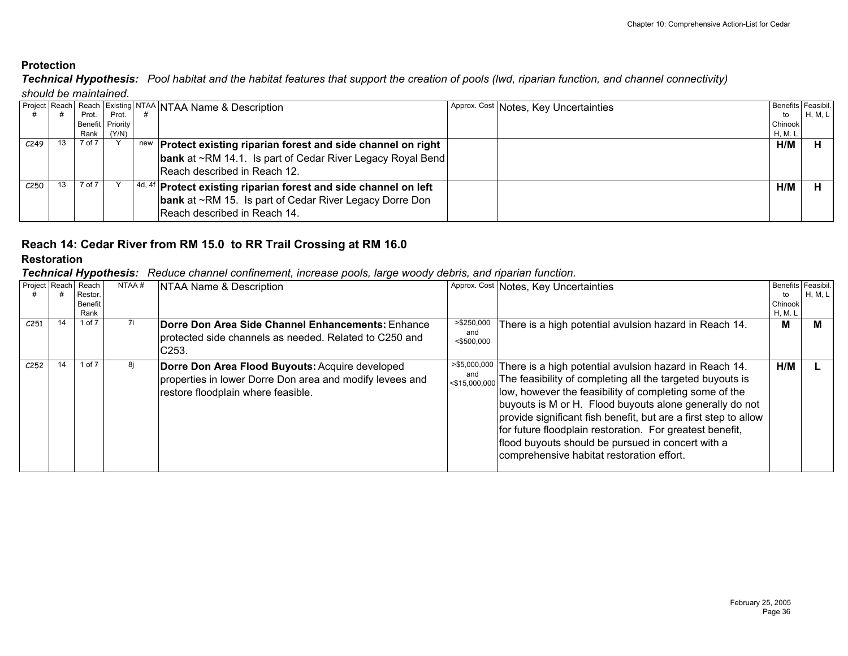*Technical Hypothesis: Pool habitat and the habitat features that support the creation of pools (lwd, riparian function, and channel connectivity) should be maintained.*

|                  |    |        |                    |  | <b>Project Reach Reach Existing NTAA NTAA Name &amp; Description</b> |  | Approx. Cost Notes, Key Uncertainties |                | Benefits Feasibil. |  |  |  |
|------------------|----|--------|--------------------|--|----------------------------------------------------------------------|--|---------------------------------------|----------------|--------------------|--|--|--|
|                  |    | Prot.  | Prot.              |  |                                                                      |  |                                       | to             | H, M, L            |  |  |  |
|                  |    |        | Benefit   Priority |  |                                                                      |  |                                       | Chinook        |                    |  |  |  |
|                  |    |        | Rank (Y/N)         |  |                                                                      |  |                                       | <b>H, M. L</b> |                    |  |  |  |
| C <sub>249</sub> | 13 | 7 of 7 |                    |  | new Protect existing riparian forest and side channel on right       |  |                                       | H/M            |                    |  |  |  |
|                  |    |        |                    |  | <b>bank</b> at ~RM 14.1. Is part of Cedar River Legacy Royal Bend    |  |                                       |                |                    |  |  |  |
|                  |    |        |                    |  | Reach described in Reach 12.                                         |  |                                       |                |                    |  |  |  |
| C <sub>250</sub> | 13 | 7 of 7 |                    |  | $4d, 4f$ Protect existing riparian forest and side channel on left   |  |                                       | H/M            |                    |  |  |  |
|                  |    |        |                    |  | <b>bank</b> at ~RM 15. Is part of Cedar River Legacy Dorre Don       |  |                                       |                |                    |  |  |  |
|                  |    |        |                    |  | Reach described in Reach 14.                                         |  |                                       |                |                    |  |  |  |
|                  |    |        |                    |  |                                                                      |  |                                       |                |                    |  |  |  |

# **Reach 14: Cedar River from RM 15.0 to RR Trail Crossing at RM 16.0**

## **Restoration**

*Technical Hypothesis: Reduce channel confinement, increase pools, large woody debris, and riparian function.*

| Project Reach |    | Reach<br>Restor.       | NTAA# | NTAA Name & Description                                                                                                                           |                                     | Approx. Cost Notes, Key Uncertainties                                                                                                                                                                                                                                                                                                                                                                                                                                                                                            | to                 | Benefits Feasibil.<br>H, M, L |
|---------------|----|------------------------|-------|---------------------------------------------------------------------------------------------------------------------------------------------------|-------------------------------------|----------------------------------------------------------------------------------------------------------------------------------------------------------------------------------------------------------------------------------------------------------------------------------------------------------------------------------------------------------------------------------------------------------------------------------------------------------------------------------------------------------------------------------|--------------------|-------------------------------|
|               |    | <b>Benefit</b><br>Rank |       |                                                                                                                                                   |                                     |                                                                                                                                                                                                                                                                                                                                                                                                                                                                                                                                  | Chinook<br>H, M. I |                               |
| C251          | 14 | 1 of 7                 | 7i    | Dorre Don Area Side Channel Enhancements: Enhance<br>protected side channels as needed. Related to C250 and<br>C <sub>253</sub> .                 | > \$250,000<br>and<br>$<$ \$500,000 | There is a high potential avulsion hazard in Reach 14.                                                                                                                                                                                                                                                                                                                                                                                                                                                                           | M                  | м                             |
| C252          | 14 | 1 of 7                 | 8j    | Dorre Don Area Flood Buyouts: Acquire developed<br>properties in lower Dorre Don area and modify levees and<br>restore floodplain where feasible. |                                     | >\$5,000,000 There is a high potential avulsion hazard in Reach 14.<br>$\left  \cos \theta_{15,000,000} \right $ The feasibility of completing all the targeted buyouts is<br>low, however the feasibility of completing some of the<br>buyouts is M or H. Flood buyouts alone generally do not<br>provide significant fish benefit, but are a first step to allow<br>for future floodplain restoration. For greatest benefit,<br>flood buyouts should be pursued in concert with a<br>comprehensive habitat restoration effort. | H/M                |                               |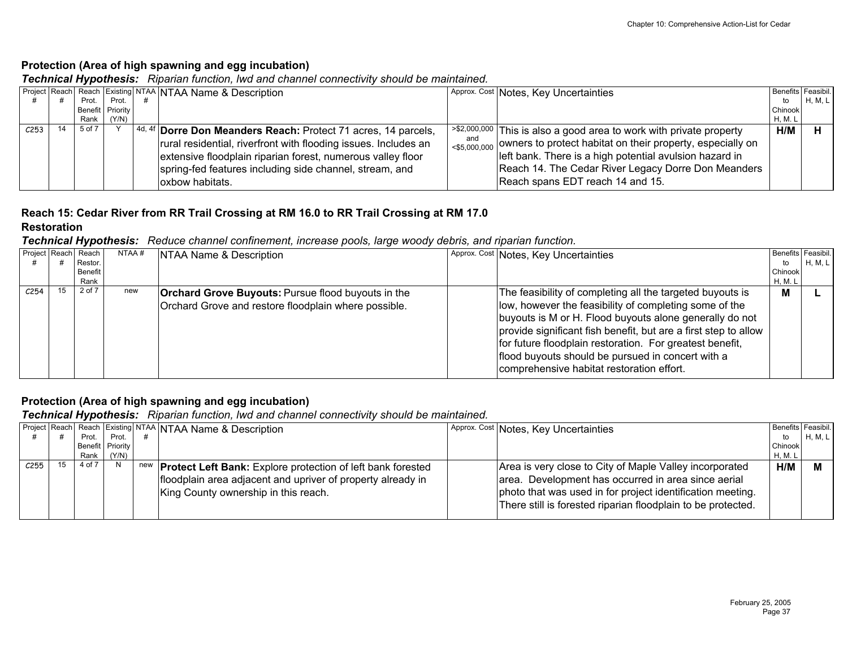## **Protection (Area of high spawning and egg incubation)**

*Technical Hypothesis: Riparian function, lwd and channel connectivity should be maintained.*

|      |    |        |                  |  | Project Reach Reach Existing NTAA NTAA Name & Description          |     | Approx. Cost Notes, Key Uncertainties                                                           |         | Benefits Feasibil. |  |  |
|------|----|--------|------------------|--|--------------------------------------------------------------------|-----|-------------------------------------------------------------------------------------------------|---------|--------------------|--|--|
|      |    | Prot.  | Prot.            |  |                                                                    |     |                                                                                                 | to      | H, M, L            |  |  |
|      |    |        | Benefit Priority |  |                                                                    |     |                                                                                                 | Chinook |                    |  |  |
|      |    | Rank I | (Y/N)            |  |                                                                    |     |                                                                                                 | H, M. L |                    |  |  |
| C253 | 14 | 5 of 7 |                  |  | $ 4d, 4f $ Dorre Don Meanders Reach: Protect 71 acres, 14 parcels, |     | $\sim$ $\frac{1}{2}$ $\approx$ 2,000,000 This is also a good area to work with private property | H/M     |                    |  |  |
|      |    |        |                  |  | rural residential, riverfront with flooding issues. Includes an    | and | $\frac{1}{50000000}$ owners to protect habitat on their property, especially on                 |         |                    |  |  |
|      |    |        |                  |  | extensive floodplain riparian forest, numerous valley floor        |     | left bank. There is a high potential avulsion hazard in                                         |         |                    |  |  |
|      |    |        |                  |  | spring-fed features including side channel, stream, and            |     | Reach 14. The Cedar River Legacy Dorre Don Meanders                                             |         |                    |  |  |
|      |    |        |                  |  | loxbow habitats.                                                   |     | Reach spans EDT reach 14 and 15.                                                                |         |                    |  |  |
|      |    |        |                  |  |                                                                    |     |                                                                                                 |         |                    |  |  |

# **Reach 15: Cedar River from RR Trail Crossing at RM 16.0 to RR Trail Crossing at RM 17.0**

#### **Restoration**

*Technical Hypothesis: Reduce channel confinement, increase pools, large woody debris, and riparian function.*

| Project Reach Reach |    | Restor.         | NTAA # | NTAA Name & Description                                                                                           | Approx. Cost Notes, Key Uncertainties                                                                                                                                                                                                                                                                                                                                                                           | Benefits Feasibil.<br>to  | H, M, L |
|---------------------|----|-----------------|--------|-------------------------------------------------------------------------------------------------------------------|-----------------------------------------------------------------------------------------------------------------------------------------------------------------------------------------------------------------------------------------------------------------------------------------------------------------------------------------------------------------------------------------------------------------|---------------------------|---------|
|                     |    | Benefit<br>Rank |        |                                                                                                                   |                                                                                                                                                                                                                                                                                                                                                                                                                 | Chinook<br><b>H, M. L</b> |         |
| C <sub>254</sub>    | 15 | 2 of 7          | new    | <b>Orchard Grove Buyouts: Pursue flood buyouts in the</b><br>Orchard Grove and restore floodplain where possible. | The feasibility of completing all the targeted buyouts is<br>low, however the feasibility of completing some of the<br>buyouts is M or H. Flood buyouts alone generally do not<br>provide significant fish benefit, but are a first step to allow<br>for future floodplain restoration. For greatest benefit,<br>flood buyouts should be pursued in concert with a<br>comprehensive habitat restoration effort. | М                         |         |

## **Protection (Area of high spawning and egg incubation)**

*Technical Hypothesis: Riparian function, lwd and channel connectivity should be maintained.*

|      |    |        |                  | Project Reach Reach Existing NTAA NTAA Name & Description              | Approx. Cost Notes, Key Uncertainties                        | Benefits Feasibil. |         |
|------|----|--------|------------------|------------------------------------------------------------------------|--------------------------------------------------------------|--------------------|---------|
|      |    | Prot.  | Prot.            |                                                                        |                                                              | to                 | H, M, L |
|      |    |        | Benefit Priority |                                                                        |                                                              | Chinook            |         |
|      |    | Rank I | (Y/N)            |                                                                        |                                                              | H, M. I            |         |
| C255 | 15 | 4 of 7 | N                | new <b>Protect Left Bank:</b> Explore protection of left bank forested | Area is very close to City of Maple Valley incorporated      | H/M                |         |
|      |    |        |                  | floodplain area adjacent and upriver of property already in            | area. Development has occurred in area since aerial          |                    |         |
|      |    |        |                  | King County ownership in this reach.                                   | photo that was used in for project identification meeting.   |                    |         |
|      |    |        |                  |                                                                        | There still is forested riparian floodplain to be protected. |                    |         |
|      |    |        |                  |                                                                        |                                                              |                    |         |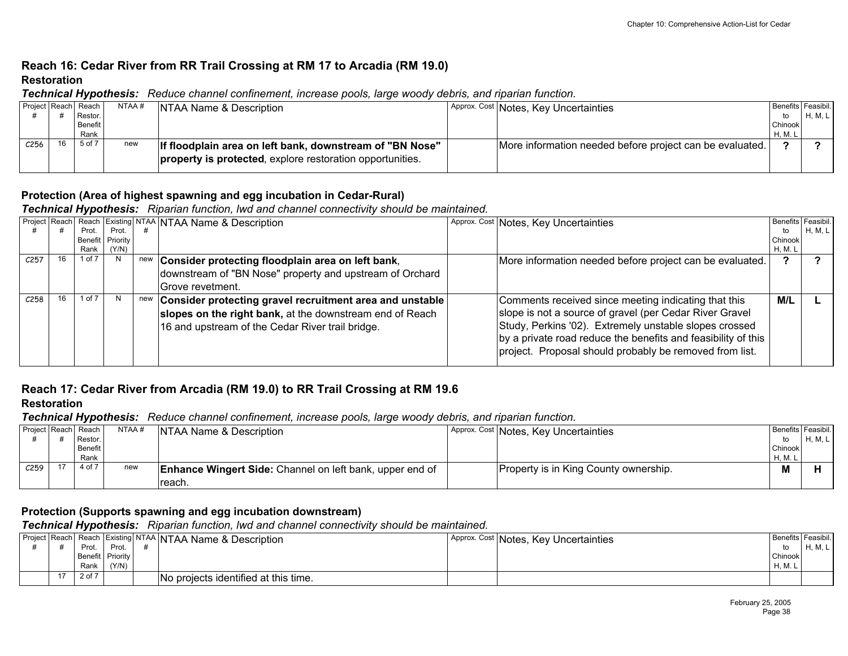## **Reach 16: Cedar River from RR Trail Crossing at RM 17 to Arcadia (RM 19.0) Restoration**

*Technical Hypothesis: Reduce channel confinement, increase pools, large woody debris, and riparian function.*

| Project Reach Reach |    |         | NTAA# | NTAA Name & Description                                   | Approx. Cost Notes, Key Uncertainties                    | Benefits Feasibil. |         |
|---------------------|----|---------|-------|-----------------------------------------------------------|----------------------------------------------------------|--------------------|---------|
|                     |    | Restor. |       |                                                           |                                                          |                    | H, M, L |
|                     |    | Benefit |       |                                                           |                                                          | <b>Chinook</b>     |         |
|                     |    | Rank    |       |                                                           |                                                          | H, M. L            |         |
| C256                | 16 | 5 of 7  | new   | If floodplain area on left bank, downstream of "BN Nose"  | More information needed before project can be evaluated. |                    |         |
|                     |    |         |       | property is protected, explore restoration opportunities. |                                                          |                    |         |
|                     |    |         |       |                                                           |                                                          |                    |         |

## **Protection (Area of highest spawning and egg incubation in Cedar-Rural)**

*Technical Hypothesis: Riparian function, lwd and channel connectivity should be maintained.*

|                  |        |                  |     | Project Reach Reach Existing NTAA NTAA Name & Description                                                                                                                | Approx. Cost Notes, Key Uncertainties                                                                                                                                                                                                                                                                 |         | Benefits Feasibil. |
|------------------|--------|------------------|-----|--------------------------------------------------------------------------------------------------------------------------------------------------------------------------|-------------------------------------------------------------------------------------------------------------------------------------------------------------------------------------------------------------------------------------------------------------------------------------------------------|---------|--------------------|
|                  | Prot.  | Prot.            |     |                                                                                                                                                                          |                                                                                                                                                                                                                                                                                                       | to      | H, M, L            |
|                  |        | Benefit Priority |     |                                                                                                                                                                          |                                                                                                                                                                                                                                                                                                       | Chinook |                    |
|                  |        | Rank $(Y/N)$     |     |                                                                                                                                                                          |                                                                                                                                                                                                                                                                                                       | H, M. I |                    |
| C <sub>257</sub> | 1 of 7 | N                |     | new Consider protecting floodplain area on left bank,                                                                                                                    | More information needed before project can be evaluated.                                                                                                                                                                                                                                              |         |                    |
|                  |        |                  |     | downstream of "BN Nose" property and upstream of Orchard                                                                                                                 |                                                                                                                                                                                                                                                                                                       |         |                    |
|                  |        |                  |     | Grove revetment.                                                                                                                                                         |                                                                                                                                                                                                                                                                                                       |         |                    |
| C258             | 1 of 7 | N                | new | Consider protecting gravel recruitment area and unstable<br>slopes on the right bank, at the downstream end of Reach<br>16 and upstream of the Cedar River trail bridge. | Comments received since meeting indicating that this<br>slope is not a source of gravel (per Cedar River Gravel<br>Study, Perkins '02). Extremely unstable slopes crossed<br>by a private road reduce the benefits and feasibility of this<br>project. Proposal should probably be removed from list. | M/L     |                    |

## **Reach 17: Cedar River from Arcadia (RM 19.0) to RR Trail Crossing at RM 19.6**

## **Restoration**

*Technical Hypothesis: Reduce channel confinement, increase pools, large woody debris, and riparian function.*

|                     | - -     |       |                                                                 |                                       |                    |         |
|---------------------|---------|-------|-----------------------------------------------------------------|---------------------------------------|--------------------|---------|
| Project Reach Reach |         | NTAA# | NTAA Name & Description                                         | Approx. Cost Notes, Key Uncertainties | Benefits Feasibil. |         |
|                     | Restor. |       |                                                                 |                                       | to                 | H, M, L |
|                     | Benefit |       |                                                                 |                                       | Chinook            |         |
|                     | Rank    |       |                                                                 |                                       | H, M. I            |         |
| C <sub>259</sub>    | 4 of 7  | new   | <b>Enhance Wingert Side:</b> Channel on left bank, upper end of | Property is in King County ownership. | M                  |         |
|                     |         |       | Treach.                                                         |                                       |                    |         |

### **Protection (Supports spawning and egg incubation downstream)**

*Technical Hypothesis: Riparian function, lwd and channel connectivity should be maintained.*

|  |        |                  | <b>Project Reach Reach Existing NTAA NTAA Name &amp; Description</b> | Approx. Cost Notes, Key Uncertainties | Benefits Feasibil. |         |
|--|--------|------------------|----------------------------------------------------------------------|---------------------------------------|--------------------|---------|
|  | Prot   | Prot             |                                                                      |                                       |                    | H, M, L |
|  |        | Benefit Priority |                                                                      |                                       | Chinook            |         |
|  | Rank   | (Y/N)            |                                                                      |                                       | H, M.              |         |
|  | 2 of 7 |                  | No projects identified at this time.                                 |                                       |                    |         |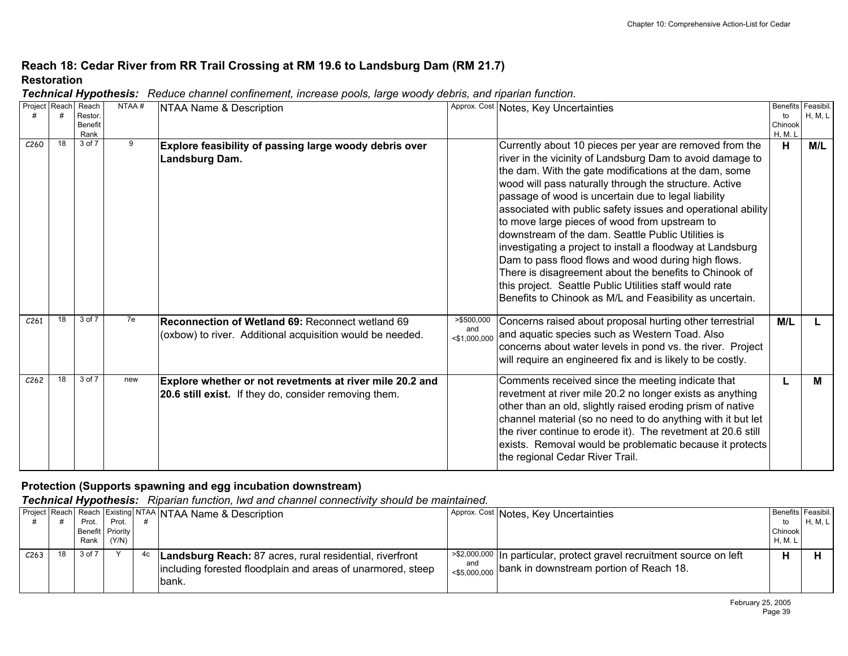## **Reach 18: Cedar River from RR Trail Crossing at RM 19.6 to Landsburg Dam (RM 21.7) Restoration**

|  | Technical Hypothesis: Reduce channel confinement, increase pools, large woody debris, and riparian function. |  |
|--|--------------------------------------------------------------------------------------------------------------|--|
|--|--------------------------------------------------------------------------------------------------------------|--|

| Project Reach    |    | Reach                     | NTAA# | NTAA Name & Description                                   |                 | Approx. Cost Notes, Key Uncertainties                        |                | Benefits Feasibil. |
|------------------|----|---------------------------|-------|-----------------------------------------------------------|-----------------|--------------------------------------------------------------|----------------|--------------------|
|                  |    | Restor.<br><b>Benefit</b> |       |                                                           |                 |                                                              | to<br>Chinook  | H, M, L            |
|                  |    | Rank                      |       |                                                           |                 |                                                              | <b>H, M. L</b> |                    |
| C <sub>260</sub> | 18 | 3 of 7                    | 9     | Explore feasibility of passing large woody debris over    |                 | Currently about 10 pieces per year are removed from the      | н              | M/L                |
|                  |    |                           |       | Landsburg Dam.                                            |                 | river in the vicinity of Landsburg Dam to avoid damage to    |                |                    |
|                  |    |                           |       |                                                           |                 | the dam. With the gate modifications at the dam, some        |                |                    |
|                  |    |                           |       |                                                           |                 | wood will pass naturally through the structure. Active       |                |                    |
|                  |    |                           |       |                                                           |                 | passage of wood is uncertain due to legal liability          |                |                    |
|                  |    |                           |       |                                                           |                 | associated with public safety issues and operational ability |                |                    |
|                  |    |                           |       |                                                           |                 | to move large pieces of wood from upstream to                |                |                    |
|                  |    |                           |       |                                                           |                 | downstream of the dam. Seattle Public Utilities is           |                |                    |
|                  |    |                           |       |                                                           |                 | investigating a project to install a floodway at Landsburg   |                |                    |
|                  |    |                           |       |                                                           |                 | Dam to pass flood flows and wood during high flows.          |                |                    |
|                  |    |                           |       |                                                           |                 | There is disagreement about the benefits to Chinook of       |                |                    |
|                  |    |                           |       |                                                           |                 | this project. Seattle Public Utilities staff would rate      |                |                    |
|                  |    |                           |       |                                                           |                 |                                                              |                |                    |
|                  |    |                           |       |                                                           |                 | Benefits to Chinook as M/L and Feasibility as uncertain.     |                |                    |
| C <sub>261</sub> | 18 | 3 of 7                    | 7e    | Reconnection of Wetland 69: Reconnect wetland 69          | > \$500,000     | Concerns raised about proposal hurting other terrestrial     | M/L            |                    |
|                  |    |                           |       | (oxbow) to river. Additional acquisition would be needed. | and             | and aquatic species such as Western Toad. Also               |                |                    |
|                  |    |                           |       |                                                           | $<$ \$1,000,000 | concerns about water levels in pond vs. the river. Project   |                |                    |
|                  |    |                           |       |                                                           |                 | will require an engineered fix and is likely to be costly.   |                |                    |
|                  |    |                           |       |                                                           |                 |                                                              |                |                    |
| C <sub>262</sub> | 18 | 3 of 7                    | new   | Explore whether or not revetments at river mile 20.2 and  |                 | Comments received since the meeting indicate that            | L              | М                  |
|                  |    |                           |       | 20.6 still exist. If they do, consider removing them.     |                 | revetment at river mile 20.2 no longer exists as anything    |                |                    |
|                  |    |                           |       |                                                           |                 | other than an old, slightly raised eroding prism of native   |                |                    |
|                  |    |                           |       |                                                           |                 | channel material (so no need to do anything with it but let  |                |                    |
|                  |    |                           |       |                                                           |                 | the river continue to erode it). The revetment at 20.6 still |                |                    |
|                  |    |                           |       |                                                           |                 | exists. Removal would be problematic because it protects     |                |                    |
|                  |    |                           |       |                                                           |                 | the regional Cedar River Trail.                              |                |                    |
|                  |    |                           |       |                                                           |                 |                                                              |                |                    |

## **Protection (Supports spawning and egg incubation downstream)**

*Technical Hypothesis: Riparian function, lwd and channel connectivity should be maintained.*

|                  |    | Prot.            | Prot. |    | Project Reach Reach Existing NTAA NTAA Name & Description                                                                         | Approx. Cost Notes, Key Uncertainties                                                                                                   | Benefits Feasibil.<br>to | H, M, L |
|------------------|----|------------------|-------|----|-----------------------------------------------------------------------------------------------------------------------------------|-----------------------------------------------------------------------------------------------------------------------------------------|--------------------------|---------|
|                  |    | Benefit Priority |       |    |                                                                                                                                   |                                                                                                                                         | Chinook                  |         |
|                  |    |                  |       |    |                                                                                                                                   |                                                                                                                                         |                          |         |
|                  |    | Rank             | (Y/N) |    |                                                                                                                                   |                                                                                                                                         | H, M. L                  |         |
| C <sub>263</sub> | 18 | 3 of 7           |       | 4с | Landsburg Reach: 87 acres, rural residential, riverfront<br>including forested floodplain and areas of unarmored, steep<br>Ibank. | >\$2,000,000 In particular, protect gravel recruitment source on left<br>$\frac{1}{35,000,000}$ bank in downstream portion of Reach 18. |                          |         |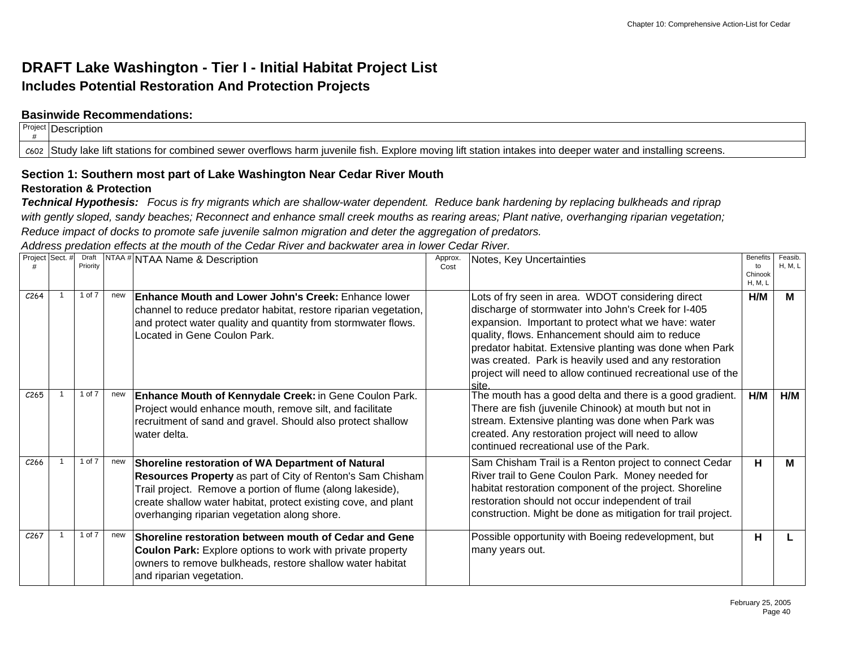## **DRAFT Lake Washington - Tier I - Initial Habitat Project List Includes Potential Restoration And Protection Projects**

### **Basinwide Recommendations:**

| Project Description                                                                                                                                           |
|---------------------------------------------------------------------------------------------------------------------------------------------------------------|
| c602  Study lake lift stations for combined sewer overflows harm juvenile fish. Explore moving lift station intakes into deeper water and installing screens. |

#### **Section 1: Southern most part of Lake Washington Near Cedar River Mouth Restoration & Protection**

*Technical Hypothesis: Focus is fry migrants which are shallow-water dependent. Reduce bank hardening by replacing bulkheads and riprap with gently sloped, sandy beaches; Reconnect and enhance small creek mouths as rearing areas; Plant native, overhanging riparian vegetation; Reduce impact of docks to promote safe juvenile salmon migration and deter the aggregation of predators.* 

*Address predation effects at the mouth of the Cedar River and backwater area in lower Cedar River.*

| Project Sect. #  | Priority |     | Draft   NTAA # NTAA Name & Description                                                                                                                                                                                                                                                                 | Approx.<br>Cost | Notes, Key Uncertainties                                                                                                                                                                                                                                                                                                                                                                                        | <b>Benefits</b><br>to     | Feasib.<br><b>H. M. L</b> |
|------------------|----------|-----|--------------------------------------------------------------------------------------------------------------------------------------------------------------------------------------------------------------------------------------------------------------------------------------------------------|-----------------|-----------------------------------------------------------------------------------------------------------------------------------------------------------------------------------------------------------------------------------------------------------------------------------------------------------------------------------------------------------------------------------------------------------------|---------------------------|---------------------------|
|                  |          |     |                                                                                                                                                                                                                                                                                                        |                 |                                                                                                                                                                                                                                                                                                                                                                                                                 | Chinook<br><b>H, M, L</b> |                           |
| C <sub>264</sub> | 1 of 7   | new | <b>Enhance Mouth and Lower John's Creek: Enhance lower</b><br>channel to reduce predator habitat, restore riparian vegetation,<br>and protect water quality and quantity from stormwater flows.<br>Located in Gene Coulon Park.                                                                        |                 | Lots of fry seen in area. WDOT considering direct<br>discharge of stormwater into John's Creek for I-405<br>expansion. Important to protect what we have: water<br>quality, flows. Enhancement should aim to reduce<br>predator habitat. Extensive planting was done when Park<br>was created. Park is heavily used and any restoration<br>project will need to allow continued recreational use of the<br>site | H/M                       | М                         |
| C <sub>265</sub> | 1 of 7   | new | Enhance Mouth of Kennydale Creek: in Gene Coulon Park.<br>Project would enhance mouth, remove silt, and facilitate<br>recruitment of sand and gravel. Should also protect shallow<br>water delta.                                                                                                      |                 | The mouth has a good delta and there is a good gradient.<br>There are fish (juvenile Chinook) at mouth but not in<br>stream. Extensive planting was done when Park was<br>created. Any restoration project will need to allow<br>continued recreational use of the Park.                                                                                                                                        | H/M                       | H/M                       |
| C <sub>266</sub> | 1 of 7   | new | Shoreline restoration of WA Department of Natural<br><b>Resources Property</b> as part of City of Renton's Sam Chisham<br>Trail project. Remove a portion of flume (along lakeside),<br>create shallow water habitat, protect existing cove, and plant<br>overhanging riparian vegetation along shore. |                 | Sam Chisham Trail is a Renton project to connect Cedar<br>River trail to Gene Coulon Park. Money needed for<br>habitat restoration component of the project. Shoreline<br>restoration should not occur independent of trail<br>construction. Might be done as mitigation for trail project.                                                                                                                     | н                         | м                         |
| C <sub>267</sub> | 1 of 7   | new | Shoreline restoration between mouth of Cedar and Gene<br><b>Coulon Park:</b> Explore options to work with private property<br>owners to remove bulkheads, restore shallow water habitat<br>and riparian vegetation.                                                                                    |                 | Possible opportunity with Boeing redevelopment, but<br>many years out.                                                                                                                                                                                                                                                                                                                                          | н                         |                           |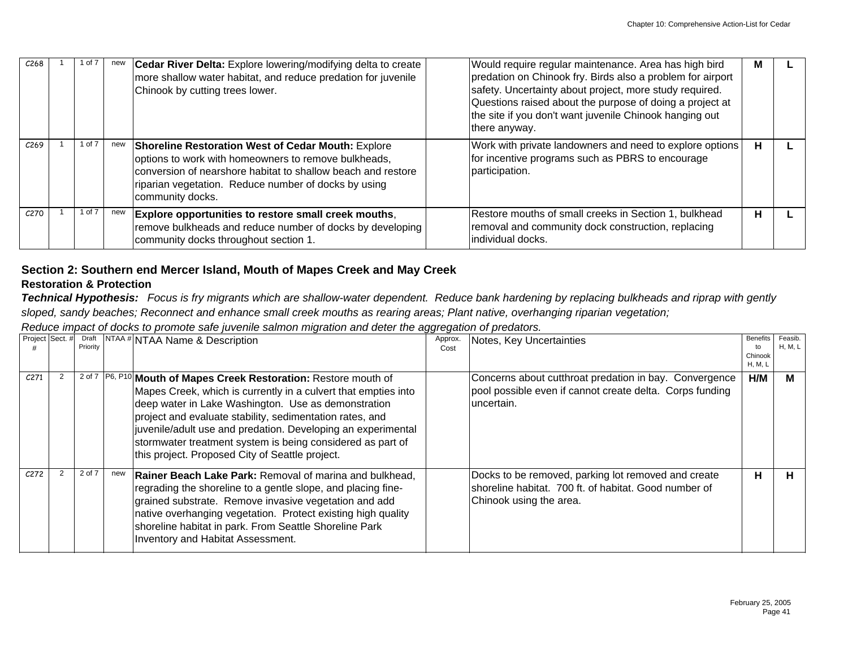| C <sub>268</sub> | of 7       | new | <b>Cedar River Delta:</b> Explore lowering/modifying delta to create<br>more shallow water habitat, and reduce predation for juvenile<br>Chinook by cutting trees lower.                                                                                      | Would require regular maintenance. Area has high bird<br>predation on Chinook fry. Birds also a problem for airport<br>safety. Uncertainty about project, more study required.<br>Questions raised about the purpose of doing a project at<br>the site if you don't want juvenile Chinook hanging out<br>there anyway. | M |  |
|------------------|------------|-----|---------------------------------------------------------------------------------------------------------------------------------------------------------------------------------------------------------------------------------------------------------------|------------------------------------------------------------------------------------------------------------------------------------------------------------------------------------------------------------------------------------------------------------------------------------------------------------------------|---|--|
| C <sub>269</sub> | 1 of 7     | new | <b>Shoreline Restoration West of Cedar Mouth: Explore</b><br>options to work with homeowners to remove bulkheads,<br>conversion of nearshore habitat to shallow beach and restore<br>riparian vegetation. Reduce number of docks by using<br>community docks. | Work with private landowners and need to explore options<br>for incentive programs such as PBRS to encourage<br>participation.                                                                                                                                                                                         | н |  |
| C270             | $1$ of $7$ | new | Explore opportunities to restore small creek mouths,<br>remove bulkheads and reduce number of docks by developing<br>community docks throughout section 1.                                                                                                    | Restore mouths of small creeks in Section 1, bulkhead<br>removal and community dock construction, replacing<br>lindividual docks.                                                                                                                                                                                      | Н |  |

## **Section 2: Southern end Mercer Island, Mouth of Mapes Creek and May Creek**

## **Restoration & Protection**

*Technical Hypothesis: Focus is fry migrants which are shallow-water dependent. Reduce bank hardening by replacing bulkheads and riprap with gently sloped, sandy beaches; Reconnect and enhance small creek mouths as rearing areas; Plant native, overhanging riparian vegetation;* 

*Reduce impact of docks to promote safe juvenile salmon migration and deter the aggregation of predators.*

| Project Sect. #  | Draft<br>Priority |     | NTAA #NTAA Name & Description                                                                                                                                                                                                                                                                                                                                                                                                               | Approx.<br>Cost | Notes, Key Uncertainties                                                                                                                | <b>Benefits</b><br>to<br>Chinook<br>H, M, L | Feasib.<br><b>H, M, L</b> |
|------------------|-------------------|-----|---------------------------------------------------------------------------------------------------------------------------------------------------------------------------------------------------------------------------------------------------------------------------------------------------------------------------------------------------------------------------------------------------------------------------------------------|-----------------|-----------------------------------------------------------------------------------------------------------------------------------------|---------------------------------------------|---------------------------|
| C <sub>271</sub> |                   |     | 2 of 7   P6, P10   Mouth of Mapes Creek Restoration: Restore mouth of<br>Mapes Creek, which is currently in a culvert that empties into<br>deep water in Lake Washington. Use as demonstration<br>project and evaluate stability, sedimentation rates, and<br>juvenile/adult use and predation. Developing an experimental<br>stormwater treatment system is being considered as part of<br>this project. Proposed City of Seattle project. |                 | Concerns about cutthroat predation in bay. Convergence<br>pool possible even if cannot create delta. Corps funding<br>uncertain.        | H/M                                         | м                         |
| C272             | 2 of 7            | new | <b>Rainer Beach Lake Park: Removal of marina and bulkhead.</b><br>regrading the shoreline to a gentle slope, and placing fine-<br>grained substrate. Remove invasive vegetation and add<br>native overhanging vegetation. Protect existing high quality<br>shoreline habitat in park. From Seattle Shoreline Park<br>Inventory and Habitat Assessment.                                                                                      |                 | Docks to be removed, parking lot removed and create<br>shoreline habitat. 700 ft. of habitat. Good number of<br>Chinook using the area. | н.                                          | н                         |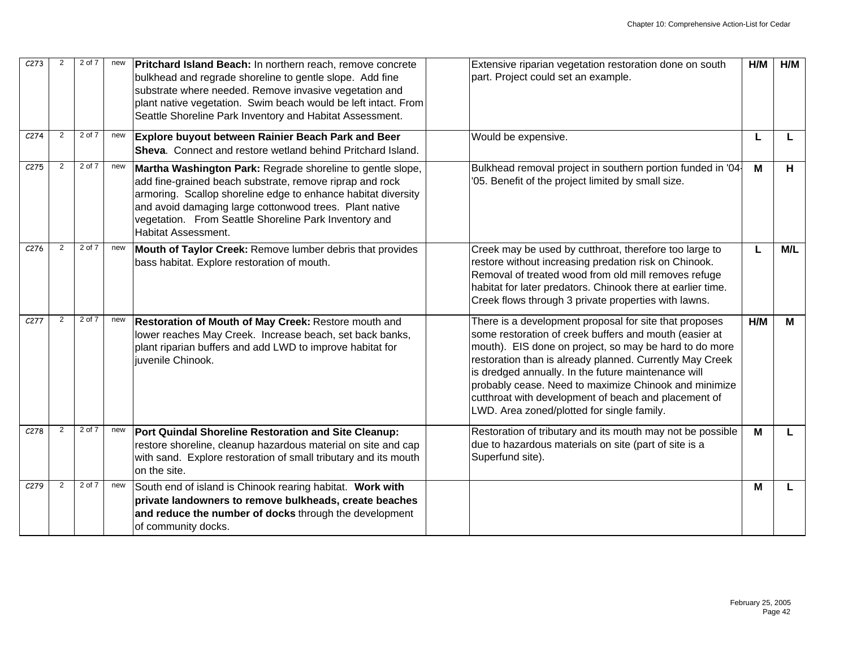| C273             | 2              | 2 of 7 | new | <b>Pritchard Island Beach:</b> In northern reach, remove concrete<br>bulkhead and regrade shoreline to gentle slope. Add fine<br>substrate where needed. Remove invasive vegetation and<br>plant native vegetation. Swim beach would be left intact. From<br>Seattle Shoreline Park Inventory and Habitat Assessment.                     | Extensive riparian vegetation restoration done on south<br>part. Project could set an example.                                                                                                                                                                                                                                                                                                                                                               | H/M | H/M |
|------------------|----------------|--------|-----|-------------------------------------------------------------------------------------------------------------------------------------------------------------------------------------------------------------------------------------------------------------------------------------------------------------------------------------------|--------------------------------------------------------------------------------------------------------------------------------------------------------------------------------------------------------------------------------------------------------------------------------------------------------------------------------------------------------------------------------------------------------------------------------------------------------------|-----|-----|
| C <sub>274</sub> | 2              | 2 of 7 | new | Explore buyout between Rainier Beach Park and Beer<br><b>Sheva.</b> Connect and restore wetland behind Pritchard Island.                                                                                                                                                                                                                  | Would be expensive.                                                                                                                                                                                                                                                                                                                                                                                                                                          | L   |     |
| C275             | $\overline{2}$ | 2 of 7 | new | Martha Washington Park: Regrade shoreline to gentle slope,<br>add fine-grained beach substrate, remove riprap and rock<br>armoring. Scallop shoreline edge to enhance habitat diversity<br>and avoid damaging large cottonwood trees. Plant native<br>vegetation. From Seattle Shoreline Park Inventory and<br><b>Habitat Assessment.</b> | Bulkhead removal project in southern portion funded in '04<br>'05. Benefit of the project limited by small size.                                                                                                                                                                                                                                                                                                                                             | M   | H   |
| C <sub>276</sub> | 2              | 2 of 7 | new | Mouth of Taylor Creek: Remove lumber debris that provides<br>bass habitat. Explore restoration of mouth.                                                                                                                                                                                                                                  | Creek may be used by cutthroat, therefore too large to<br>restore without increasing predation risk on Chinook.<br>Removal of treated wood from old mill removes refuge<br>habitat for later predators. Chinook there at earlier time.<br>Creek flows through 3 private properties with lawns.                                                                                                                                                               | L   | M/L |
| C277             | 2              | 2 of 7 | new | Restoration of Mouth of May Creek: Restore mouth and<br>lower reaches May Creek. Increase beach, set back banks,<br>plant riparian buffers and add LWD to improve habitat for<br>juvenile Chinook.                                                                                                                                        | There is a development proposal for site that proposes<br>some restoration of creek buffers and mouth (easier at<br>mouth). EIS done on project, so may be hard to do more<br>restoration than is already planned. Currently May Creek<br>is dredged annually. In the future maintenance will<br>probably cease. Need to maximize Chinook and minimize<br>cutthroat with development of beach and placement of<br>LWD. Area zoned/plotted for single family. | H/M | М   |
| C278             | $\overline{2}$ | 2 of 7 | new | Port Quindal Shoreline Restoration and Site Cleanup:<br>restore shoreline, cleanup hazardous material on site and cap<br>with sand. Explore restoration of small tributary and its mouth<br>on the site.                                                                                                                                  | Restoration of tributary and its mouth may not be possible<br>due to hazardous materials on site (part of site is a<br>Superfund site).                                                                                                                                                                                                                                                                                                                      | M   |     |
| C279             | $\overline{2}$ | 2 of 7 | new | South end of island is Chinook rearing habitat. Work with<br>private landowners to remove bulkheads, create beaches<br>and reduce the number of docks through the development<br>of community docks.                                                                                                                                      |                                                                                                                                                                                                                                                                                                                                                                                                                                                              | м   |     |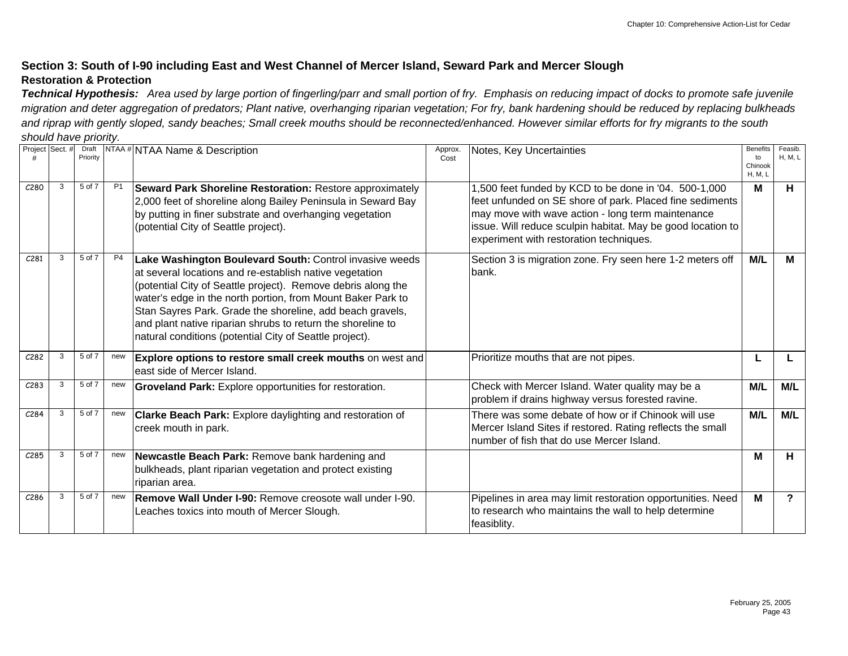## **Section 3: South of I-90 including East and West Channel of Mercer Island, Seward Park and Mercer Slough Restoration & Protection**

*Technical Hypothesis: Area used by large portion of fingerling/parr and small portion of fry. Emphasis on reducing impact of docks to promote safe juvenile migration and deter aggregation of predators; Plant native, overhanging riparian vegetation; For fry, bank hardening should be reduced by replacing bulkheads and riprap with gently sloped, sandy beaches; Small creek mouths should be reconnected/enhanced. However similar efforts for fry migrants to the south should have priority.*

| Project Sect. #  |   | Draft<br>Priority |                | <b>NTAA # NTAA Name &amp; Description</b>                                                                                                                                                                                                                                                                                                                                                                                                | Approx.<br>Cost | Notes, Key Uncertainties                                                                                                                                                                                                                                                         | <b>Benefits</b><br>to<br>Chinook<br>H, M, L | Feasib.<br><b>H. M. L.</b> |
|------------------|---|-------------------|----------------|------------------------------------------------------------------------------------------------------------------------------------------------------------------------------------------------------------------------------------------------------------------------------------------------------------------------------------------------------------------------------------------------------------------------------------------|-----------------|----------------------------------------------------------------------------------------------------------------------------------------------------------------------------------------------------------------------------------------------------------------------------------|---------------------------------------------|----------------------------|
| C <sub>280</sub> | 3 | 5 of 7            | P1             | <b>Seward Park Shoreline Restoration: Restore approximately</b><br>2,000 feet of shoreline along Bailey Peninsula in Seward Bay<br>by putting in finer substrate and overhanging vegetation<br>(potential City of Seattle project).                                                                                                                                                                                                      |                 | 1,500 feet funded by KCD to be done in '04. 500-1,000<br>feet unfunded on SE shore of park. Placed fine sediments<br>may move with wave action - long term maintenance<br>issue. Will reduce sculpin habitat. May be good location to<br>experiment with restoration techniques. | M                                           | Н.                         |
| C <sub>281</sub> | 3 | 5 of 7            | P <sub>4</sub> | Lake Washington Boulevard South: Control invasive weeds<br>at several locations and re-establish native vegetation<br>(potential City of Seattle project). Remove debris along the<br>water's edge in the north portion, from Mount Baker Park to<br>Stan Sayres Park. Grade the shoreline, add beach gravels,<br>and plant native riparian shrubs to return the shoreline to<br>natural conditions (potential City of Seattle project). |                 | Section 3 is migration zone. Fry seen here 1-2 meters off<br>bank.                                                                                                                                                                                                               | M/L                                         | M                          |
| C282             | 3 | 5 of 7            | new            | Explore options to restore small creek mouths on west and<br>east side of Mercer Island.                                                                                                                                                                                                                                                                                                                                                 |                 | Prioritize mouths that are not pipes.                                                                                                                                                                                                                                            |                                             |                            |
| C283             | 3 | 5 of 7            | new            | Groveland Park: Explore opportunities for restoration.                                                                                                                                                                                                                                                                                                                                                                                   |                 | Check with Mercer Island. Water quality may be a<br>problem if drains highway versus forested ravine.                                                                                                                                                                            | M/L                                         | M/L                        |
| C <sub>284</sub> | 3 | 5 of 7            | new            | <b>Clarke Beach Park:</b> Explore daylighting and restoration of<br>creek mouth in park.                                                                                                                                                                                                                                                                                                                                                 |                 | There was some debate of how or if Chinook will use<br>Mercer Island Sites if restored. Rating reflects the small<br>number of fish that do use Mercer Island.                                                                                                                   | M/L                                         | M/L                        |
| C285             | 3 | 5 of 7            | new            | Newcastle Beach Park: Remove bank hardening and<br>bulkheads, plant riparian vegetation and protect existing<br>riparian area.                                                                                                                                                                                                                                                                                                           |                 |                                                                                                                                                                                                                                                                                  | М                                           | н                          |
| C <sub>286</sub> | 3 | 5 of 7            | new            | Remove Wall Under I-90: Remove creosote wall under I-90.<br>Leaches toxics into mouth of Mercer Slough.                                                                                                                                                                                                                                                                                                                                  |                 | Pipelines in area may limit restoration opportunities. Need<br>to research who maintains the wall to help determine<br>feasiblity.                                                                                                                                               | M                                           | ?                          |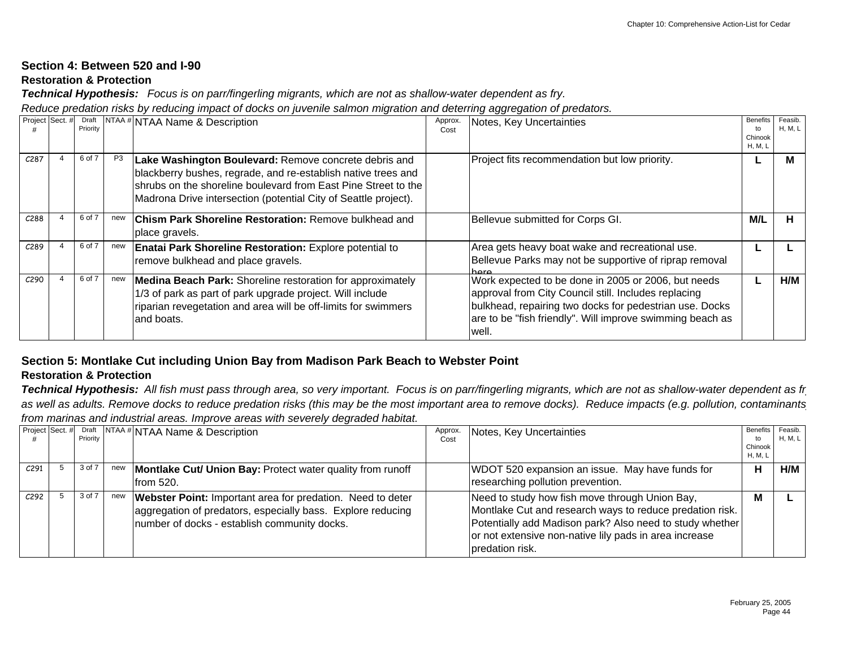## **Section 4: Between 520 and I-90**

## **Restoration & Protection**

*Technical Hypothesis: Focus is on parr/fingerling migrants, which are not as shallow-water dependent as fry.* 

*Reduce predation risks by reducing impact of docks on juvenile salmon migration and deterring aggregation of predators.* 

| Project Sect. #   | Draft<br>Priority |                | NTAA # NTAA Name & Description                                                                                                                                                                                                                              | Approx.<br>Cost | Notes, Key Uncertainties                                                                                                                                                                                                                     | <b>Benefits</b><br>Chinook<br>H, M, L | Feasib.<br><b>H, M, L</b> |
|-------------------|-------------------|----------------|-------------------------------------------------------------------------------------------------------------------------------------------------------------------------------------------------------------------------------------------------------------|-----------------|----------------------------------------------------------------------------------------------------------------------------------------------------------------------------------------------------------------------------------------------|---------------------------------------|---------------------------|
| C287              | 6 of 7            | P <sub>3</sub> | Lake Washington Boulevard: Remove concrete debris and<br>blackberry bushes, regrade, and re-establish native trees and<br>shrubs on the shoreline boulevard from East Pine Street to the<br>Madrona Drive intersection (potential City of Seattle project). |                 | Project fits recommendation but low priority.                                                                                                                                                                                                |                                       |                           |
| C288              | 6 of 7            | new            | <b>Chism Park Shoreline Restoration: Remove bulkhead and</b><br>place gravels.                                                                                                                                                                              |                 | Bellevue submitted for Corps GI.                                                                                                                                                                                                             | M/L                                   | н                         |
| C <sub>2</sub> 89 | 6 of 7            | new            | <b>Enatai Park Shoreline Restoration:</b> Explore potential to<br>remove bulkhead and place gravels.                                                                                                                                                        |                 | Area gets heavy boat wake and recreational use.<br>Bellevue Parks may not be supportive of riprap removal                                                                                                                                    |                                       |                           |
| C <sub>290</sub>  | 6 of 7            | new            | <b>Medina Beach Park:</b> Shoreline restoration for approximately<br>1/3 of park as part of park upgrade project. Will include<br>riparian revegetation and area will be off-limits for swimmers<br>land boats.                                             |                 | Work expected to be done in 2005 or 2006, but needs<br>approval from City Council still. Includes replacing<br>bulkhead, repairing two docks for pedestrian use. Docks<br>are to be "fish friendly". Will improve swimming beach as<br>well. |                                       | H/M                       |

## **Section 5: Montlake Cut including Union Bay from Madison Park Beach to Webster Point**

## **Restoration & Protection**

*Technical Hypothesis: All fish must pass through area, so very important. Focus is on parr/fingerling migrants, which are not as shallow-water dependent as fry as well as adults. Remove docks to reduce predation risks (this may be the most important area to remove docks). Reduce impacts (e.g. pollution, contaminants) from marinas and industrial areas. Improve areas with severely degraded habitat.* 

| Project Sect. # | Draft<br>Priority |     | <b>NTAA #NTAA Name &amp; Description</b>                                                                                                                                         | Approx.<br>Cost | Notes, Key Uncertainties                                                                                                                                                                                                                            | Benefits<br>to<br>Chinook<br>H, M, L | Feasib.<br>H, M, L |
|-----------------|-------------------|-----|----------------------------------------------------------------------------------------------------------------------------------------------------------------------------------|-----------------|-----------------------------------------------------------------------------------------------------------------------------------------------------------------------------------------------------------------------------------------------------|--------------------------------------|--------------------|
| C291            | 3 of 7            | new | Montlake Cut/ Union Bay: Protect water quality from runoff<br>lfrom 520.                                                                                                         |                 | WDOT 520 expansion an issue. May have funds for<br>researching pollution prevention.                                                                                                                                                                | н                                    | H/M                |
| C292            | 3 of 7            | new | <b>Webster Point:</b> Important area for predation. Need to deter<br>aggregation of predators, especially bass. Explore reducing<br>number of docks - establish community docks. |                 | Need to study how fish move through Union Bay,<br>Montlake Cut and research ways to reduce predation risk.<br>Potentially add Madison park? Also need to study whether<br>or not extensive non-native lily pads in area increase<br>predation risk. | M                                    |                    |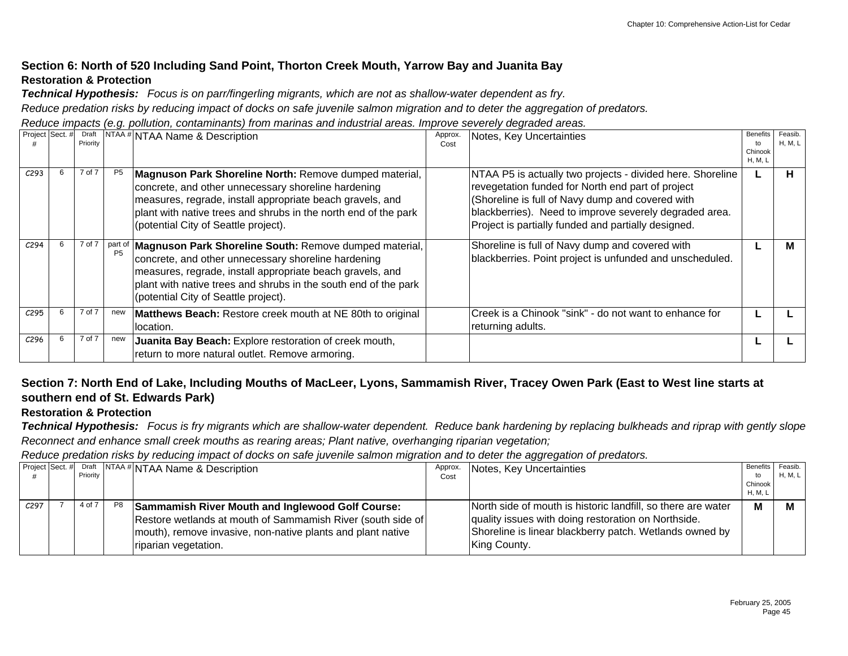## **Section 6: North of 520 Including Sand Point, Thorton Creek Mouth, Yarrow Bay and Juanita Bay Restoration & Protection**

*Technical Hypothesis: Focus is on parr/fingerling migrants, which are not as shallow-water dependent as fry.* 

*Reduce predation risks by reducing impact of docks on safe juvenile salmon migration and to deter the aggregation of predators.*

*Reduce impacts (e.g. pollution, contaminants) from marinas and industrial areas. Improve severely degraded areas.*

| Project Sect. #  | Draft<br>Priority |                | NTAA <sup>#</sup> NTAA Name & Description                                                                                                                                                                                                                                                       | Approx.<br>Cost | Notes, Key Uncertainties                                                                                                                                                                                                                                                             | <b>Benefits</b><br>to<br>Chinook<br>H, M, L | Feasib.<br>H, M, L |
|------------------|-------------------|----------------|-------------------------------------------------------------------------------------------------------------------------------------------------------------------------------------------------------------------------------------------------------------------------------------------------|-----------------|--------------------------------------------------------------------------------------------------------------------------------------------------------------------------------------------------------------------------------------------------------------------------------------|---------------------------------------------|--------------------|
| C <sub>293</sub> | 7 of 7            | P <sub>5</sub> | Magnuson Park Shoreline North: Remove dumped material,<br>concrete, and other unnecessary shoreline hardening<br>measures, regrade, install appropriate beach gravels, and<br>plant with native trees and shrubs in the north end of the park<br>(potential City of Seattle project).           |                 | NTAA P5 is actually two projects - divided here. Shoreline<br>revegetation funded for North end part of project<br>(Shoreline is full of Navy dump and covered with<br>blackberries). Need to improve severely degraded area.<br>Project is partially funded and partially designed. |                                             | н                  |
| C <sub>294</sub> | 7 of 7            |                | part of   Magnuson Park Shoreline South: Remove dumped material,<br>concrete, and other unnecessary shoreline hardening<br>measures, regrade, install appropriate beach gravels, and<br>plant with native trees and shrubs in the south end of the park<br>(potential City of Seattle project). |                 | Shoreline is full of Navy dump and covered with<br>blackberries. Point project is unfunded and unscheduled.                                                                                                                                                                          |                                             |                    |
| C295             | 7 of 7            | new            | Matthews Beach: Restore creek mouth at NE 80th to original<br>location.                                                                                                                                                                                                                         |                 | Creek is a Chinook "sink" - do not want to enhance for<br>returning adults.                                                                                                                                                                                                          |                                             |                    |
| C <sub>296</sub> | 7 of 7            | new            | Juanita Bay Beach: Explore restoration of creek mouth,<br>return to more natural outlet. Remove armoring.                                                                                                                                                                                       |                 |                                                                                                                                                                                                                                                                                      |                                             |                    |

## **Section 7: North End of Lake, Including Mouths of MacLeer, Lyons, Sammamish River, Tracey Owen Park (East to West line starts at southern end of St. Edwards Park)**

### **Restoration & Protection**

*Technical Hypothesis: Focus is fry migrants which are shallow-water dependent. Reduce bank hardening by replacing bulkheads and riprap with gently slope Reconnect and enhance small creek mouths as rearing areas; Plant native, overhanging riparian vegetation;* 

*Reduce predation risks by reducing impact of docks on safe juvenile salmon migration and to deter the aggregation of predators.*

| Project Sect. #  | Priority |    | Toraft NTAA # NTAA Name & Description                                                                                                                                                                  | Approx.<br>Cost | Notes, Key Uncertainties                                                                                                                                                                       | Benefits<br>to     | Feasib.<br>H, M, L |
|------------------|----------|----|--------------------------------------------------------------------------------------------------------------------------------------------------------------------------------------------------------|-----------------|------------------------------------------------------------------------------------------------------------------------------------------------------------------------------------------------|--------------------|--------------------|
|                  |          |    |                                                                                                                                                                                                        |                 |                                                                                                                                                                                                | Chinook<br>H, M, L |                    |
| C <sub>297</sub> | 4 of 7   | P8 | Sammamish River Mouth and Inglewood Golf Course:<br>Restore wetlands at mouth of Sammamish River (south side of<br>mouth), remove invasive, non-native plants and plant native<br>riparian vegetation. |                 | North side of mouth is historic landfill, so there are water<br>quality issues with doing restoration on Northside.<br>Shoreline is linear blackberry patch. Wetlands owned by<br>King County. | M                  |                    |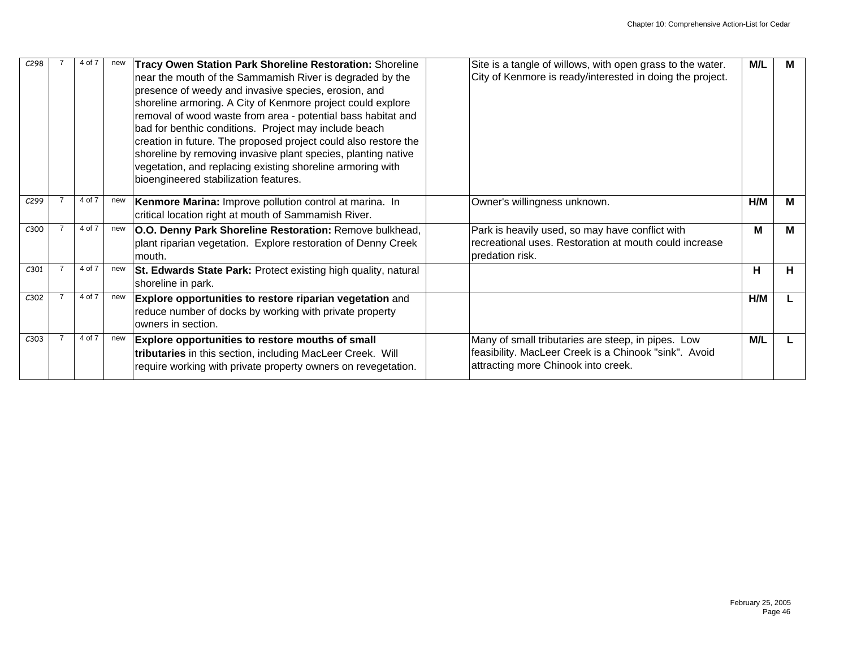| C298 | 4 of 7 | new | Tracy Owen Station Park Shoreline Restoration: Shoreline<br>near the mouth of the Sammamish River is degraded by the<br>presence of weedy and invasive species, erosion, and<br>shoreline armoring. A City of Kenmore project could explore<br>removal of wood waste from area - potential bass habitat and<br>bad for benthic conditions. Project may include beach<br>creation in future. The proposed project could also restore the<br>shoreline by removing invasive plant species, planting native<br>vegetation, and replacing existing shoreline armoring with<br>bioengineered stabilization features. | Site is a tangle of willows, with open grass to the water.<br>City of Kenmore is ready/interested in doing the project.                            | M/L | м  |
|------|--------|-----|-----------------------------------------------------------------------------------------------------------------------------------------------------------------------------------------------------------------------------------------------------------------------------------------------------------------------------------------------------------------------------------------------------------------------------------------------------------------------------------------------------------------------------------------------------------------------------------------------------------------|----------------------------------------------------------------------------------------------------------------------------------------------------|-----|----|
| C299 | 4 of 7 | new | <b>Kenmore Marina: Improve pollution control at marina. In</b><br>critical location right at mouth of Sammamish River.                                                                                                                                                                                                                                                                                                                                                                                                                                                                                          | Owner's willingness unknown.                                                                                                                       | H/M | м  |
| C300 | 4 of 7 | new | O.O. Denny Park Shoreline Restoration: Remove bulkhead,<br>plant riparian vegetation. Explore restoration of Denny Creek<br>Imouth.                                                                                                                                                                                                                                                                                                                                                                                                                                                                             | Park is heavily used, so may have conflict with<br>recreational uses. Restoration at mouth could increase<br>predation risk.                       | M   | м  |
| C301 | 4 of 7 | new | St. Edwards State Park: Protect existing high quality, natural<br>shoreline in park.                                                                                                                                                                                                                                                                                                                                                                                                                                                                                                                            |                                                                                                                                                    | н   | н. |
| C302 | 4 of 7 | new | <b>Explore opportunities to restore riparian vegetation</b> and<br>reduce number of docks by working with private property<br>owners in section.                                                                                                                                                                                                                                                                                                                                                                                                                                                                |                                                                                                                                                    | H/M |    |
| C303 | 4 of 7 | new | Explore opportunities to restore mouths of small<br>tributaries in this section, including MacLeer Creek. Will<br>require working with private property owners on revegetation.                                                                                                                                                                                                                                                                                                                                                                                                                                 | Many of small tributaries are steep, in pipes. Low<br>feasibility. MacLeer Creek is a Chinook "sink". Avoid<br>attracting more Chinook into creek. | M/L |    |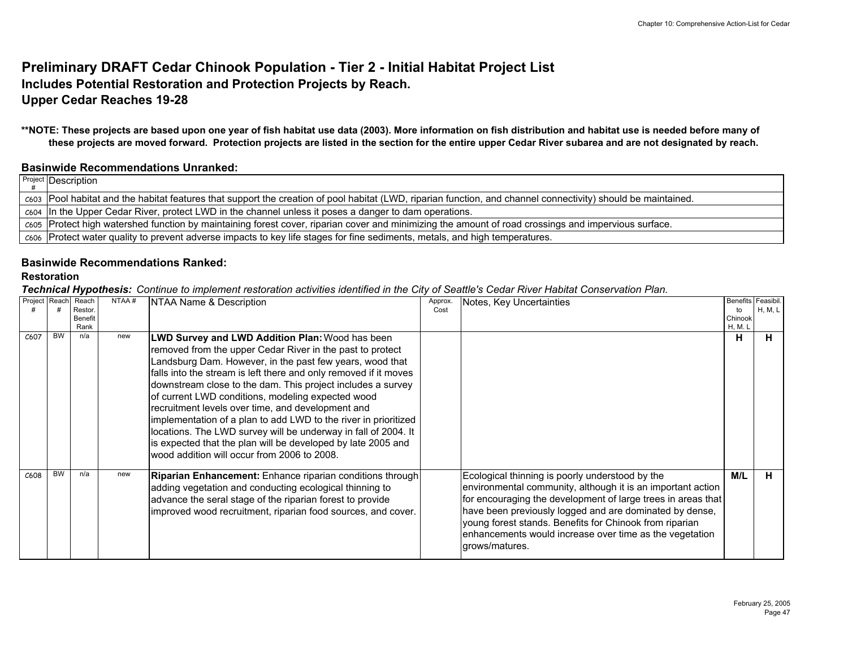## **Preliminary DRAFT Cedar Chinook Population - Tier 2 - Initial Habitat Project List Includes Potential Restoration and Protection Projects by Reach. Upper Cedar Reaches 19-28**

**\*\*NOTE: These projects are based upon one year of fish habitat use data (2003). More information on fish distribution and habitat use is needed before many of these projects are moved forward. Protection projects are listed in the section for the entire upper Cedar River subarea and are not designated by reach.**

#### **Basinwide Recommendations Unranked:**

P<sup>roject</sup> Description #

| c603 Pool habitat and the habitat features that support the creation of pool habitat (LWD, riparian function, and channel connectivity) should be maintained. |
|---------------------------------------------------------------------------------------------------------------------------------------------------------------|
| c <sub>604</sub> In the Upper Cedar River, protect LWD in the channel unless it poses a danger to dam operations.                                             |
| c605 Protect high watershed function by maintaining forest cover, riparian cover and minimizing the amount of road crossings and impervious surface.          |
| c606 Protect water quality to prevent adverse impacts to key life stages for fine sediments, metals, and high temperatures.                                   |

#### **Basinwide Recommendations Ranked:**

#### **Restoration**

| Project Reach Reach |           | Restor.<br>Benefit<br>Rank | NTAA# | NTAA Name & Description                                                                                                                                                                                                                                                                                                                                                                                                                                                                                                                                                                                                                                                   | Approx<br>Cost | Notes, Key Uncertainties                                                                                                                                                                                                                                                                                                                                                          | Benefits Feasibil.<br>to<br>Chinook<br><b>H, M. L</b> | H, M, L |
|---------------------|-----------|----------------------------|-------|---------------------------------------------------------------------------------------------------------------------------------------------------------------------------------------------------------------------------------------------------------------------------------------------------------------------------------------------------------------------------------------------------------------------------------------------------------------------------------------------------------------------------------------------------------------------------------------------------------------------------------------------------------------------------|----------------|-----------------------------------------------------------------------------------------------------------------------------------------------------------------------------------------------------------------------------------------------------------------------------------------------------------------------------------------------------------------------------------|-------------------------------------------------------|---------|
| C607                | <b>BW</b> | n/a                        | new   | LWD Survey and LWD Addition Plan: Wood has been<br>removed from the upper Cedar River in the past to protect<br>Landsburg Dam. However, in the past few years, wood that<br>falls into the stream is left there and only removed if it moves<br>downstream close to the dam. This project includes a survey<br>of current LWD conditions, modeling expected wood<br>recruitment levels over time, and development and<br>implementation of a plan to add LWD to the river in prioritized<br>locations. The LWD survey will be underway in fall of 2004. It<br>is expected that the plan will be developed by late 2005 and<br>wood addition will occur from 2006 to 2008. |                |                                                                                                                                                                                                                                                                                                                                                                                   | н                                                     | н       |
| C608                | <b>BW</b> | n/a                        | new   | <b>Riparian Enhancement:</b> Enhance riparian conditions through<br>adding vegetation and conducting ecological thinning to<br>advance the seral stage of the riparian forest to provide<br>improved wood recruitment, riparian food sources, and cover.                                                                                                                                                                                                                                                                                                                                                                                                                  |                | Ecological thinning is poorly understood by the<br>environmental community, although it is an important action<br>for encouraging the development of large trees in areas that<br>have been previously logged and are dominated by dense,<br>young forest stands. Benefits for Chinook from riparian<br>enhancements would increase over time as the vegetation<br>grows/matures. | M/L                                                   | н       |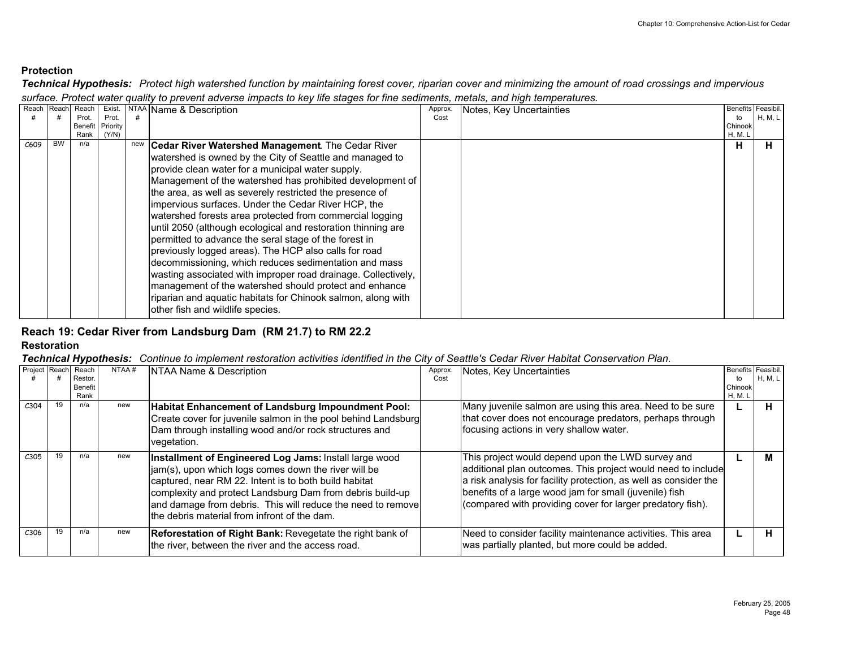*Technical Hypothesis: Protect high watershed function by maintaining forest cover, riparian cover and minimizing the amount of road crossings and impervious surface. Protect water quality to prevent adverse impacts to key life stages for fine sediments, metals, and high temperatures.*

| Reach | Reach     | Reach   | Exist.   | <b>NTAA</b> | Name & Description                                            | Approx. | Notes, Key Uncertainties | Benefits Feasibil. |                |
|-------|-----------|---------|----------|-------------|---------------------------------------------------------------|---------|--------------------------|--------------------|----------------|
|       |           | Prot.   | Prot.    |             |                                                               | Cost    |                          | to                 | <b>H, M, L</b> |
|       |           | Benefit | Priority |             |                                                               |         |                          | Chinook            |                |
|       |           | Rank    | (Y/N)    |             |                                                               |         |                          | H, M.              |                |
| C609  | <b>BW</b> | n/a     |          |             | <b>Cedar River Watershed Management.</b> The Cedar River      |         |                          | н                  |                |
|       |           |         |          |             | watershed is owned by the City of Seattle and managed to      |         |                          |                    |                |
|       |           |         |          |             | provide clean water for a municipal water supply.             |         |                          |                    |                |
|       |           |         |          |             | Management of the watershed has prohibited development of     |         |                          |                    |                |
|       |           |         |          |             | the area, as well as severely restricted the presence of      |         |                          |                    |                |
|       |           |         |          |             | impervious surfaces. Under the Cedar River HCP, the           |         |                          |                    |                |
|       |           |         |          |             | watershed forests area protected from commercial logging      |         |                          |                    |                |
|       |           |         |          |             | until 2050 (although ecological and restoration thinning are  |         |                          |                    |                |
|       |           |         |          |             | permitted to advance the seral stage of the forest in         |         |                          |                    |                |
|       |           |         |          |             | previously logged areas). The HCP also calls for road         |         |                          |                    |                |
|       |           |         |          |             | decommissioning, which reduces sedimentation and mass         |         |                          |                    |                |
|       |           |         |          |             | wasting associated with improper road drainage. Collectively, |         |                          |                    |                |
|       |           |         |          |             | management of the watershed should protect and enhance        |         |                          |                    |                |
|       |           |         |          |             | riparian and aquatic habitats for Chinook salmon, along with  |         |                          |                    |                |
|       |           |         |          |             | other fish and wildlife species.                              |         |                          |                    |                |
|       |           |         |          |             |                                                               |         |                          |                    |                |

## **Reach 19: Cedar River from Landsburg Dam (RM 21.7) to RM 22.2**

#### **Restoration**

| Project Reach |    | Reach<br>Restor.<br>Benefit<br>Rank | NTAA# | NTAA Name & Description                                                                                                                                                                                                                                                                                                                             | Approx<br>Cost | Notes, Key Uncertainties                                                                                                                                                                                                                                                                                      | Benefits Feasibil.<br>to<br>Chinook<br>H, M. L | H, M, L |
|---------------|----|-------------------------------------|-------|-----------------------------------------------------------------------------------------------------------------------------------------------------------------------------------------------------------------------------------------------------------------------------------------------------------------------------------------------------|----------------|---------------------------------------------------------------------------------------------------------------------------------------------------------------------------------------------------------------------------------------------------------------------------------------------------------------|------------------------------------------------|---------|
| C304          | 19 | n/a                                 | new   | Habitat Enhancement of Landsburg Impoundment Pool:<br>Create cover for juvenile salmon in the pool behind Landsburg<br>Dam through installing wood and/or rock structures and<br>vegetation.                                                                                                                                                        |                | Many juvenile salmon are using this area. Need to be sure<br>that cover does not encourage predators, perhaps through<br>focusing actions in very shallow water.                                                                                                                                              |                                                | н       |
| C305          | 19 | n/a                                 | new   | Installment of Engineered Log Jams: Install large wood<br>jam(s), upon which logs comes down the river will be<br>captured, near RM 22. Intent is to both build habitat<br>complexity and protect Landsburg Dam from debris build-up<br>and damage from debris. This will reduce the need to remove<br>the debris material from infront of the dam. |                | This project would depend upon the LWD survey and<br>additional plan outcomes. This project would need to include<br>a risk analysis for facility protection, as well as consider the<br>benefits of a large wood jam for small (juvenile) fish<br>(compared with providing cover for larger predatory fish). |                                                |         |
| C306          | 19 | n/a                                 | new   | Reforestation of Right Bank: Revegetate the right bank of<br>the river, between the river and the access road.                                                                                                                                                                                                                                      |                | Need to consider facility maintenance activities. This area<br>was partially planted, but more could be added.                                                                                                                                                                                                |                                                | н       |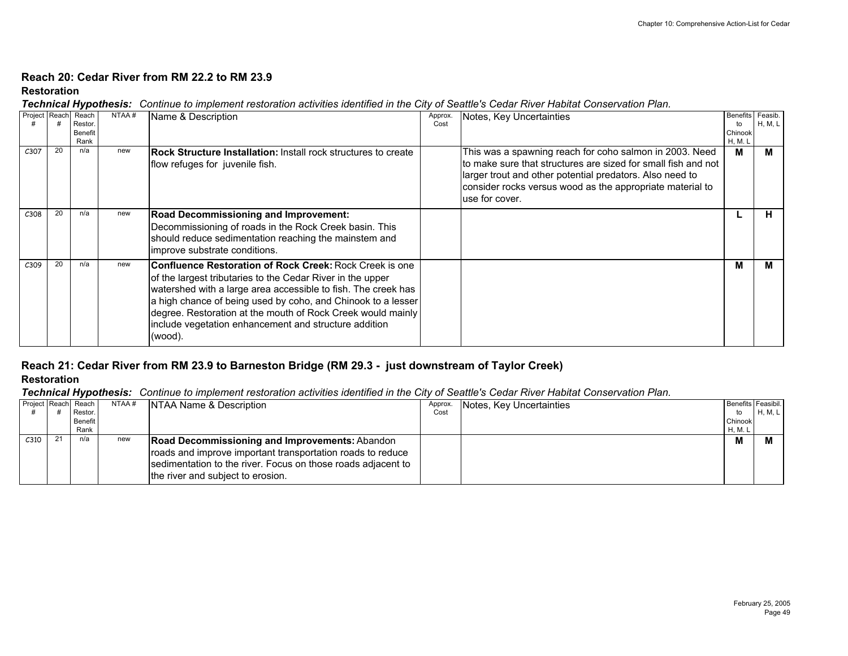#### **Reach 20: Cedar River from RM 22.2 to RM 23.9**

#### **Restoration**

*Technical Hypothesis: Continue to implement restoration activities identified in the City of Seattle's Cedar River Habitat Conservation Plan.* 

| Project Reach |    | Reach<br>Restor.<br><b>Benefit</b><br>Rank | NTAA# | Name & Description                                                                                                                                                                                                                                                                                                                                                                        | Approx.<br>Cost | Notes, Key Uncertainties                                                                                                                                                                                                                                            | Benefits Feasib.<br>to<br>Chinook<br><b>H, M. L</b> | <b>H, M, L</b> |
|---------------|----|--------------------------------------------|-------|-------------------------------------------------------------------------------------------------------------------------------------------------------------------------------------------------------------------------------------------------------------------------------------------------------------------------------------------------------------------------------------------|-----------------|---------------------------------------------------------------------------------------------------------------------------------------------------------------------------------------------------------------------------------------------------------------------|-----------------------------------------------------|----------------|
| C307          | 20 | n/a                                        | new   | <b>Rock Structure Installation:</b> Install rock structures to create<br>flow refuges for juvenile fish.                                                                                                                                                                                                                                                                                  |                 | This was a spawning reach for coho salmon in 2003. Need<br>to make sure that structures are sized for small fish and not<br>larger trout and other potential predators. Also need to<br>consider rocks versus wood as the appropriate material to<br>use for cover. | М                                                   |                |
| C308          | 20 | n/a                                        | new   | Road Decommissioning and Improvement:<br>Decommissioning of roads in the Rock Creek basin. This<br>should reduce sedimentation reaching the mainstem and<br>improve substrate conditions.                                                                                                                                                                                                 |                 |                                                                                                                                                                                                                                                                     |                                                     |                |
| C309          | 20 | n/a                                        | new   | Confluence Restoration of Rock Creek: Rock Creek is one<br>of the largest tributaries to the Cedar River in the upper<br>watershed with a large area accessible to fish. The creek has<br>a high chance of being used by coho, and Chinook to a lesser<br>degree. Restoration at the mouth of Rock Creek would mainly<br>include vegetation enhancement and structure addition<br>(wood). |                 |                                                                                                                                                                                                                                                                     | М                                                   |                |

# **Reach 21: Cedar River from RM 23.9 to Barneston Bridge (RM 29.3 - just downstream of Taylor Creek)**

#### **Restoration**

| Project Reach Reach | Restor.<br>Benefit<br>Rank | NTAA# | INTAA Name & Description                                                                                                                                                                                          | Approx.<br>Cost | Notes, Key Uncertainties | to<br>Chinook<br>H, M. I | Benefits Feasibil.<br>H, M, L |
|---------------------|----------------------------|-------|-------------------------------------------------------------------------------------------------------------------------------------------------------------------------------------------------------------------|-----------------|--------------------------|--------------------------|-------------------------------|
| C <sub>310</sub>    | n/a                        | new   | Road Decommissioning and Improvements: Abandon<br>roads and improve important transportation roads to reduce<br>sedimentation to the river. Focus on those roads adjacent to<br>the river and subject to erosion. |                 |                          | M                        |                               |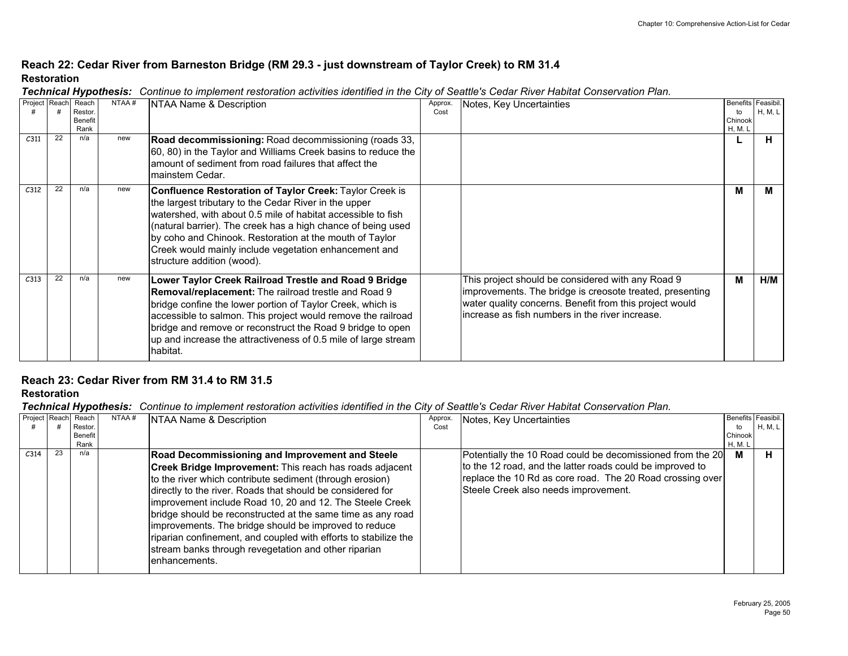### **Reach 22: Cedar River from Barneston Bridge (RM 29.3 - just downstream of Taylor Creek) to RM 31.4 Restoration**

|                  |               |                                            |       | recrimed hypothesis. Commune to implement restoration activities nummed in the Oity or Ocatile's Ocaar river habitat Conservation Ham                                                                                                                                                                                                                                                              |                 |                                                                                                                                                                                                                             |                                                             |                |
|------------------|---------------|--------------------------------------------|-------|----------------------------------------------------------------------------------------------------------------------------------------------------------------------------------------------------------------------------------------------------------------------------------------------------------------------------------------------------------------------------------------------------|-----------------|-----------------------------------------------------------------------------------------------------------------------------------------------------------------------------------------------------------------------------|-------------------------------------------------------------|----------------|
|                  | Project Reach | Reach<br>Restor.<br><b>Benefit</b><br>Rank | NTAA# | NTAA Name & Description                                                                                                                                                                                                                                                                                                                                                                            | Approx.<br>Cost | Notes, Key Uncertainties                                                                                                                                                                                                    | <b>Benefits Feasibil</b><br>to<br>Chinook<br><b>H, M. L</b> | <b>H. M. L</b> |
| C <sub>311</sub> | 22            | n/a                                        | new   | Road decommissioning: Road decommissioning (roads 33,<br>60, 80) in the Taylor and Williams Creek basins to reduce the<br>lamount of sediment from road failures that affect the<br>Imainstem Cedar.                                                                                                                                                                                               |                 |                                                                                                                                                                                                                             |                                                             | н              |
| C <sub>312</sub> | 22            | n/a                                        | new   | Confluence Restoration of Taylor Creek: Taylor Creek is<br>the largest tributary to the Cedar River in the upper<br>watershed, with about 0.5 mile of habitat accessible to fish<br>(natural barrier). The creek has a high chance of being used<br>by coho and Chinook. Restoration at the mouth of Taylor<br>Creek would mainly include vegetation enhancement and<br>structure addition (wood). |                 |                                                                                                                                                                                                                             | м                                                           | М              |
| C313             | 22            | n/a                                        | new   | Lower Taylor Creek Railroad Trestle and Road 9 Bridge<br>Removal/replacement: The railroad trestle and Road 9<br>bridge confine the lower portion of Taylor Creek, which is<br>accessible to salmon. This project would remove the railroad<br>bridge and remove or reconstruct the Road 9 bridge to open<br>up and increase the attractiveness of 0.5 mile of large stream<br>habitat.            |                 | This project should be considered with any Road 9<br>improvements. The bridge is creosote treated, presenting<br>water quality concerns. Benefit from this project would<br>increase as fish numbers in the river increase. | м                                                           | H/M            |

*Technical Hypothesis: Continue to implement restoration activities identified in the City of Seattle's Cedar River Habitat Conservation Plan.* 

### **Reach 23: Cedar River from RM 31.4 to RM 31.5**

**Restoration**

|      |    | Project Reach Reach | NTAA# | NTAA Name & Description                                         | Approx. | Notes, Key Uncertainties                                   | Benefits Feasibi |         |
|------|----|---------------------|-------|-----------------------------------------------------------------|---------|------------------------------------------------------------|------------------|---------|
|      |    | Restor.             |       |                                                                 | Cost    |                                                            | to               | H, M, L |
|      |    | Benefit             |       |                                                                 |         |                                                            | Chinook          |         |
|      | 23 | Rank                |       |                                                                 |         |                                                            | <b>H, M. L</b>   |         |
| C314 |    | n/a                 |       | <b>Road Decommissioning and Improvement and Steele</b>          |         | Potentially the 10 Road could be decomissioned from the 20 | м                | н       |
|      |    |                     |       | Creek Bridge Improvement: This reach has roads adjacent         |         | to the 12 road, and the latter roads could be improved to  |                  |         |
|      |    |                     |       | to the river which contribute sediment (through erosion)        |         | replace the 10 Rd as core road. The 20 Road crossing over  |                  |         |
|      |    |                     |       | directly to the river. Roads that should be considered for      |         | Steele Creek also needs improvement.                       |                  |         |
|      |    |                     |       | improvement include Road 10, 20 and 12. The Steele Creek        |         |                                                            |                  |         |
|      |    |                     |       |                                                                 |         |                                                            |                  |         |
|      |    |                     |       | bridge should be reconstructed at the same time as any road     |         |                                                            |                  |         |
|      |    |                     |       | improvements. The bridge should be improved to reduce           |         |                                                            |                  |         |
|      |    |                     |       | riparian confinement, and coupled with efforts to stabilize the |         |                                                            |                  |         |
|      |    |                     |       | stream banks through revegetation and other riparian            |         |                                                            |                  |         |
|      |    |                     |       | lenhancements.                                                  |         |                                                            |                  |         |
|      |    |                     |       |                                                                 |         |                                                            |                  |         |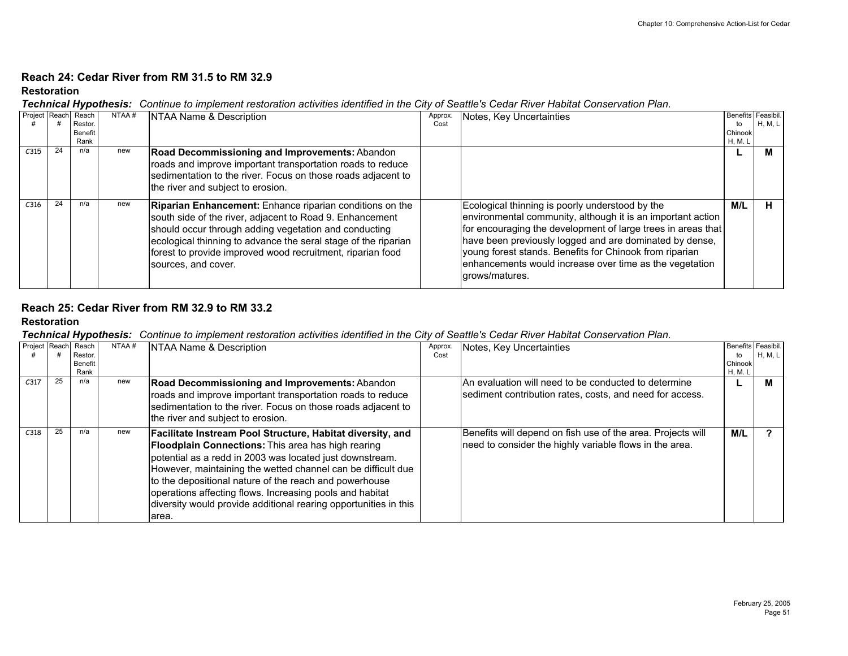#### **Reach 24: Cedar River from RM 31.5 to RM 32.9**

#### **Restoration**

*Technical Hypothesis: Continue to implement restoration activities identified in the City of Seattle's Cedar River Habitat Conservation Plan.* 

|                  |    | Project Reach Reach | NTAA# | NTAA Name & Description                                         | Approx. | Notes, Key Uncertainties                                     | Benefits Feasibil. |         |
|------------------|----|---------------------|-------|-----------------------------------------------------------------|---------|--------------------------------------------------------------|--------------------|---------|
|                  |    | <b>Restor</b>       |       |                                                                 | Cost    |                                                              | to                 | H, M, L |
|                  |    | <b>Benefit</b>      |       |                                                                 |         |                                                              | Chinook            |         |
|                  |    | Rank                |       |                                                                 |         |                                                              | H, M. L            |         |
| C315             | 24 | n/a                 | new   | Road Decommissioning and Improvements: Abandon                  |         |                                                              |                    |         |
|                  |    |                     |       | roads and improve important transportation roads to reduce      |         |                                                              |                    |         |
|                  |    |                     |       | sedimentation to the river. Focus on those roads adjacent to    |         |                                                              |                    |         |
|                  |    |                     |       |                                                                 |         |                                                              |                    |         |
|                  |    |                     |       | the river and subject to erosion.                               |         |                                                              |                    |         |
| C <sub>316</sub> | 24 | n/a                 | new   |                                                                 |         |                                                              | M/L                | н       |
|                  |    |                     |       | <b>Riparian Enhancement:</b> Enhance riparian conditions on the |         | Ecological thinning is poorly understood by the              |                    |         |
|                  |    |                     |       | south side of the river, adjacent to Road 9. Enhancement        |         | environmental community, although it is an important action  |                    |         |
|                  |    |                     |       | should occur through adding vegetation and conducting           |         | for encouraging the development of large trees in areas that |                    |         |
|                  |    |                     |       | ecological thinning to advance the seral stage of the riparian  |         | have been previously logged and are dominated by dense,      |                    |         |
|                  |    |                     |       |                                                                 |         | young forest stands. Benefits for Chinook from riparian      |                    |         |
|                  |    |                     |       | forest to provide improved wood recruitment, riparian food      |         |                                                              |                    |         |
|                  |    |                     |       | sources, and cover.                                             |         | enhancements would increase over time as the vegetation      |                    |         |
|                  |    |                     |       |                                                                 |         | larows/matures.                                              |                    |         |
|                  |    |                     |       |                                                                 |         |                                                              |                    |         |

#### **Reach 25: Cedar River from RM 32.9 to RM 33.2**

#### **Restoration**

| Project Reach    |    | Reach<br>Restor.<br><b>Benefit</b><br>Rank | NTAA# | NTAA Name & Description                                                                                                                                                                                                                                                                                                                                                                                                                                | Approx.<br>Cost | Notes, Key Uncertainties                                                                                               | Benefits Feasibil.<br>to<br>Chinook<br>H, M. L | H, M, L |
|------------------|----|--------------------------------------------|-------|--------------------------------------------------------------------------------------------------------------------------------------------------------------------------------------------------------------------------------------------------------------------------------------------------------------------------------------------------------------------------------------------------------------------------------------------------------|-----------------|------------------------------------------------------------------------------------------------------------------------|------------------------------------------------|---------|
| C <sub>317</sub> | 25 | n/a                                        | new   | Road Decommissioning and Improvements: Abandon<br>roads and improve important transportation roads to reduce<br>sedimentation to the river. Focus on those roads adjacent to<br>the river and subject to erosion.                                                                                                                                                                                                                                      |                 | IAn evaluation will need to be conducted to determine<br>sediment contribution rates, costs, and need for access.      |                                                |         |
| C318             |    | n/a                                        | new   | Facilitate Instream Pool Structure, Habitat diversity, and<br><b>Floodplain Connections:</b> This area has high rearing<br>potential as a redd in 2003 was located just downstream.<br>However, maintaining the wetted channel can be difficult due<br>to the depositional nature of the reach and powerhouse<br>operations affecting flows. Increasing pools and habitat<br>diversity would provide additional rearing opportunities in this<br>area. |                 | Benefits will depend on fish use of the area. Projects will<br>need to consider the highly variable flows in the area. | M/L                                            |         |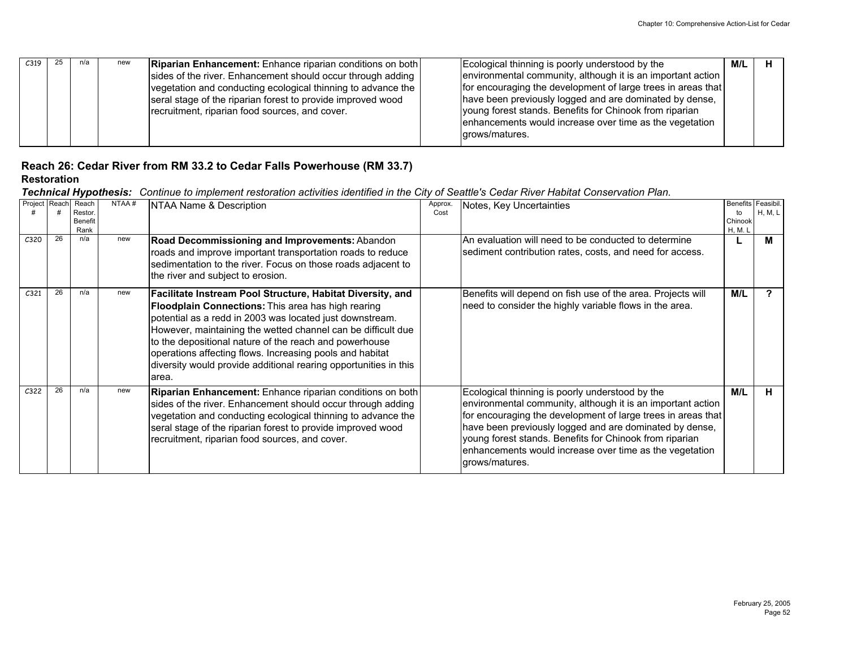| C319 | n/a | new | <b>Riparian Enhancement:</b> Enhance riparian conditions on both | Ecological thinning is poorly understood by the              | M/L |  |
|------|-----|-----|------------------------------------------------------------------|--------------------------------------------------------------|-----|--|
|      |     |     | sides of the river. Enhancement should occur through adding      | environmental community, although it is an important action  |     |  |
|      |     |     | vegetation and conducting ecological thinning to advance the     | for encouraging the development of large trees in areas that |     |  |
|      |     |     | seral stage of the riparian forest to provide improved wood      | have been previously logged and are dominated by dense,      |     |  |
|      |     |     | recruitment, riparian food sources, and cover.                   | young forest stands. Benefits for Chinook from riparian      |     |  |
|      |     |     |                                                                  | enhancements would increase over time as the vegetation      |     |  |
|      |     |     |                                                                  | grows/matures.                                               |     |  |
|      |     |     |                                                                  |                                                              |     |  |

## **Reach 26: Cedar River from RM 33.2 to Cedar Falls Powerhouse (RM 33.7)**

#### **Restoration**

|                  | Project Reach | Reach<br>Restor.<br>Benefit<br>Rank | NTAA# | NTAA Name & Description                                                                                                                                                                                                                                                                                                                                                                                                                         | Approx<br>Cost | Notes, Key Uncertainties                                                                                                                                                                                                                                                                                                                                                          | to<br>Chinook<br>H, M. L | Benefits Feasibil.<br><b>H, M, L</b> |
|------------------|---------------|-------------------------------------|-------|-------------------------------------------------------------------------------------------------------------------------------------------------------------------------------------------------------------------------------------------------------------------------------------------------------------------------------------------------------------------------------------------------------------------------------------------------|----------------|-----------------------------------------------------------------------------------------------------------------------------------------------------------------------------------------------------------------------------------------------------------------------------------------------------------------------------------------------------------------------------------|--------------------------|--------------------------------------|
| C <sub>320</sub> | 26            | n/a                                 | new   | Road Decommissioning and Improvements: Abandon<br>roads and improve important transportation roads to reduce<br>sedimentation to the river. Focus on those roads adjacent to<br>the river and subject to erosion.                                                                                                                                                                                                                               |                | An evaluation will need to be conducted to determine<br>sediment contribution rates, costs, and need for access.                                                                                                                                                                                                                                                                  |                          |                                      |
| C <sub>321</sub> | 26            | n/a                                 | new   | Facilitate Instream Pool Structure, Habitat Diversity, and<br>Floodplain Connections: This area has high rearing<br>potential as a redd in 2003 was located just downstream.<br>However, maintaining the wetted channel can be difficult due<br>to the depositional nature of the reach and powerhouse<br>operations affecting flows. Increasing pools and habitat<br>diversity would provide additional rearing opportunities in this<br>area. |                | Benefits will depend on fish use of the area. Projects will<br>need to consider the highly variable flows in the area.                                                                                                                                                                                                                                                            | M/L                      |                                      |
| C <sub>322</sub> | 26            | n/a                                 | new   | Riparian Enhancement: Enhance riparian conditions on both<br>sides of the river. Enhancement should occur through adding<br>vegetation and conducting ecological thinning to advance the<br>seral stage of the riparian forest to provide improved wood<br>recruitment, riparian food sources, and cover.                                                                                                                                       |                | Ecological thinning is poorly understood by the<br>environmental community, although it is an important action<br>for encouraging the development of large trees in areas that<br>have been previously logged and are dominated by dense,<br>young forest stands. Benefits for Chinook from riparian<br>enhancements would increase over time as the vegetation<br>grows/matures. | M/L                      |                                      |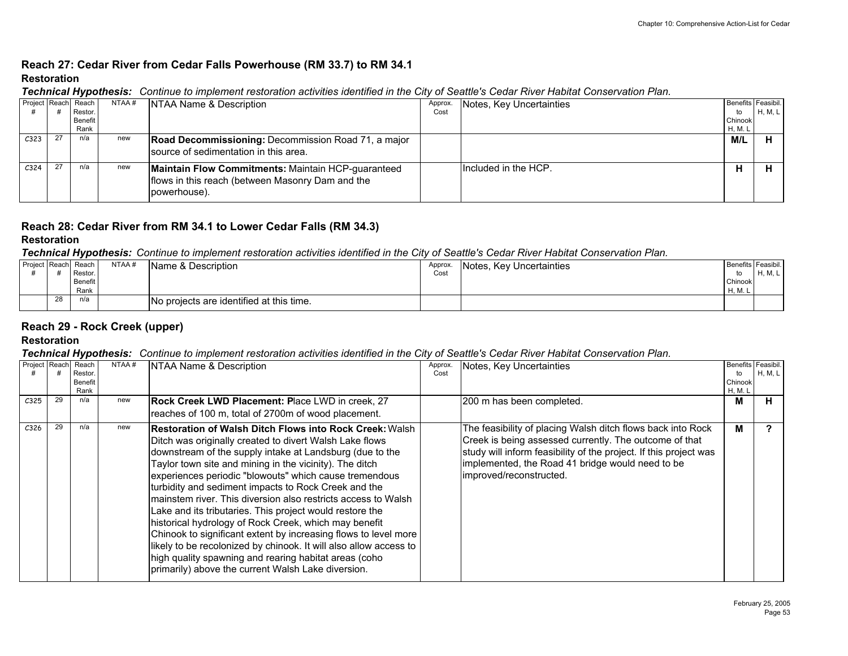## **Reach 27: Cedar River from Cedar Falls Powerhouse (RM 33.7) to RM 34.1 Restoration**

|                  |    |                     |       | <b>recrimed hypothesis.</b> Committee to implement restoration activities number in the Oily or Octatics Octat river habitat Conservation han. |         |                          |                |                    |
|------------------|----|---------------------|-------|------------------------------------------------------------------------------------------------------------------------------------------------|---------|--------------------------|----------------|--------------------|
|                  |    | Project Reach Reach | NTAA# | NTAA Name & Description                                                                                                                        | Approx. | Notes, Key Uncertainties |                | Benefits Feasibil. |
|                  |    | Restor.             |       |                                                                                                                                                | Cost    |                          | to             | H, M, L            |
|                  |    | Benefit             |       |                                                                                                                                                |         |                          | Chinook        |                    |
|                  |    | Rank                |       |                                                                                                                                                |         |                          | <b>H, M. L</b> |                    |
| C <sub>323</sub> | 27 | n/a                 | new   | <b>Road Decommissioning:</b> Decommission Road 71, a major<br>Isource of sedimentation in this area.                                           |         |                          | M/L            |                    |
| C <sub>324</sub> | 27 | n/a                 | new   | Maintain Flow Commitments: Maintain HCP-guaranteed<br>flows in this reach (between Masonry Dam and the<br>powerhouse).                         |         | Included in the HCP.     | н              |                    |

*Technical Hypothesis: Continue to implement restoration activities identified in the City of Seattle's Cedar River Habitat Conservation Plan.* 

## **Reach 28: Cedar River from RM 34.1 to Lower Cedar Falls (RM 34.3)**

#### **Restoration**

*Technical Hypothesis: Continue to implement restoration activities identified in the City of Seattle's Cedar River Habitat Conservation Plan.* 

| Project Reach Reach |    | <b>Restor</b>   | NTAA# | Name & Description                       | Approx.<br>Cos | Notes, Key Uncertainties | Benefits Feasibil.<br>to | H. M. L |
|---------------------|----|-----------------|-------|------------------------------------------|----------------|--------------------------|--------------------------|---------|
|                     |    | Benefit<br>Rank |       |                                          |                |                          | Chinook<br>H, M. I       |         |
|                     | 28 | n/a             |       | No projects are identified at this time. |                |                          |                          |         |

#### **Reach 29 - Rock Creek (upper)**

#### **Restoration**

| Project Reach<br>C325 | 29 | Reach<br>Restor<br>Benefit<br>Rank<br>n/a | NTAA#<br>new | NTAA Name & Description<br><b>Rock Creek LWD Placement: Place LWD in creek, 27</b><br>reaches of 100 m, total of 2700m of wood placement.                                                                                                                                                                                                                                                                                                                                                                                                                                                                                                                                                                                                                                                                        | Approx.<br>Cost | Notes, Key Uncertainties<br>I200 m has been completed.                                                                                                                                                                                                                    | <b>Benefits Feasibil</b><br>Chinook<br><b>H, M. L</b><br>М | H, M, L<br>п |
|-----------------------|----|-------------------------------------------|--------------|------------------------------------------------------------------------------------------------------------------------------------------------------------------------------------------------------------------------------------------------------------------------------------------------------------------------------------------------------------------------------------------------------------------------------------------------------------------------------------------------------------------------------------------------------------------------------------------------------------------------------------------------------------------------------------------------------------------------------------------------------------------------------------------------------------------|-----------------|---------------------------------------------------------------------------------------------------------------------------------------------------------------------------------------------------------------------------------------------------------------------------|------------------------------------------------------------|--------------|
| C <sub>326</sub>      | 29 | n/a                                       | new          | <b>Restoration of Walsh Ditch Flows into Rock Creek: Walsh</b><br>Ditch was originally created to divert Walsh Lake flows<br>downstream of the supply intake at Landsburg (due to the<br>Taylor town site and mining in the vicinity). The ditch<br>experiences periodic "blowouts" which cause tremendous<br>turbidity and sediment impacts to Rock Creek and the<br>Imainstem river. This diversion also restricts access to Walsh<br>Lake and its tributaries. This project would restore the<br>historical hydrology of Rock Creek, which may benefit<br>Chinook to significant extent by increasing flows to level more<br>likely to be recolonized by chinook. It will also allow access to<br>high quality spawning and rearing habitat areas (coho<br>primarily) above the current Walsh Lake diversion. |                 | The feasibility of placing Walsh ditch flows back into Rock<br>Creek is being assessed currently. The outcome of that<br>study will inform feasibility of the project. If this project was<br>implemented, the Road 41 bridge would need to be<br>improved/reconstructed. | м                                                          |              |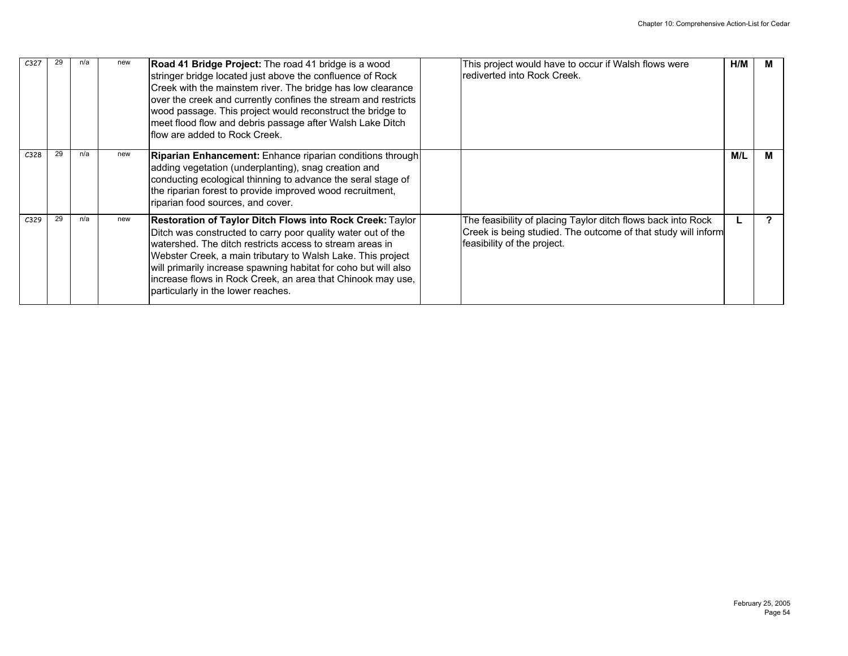| C <sub>327</sub> |    |     | new | Road 41 Bridge Project: The road 41 bridge is a wood<br>stringer bridge located just above the confluence of Rock<br>Creek with the mainstem river. The bridge has low clearance<br>over the creek and currently confines the stream and restricts<br>wood passage. This project would reconstruct the bridge to<br>meet flood flow and debris passage after Walsh Lake Ditch<br>Iflow are added to Rock Creek.               | This project would have to occur if Walsh flows were<br>rediverted into Rock Creek.                                                                          | H/M | M |
|------------------|----|-----|-----|-------------------------------------------------------------------------------------------------------------------------------------------------------------------------------------------------------------------------------------------------------------------------------------------------------------------------------------------------------------------------------------------------------------------------------|--------------------------------------------------------------------------------------------------------------------------------------------------------------|-----|---|
| C328             | 29 | n/a | new | Riparian Enhancement: Enhance riparian conditions through<br>adding vegetation (underplanting), snag creation and<br>conducting ecological thinning to advance the seral stage of<br>the riparian forest to provide improved wood recruitment,<br>riparian food sources, and cover.                                                                                                                                           |                                                                                                                                                              | M/L | м |
| C329             | 29 | n/a | new | Restoration of Taylor Ditch Flows into Rock Creek: Taylor<br>Ditch was constructed to carry poor quality water out of the<br>Iwatershed. The ditch restricts access to stream areas in<br>Webster Creek, a main tributary to Walsh Lake. This project<br>will primarily increase spawning habitat for coho but will also<br>increase flows in Rock Creek, an area that Chinook may use,<br>particularly in the lower reaches. | The feasibility of placing Taylor ditch flows back into Rock<br>Creek is being studied. The outcome of that study will inform<br>feasibility of the project. |     |   |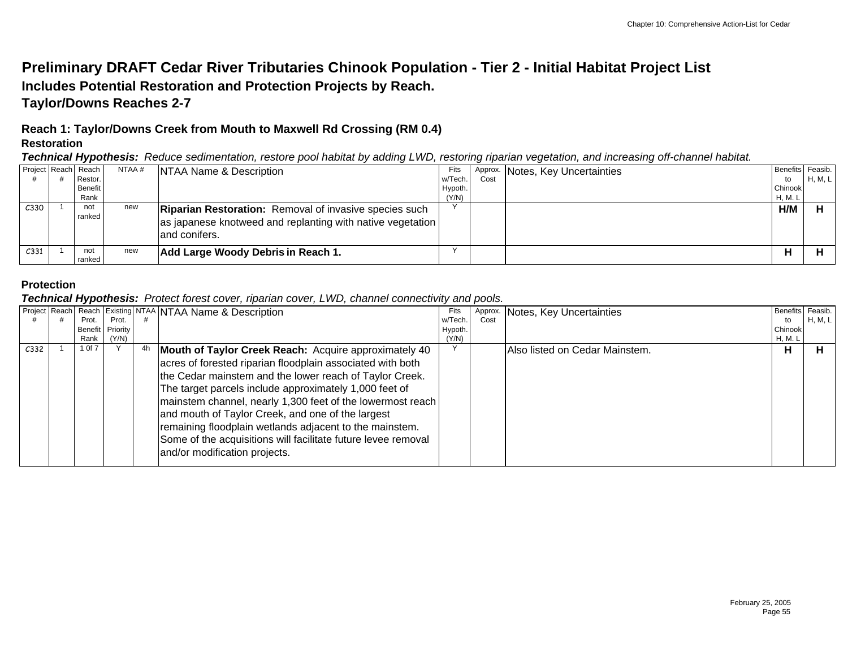## **Preliminary DRAFT Cedar River Tributaries Chinook Population - Tier 2 - Initial Habitat Project List Includes Potential Restoration and Protection Projects by Reach. Taylor/Downs Reaches 2-7**

## **Reach 1: Taylor/Downs Creek from Mouth to Maxwell Rd Crossing (RM 0.4) Restoration**

*Technical Hypothesis: Reduce sedimentation, restore pool habitat by adding LWD, restoring riparian vegetation, and increasing off-channel habitat.*

| Project Reach Reach |               | NTAA # | NTAA Name & Description                                                                                                                       | Fits    |      | Approx. Notes, Key Uncertainties | Benefits Feasib. |         |
|---------------------|---------------|--------|-----------------------------------------------------------------------------------------------------------------------------------------------|---------|------|----------------------------------|------------------|---------|
|                     | Restor.       |        |                                                                                                                                               | w/Tech. | Cost |                                  | to               | H, M, L |
|                     | Benefit       |        |                                                                                                                                               | Hypoth. |      |                                  | Chinook          |         |
|                     | Rank          |        |                                                                                                                                               | (Y/N)   |      |                                  | H, M. L          |         |
| C <sub>330</sub>    | not<br>ranked | new    | <b>Riparian Restoration:</b> Removal of invasive species such<br>as japanese knotweed and replanting with native vegetation<br>land conifers. |         |      |                                  | H/M              |         |
| C <sub>331</sub>    | not<br>ranked | new    | Add Large Woody Debris in Reach 1.                                                                                                            |         |      |                                  |                  |         |

### **Protection**

*Technical Hypothesis: Protect forest cover, riparian cover, LWD, channel connectivity and pools.*

|                  |         |          |    | Project Reach Reach Existing NTAA NTAA Name & Description     | Fits    |      | Approx. Notes, Key Uncertainties | Benefits Feasib. |         |
|------------------|---------|----------|----|---------------------------------------------------------------|---------|------|----------------------------------|------------------|---------|
|                  | Prot.   | Prot.    |    |                                                               | w/Tech. | Cost |                                  | to               | H, M, L |
|                  | Benefit | Priority |    |                                                               | Hypoth. |      |                                  | Chinook          |         |
|                  | Rank    | (Y/N)    |    |                                                               | (Y/N)   |      |                                  | H, M. L          |         |
| C <sub>332</sub> | 1 Of 7  |          | 4h | Mouth of Taylor Creek Reach: Acquire approximately 40         |         |      | Also listed on Cedar Mainstem.   | н                | н       |
|                  |         |          |    | acres of forested riparian floodplain associated with both    |         |      |                                  |                  |         |
|                  |         |          |    | the Cedar mainstem and the lower reach of Taylor Creek.       |         |      |                                  |                  |         |
|                  |         |          |    | The target parcels include approximately 1,000 feet of        |         |      |                                  |                  |         |
|                  |         |          |    | mainstem channel, nearly 1,300 feet of the lowermost reach    |         |      |                                  |                  |         |
|                  |         |          |    | and mouth of Taylor Creek, and one of the largest             |         |      |                                  |                  |         |
|                  |         |          |    | remaining floodplain wetlands adjacent to the mainstem.       |         |      |                                  |                  |         |
|                  |         |          |    | Some of the acquisitions will facilitate future levee removal |         |      |                                  |                  |         |
|                  |         |          |    | and/or modification projects.                                 |         |      |                                  |                  |         |
|                  |         |          |    |                                                               |         |      |                                  |                  |         |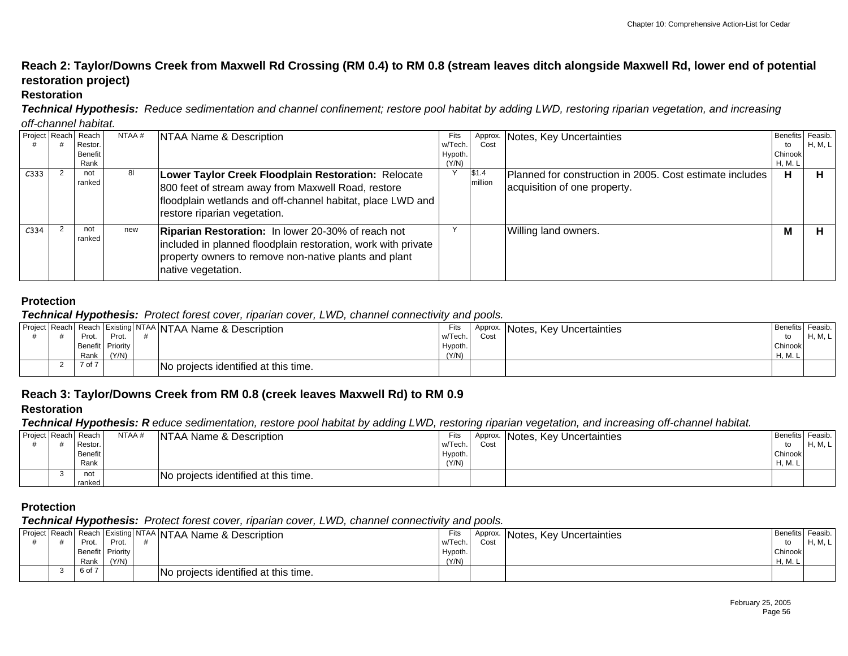## **Reach 2: Taylor/Downs Creek from Maxwell Rd Crossing (RM 0.4) to RM 0.8 (stream leaves ditch alongside Maxwell Rd, lower end of potential restoration project)**

#### **Restoration**

*Technical Hypothesis: Reduce sedimentation and channel confinement; restore pool habitat by adding LWD, restoring riparian vegetation, and increasing*

#### *off-channel habitat.*

|                  | Project Reach Reach<br>Restor. | NTAA # | NTAA Name & Description                                                                                                                                                                                   | Fits<br>w/Tech.  | Cost             | Approx. Notes, Key Uncertainties                                                         | Benefits Feasib.<br>to | H, M, L |
|------------------|--------------------------------|--------|-----------------------------------------------------------------------------------------------------------------------------------------------------------------------------------------------------------|------------------|------------------|------------------------------------------------------------------------------------------|------------------------|---------|
|                  | Benefit<br>Rank                |        |                                                                                                                                                                                                           | Hypoth.<br>(Y/N) |                  |                                                                                          | Chinook<br>H, M. L     |         |
| C333             | not<br>ranked                  | 81     | Lower Taylor Creek Floodplain Restoration: Relocate<br>800 feet of stream away from Maxwell Road, restore<br>floodplain wetlands and off-channel habitat, place LWD and<br>restore riparian vegetation.   |                  | \$1.4<br>million | Planned for construction in 2005. Cost estimate includes<br>acquisition of one property. | н                      |         |
| C <sub>334</sub> | not<br>ranked                  | new    | <b>Riparian Restoration:</b> In lower 20-30% of reach not<br>included in planned floodplain restoration, work with private<br>property owners to remove non-native plants and plant<br>native vegetation. |                  |                  | Willing land owners.                                                                     | M                      |         |

#### **Protection**

#### *Technical Hypothesis: Protect forest cover, riparian cover, LWD, channel connectivity and pools.*

| - -    |       |                  |                                                                                                   |         |         |                          |                             |
|--------|-------|------------------|---------------------------------------------------------------------------------------------------|---------|---------|--------------------------|-----------------------------|
|        |       |                  | Fits                                                                                              | Approx. |         |                          |                             |
| Prot.  | Prot. |                  |                                                                                                   | Cost    |         |                          | H, M, L                     |
|        |       |                  | Hypoth.                                                                                           |         |         |                          |                             |
| Rank   | (Y/N) |                  | (Y/N)                                                                                             |         |         | H. M. L                  |                             |
| 7 of 7 |       |                  |                                                                                                   |         |         |                          |                             |
|        |       | Benefit Priority | Project Reach Reach Existing NTAA NTAA Name & Description<br>No projects identified at this time. |         | w/Tech. | Notes, Key Uncertainties | Benefits Feasib.<br>Chinook |

## **Reach 3: Taylor/Downs Creek from RM 0.8 (creek leaves Maxwell Rd) to RM 0.9**

#### **Restoration**

*Technical Hypothesis: R educe sedimentation, restore pool habitat by adding LWD, restoring riparian vegetation, and increasing off-channel habitat.*

|               | . .            |        |                                      |         | . .  | . .                              |                  |         |
|---------------|----------------|--------|--------------------------------------|---------|------|----------------------------------|------------------|---------|
| Project Reach | Reach          | NTAA # | NTAA Name & Description              | Fits    |      | Approx. Notes, Key Uncertainties | Benefits Feasib. |         |
|               | Restor.        |        |                                      | w/Tech. | Cost |                                  | to               | H, M, L |
|               | <b>Benefit</b> |        |                                      | Hypoth. |      |                                  | Chinook          |         |
|               | Rank           |        |                                      | (Y/N)   |      |                                  | H, M.            |         |
|               | not            |        | No projects identified at this time. |         |      |                                  |                  |         |
|               | ranked         |        |                                      |         |      |                                  |                  |         |

#### **Protection**

#### *Technical Hypothesis: Protect forest cover, riparian cover, LWD, channel connectivity and pools.*

|  |        |                  | Project Reach Reach Existing NTAA NTAA Name & Description | Fits    | Approx. | Notes, Key Uncertainties | Benefits | Feasib.   |
|--|--------|------------------|-----------------------------------------------------------|---------|---------|--------------------------|----------|-----------|
|  | Prot.  | Prot.            |                                                           | w/Tech. | Cos     |                          | to       | <b>NA</b> |
|  |        | Benefit Priority |                                                           | Hypoth. |         |                          | Chinook  |           |
|  | Rank   | (Y/N)            |                                                           | (Y/N)   |         |                          | H, M.    |           |
|  | 6 of 7 |                  | No projects identified at this time.                      |         |         |                          |          |           |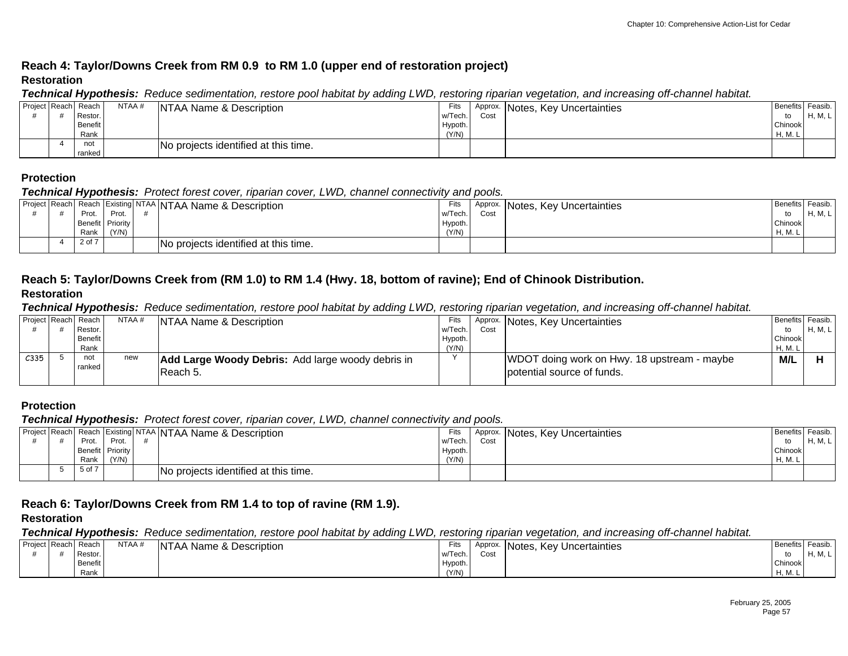## **Reach 4: Taylor/Downs Creek from RM 0.9 to RM 1.0 (upper end of restoration project) Restoration**

#### *Technical Hypothesis: Reduce sedimentation, restore pool habitat by adding LWD, restoring riparian vegetation, and increasing off-channel habitat.*

|                     | - -     |        |                                      |         | . .  |                                  |                  |                 |
|---------------------|---------|--------|--------------------------------------|---------|------|----------------------------------|------------------|-----------------|
| Project Reach Reach |         | NTAA # | NTAA Name & Description              | Fits    |      | Approx. Notes, Key Uncertainties | Benefits Feasib. |                 |
|                     | Restor. |        |                                      | w/Tech. | Cost |                                  | to               | <b>H</b> , M, L |
|                     | Benefit |        |                                      | Hypoth. |      |                                  | Chinook          |                 |
|                     | Rank    |        |                                      | (Y/N)   |      |                                  | H, M. L          |                 |
|                     | not     |        | No projects identified at this time. |         |      |                                  |                  |                 |
|                     | ranked  |        |                                      |         |      |                                  |                  |                 |

#### **Protection**

#### *Technical Hypothesis: Protect forest cover, riparian cover, LWD, channel connectivity and pools.*

|  |        |                  | Project Reach Reach Existing NTAA NTAA Name & Description | Fits    | Approx. | Notes, Key Uncertainties | Benefits Feasib. |         |
|--|--------|------------------|-----------------------------------------------------------|---------|---------|--------------------------|------------------|---------|
|  | Prot.  | Prot.            |                                                           | w/Tech. | Cost    |                          |                  | H, M, L |
|  |        | Benefit Priority |                                                           | Hypoth. |         |                          | Chinook          |         |
|  | Rank   | (Y/N)            |                                                           | (Y/N)   |         |                          | H, M. L          |         |
|  | 2 of 7 |                  | No projects identified at this time.                      |         |         |                          |                  |         |

#### **Reach 5: Taylor/Downs Creek from (RM 1.0) to RM 1.4 (Hwy. 18, bottom of ravine); End of Chinook Distribution. Restoration**

#### *Technical Hypothesis: Reduce sedimentation, restore pool habitat by adding LWD, restoring riparian vegetation, and increasing off-channel habitat.*

| Project Reach Reach |         | NTAA# | NTAA Name & Description                                  | Fits    |      | Approx. Notes, Key Uncertainties            | Benefits Feasib. |         |
|---------------------|---------|-------|----------------------------------------------------------|---------|------|---------------------------------------------|------------------|---------|
|                     | Restor. |       |                                                          | w/Tech. | Cost |                                             | to               | H, M, L |
|                     | Benefit |       |                                                          | Hypoth. |      |                                             | Chinook          |         |
|                     | Rank    |       |                                                          | (Y/N)   |      |                                             | H, M. L          |         |
| C335                | not     | new   | <b>Add Large Woody Debris:</b> Add large woody debris in |         |      | WDOT doing work on Hwy. 18 upstream - maybe | M/L              |         |
|                     | ranked  |       | Reach 5.                                                 |         |      | potential source of funds.                  |                  |         |
|                     |         |       |                                                          |         |      |                                             |                  |         |

### **Protection**

#### *Technical Hypothesis: Protect forest cover, riparian cover, LWD, channel connectivity and pools.*

|  | - -              |       |                                                           |         |      |                                  |                  |         |
|--|------------------|-------|-----------------------------------------------------------|---------|------|----------------------------------|------------------|---------|
|  |                  |       | Project Reach Reach Existing NTAA NTAA Name & Description | Fits    |      | Approx. Notes, Key Uncertainties | Benefits Feasib. |         |
|  | Prot.            | Prot. |                                                           | w/Tech. | Cost |                                  | to               | H, M, L |
|  | Benefit Priority |       |                                                           | Hypoth. |      |                                  | Chinook          |         |
|  | Rank             | (Y/N) |                                                           | (Y/N)   |      |                                  | H, M.            |         |
|  | 5 of 7           |       | No projects identified at this time.                      |         |      |                                  |                  |         |
|  |                  |       |                                                           |         |      |                                  |                  |         |

### **Reach 6: Taylor/Downs Creek from RM 1.4 to top of ravine (RM 1.9).**

#### **Restoration**

*Technical Hypothesis: Reduce sedimentation, restore pool habitat by adding LWD, restoring riparian vegetation, and increasing off-channel habitat.*

| Project Reach Reach |         | NTAA# | NTAA Name & Description | Fits    | Approx. | Notes, Key Uncertainties | <b>Benefits</b> | Feasib.            |
|---------------------|---------|-------|-------------------------|---------|---------|--------------------------|-----------------|--------------------|
|                     | Restor. |       |                         | w/Tech. | Cost    |                          | to              | $\blacksquare$<br> |
|                     | Benefit |       |                         | Hypoth. |         |                          | Chinook         |                    |
|                     | Rank    |       |                         | (Y/N)   |         |                          | H. M.           |                    |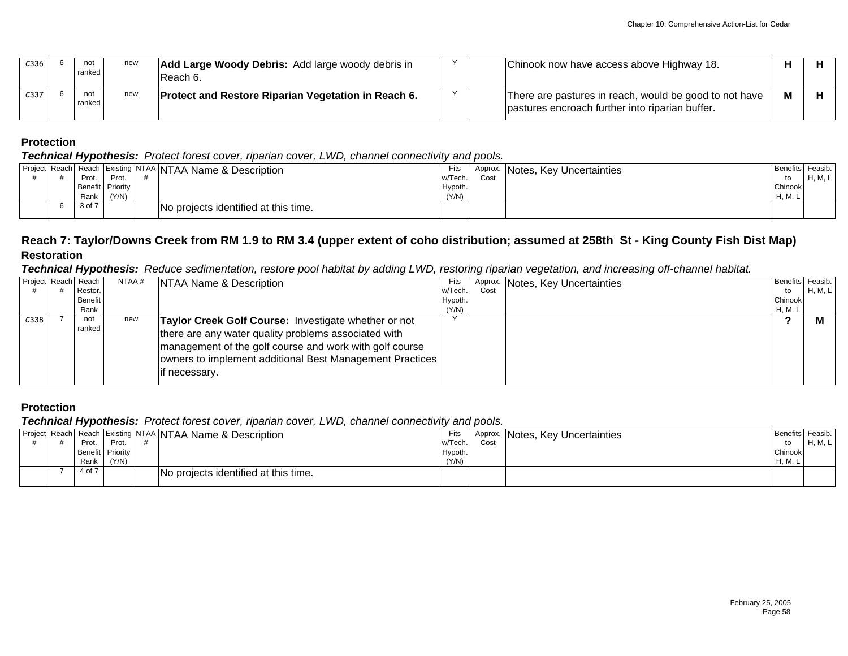| C <sub>336</sub> | not<br>ranked   | new | <b>Add Large Woody Debris:</b> Add large woody debris in<br>IReach 6. |  | Chinook now have access above Highway 18.                                                                 |   |  |
|------------------|-----------------|-----|-----------------------------------------------------------------------|--|-----------------------------------------------------------------------------------------------------------|---|--|
| C <sub>337</sub> | not<br>ranked l | new | <b>Protect and Restore Riparian Vegetation in Reach 6.</b>            |  | There are pastures in reach, would be good to not have<br>pastures encroach further into riparian buffer. | M |  |

*Technical Hypothesis: Protect forest cover, riparian cover, LWD, channel connectivity and pools.*

|  |        |                  | Project Reach Reach Existing NTAA NTAA Name & Description | Fits    |      | Approx. Notes, Key Uncertainties | Benefits Feasib. |         |
|--|--------|------------------|-----------------------------------------------------------|---------|------|----------------------------------|------------------|---------|
|  | Prot.  | Prot.            |                                                           | w/Tech. | Cost |                                  | to               | H, M, L |
|  |        | Benefit Priority |                                                           | Hypoth. |      |                                  | Chinook          |         |
|  | Rank   | (Y/N)            |                                                           | (Y/N)   |      |                                  | H. M. I          |         |
|  | 3 of 7 |                  | No projects identified at this time.                      |         |      |                                  |                  |         |
|  |        |                  |                                                           |         |      |                                  |                  |         |

## **Reach 7: Taylor/Downs Creek from RM 1.9 to RM 3.4 (upper extent of coho distribution; assumed at 258th St - King County Fish Dist Map) Restoration**

*Technical Hypothesis: Reduce sedimentation, restore pool habitat by adding LWD, restoring riparian vegetation, and increasing off-channel habitat.*

| Project Reach | Reach          | NTAA $#$ | NTAA Name & Description                                  | Fits    |      | Approx. Notes, Key Uncertainties | Benefits Feasib. |         |
|---------------|----------------|----------|----------------------------------------------------------|---------|------|----------------------------------|------------------|---------|
|               | Restor.        |          |                                                          | w/Tech. | Cost |                                  | to               | H, M, L |
|               | <b>Benefit</b> |          |                                                          | Hypoth. |      |                                  | Chinook          |         |
|               | Rank           |          |                                                          | (Y/N)   |      |                                  | H, M. L          |         |
| C338          | not<br>ranked  | new      | Taylor Creek Golf Course: Investigate whether or not     |         |      |                                  |                  |         |
|               |                |          | there are any water quality problems associated with     |         |      |                                  |                  |         |
|               |                |          | management of the golf course and work with golf course  |         |      |                                  |                  |         |
|               |                |          | owners to implement additional Best Management Practices |         |      |                                  |                  |         |
|               |                |          | lif necessary.                                           |         |      |                                  |                  |         |
|               |                |          |                                                          |         |      |                                  |                  |         |

## **Protection**

*Technical Hypothesis: Protect forest cover, riparian cover, LWD, channel connectivity and pools.*

|  | - -    |                  |                                                           |         |      |                                  |              |         |
|--|--------|------------------|-----------------------------------------------------------|---------|------|----------------------------------|--------------|---------|
|  |        |                  | Project Reach Reach Existing NTAA NTAA Name & Description | Fits    |      | Approx. Notes, Key Uncertainties | I Benefits I | Feasib. |
|  | Prot.  | Prot             |                                                           | w/Tech. | Cost |                                  | to           | H, M, L |
|  |        | Benefit Priority |                                                           | Hypoth. |      |                                  | Chinook      |         |
|  | Rank   | (Y/N)            |                                                           | (Y/N)   |      |                                  | H, M.        |         |
|  | 4 of 7 |                  | No projects identified at this time.                      |         |      |                                  |              |         |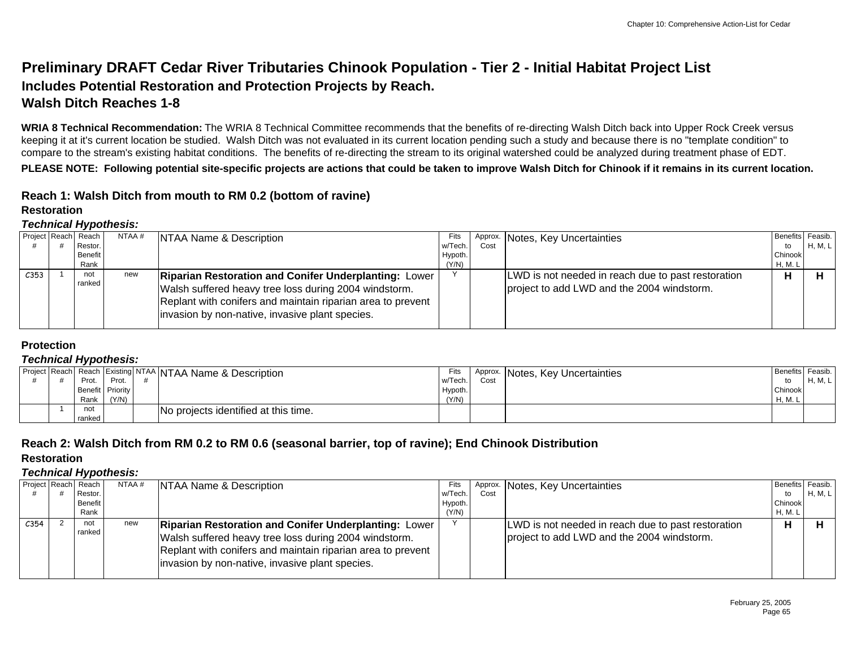## **Preliminary DRAFT Cedar River Tributaries Chinook Population - Tier 2 - Initial Habitat Project List Includes Potential Restoration and Protection Projects by Reach. Walsh Ditch Reaches 1-8**

**WRIA 8 Technical Recommendation:** The WRIA 8 Technical Committee recommends that the benefits of re-directing Walsh Ditch back into Upper Rock Creek versus keeping it at it's current location be studied. Walsh Ditch was not evaluated in its current location pending such a study and because there is no "template condition" to compare to the stream's existing habitat conditions. The benefits of re-directing the stream to its original watershed could be analyzed during treatment phase of EDT.

**PLEASE NOTE: Following potential site-specific projects are actions that could be taken to improve Walsh Ditch for Chinook if it remains in its current location.**

## **Reach 1: Walsh Ditch from mouth to RM 0.2 (bottom of ravine)**

#### **Restoration**

#### *Technical Hypothesis:*

|      | Project Reach Reach | NTAA # | NTAA Name & Description                                                                                                                                                                                                                 | Fits    |      | Approx. Notes, Key Uncertainties                                                                 | Benefits Feasib. |         |
|------|---------------------|--------|-----------------------------------------------------------------------------------------------------------------------------------------------------------------------------------------------------------------------------------------|---------|------|--------------------------------------------------------------------------------------------------|------------------|---------|
|      | Restor.             |        |                                                                                                                                                                                                                                         | w/Tech. | Cost |                                                                                                  | to               | H, M, L |
|      | Benefit             |        |                                                                                                                                                                                                                                         | Hypoth. |      |                                                                                                  | Chinook          |         |
|      | Rank                |        |                                                                                                                                                                                                                                         | (Y/N)   |      |                                                                                                  | H, M. L          |         |
| C353 | not<br>ranked       | new    | <b>Riparian Restoration and Conifer Underplanting: Lower</b><br>Walsh suffered heavy tree loss during 2004 windstorm.<br>Replant with conifers and maintain riparian area to prevent<br>invasion by non-native, invasive plant species. |         |      | LWD is not needed in reach due to past restoration<br>project to add LWD and the 2004 windstorm. |                  |         |

#### **Protection**

#### *Technical Hypothesis:*

|  |        |                  | Project Reach Reach Existing NTAA NTAA Name & Description | Fits    | Approx. | Notes, Key Uncertainties | Benefits Feasib. |         |
|--|--------|------------------|-----------------------------------------------------------|---------|---------|--------------------------|------------------|---------|
|  | Prot.  | Prot.            |                                                           | w/Tech. | Cost    |                          |                  | H, M, L |
|  |        | Benefit Priority |                                                           | Hypoth. |         |                          | Chinook          |         |
|  | Rank   | (Y/N)            |                                                           | (Y/N)   |         |                          | H, M. L          |         |
|  | not    |                  | No projects identified at this time.                      |         |         |                          |                  |         |
|  | ranked |                  |                                                           |         |         |                          |                  |         |

## **Reach 2: Walsh Ditch from RM 0.2 to RM 0.6 (seasonal barrier, top of ravine); End Chinook Distribution**

#### **Restoration**

|                  | Project Reach Reach | NTAA # | <b>NTAA Name &amp; Description</b>                           | Fits    |      | Approx. Notes, Key Uncertainties                   | Benefits Feasib. |         |
|------------------|---------------------|--------|--------------------------------------------------------------|---------|------|----------------------------------------------------|------------------|---------|
|                  | Restor.             |        |                                                              | w/Tech. | Cost |                                                    | to               | H, M, L |
|                  | Benefit             |        |                                                              | Hypoth. |      |                                                    | Chinook          |         |
|                  | Rank                |        |                                                              | (Y/N)   |      |                                                    | H, M. L          |         |
| C <sub>354</sub> | not                 | new    | <b>Riparian Restoration and Conifer Underplanting: Lower</b> |         |      | LWD is not needed in reach due to past restoration | н                |         |
|                  | ranked              |        | Walsh suffered heavy tree loss during 2004 windstorm.        |         |      | project to add LWD and the 2004 windstorm.         |                  |         |
|                  |                     |        | Replant with conifers and maintain riparian area to prevent  |         |      |                                                    |                  |         |
|                  |                     |        | invasion by non-native, invasive plant species.              |         |      |                                                    |                  |         |
|                  |                     |        |                                                              |         |      |                                                    |                  |         |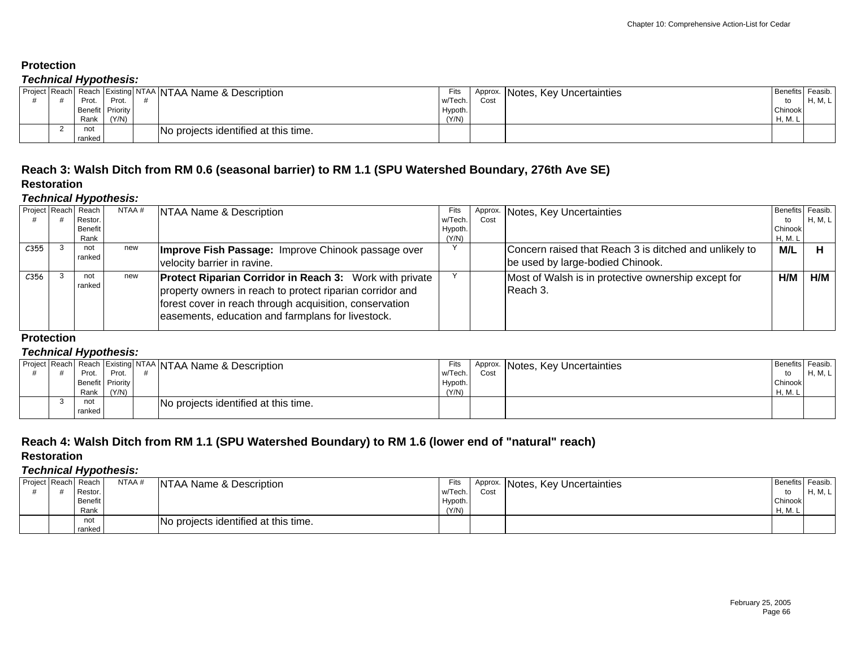#### *Technical Hypothesis:*

|  | . .                      |       |                                                           |                  |     |                                  |                        |         |
|--|--------------------------|-------|-----------------------------------------------------------|------------------|-----|----------------------------------|------------------------|---------|
|  | Prot.                    | Prot. | Project Reach Reach Existing NTAA NTAA Name & Description | Fits<br>w/Tech.  | Cos | Approx. Notes, Key Uncertainties | Benefits Feasib.<br>to | H, M, L |
|  | Benefit Priority<br>Rank | 'Y/N  |                                                           | Hypoth.<br>(Y/N) |     |                                  | Chinook<br>H, M.       |         |
|  | not<br>ranked            |       | No projects identified at this time.                      |                  |     |                                  |                        |         |

## **Reach 3: Walsh Ditch from RM 0.6 (seasonal barrier) to RM 1.1 (SPU Watershed Boundary, 276th Ave SE)**

## **Restoration**

#### *Technical Hypothesis:*

|      | Project Reach Reach | NTAA# | NTAA Name & Description                                                                                                                                                                                                                     | Fits    |      | Approx. Notes, Key Uncertainties                                | Benefits Feasib. |         |
|------|---------------------|-------|---------------------------------------------------------------------------------------------------------------------------------------------------------------------------------------------------------------------------------------------|---------|------|-----------------------------------------------------------------|------------------|---------|
|      | Restor.             |       |                                                                                                                                                                                                                                             | w/Tech. | Cost |                                                                 | to               | H, M, L |
|      | <b>Benefit</b>      |       |                                                                                                                                                                                                                                             | Hypoth. |      |                                                                 | Chinook          |         |
|      | Rank                |       |                                                                                                                                                                                                                                             | (Y/N)   |      |                                                                 | H, M. L          |         |
| C355 | not                 | new   | Improve Fish Passage: Improve Chinook passage over                                                                                                                                                                                          |         |      | Concern raised that Reach 3 is ditched and unlikely to          | M/L              |         |
|      | ranked              |       | velocity barrier in ravine.                                                                                                                                                                                                                 |         |      | be used by large-bodied Chinook.                                |                  |         |
| C356 | not<br>ranked       | new   | <b>Protect Riparian Corridor in Reach 3:</b> Work with private<br>property owners in reach to protect riparian corridor and<br>forest cover in reach through acquisition, conservation<br>easements, education and farmplans for livestock. |         |      | Most of Walsh is in protective ownership except for<br>Reach 3. | H/M              | H/M     |

## **Protection**

### *Technical Hypothesis:*

|  | - -                     |       |                                                           |         |         |                          |                  |         |
|--|-------------------------|-------|-----------------------------------------------------------|---------|---------|--------------------------|------------------|---------|
|  |                         |       | Project Reach Reach Existing NTAA NTAA Name & Description | Fits    | Approx. | Notes, Key Uncertainties | Benefits Feasib. |         |
|  | Prot.                   | Prot. |                                                           | w/Tech. | Cost    |                          | to               | H, M, L |
|  | <b>Benefit Priority</b> |       |                                                           | Hypoth. |         |                          | Chinook          |         |
|  | Rank                    | (Y/N) |                                                           | (Y/N)   |         |                          | H, M. L          |         |
|  | not                     |       | No projects identified at this time.                      |         |         |                          |                  |         |
|  | ranked                  |       |                                                           |         |         |                          |                  |         |

## **Reach 4: Walsh Ditch from RM 1.1 (SPU Watershed Boundary) to RM 1.6 (lower end of "natural" reach)**

## **Restoration**

| Project Reach Reach |         | NTAA # | NTAA Name & Description              | Fits    |      | Approx. Notes, Key Uncertainties | Benefits Feasib. |         |
|---------------------|---------|--------|--------------------------------------|---------|------|----------------------------------|------------------|---------|
|                     | Restor. |        |                                      | w/Tech. | Cost |                                  | to               | H, M, L |
|                     | Benefit |        |                                      | Hypoth. |      |                                  | Chinook          |         |
|                     | Rank    |        |                                      | (Y/N)   |      |                                  | H, M. L          |         |
|                     | not     |        | No projects identified at this time. |         |      |                                  |                  |         |
|                     | ranked  |        |                                      |         |      |                                  |                  |         |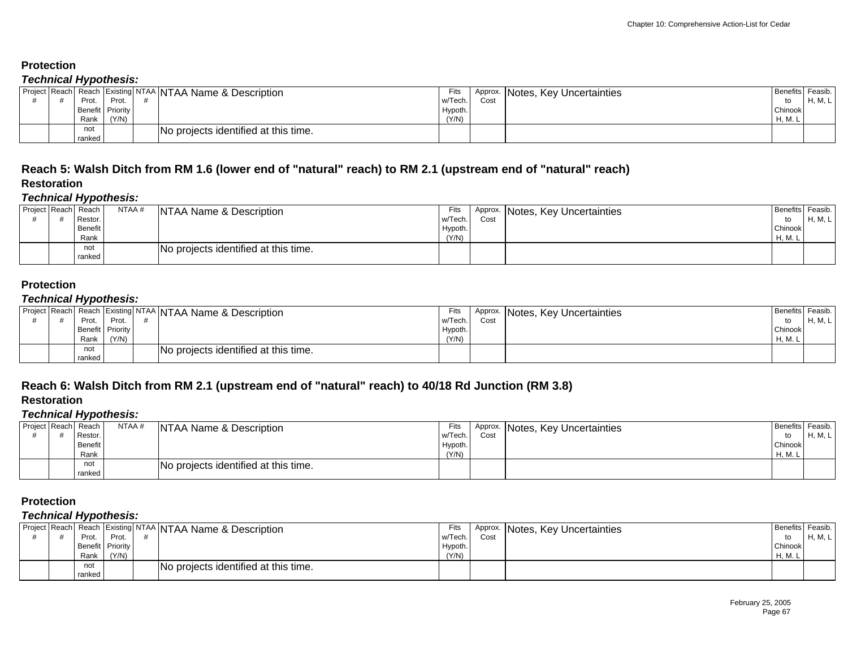#### *Technical Hypothesis:*

|  | . .<br>Prot.    | Prot.                    | Project Reach Reach Existing NTAA NTAA Name & Description | Fits<br>w/Tech.  | Approx.<br>Cost | <b>Notes, Key Uncertainties</b> | Benefits Feasib.<br>to | H, M, L |
|--|-----------------|--------------------------|-----------------------------------------------------------|------------------|-----------------|---------------------------------|------------------------|---------|
|  | Benefit<br>Rank | <b>Priority</b><br>(Y/N) |                                                           | Hypoth.<br>(Y/N) |                 |                                 | Chinook<br>H, M.       |         |
|  | not<br>ranked   |                          | No projects identified at this time.                      |                  |                 |                                 |                        |         |

#### **Reach 5: Walsh Ditch from RM 1.6 (lower end of "natural" reach) to RM 2.1 (upstream end of "natural" reach) Restoration**

#### *Technical Hypothesis:*

|                     | . .                    |        |                                      |                  |      |                                  |                       |                    |
|---------------------|------------------------|--------|--------------------------------------|------------------|------|----------------------------------|-----------------------|--------------------|
| Project Reach Reach | Restor.                | NTAA # | NTAA Name & Description              | Fits<br>w/Tech.  | Cost | Approx. Notes, Key Uncertainties | <b>Benefits</b><br>to | Feasib.<br>H, M, L |
|                     | <b>Benefit</b><br>Rank |        |                                      | Hypoth.<br>(Y/N) |      |                                  | Chinook<br>H, M. L    |                    |
|                     | not<br>ranked          |        | No projects identified at this time. |                  |      |                                  |                       |                    |

## **Protection**

### *Technical Hypothesis:*

|  |        |                  | Project Reach Reach Existing NTAA NTAA Name & Description | Fits    | Approx. | Notes, Key Uncertainties | <b>Benefits</b> | Feasib. |
|--|--------|------------------|-----------------------------------------------------------|---------|---------|--------------------------|-----------------|---------|
|  | Prot.  | Prot.            |                                                           | w/Tech. | Cost    |                          |                 | 'M, ∟   |
|  |        | Benefit Priority |                                                           | Hypoth. |         |                          | Chinook         |         |
|  | Rank   | (Y/N)            |                                                           | (Y/N)   |         |                          | H, M. L         |         |
|  | not    |                  | INo projects identified at this time.                     |         |         |                          |                 |         |
|  | ranked |                  |                                                           |         |         |                          |                 |         |

## **Reach 6: Walsh Ditch from RM 2.1 (upstream end of "natural" reach) to 40/18 Rd Junction (RM 3.8)**

### **Restoration**

#### *Technical Hypothesis:*

| Project Reach Reach | Restor.         | NTAA # | NTAA Name & Description              | Fits<br>w/Tech.  | Cost | Approx. Notes, Key Uncertainties | <b>Benefits Feasib</b><br>to | $H$ M |
|---------------------|-----------------|--------|--------------------------------------|------------------|------|----------------------------------|------------------------------|-------|
|                     | Benefit<br>Rank |        |                                      | Hypoth.<br>(Y/N) |      |                                  | Chinook<br>H, M. L           |       |
|                     | not<br>ranked   |        | No projects identified at this time. |                  |      |                                  |                              |       |

### **Protection**

| Project Reach |        |                  | Jun Reach Existing NTAA NTAA Name & Description | Fits    |      | Approx. Notes, Key Uncertainties | Benefits | Feasib. |
|---------------|--------|------------------|-------------------------------------------------|---------|------|----------------------------------|----------|---------|
|               | Prot   | Prot             |                                                 | w/Tech. | Cost |                                  | to       | H, M, L |
|               |        | Benefit Priority |                                                 | Hypoth. |      |                                  | Chinook  |         |
|               | Rank   | (Y/N)            |                                                 | (Y/N)   |      |                                  | H, M.    |         |
|               | not    |                  | No projects identified at this time.            |         |      |                                  |          |         |
|               | ranked |                  |                                                 |         |      |                                  |          |         |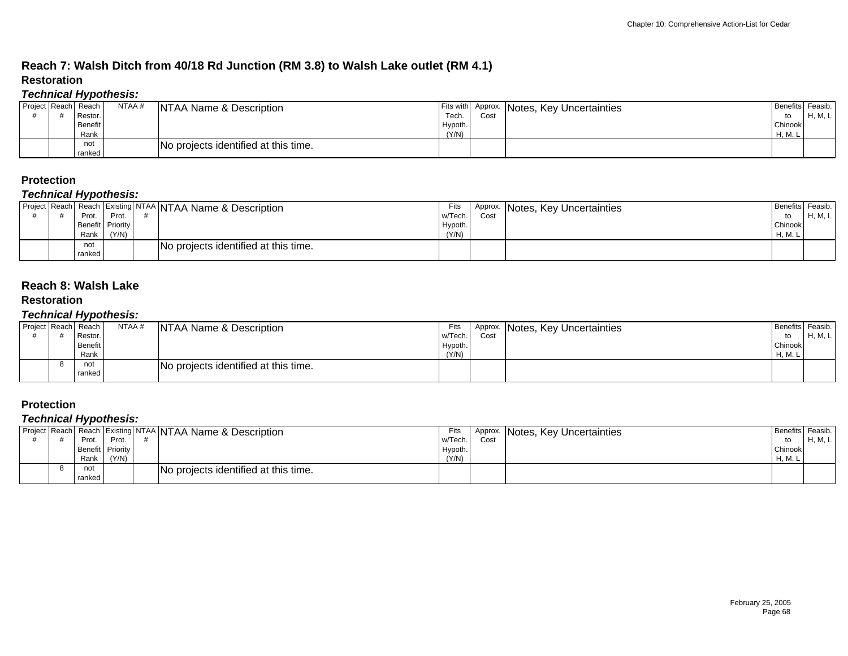## **Reach 7: Walsh Ditch from 40/18 Rd Junction (RM 3.8) to Walsh Lake outlet (RM 4.1) Restoration**

## *Technical Hypothesis:*

|                     | - -     |       |                                      |                            |     |                          |          |                  |
|---------------------|---------|-------|--------------------------------------|----------------------------|-----|--------------------------|----------|------------------|
| Project Reach Reach | Restor. | NTAA# | <b>NTAA Name &amp; Description</b>   | Fits with Approx.<br>Tech. | Cos | Notes, Key Uncertainties | Benefits | Feasib.<br>'M, ∟ |
|                     |         |       |                                      |                            |     |                          |          |                  |
|                     | Benefit |       |                                      | Hypoth.                    |     |                          | Chinook  |                  |
|                     | Rank    |       |                                      | (Y/N)                      |     |                          | H, M. L  |                  |
|                     | not     |       | No projects identified at this time. |                            |     |                          |          |                  |
|                     | ranked  |       |                                      |                            |     |                          |          |                  |

### **Protection**

#### *Technical Hypothesis:*

|  | . .    |                  |                                                               |         |      |                                  |              |         |
|--|--------|------------------|---------------------------------------------------------------|---------|------|----------------------------------|--------------|---------|
|  |        |                  | Project Reach Reach   Existing NTAA   NTAA Name & Description | Fits    |      | Approx. Notes, Key Uncertainties | I Benefits I | Feasib. |
|  | Prot.  | Prot             |                                                               | w/Tech. | Cost |                                  | to           | H, M, L |
|  |        | Benefit Priority |                                                               | Hypoth. |      |                                  | Chinook      |         |
|  | Rank   | (Y/N)            |                                                               | (Y/N)   |      |                                  | H, M.        |         |
|  | not    |                  | No projects identified at this time.                          |         |      |                                  |              |         |
|  | ranked |                  |                                                               |         |      |                                  |              |         |

#### **Reach 8: Walsh Lake**

#### **Restoration**

#### *Technical Hypothesis:*

| Project Reach Reach | Restor.                | NTAA # | NTAA Name & Description              | Fits<br>w/Tech.  | Cost | Approx. Notes, Key Uncertainties | Benefits Feasib.       | H, M, L |
|---------------------|------------------------|--------|--------------------------------------|------------------|------|----------------------------------|------------------------|---------|
|                     | <b>Benefit</b><br>Rank |        |                                      | Hypoth.<br>(Y/N) |      |                                  | to<br>Chinook<br>H, M. |         |
|                     | not<br>ranked          |        | No projects identified at this time. |                  |      |                                  |                        |         |

#### **Protection**

| Project Reach |                  |       | an Reach Existing NTAA NTAA Name & Description | Fits    | Approx. | Notes, Key Uncertainties | I Benefits Feasib. |            |
|---------------|------------------|-------|------------------------------------------------|---------|---------|--------------------------|--------------------|------------|
|               | Prot.            | Prot. |                                                | w/Tech. | Cost    |                          | to                 | <b>HMI</b> |
|               | Benefit Priority |       |                                                | Hypoth. |         |                          | Chinook            |            |
|               | Rank             | (Y/N) |                                                | (Y/N)   |         |                          | H, M. L            |            |
|               | not              |       | INo projects identified at this time.          |         |         |                          |                    |            |
|               | ranked           |       |                                                |         |         |                          |                    |            |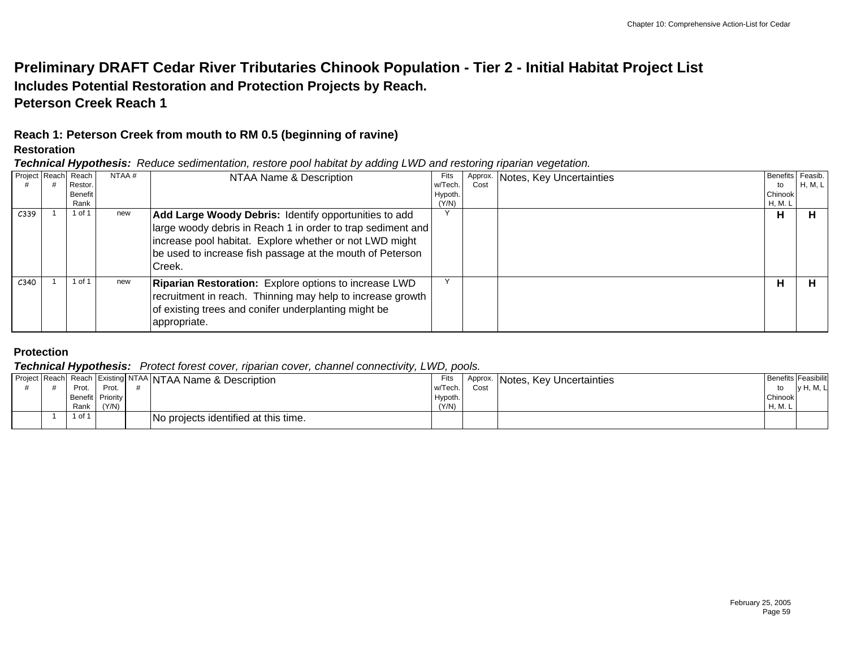## **Preliminary DRAFT Cedar River Tributaries Chinook Population - Tier 2 - Initial Habitat Project List Includes Potential Restoration and Protection Projects by Reach. Peterson Creek Reach 1**

## **Reach 1: Peterson Creek from mouth to RM 0.5 (beginning of ravine)**

#### **Restoration**

*Technical Hypothesis: Reduce sedimentation, restore pool habitat by adding LWD and restoring riparian vegetation.*

|      | Project Reach Reach<br>Restor.<br>Benefit<br>Rank | NTAA# | NTAA Name & Description                                                                                                                                                                                                                                 | Fits<br>w/Tech.<br>Hypoth.<br>(Y/N) | Cost | Approx. Notes, Key Uncertainties | Benefits Feasib.<br>to<br>Chinook<br>H, M. L | H, M, L |
|------|---------------------------------------------------|-------|---------------------------------------------------------------------------------------------------------------------------------------------------------------------------------------------------------------------------------------------------------|-------------------------------------|------|----------------------------------|----------------------------------------------|---------|
| C339 | 1 of 1                                            | new   | Add Large Woody Debris: Identify opportunities to add<br>large woody debris in Reach 1 in order to trap sediment and<br>increase pool habitat. Explore whether or not LWD might<br>be used to increase fish passage at the mouth of Peterson<br>ICreek. | $\checkmark$                        |      |                                  | н                                            | н       |
| C340 | l of 1                                            | new   | <b>Riparian Restoration:</b> Explore options to increase LWD<br>recruitment in reach. Thinning may help to increase growth<br>of existing trees and conifer underplanting might be<br>appropriate.                                                      | $\checkmark$                        |      |                                  | н                                            | Н       |

## **Protection**

#### *Technical Hypothesis: Protect forest cover, riparian cover, channel connectivity, LWD, pools.*

|  |        |                  | Project Reach Reach   Existing NTAA   NTAA Name & Description | Fits    | Approx. | [Motes, Key Uncertainties] |         | <b>Benefits Feasibilit</b> |
|--|--------|------------------|---------------------------------------------------------------|---------|---------|----------------------------|---------|----------------------------|
|  | Prot.  | Prot.            |                                                               | w/Tech. | Cos     |                            | to      | v H, M, L                  |
|  |        | Benefit Priority |                                                               | Hypoth. |         |                            | Chinook |                            |
|  | Rank   | (Y/N)            |                                                               | (Y/N)   |         |                            | H. M. L |                            |
|  | 1 of 1 |                  | No projects identified at this time.                          |         |         |                            |         |                            |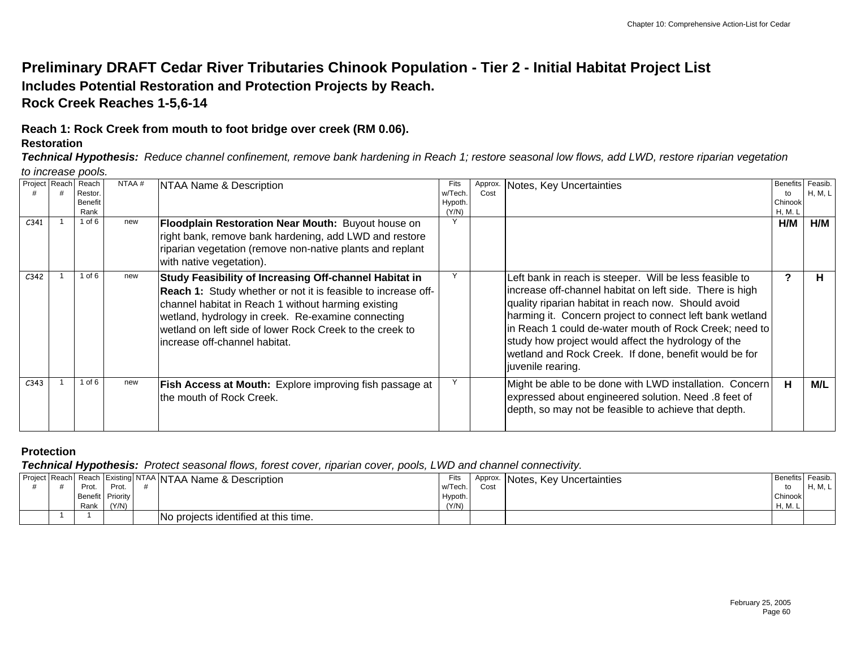## **Preliminary DRAFT Cedar River Tributaries Chinook Population - Tier 2 - Initial Habitat Project List Includes Potential Restoration and Protection Projects by Reach. Rock Creek Reaches 1-5,6-14**

# **Reach 1: Rock Creek from mouth to foot bridge over creek (RM 0.06).**

### **Restoration**

*Technical Hypothesis: Reduce channel confinement, remove bank hardening in Reach 1; restore seasonal low flows, add LWD, restore riparian vegetation* 

*to increase pools.*

| Project Reach    | Reach          | NTAA# | NTAA Name & Description                                                                                                                                                                                                                                                                                                           | Fits    | Approx. | Notes, Key Uncertainties                                                                                                                                                                                                                                                                                                                                                                                                              | <b>Benefits</b> | Feasib. |
|------------------|----------------|-------|-----------------------------------------------------------------------------------------------------------------------------------------------------------------------------------------------------------------------------------------------------------------------------------------------------------------------------------|---------|---------|---------------------------------------------------------------------------------------------------------------------------------------------------------------------------------------------------------------------------------------------------------------------------------------------------------------------------------------------------------------------------------------------------------------------------------------|-----------------|---------|
|                  | Restor         |       |                                                                                                                                                                                                                                                                                                                                   | w/Tech  | Cost    |                                                                                                                                                                                                                                                                                                                                                                                                                                       | to              | H, M, L |
|                  | <b>Benefit</b> |       |                                                                                                                                                                                                                                                                                                                                   | Hypoth. |         |                                                                                                                                                                                                                                                                                                                                                                                                                                       | Chinook         |         |
|                  | Rank           |       |                                                                                                                                                                                                                                                                                                                                   | (Y/N)   |         |                                                                                                                                                                                                                                                                                                                                                                                                                                       | <b>H, M. L</b>  |         |
| C341             | 1 of 6         | new   | Floodplain Restoration Near Mouth: Buyout house on                                                                                                                                                                                                                                                                                | Υ       |         |                                                                                                                                                                                                                                                                                                                                                                                                                                       | H/M             | H/M     |
|                  |                |       | right bank, remove bank hardening, add LWD and restore                                                                                                                                                                                                                                                                            |         |         |                                                                                                                                                                                                                                                                                                                                                                                                                                       |                 |         |
|                  |                |       | riparian vegetation (remove non-native plants and replant                                                                                                                                                                                                                                                                         |         |         |                                                                                                                                                                                                                                                                                                                                                                                                                                       |                 |         |
|                  |                |       | with native vegetation).                                                                                                                                                                                                                                                                                                          |         |         |                                                                                                                                                                                                                                                                                                                                                                                                                                       |                 |         |
| C <sub>342</sub> | l of 6         | new   | Study Feasibility of Increasing Off-channel Habitat in<br>Reach 1: Study whether or not it is feasible to increase off-<br>channel habitat in Reach 1 without harming existing<br>wetland, hydrology in creek. Re-examine connecting<br>wetland on left side of lower Rock Creek to the creek to<br>increase off-channel habitat. |         |         | Left bank in reach is steeper. Will be less feasible to<br>increase off-channel habitat on left side. There is high<br>quality riparian habitat in reach now. Should avoid<br>harming it. Concern project to connect left bank wetland<br>in Reach 1 could de-water mouth of Rock Creek; need to<br>study how project would affect the hydrology of the<br>wetland and Rock Creek. If done, benefit would be for<br>juvenile rearing. |                 | п       |
| C343             | l of 6         | new   | Fish Access at Mouth: Explore improving fish passage at<br>the mouth of Rock Creek.                                                                                                                                                                                                                                               |         |         | Might be able to be done with LWD installation. Concern<br>expressed about engineered solution. Need .8 feet of<br>depth, so may not be feasible to achieve that depth.                                                                                                                                                                                                                                                               | н               | M/L     |

## **Protection**

*Technical Hypothesis: Protect seasonal flows, forest cover, riparian cover, pools, LWD and channel connectivity.* 

|  | - -              |       | Project Reach Reach Existing NTAA NTAA Name & Description | Fits    | Approx. | INotes, Key Uncertainties | Benefits Feasib. |            |
|--|------------------|-------|-----------------------------------------------------------|---------|---------|---------------------------|------------------|------------|
|  | Prot.            | Prot. |                                                           | w/Tech. | Cost    |                           |                  | $H$ M<br>. |
|  | Benefit Priority |       |                                                           | Hypoth. |         |                           | Chinook          |            |
|  | Rank             | (Y/N) |                                                           | (Y/N)   |         |                           | H, M. L          |            |
|  |                  |       | No projects identified at this time.                      |         |         |                           |                  |            |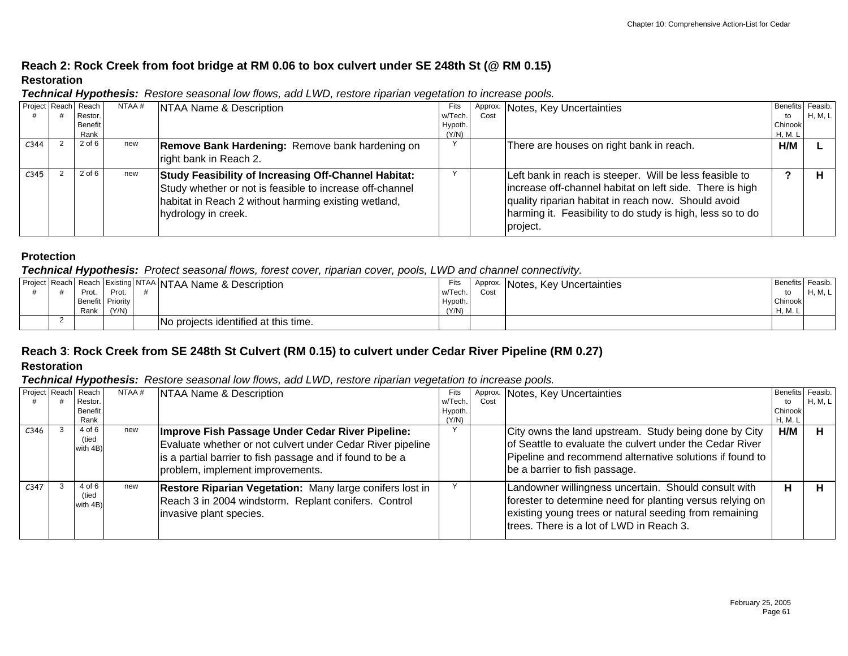## **Reach 2: Rock Creek from foot bridge at RM 0.06 to box culvert under SE 248th St (@ RM 0.15) Restoration**

|                     | . .            |       |                                                                                                                                                                                                        |         |      |                                                                                                                                                                                                                                                      |                  |                |
|---------------------|----------------|-------|--------------------------------------------------------------------------------------------------------------------------------------------------------------------------------------------------------|---------|------|------------------------------------------------------------------------------------------------------------------------------------------------------------------------------------------------------------------------------------------------------|------------------|----------------|
| Project Reach Reach |                | NTAA# | NTAA Name & Description                                                                                                                                                                                | Fits    |      | Approx. Notes, Key Uncertainties                                                                                                                                                                                                                     | Benefits Feasib. |                |
|                     | Restor.        |       |                                                                                                                                                                                                        | w/Tech. | Cost |                                                                                                                                                                                                                                                      | to               | <b>H, M, L</b> |
|                     | <b>Benefit</b> |       |                                                                                                                                                                                                        | Hypoth. |      |                                                                                                                                                                                                                                                      | Chinook          |                |
|                     | Rank           |       |                                                                                                                                                                                                        | (Y/N)   |      |                                                                                                                                                                                                                                                      | H, M. L          |                |
| C <sub>344</sub>    | $2$ of $6$     | new   | Remove Bank Hardening: Remove bank hardening on                                                                                                                                                        |         |      | There are houses on right bank in reach.                                                                                                                                                                                                             | H/M              |                |
|                     |                |       | right bank in Reach 2.                                                                                                                                                                                 |         |      |                                                                                                                                                                                                                                                      |                  |                |
| C <sub>345</sub>    | $2$ of $6$     | new   | <b>Study Feasibility of Increasing Off-Channel Habitat:</b><br>Study whether or not is feasible to increase off-channel<br>habitat in Reach 2 without harming existing wetland,<br>hydrology in creek. |         |      | Left bank in reach is steeper. Will be less feasible to<br>increase off-channel habitat on left side. There is high<br>quality riparian habitat in reach now. Should avoid<br>harming it. Feasibility to do study is high, less so to do<br>project. |                  |                |

*Technical Hypothesis: Restore seasonal low flows, add LWD, restore riparian vegetation to increase pools.*

## **Protection**

#### *Technical Hypothesis: Protect seasonal flows, forest cover, riparian cover, pools, LWD and channel connectivity.*

|  | - -     |             | Project Reach Reach Existing NTAA NTAA Name & Description | Fits    | Approx. | Key l<br>Notes.<br>' Uncertainties | Benefits   Feasib. |            |
|--|---------|-------------|-----------------------------------------------------------|---------|---------|------------------------------------|--------------------|------------|
|  | Prot.   | Dro:<br>ΊΟι |                                                           | w/Tech. | Cost    |                                    |                    | <b>H M</b> |
|  | Benefit | Priority    |                                                           | Hypoth. |         |                                    | Chinook            |            |
|  | Rank    | (Y/N)       |                                                           | (Y/N)   |         |                                    | H, M, L            |            |
|  |         |             | No projects identified at this time.                      |         |         |                                    |                    |            |

## **Reach 3**: **Rock Creek from SE 248th St Culvert (RM 0.15) to culvert under Cedar River Pipeline (RM 0.27) Restoration**

#### *Technical Hypothesis: Restore seasonal low flows, add LWD, restore riparian vegetation to increase pools.*

|                  | Project Reach Reach         | NTAA# | NTAA Name & Description                                                                                                                                                                                         | Fits    | Approx. | Notes, Key Uncertainties                                                                                                                                                                                                | <b>Benefits</b> | Feasib. |
|------------------|-----------------------------|-------|-----------------------------------------------------------------------------------------------------------------------------------------------------------------------------------------------------------------|---------|---------|-------------------------------------------------------------------------------------------------------------------------------------------------------------------------------------------------------------------------|-----------------|---------|
|                  | Restor.                     |       |                                                                                                                                                                                                                 | w/Tech  | Cost    |                                                                                                                                                                                                                         | to              | H, M, L |
|                  | <b>Benefit</b>              |       |                                                                                                                                                                                                                 | Hypoth. |         |                                                                                                                                                                                                                         | Chinook         |         |
|                  | Rank                        |       |                                                                                                                                                                                                                 | (Y/N)   |         |                                                                                                                                                                                                                         | H, M. L         |         |
| C346             | 4 of 6<br>(tied<br>with 4B) | new   | Improve Fish Passage Under Cedar River Pipeline:<br>Evaluate whether or not culvert under Cedar River pipeline<br>is a partial barrier to fish passage and if found to be a<br>problem, implement improvements. |         |         | City owns the land upstream. Study being done by City<br>of Seattle to evaluate the culvert under the Cedar River<br>Pipeline and recommend alternative solutions if found to<br>be a barrier to fish passage.          | H/M             |         |
| C <sub>347</sub> | 4 of 6<br>(tied<br>with 4B) | new   | Restore Riparian Vegetation: Many large conifers lost in<br>Reach 3 in 2004 windstorm. Replant conifers. Control<br>invasive plant species.                                                                     |         |         | Landowner willingness uncertain. Should consult with<br>forester to determine need for planting versus relying on<br>existing young trees or natural seeding from remaining<br>trees. There is a lot of LWD in Reach 3. | н               |         |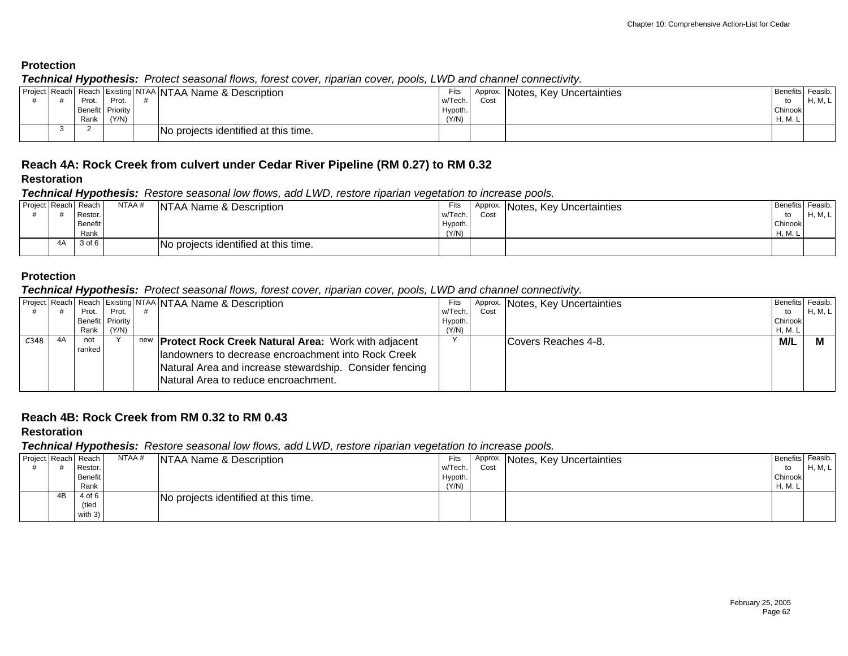*Technical Hypothesis: Protect seasonal flows, forest cover, riparian cover, pools, LWD and channel connectivity.* 

|  | - -   |                  |                                                           |         |      |                                  |                  |         |
|--|-------|------------------|-----------------------------------------------------------|---------|------|----------------------------------|------------------|---------|
|  |       |                  | Project Reach Reach Existing NTAA NTAA Name & Description | Fits    |      | Approx. Notes, Key Uncertainties | Benefits Feasib. |         |
|  | Prot. | Prot.            |                                                           | w/Tech. | Cost |                                  | to               | H, M, L |
|  |       | Benefit Priority |                                                           | Hypoth. |      |                                  | Chinook          |         |
|  | Rank  | (Y/N)            |                                                           | (Y/N)   |      |                                  | H, M, L          |         |
|  |       |                  | No projects identified at this time.                      |         |      |                                  |                  |         |

## **Reach 4A: Rock Creek from culvert under Cedar River Pipeline (RM 0.27) to RM 0.32**

#### **Restoration**

*Technical Hypothesis: Restore seasonal low flows, add LWD, restore riparian vegetation to increase pools.*

| Project Reach Reach<br>NTAA #<br><b>NTAA Name &amp; Description</b><br>Fits<br>Approx. Notes, Key Uncertainties | Benefits Feasib.          |
|-----------------------------------------------------------------------------------------------------------------|---------------------------|
|                                                                                                                 |                           |
| w/Tech.<br>Restor.<br>Cost                                                                                      | $H$ M I<br>to<br>11,101,1 |
| <b>Benefit</b><br>Hypoth.                                                                                       | Chinook                   |
| (Y/N)<br>Rank                                                                                                   | H, M. L                   |
| 3 of 6<br>4A<br>No projects identified at this time.                                                            |                           |

### **Protection**

#### *Technical Hypothesis: Protect seasonal flows, forest cover, riparian cover, pools, LWD and channel connectivity.*

|      |                  |       | Project Reach Reach Existing NTAA NTAA Name & Description      | Fits    |      | Approx. Notes, Key Uncertainties | Benefits Feasib. |         |
|------|------------------|-------|----------------------------------------------------------------|---------|------|----------------------------------|------------------|---------|
|      | Prot.            | Prot. |                                                                | w/Tech. | Cost |                                  | to               | H, M, L |
|      | Benefit Priority |       |                                                                | Hypoth. |      |                                  | Chinook          |         |
|      | Rank             | (Y/N) |                                                                | (Y/N)   |      |                                  | H, M. L          |         |
| C348 | not              |       | new <b>Protect Rock Creek Natural Area:</b> Work with adjacent |         |      | Covers Reaches 4-8.              | M/L              |         |
|      | ranked,          |       | landowners to decrease encroachment into Rock Creek            |         |      |                                  |                  |         |
|      |                  |       |                                                                |         |      |                                  |                  |         |
|      |                  |       | Natural Area and increase stewardship. Consider fencing        |         |      |                                  |                  |         |
|      |                  |       | INatural Area to reduce encroachment.                          |         |      |                                  |                  |         |
|      |                  |       |                                                                |         |      |                                  |                  |         |

### **Reach 4B: Rock Creek from RM 0.32 to RM 0.43**

### **Restoration**

#### *Technical Hypothesis: Restore seasonal low flows, add LWD, restore riparian vegetation to increase pools.*

|    | . .                 |        |                                      |         |      |                                  |                  |         |
|----|---------------------|--------|--------------------------------------|---------|------|----------------------------------|------------------|---------|
|    | Project Reach Reach | NTAA # | NTAA Name & Description              | Fits    |      | Approx. Notes, Key Uncertainties | Benefits Feasib. |         |
|    | Restor.             |        |                                      | w/Tech. | Cost |                                  | to               | H, M, L |
|    | Benefit             |        |                                      | Hypoth. |      |                                  | Chinook          |         |
|    | Rank                |        |                                      | (Y/N)   |      |                                  | H, M. L          |         |
| 4B | 4 of 6              |        | No projects identified at this time. |         |      |                                  |                  |         |
|    | (tied               |        |                                      |         |      |                                  |                  |         |
|    | with 3)             |        |                                      |         |      |                                  |                  |         |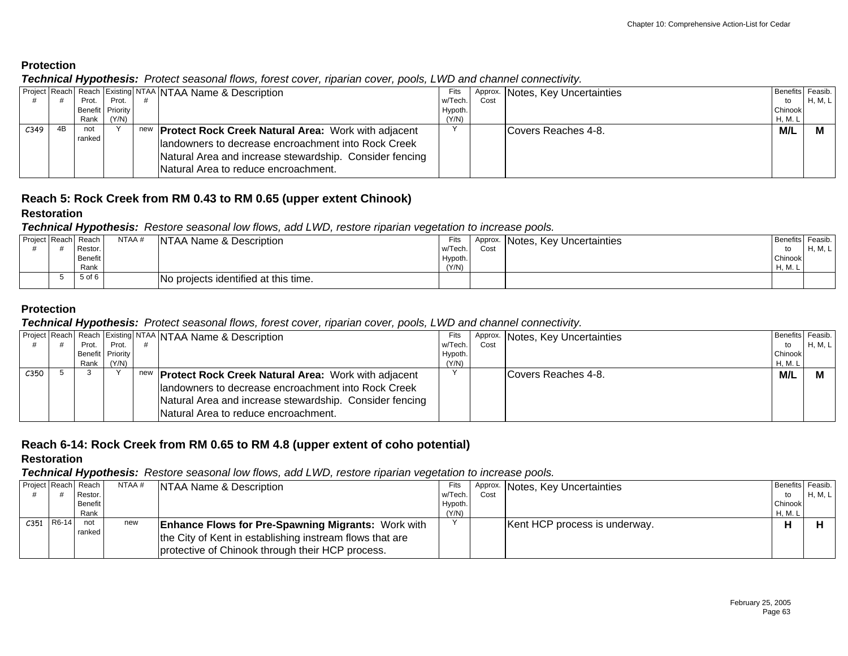*Technical Hypothesis: Protect seasonal flows, forest cover, riparian cover, pools, LWD and channel connectivity.* 

| Project   Reach   Reach   Existing   NTAA   NTAA Name & Description |         | Benefits Feasib. |
|---------------------------------------------------------------------|---------|------------------|
|                                                                     | to      | H, M, L          |
|                                                                     | Chinook |                  |
|                                                                     | H, M. L |                  |
| C <sub>349</sub>                                                    | M/L     |                  |
|                                                                     |         |                  |
|                                                                     |         |                  |
|                                                                     |         |                  |
|                                                                     |         |                  |
|                                                                     |         |                  |

# **Reach 5: Rock Creek from RM 0.43 to RM 0.65 (upper extent Chinook)**

### **Restoration**

### *Technical Hypothesis: Restore seasonal low flows, add LWD, restore riparian vegetation to increase pools.*

| Project Reach Reach | Restor.         | NTAA # | NTAA Name & Description              | Fits<br>w/Tech.  | Approx.<br>Cost | INotes, Key Uncertainties | Benefits Feasib.<br>to | $H$ M I<br>. |
|---------------------|-----------------|--------|--------------------------------------|------------------|-----------------|---------------------------|------------------------|--------------|
|                     | Benefit<br>Rank |        |                                      | Hypoth.<br>(Y/N) |                 |                           | Chinook<br>H, M. L     |              |
|                     | 5 of 6          |        | No projects identified at this time. |                  |                 |                           |                        |              |

## **Protection**

### *Technical Hypothesis: Protect seasonal flows, forest cover, riparian cover, pools, LWD and channel connectivity.*

|                  |       |                  | Project Reach Reach Existing NTAA NTAA Name & Description      | Fits    |      | Approx. Notes, Key Uncertainties | Benefits Feasib. |                |
|------------------|-------|------------------|----------------------------------------------------------------|---------|------|----------------------------------|------------------|----------------|
|                  | Prot. | Prot.            |                                                                | w/Tech. | Cost |                                  | to               | <b>H, M, L</b> |
|                  |       | Benefit Priority |                                                                | Hypoth. |      |                                  | Chinook          |                |
|                  | Rank  | (Y/N)            |                                                                | (Y/N)   |      |                                  | H, M. L          |                |
| C <sub>350</sub> |       |                  | new <b>Protect Rock Creek Natural Area:</b> Work with adjacent |         |      | Covers Reaches 4-8.              | M/L              |                |
|                  |       |                  | Ilandowners to decrease encroachment into Rock Creek           |         |      |                                  |                  |                |
|                  |       |                  | Natural Area and increase stewardship. Consider fencing        |         |      |                                  |                  |                |
|                  |       |                  | INatural Area to reduce encroachment.                          |         |      |                                  |                  |                |

## **Reach 6-14: Rock Creek from RM 0.65 to RM 4.8 (upper extent of coho potential)**

## **Restoration**

#### *Technical Hypothesis: Restore seasonal low flows, add LWD, restore riparian vegetation to increase pools.*

|      |       | Project Reach Reach | NTAA # | NTAA Name & Description                                   | Fits    |      | Approx. Notes, Key Uncertainties | Benefits Feasib. |         |
|------|-------|---------------------|--------|-----------------------------------------------------------|---------|------|----------------------------------|------------------|---------|
|      |       | Restor.             |        |                                                           | w/Tech. | Cost |                                  | to               | H, M, L |
|      |       | Benefit             |        |                                                           | Hypoth. |      |                                  | Chinook          |         |
|      |       | Rank                |        |                                                           | (Y/N)   |      |                                  | H, M. L          |         |
| C351 | R6-14 | not                 | new    | <b>Enhance Flows for Pre-Spawning Migrants: Work with</b> |         |      | Kent HCP process is underway.    |                  |         |
|      |       | ranked              |        | the City of Kent in establishing instream flows that are  |         |      |                                  |                  |         |
|      |       |                     |        | protective of Chinook through their HCP process.          |         |      |                                  |                  |         |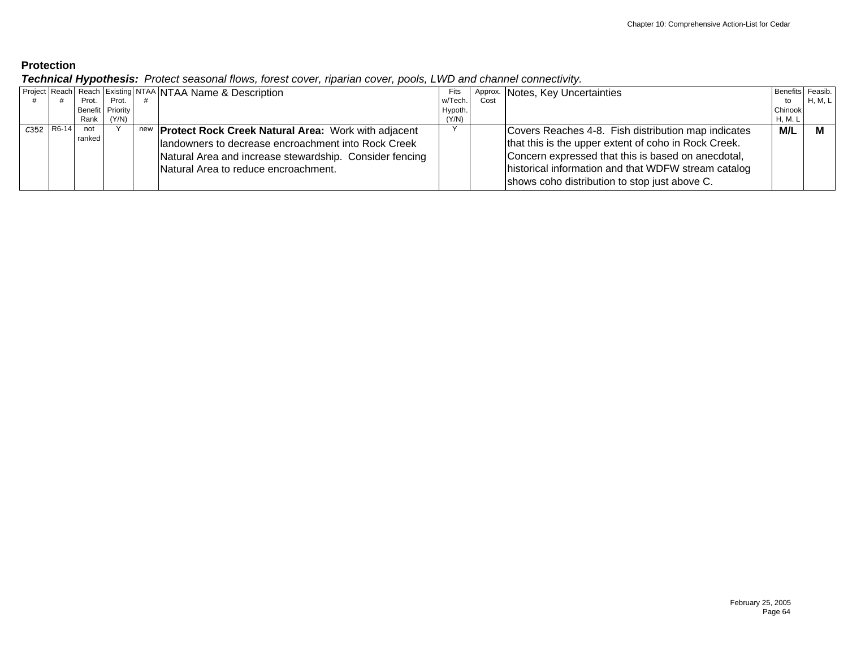*Technical Hypothesis: Protect seasonal flows, forest cover, riparian cover, pools, LWD and channel connectivity.* 

|              | - -    |                  | .                                                                    |         |      |                                                      |                  |         |
|--------------|--------|------------------|----------------------------------------------------------------------|---------|------|------------------------------------------------------|------------------|---------|
|              |        |                  | <b>Project Reach Reach Existing NTAA NTAA Name &amp; Description</b> | Fits    |      | Approx. Notes, Key Uncertainties                     | Benefits Feasib. |         |
|              | Prot.  | Prot.            |                                                                      | w/Tech. | Cost |                                                      | to               | H, M, L |
|              |        | Benefit Priority |                                                                      | Hypoth. |      |                                                      | Chinook          |         |
|              | Rank I | (Y/N)            |                                                                      | (Y/N)   |      |                                                      | H, M. L          |         |
| $C352$ R6-14 | not    |                  | new <b>Protect Rock Creek Natural Area:</b> Work with adjacent       |         |      | Covers Reaches 4-8. Fish distribution map indicates  | M/L              | M       |
|              | ranked |                  | landowners to decrease encroachment into Rock Creek                  |         |      | that this is the upper extent of coho in Rock Creek. |                  |         |
|              |        |                  | Natural Area and increase stewardship. Consider fencing              |         |      | Concern expressed that this is based on anecdotal,   |                  |         |
|              |        |                  | Natural Area to reduce encroachment.                                 |         |      | historical information and that WDFW stream catalog  |                  |         |
|              |        |                  |                                                                      |         |      | shows coho distribution to stop just above C.        |                  |         |
|              |        |                  |                                                                      |         |      |                                                      |                  |         |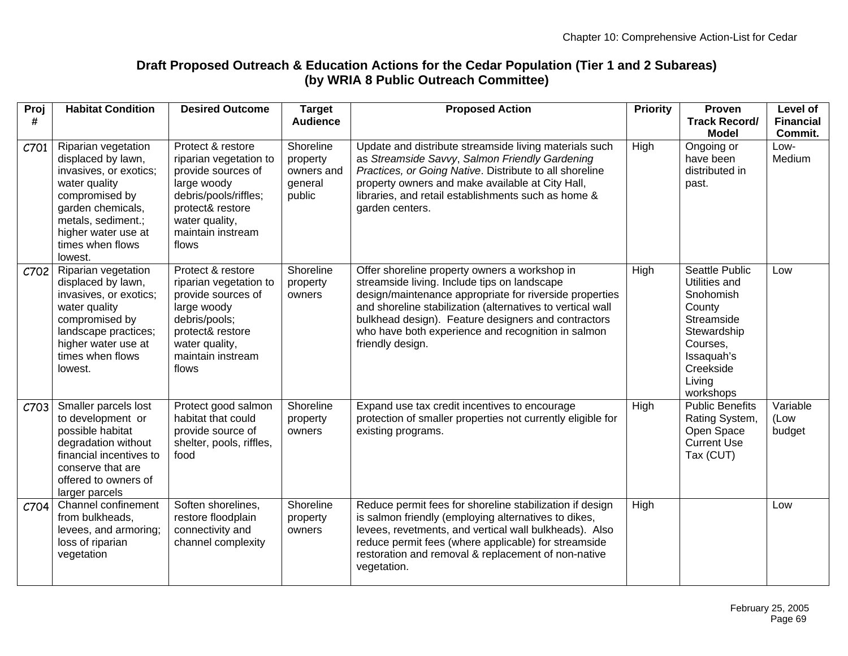## **Draft Proposed Outreach & Education Actions for the Cedar Population (Tier 1 and 2 Subareas) (by WRIA 8 Public Outreach Committee)**

| Proj<br># | <b>Habitat Condition</b>                                                                                                                                                                                | <b>Desired Outcome</b>                                                                                                                                                        | <b>Target</b><br><b>Audience</b>                         | <b>Proposed Action</b>                                                                                                                                                                                                                                                                                                                                  | <b>Priority</b> | Proven<br><b>Track Record/</b>                                                                                                                    | Level of<br><b>Financial</b> |
|-----------|---------------------------------------------------------------------------------------------------------------------------------------------------------------------------------------------------------|-------------------------------------------------------------------------------------------------------------------------------------------------------------------------------|----------------------------------------------------------|---------------------------------------------------------------------------------------------------------------------------------------------------------------------------------------------------------------------------------------------------------------------------------------------------------------------------------------------------------|-----------------|---------------------------------------------------------------------------------------------------------------------------------------------------|------------------------------|
|           |                                                                                                                                                                                                         |                                                                                                                                                                               |                                                          |                                                                                                                                                                                                                                                                                                                                                         |                 | <b>Model</b>                                                                                                                                      | Commit.                      |
| C701      | Riparian vegetation<br>displaced by lawn,<br>invasives, or exotics;<br>water quality<br>compromised by<br>garden chemicals,<br>metals, sediment.;<br>higher water use at<br>times when flows<br>lowest. | Protect & restore<br>riparian vegetation to<br>provide sources of<br>large woody<br>debris/pools/riffles;<br>protect& restore<br>water quality,<br>maintain instream<br>flows | Shoreline<br>property<br>owners and<br>general<br>public | Update and distribute streamside living materials such<br>as Streamside Savvy, Salmon Friendly Gardening<br>Practices, or Going Native. Distribute to all shoreline<br>property owners and make available at City Hall,<br>libraries, and retail establishments such as home &<br>garden centers.                                                       | <b>High</b>     | Ongoing or<br>have been<br>distributed in<br>past.                                                                                                | Low-<br>Medium               |
| C702      | Riparian vegetation<br>displaced by lawn,<br>invasives, or exotics;<br>water quality<br>compromised by<br>landscape practices;<br>higher water use at<br>times when flows<br>lowest.                    | Protect & restore<br>riparian vegetation to<br>provide sources of<br>large woody<br>debris/pools;<br>protect& restore<br>water quality,<br>maintain instream<br>flows         | Shoreline<br>property<br>owners                          | Offer shoreline property owners a workshop in<br>streamside living. Include tips on landscape<br>design/maintenance appropriate for riverside properties<br>and shoreline stabilization (alternatives to vertical wall<br>bulkhead design). Feature designers and contractors<br>who have both experience and recognition in salmon<br>friendly design. | High            | Seattle Public<br>Utilities and<br>Snohomish<br>County<br>Streamside<br>Stewardship<br>Courses,<br>Issaquah's<br>Creekside<br>Living<br>workshops | Low                          |
| C703      | Smaller parcels lost<br>to development or<br>possible habitat<br>degradation without<br>financial incentives to<br>conserve that are<br>offered to owners of<br>larger parcels                          | Protect good salmon<br>habitat that could<br>provide source of<br>shelter, pools, riffles,<br>food                                                                            | Shoreline<br>property<br>owners                          | Expand use tax credit incentives to encourage<br>protection of smaller properties not currently eligible for<br>existing programs.                                                                                                                                                                                                                      | <b>High</b>     | <b>Public Benefits</b><br>Rating System,<br>Open Space<br><b>Current Use</b><br>Tax (CUT)                                                         | Variable<br>(Low<br>budget   |
| C704      | Channel confinement<br>from bulkheads,<br>levees, and armoring;<br>loss of riparian<br>vegetation                                                                                                       | Soften shorelines,<br>restore floodplain<br>connectivity and<br>channel complexity                                                                                            | Shoreline<br>property<br>owners                          | Reduce permit fees for shoreline stabilization if design<br>is salmon friendly (employing alternatives to dikes,<br>levees, revetments, and vertical wall bulkheads). Also<br>reduce permit fees (where applicable) for streamside<br>restoration and removal & replacement of non-native<br>vegetation.                                                | High            |                                                                                                                                                   | Low                          |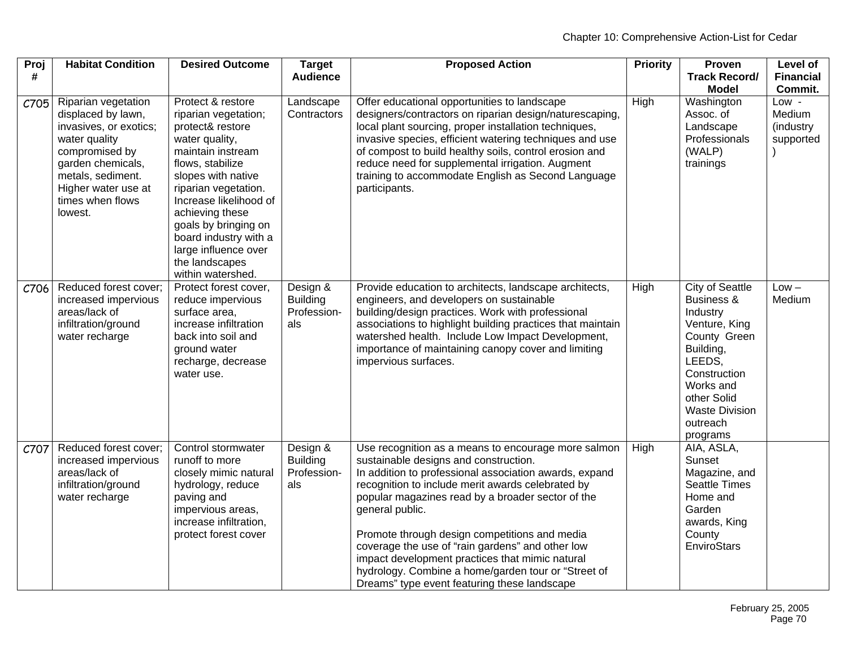| Proj<br># | <b>Habitat Condition</b>                                                                                                                                                                               | <b>Desired Outcome</b>                                                                                                                                                                                                                                                                                                              | <b>Target</b><br><b>Audience</b>                  | <b>Proposed Action</b>                                                                                                                                                                                                                                                                                                                                                                                                                                                                                                                             | <b>Priority</b> | Proven<br><b>Track Record/</b><br><b>Model</b>                                                                                                                                                        | <b>Level of</b><br><b>Financial</b><br>Commit. |
|-----------|--------------------------------------------------------------------------------------------------------------------------------------------------------------------------------------------------------|-------------------------------------------------------------------------------------------------------------------------------------------------------------------------------------------------------------------------------------------------------------------------------------------------------------------------------------|---------------------------------------------------|----------------------------------------------------------------------------------------------------------------------------------------------------------------------------------------------------------------------------------------------------------------------------------------------------------------------------------------------------------------------------------------------------------------------------------------------------------------------------------------------------------------------------------------------------|-----------------|-------------------------------------------------------------------------------------------------------------------------------------------------------------------------------------------------------|------------------------------------------------|
| C705      | Riparian vegetation<br>displaced by lawn,<br>invasives, or exotics;<br>water quality<br>compromised by<br>garden chemicals,<br>metals, sediment.<br>Higher water use at<br>times when flows<br>lowest. | Protect & restore<br>riparian vegetation;<br>protect& restore<br>water quality,<br>maintain instream<br>flows, stabilize<br>slopes with native<br>riparian vegetation.<br>Increase likelihood of<br>achieving these<br>goals by bringing on<br>board industry with a<br>large influence over<br>the landscapes<br>within watershed. | Landscape<br>Contractors                          | Offer educational opportunities to landscape<br>designers/contractors on riparian design/naturescaping,<br>local plant sourcing, proper installation techniques,<br>invasive species, efficient watering techniques and use<br>of compost to build healthy soils, control erosion and<br>reduce need for supplemental irrigation. Augment<br>training to accommodate English as Second Language<br>participants.                                                                                                                                   | High            | Washington<br>Assoc. of<br>Landscape<br>Professionals<br>(WALP)<br>trainings                                                                                                                          | Low -<br>Medium<br>(industry<br>supported      |
| C706      | Reduced forest cover;<br>increased impervious<br>areas/lack of<br>infiltration/ground<br>water recharge                                                                                                | Protect forest cover,<br>reduce impervious<br>surface area,<br>increase infiltration<br>back into soil and<br>ground water<br>recharge, decrease<br>water use.                                                                                                                                                                      | Design &<br><b>Building</b><br>Profession-<br>als | Provide education to architects, landscape architects,<br>engineers, and developers on sustainable<br>building/design practices. Work with professional<br>associations to highlight building practices that maintain<br>watershed health. Include Low Impact Development,<br>importance of maintaining canopy cover and limiting<br>impervious surfaces.                                                                                                                                                                                          | High            | <b>City of Seattle</b><br>Business &<br>Industry<br>Venture, King<br>County Green<br>Building,<br>LEEDS,<br>Construction<br>Works and<br>other Solid<br><b>Waste Division</b><br>outreach<br>programs | $Low -$<br>Medium                              |
| C707      | Reduced forest cover;<br>increased impervious<br>areas/lack of<br>infiltration/ground<br>water recharge                                                                                                | Control stormwater<br>runoff to more<br>closely mimic natural<br>hydrology, reduce<br>paving and<br>impervious areas,<br>increase infiltration,<br>protect forest cover                                                                                                                                                             | Design &<br><b>Building</b><br>Profession-<br>als | Use recognition as a means to encourage more salmon<br>sustainable designs and construction.<br>In addition to professional association awards, expand<br>recognition to include merit awards celebrated by<br>popular magazines read by a broader sector of the<br>general public.<br>Promote through design competitions and media<br>coverage the use of "rain gardens" and other low<br>impact development practices that mimic natural<br>hydrology. Combine a home/garden tour or "Street of<br>Dreams" type event featuring these landscape | <b>High</b>     | AIA, ASLA,<br>Sunset<br>Magazine, and<br>Seattle Times<br>Home and<br>Garden<br>awards, King<br>County<br>EnviroStars                                                                                 |                                                |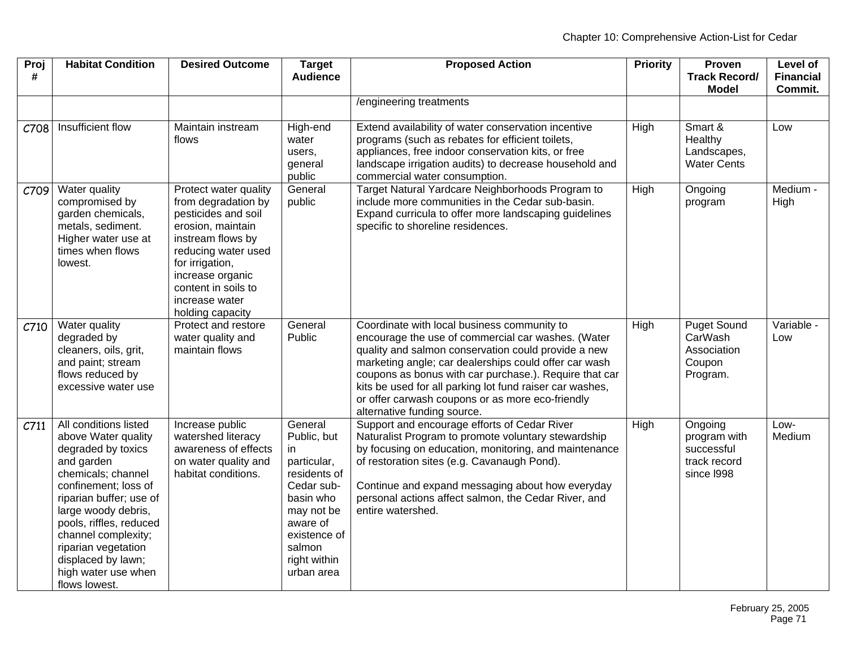| Proj<br># | <b>Habitat Condition</b>                                                                                                                                                                                                                                                                                                | <b>Desired Outcome</b>                                                                                                                                                                                                                   | <b>Target</b><br><b>Audience</b>                                                                                                                                          | <b>Proposed Action</b>                                                                                                                                                                                                                                                                                                                                                                                                     | <b>Priority</b> | Proven<br><b>Track Record/</b><br><b>Model</b>                      | <b>Level of</b><br><b>Financial</b><br>Commit. |
|-----------|-------------------------------------------------------------------------------------------------------------------------------------------------------------------------------------------------------------------------------------------------------------------------------------------------------------------------|------------------------------------------------------------------------------------------------------------------------------------------------------------------------------------------------------------------------------------------|---------------------------------------------------------------------------------------------------------------------------------------------------------------------------|----------------------------------------------------------------------------------------------------------------------------------------------------------------------------------------------------------------------------------------------------------------------------------------------------------------------------------------------------------------------------------------------------------------------------|-----------------|---------------------------------------------------------------------|------------------------------------------------|
|           |                                                                                                                                                                                                                                                                                                                         |                                                                                                                                                                                                                                          |                                                                                                                                                                           | /engineering treatments                                                                                                                                                                                                                                                                                                                                                                                                    |                 |                                                                     |                                                |
| C708      | Insufficient flow                                                                                                                                                                                                                                                                                                       | Maintain instream<br>flows                                                                                                                                                                                                               | High-end<br>water<br>users,<br>general<br>public                                                                                                                          | Extend availability of water conservation incentive<br>programs (such as rebates for efficient toilets,<br>appliances, free indoor conservation kits, or free<br>landscape irrigation audits) to decrease household and<br>commercial water consumption.                                                                                                                                                                   | High            | Smart &<br>Healthy<br>Landscapes,<br><b>Water Cents</b>             | Low                                            |
| C709      | Water quality<br>compromised by<br>garden chemicals,<br>metals, sediment.<br>Higher water use at<br>times when flows<br>lowest.                                                                                                                                                                                         | Protect water quality<br>from degradation by<br>pesticides and soil<br>erosion, maintain<br>instream flows by<br>reducing water used<br>for irrigation,<br>increase organic<br>content in soils to<br>increase water<br>holding capacity | General<br>public                                                                                                                                                         | Target Natural Yardcare Neighborhoods Program to<br>include more communities in the Cedar sub-basin.<br>Expand curricula to offer more landscaping guidelines<br>specific to shoreline residences.                                                                                                                                                                                                                         | High            | Ongoing<br>program                                                  | Medium -<br>High                               |
| C710      | Water quality<br>degraded by<br>cleaners, oils, grit,<br>and paint; stream<br>flows reduced by<br>excessive water use                                                                                                                                                                                                   | Protect and restore<br>water quality and<br>maintain flows                                                                                                                                                                               | General<br>Public                                                                                                                                                         | Coordinate with local business community to<br>encourage the use of commercial car washes. (Water<br>quality and salmon conservation could provide a new<br>marketing angle; car dealerships could offer car wash<br>coupons as bonus with car purchase.). Require that car<br>kits be used for all parking lot fund raiser car washes,<br>or offer carwash coupons or as more eco-friendly<br>alternative funding source. | High            | <b>Puget Sound</b><br>CarWash<br>Association<br>Coupon<br>Program.  | Variable -<br>Low                              |
| C711      | All conditions listed<br>above Water quality<br>degraded by toxics<br>and garden<br>chemicals; channel<br>confinement; loss of<br>riparian buffer; use of<br>large woody debris,<br>pools, riffles, reduced<br>channel complexity;<br>riparian vegetation<br>displaced by lawn;<br>high water use when<br>flows lowest. | Increase public<br>watershed literacy<br>awareness of effects<br>on water quality and<br>habitat conditions.                                                                                                                             | General<br>Public, but<br>in.<br>particular,<br>residents of<br>Cedar sub-<br>basin who<br>may not be<br>aware of<br>existence of<br>salmon<br>right within<br>urban area | Support and encourage efforts of Cedar River<br>Naturalist Program to promote voluntary stewardship<br>by focusing on education, monitoring, and maintenance<br>of restoration sites (e.g. Cavanaugh Pond).<br>Continue and expand messaging about how everyday<br>personal actions affect salmon, the Cedar River, and<br>entire watershed.                                                                               | High            | Ongoing<br>program with<br>successful<br>track record<br>since 1998 | Low-<br>Medium                                 |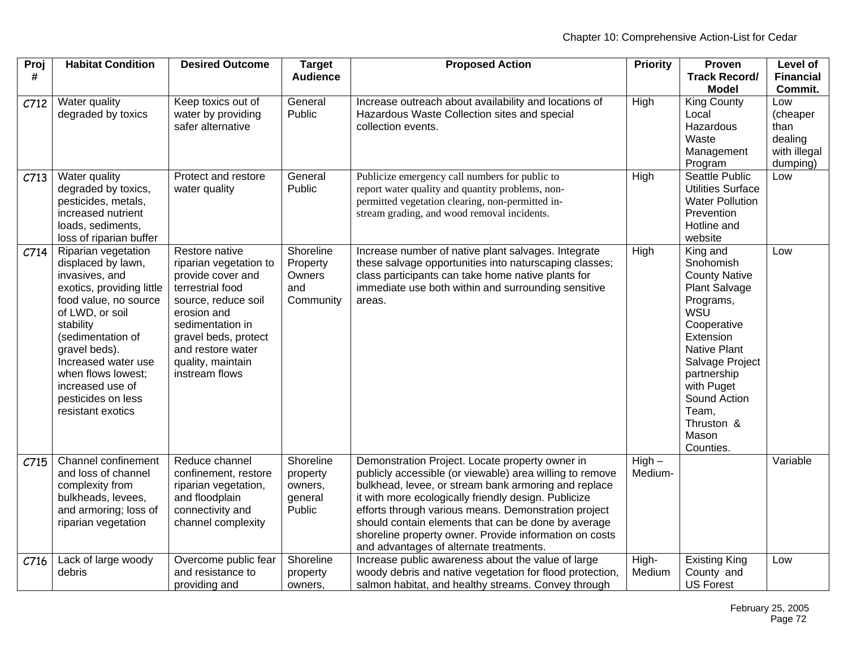| Proj<br># | <b>Habitat Condition</b>                                                                                                                                                                                                                                                                            | <b>Desired Outcome</b>                                                                                                                                                                                                          | <b>Target</b><br><b>Audience</b>                      | <b>Proposed Action</b>                                                                                                                                                                                                                                                                                                                                                                                                                          | <b>Priority</b>     | Proven<br><b>Track Record/</b><br><b>Model</b>                                                                                                                                                                                                            | <b>Level of</b><br><b>Financial</b><br>Commit.                 |
|-----------|-----------------------------------------------------------------------------------------------------------------------------------------------------------------------------------------------------------------------------------------------------------------------------------------------------|---------------------------------------------------------------------------------------------------------------------------------------------------------------------------------------------------------------------------------|-------------------------------------------------------|-------------------------------------------------------------------------------------------------------------------------------------------------------------------------------------------------------------------------------------------------------------------------------------------------------------------------------------------------------------------------------------------------------------------------------------------------|---------------------|-----------------------------------------------------------------------------------------------------------------------------------------------------------------------------------------------------------------------------------------------------------|----------------------------------------------------------------|
| C712      | Water quality<br>degraded by toxics                                                                                                                                                                                                                                                                 | Keep toxics out of<br>water by providing<br>safer alternative                                                                                                                                                                   | General<br>Public                                     | Increase outreach about availability and locations of<br>Hazardous Waste Collection sites and special<br>collection events.                                                                                                                                                                                                                                                                                                                     | High                | <b>King County</b><br>Local<br>Hazardous<br>Waste<br>Management<br>Program                                                                                                                                                                                | Low<br>(cheaper<br>than<br>dealing<br>with illegal<br>dumping) |
| C713      | Water quality<br>degraded by toxics,<br>pesticides, metals,<br>increased nutrient<br>loads, sediments,<br>loss of riparian buffer                                                                                                                                                                   | Protect and restore<br>water quality                                                                                                                                                                                            | General<br>Public                                     | Publicize emergency call numbers for public to<br>report water quality and quantity problems, non-<br>permitted vegetation clearing, non-permitted in-<br>stream grading, and wood removal incidents.                                                                                                                                                                                                                                           | High                | Seattle Public<br><b>Utilities Surface</b><br><b>Water Pollution</b><br>Prevention<br>Hotline and<br>website                                                                                                                                              | Low                                                            |
| C714      | Riparian vegetation<br>displaced by lawn,<br>invasives, and<br>exotics, providing little<br>food value, no source<br>of LWD, or soil<br>stability<br>(sedimentation of<br>gravel beds).<br>Increased water use<br>when flows lowest;<br>increased use of<br>pesticides on less<br>resistant exotics | Restore native<br>riparian vegetation to<br>provide cover and<br>terrestrial food<br>source, reduce soil<br>erosion and<br>sedimentation in<br>gravel beds, protect<br>and restore water<br>quality, maintain<br>instream flows | Shoreline<br>Property<br>Owners<br>and<br>Community   | Increase number of native plant salvages. Integrate<br>these salvage opportunities into naturscaping classes;<br>class participants can take home native plants for<br>immediate use both within and surrounding sensitive<br>areas.                                                                                                                                                                                                            | High                | King and<br>Snohomish<br><b>County Native</b><br><b>Plant Salvage</b><br>Programs,<br>WSU<br>Cooperative<br>Extension<br><b>Native Plant</b><br>Salvage Project<br>partnership<br>with Puget<br>Sound Action<br>Team,<br>Thruston &<br>Mason<br>Counties. | Low                                                            |
| C715      | Channel confinement<br>and loss of channel<br>complexity from<br>bulkheads, levees,<br>and armoring; loss of<br>riparian vegetation                                                                                                                                                                 | Reduce channel<br>confinement, restore<br>riparian vegetation,<br>and floodplain<br>connectivity and<br>channel complexity                                                                                                      | Shoreline<br>property<br>owners,<br>general<br>Public | Demonstration Project. Locate property owner in<br>publicly accessible (or viewable) area willing to remove<br>bulkhead, levee, or stream bank armoring and replace<br>it with more ecologically friendly design. Publicize<br>efforts through various means. Demonstration project<br>should contain elements that can be done by average<br>shoreline property owner. Provide information on costs<br>and advantages of alternate treatments. | $High -$<br>Medium- |                                                                                                                                                                                                                                                           | Variable                                                       |
| C716      | Lack of large woody<br>debris                                                                                                                                                                                                                                                                       | Overcome public fear<br>and resistance to<br>providing and                                                                                                                                                                      | Shoreline<br>property<br>owners,                      | Increase public awareness about the value of large<br>woody debris and native vegetation for flood protection,<br>salmon habitat, and healthy streams. Convey through                                                                                                                                                                                                                                                                           | High-<br>Medium     | <b>Existing King</b><br>County and<br><b>US Forest</b>                                                                                                                                                                                                    | Low                                                            |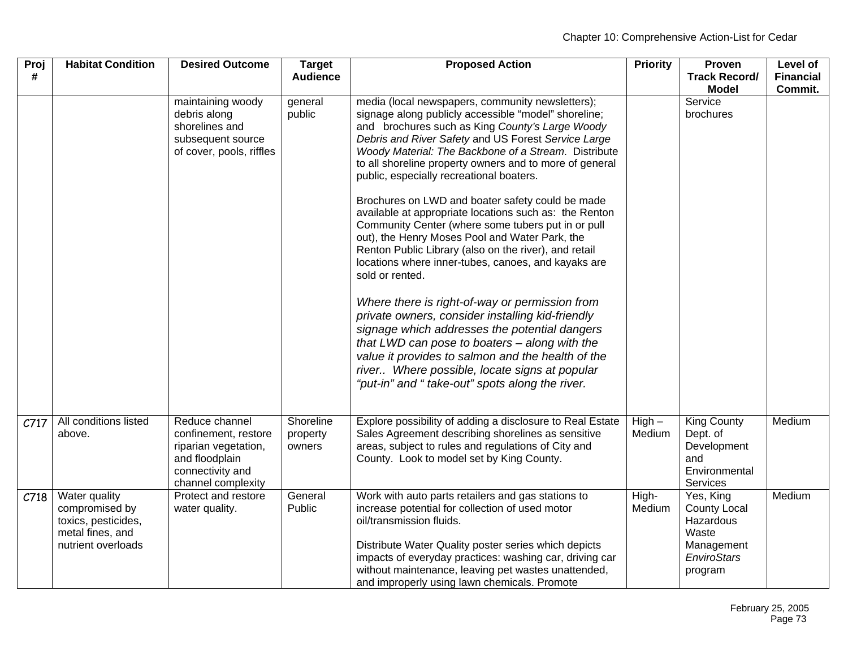| Proj<br># | <b>Habitat Condition</b>                                                                         | <b>Desired Outcome</b>                                                                                                     | <b>Target</b><br><b>Audience</b> | <b>Proposed Action</b>                                                                                                                                                                                                                                                                                                                                                                                                                                                                                                                                                                                                                                                                                                                                                                                                                                                                                                                                                                                                                                                                                      | <b>Priority</b>    | Proven<br><b>Track Record/</b><br><b>Model</b>                                                 | Level of<br><b>Financial</b><br>Commit. |
|-----------|--------------------------------------------------------------------------------------------------|----------------------------------------------------------------------------------------------------------------------------|----------------------------------|-------------------------------------------------------------------------------------------------------------------------------------------------------------------------------------------------------------------------------------------------------------------------------------------------------------------------------------------------------------------------------------------------------------------------------------------------------------------------------------------------------------------------------------------------------------------------------------------------------------------------------------------------------------------------------------------------------------------------------------------------------------------------------------------------------------------------------------------------------------------------------------------------------------------------------------------------------------------------------------------------------------------------------------------------------------------------------------------------------------|--------------------|------------------------------------------------------------------------------------------------|-----------------------------------------|
|           |                                                                                                  | maintaining woody<br>debris along<br>shorelines and<br>subsequent source<br>of cover, pools, riffles                       | general<br>public                | media (local newspapers, community newsletters);<br>signage along publicly accessible "model" shoreline;<br>and brochures such as King County's Large Woody<br>Debris and River Safety and US Forest Service Large<br>Woody Material: The Backbone of a Stream. Distribute<br>to all shoreline property owners and to more of general<br>public, especially recreational boaters.<br>Brochures on LWD and boater safety could be made<br>available at appropriate locations such as: the Renton<br>Community Center (where some tubers put in or pull<br>out), the Henry Moses Pool and Water Park, the<br>Renton Public Library (also on the river), and retail<br>locations where inner-tubes, canoes, and kayaks are<br>sold or rented.<br>Where there is right-of-way or permission from<br>private owners, consider installing kid-friendly<br>signage which addresses the potential dangers<br>that LWD can pose to boaters - along with the<br>value it provides to salmon and the health of the<br>river Where possible, locate signs at popular<br>"put-in" and " take-out" spots along the river. |                    | Service<br>brochures                                                                           |                                         |
| C717      | All conditions listed<br>above.                                                                  | Reduce channel<br>confinement, restore<br>riparian vegetation,<br>and floodplain<br>connectivity and<br>channel complexity | Shoreline<br>property<br>owners  | Explore possibility of adding a disclosure to Real Estate<br>Sales Agreement describing shorelines as sensitive<br>areas, subject to rules and regulations of City and<br>County. Look to model set by King County.                                                                                                                                                                                                                                                                                                                                                                                                                                                                                                                                                                                                                                                                                                                                                                                                                                                                                         | $High -$<br>Medium | <b>King County</b><br>Dept. of<br>Development<br>and<br>Environmental<br>Services              | Medium                                  |
| C718      | Water quality<br>compromised by<br>toxics, pesticides,<br>metal fines, and<br>nutrient overloads | Protect and restore<br>water quality.                                                                                      | General<br>Public                | Work with auto parts retailers and gas stations to<br>increase potential for collection of used motor<br>oil/transmission fluids.<br>Distribute Water Quality poster series which depicts<br>impacts of everyday practices: washing car, driving car<br>without maintenance, leaving pet wastes unattended,<br>and improperly using lawn chemicals. Promote                                                                                                                                                                                                                                                                                                                                                                                                                                                                                                                                                                                                                                                                                                                                                 | High-<br>Medium    | Yes, King<br><b>County Local</b><br>Hazardous<br>Waste<br>Management<br>EnviroStars<br>program | Medium                                  |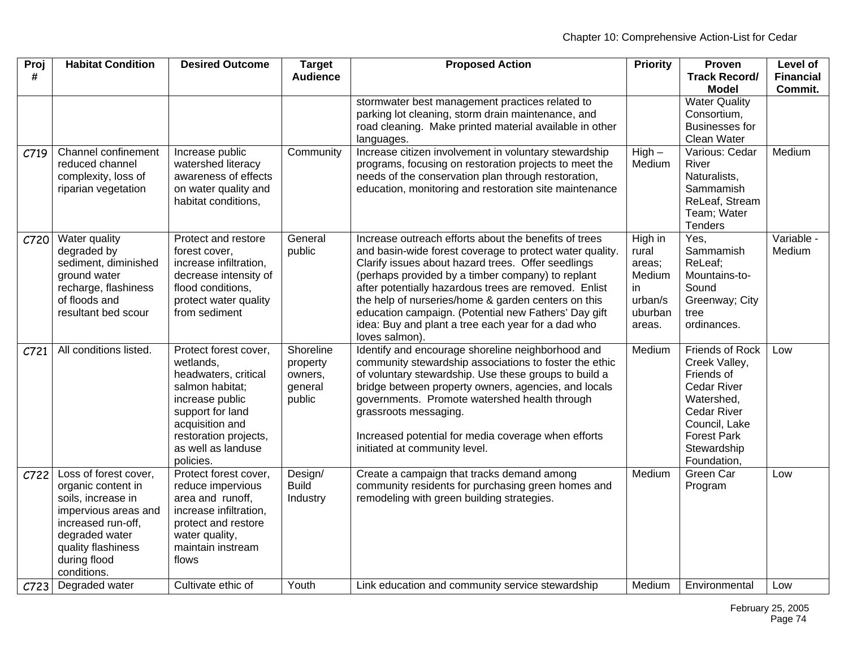| Proj | <b>Habitat Condition</b>            | <b>Desired Outcome</b>                          | <b>Target</b>   | <b>Proposed Action</b>                                                                                         | <b>Priority</b>  | Proven                | <b>Level of</b>  |
|------|-------------------------------------|-------------------------------------------------|-----------------|----------------------------------------------------------------------------------------------------------------|------------------|-----------------------|------------------|
| #    |                                     |                                                 | <b>Audience</b> |                                                                                                                |                  | <b>Track Record/</b>  | <b>Financial</b> |
|      |                                     |                                                 |                 |                                                                                                                |                  | <b>Model</b>          | Commit.          |
|      |                                     |                                                 |                 | stormwater best management practices related to                                                                |                  | <b>Water Quality</b>  |                  |
|      |                                     |                                                 |                 | parking lot cleaning, storm drain maintenance, and                                                             |                  | Consortium,           |                  |
|      |                                     |                                                 |                 | road cleaning. Make printed material available in other                                                        |                  | <b>Businesses for</b> |                  |
|      |                                     |                                                 |                 | languages.                                                                                                     |                  | <b>Clean Water</b>    |                  |
| C719 | Channel confinement                 | Increase public                                 | Community       | Increase citizen involvement in voluntary stewardship                                                          | $High -$         | Various: Cedar        | Medium           |
|      | reduced channel                     | watershed literacy                              |                 | programs, focusing on restoration projects to meet the                                                         | Medium           | River                 |                  |
|      | complexity, loss of                 | awareness of effects                            |                 | needs of the conservation plan through restoration,                                                            |                  | Naturalists,          |                  |
|      | riparian vegetation                 | on water quality and                            |                 | education, monitoring and restoration site maintenance                                                         |                  | Sammamish             |                  |
|      |                                     | habitat conditions,                             |                 |                                                                                                                |                  | ReLeaf, Stream        |                  |
|      |                                     |                                                 |                 |                                                                                                                |                  | Team; Water           |                  |
|      |                                     |                                                 |                 |                                                                                                                |                  | <b>Tenders</b>        |                  |
| C720 | Water quality                       | Protect and restore                             | General         | Increase outreach efforts about the benefits of trees                                                          | High in          | Yes,                  | Variable -       |
|      | degraded by<br>sediment, diminished | forest cover,                                   | public          | and basin-wide forest coverage to protect water quality.<br>Clarify issues about hazard trees. Offer seedlings | rural            | Sammamish<br>ReLeaf:  | Medium           |
|      | ground water                        | increase infiltration,<br>decrease intensity of |                 | (perhaps provided by a timber company) to replant                                                              | areas:<br>Medium | Mountains-to-         |                  |
|      | recharge, flashiness                | flood conditions,                               |                 | after potentially hazardous trees are removed. Enlist                                                          |                  | Sound                 |                  |
|      | of floods and                       | protect water quality                           |                 | the help of nurseries/home & garden centers on this                                                            | in<br>urban/s    | Greenway; City        |                  |
|      | resultant bed scour                 | from sediment                                   |                 | education campaign. (Potential new Fathers' Day gift                                                           | uburban          | tree                  |                  |
|      |                                     |                                                 |                 | idea: Buy and plant a tree each year for a dad who                                                             | areas.           | ordinances.           |                  |
|      |                                     |                                                 |                 | loves salmon).                                                                                                 |                  |                       |                  |
| C721 | All conditions listed.              | Protect forest cover,                           | Shoreline       | Identify and encourage shoreline neighborhood and                                                              | Medium           | Friends of Rock       | Low              |
|      |                                     | wetlands,                                       | property        | community stewardship associations to foster the ethic                                                         |                  | Creek Valley,         |                  |
|      |                                     | headwaters, critical                            | owners,         | of voluntary stewardship. Use these groups to build a                                                          |                  | Friends of            |                  |
|      |                                     | salmon habitat;                                 | general         | bridge between property owners, agencies, and locals                                                           |                  | <b>Cedar River</b>    |                  |
|      |                                     | increase public                                 | public          | governments. Promote watershed health through                                                                  |                  | Watershed,            |                  |
|      |                                     | support for land                                |                 | grassroots messaging.                                                                                          |                  | <b>Cedar River</b>    |                  |
|      |                                     | acquisition and                                 |                 |                                                                                                                |                  | Council, Lake         |                  |
|      |                                     | restoration projects,                           |                 | Increased potential for media coverage when efforts                                                            |                  | <b>Forest Park</b>    |                  |
|      |                                     | as well as landuse                              |                 | initiated at community level.                                                                                  |                  | Stewardship           |                  |
|      |                                     | policies.                                       |                 |                                                                                                                |                  | Foundation,           |                  |
| C722 | Loss of forest cover,               | Protect forest cover,                           | Design/         | Create a campaign that tracks demand among                                                                     | Medium           | Green Car             | Low              |
|      | organic content in                  | reduce impervious                               | <b>Build</b>    | community residents for purchasing green homes and                                                             |                  | Program               |                  |
|      | soils, increase in                  | area and runoff,                                | Industry        | remodeling with green building strategies.                                                                     |                  |                       |                  |
|      | impervious areas and                | increase infiltration,                          |                 |                                                                                                                |                  |                       |                  |
|      | increased run-off,                  | protect and restore                             |                 |                                                                                                                |                  |                       |                  |
|      | degraded water                      | water quality,                                  |                 |                                                                                                                |                  |                       |                  |
|      | quality flashiness                  | maintain instream                               |                 |                                                                                                                |                  |                       |                  |
|      | during flood                        | flows                                           |                 |                                                                                                                |                  |                       |                  |
|      | conditions.                         |                                                 |                 |                                                                                                                |                  |                       |                  |
| C723 | Degraded water                      | Cultivate ethic of                              | Youth           | Link education and community service stewardship                                                               | Medium           | Environmental         | Low              |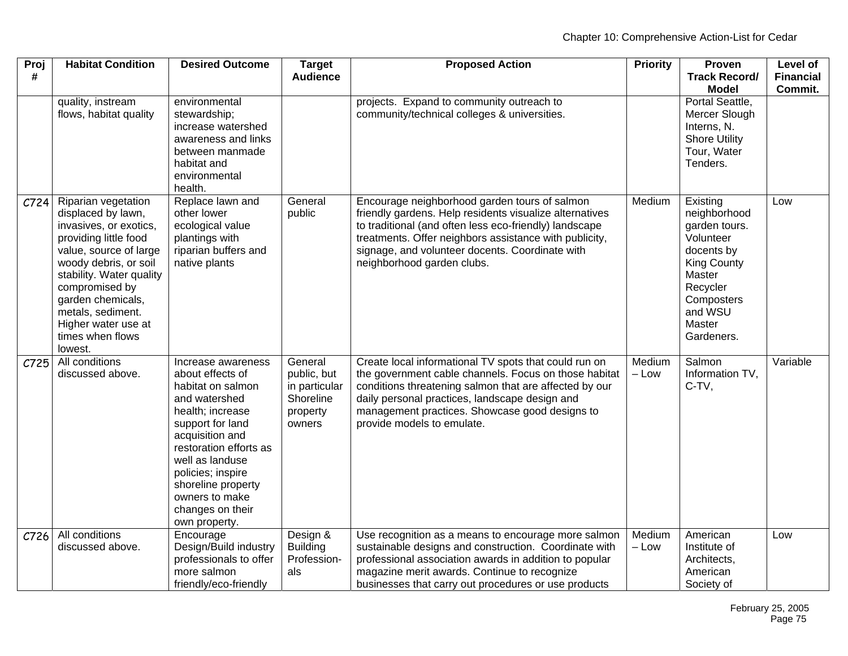| $P$ roj<br># | <b>Habitat Condition</b>                                                                                                                                                                                                                                                                      | <b>Desired Outcome</b>                                                                                                                                                                                                                                                                 | <b>Target</b><br><b>Audience</b>                                           | <b>Proposed Action</b>                                                                                                                                                                                                                                                                                        | <b>Priority</b>   | Proven<br><b>Track Record/</b><br><b>Model</b>                                                                                                                    | <b>Level of</b><br><b>Financial</b><br>Commit. |
|--------------|-----------------------------------------------------------------------------------------------------------------------------------------------------------------------------------------------------------------------------------------------------------------------------------------------|----------------------------------------------------------------------------------------------------------------------------------------------------------------------------------------------------------------------------------------------------------------------------------------|----------------------------------------------------------------------------|---------------------------------------------------------------------------------------------------------------------------------------------------------------------------------------------------------------------------------------------------------------------------------------------------------------|-------------------|-------------------------------------------------------------------------------------------------------------------------------------------------------------------|------------------------------------------------|
|              | quality, instream<br>flows, habitat quality                                                                                                                                                                                                                                                   | environmental<br>stewardship;<br>increase watershed<br>awareness and links<br>between manmade<br>habitat and<br>environmental<br>health.                                                                                                                                               |                                                                            | projects. Expand to community outreach to<br>community/technical colleges & universities.                                                                                                                                                                                                                     |                   | Portal Seattle,<br>Mercer Slough<br>Interns, N.<br><b>Shore Utility</b><br>Tour, Water<br>Tenders.                                                                |                                                |
| C724         | Riparian vegetation<br>displaced by lawn,<br>invasives, or exotics,<br>providing little food<br>value, source of large<br>woody debris, or soil<br>stability. Water quality<br>compromised by<br>garden chemicals,<br>metals, sediment.<br>Higher water use at<br>times when flows<br>lowest. | Replace lawn and<br>other lower<br>ecological value<br>plantings with<br>riparian buffers and<br>native plants                                                                                                                                                                         | General<br>public                                                          | Encourage neighborhood garden tours of salmon<br>friendly gardens. Help residents visualize alternatives<br>to traditional (and often less eco-friendly) landscape<br>treatments. Offer neighbors assistance with publicity,<br>signage, and volunteer docents. Coordinate with<br>neighborhood garden clubs. | Medium            | Existing<br>neighborhood<br>garden tours.<br>Volunteer<br>docents by<br><b>King County</b><br>Master<br>Recycler<br>Composters<br>and WSU<br>Master<br>Gardeners. | Low                                            |
| C725         | All conditions<br>discussed above.                                                                                                                                                                                                                                                            | Increase awareness<br>about effects of<br>habitat on salmon<br>and watershed<br>health; increase<br>support for land<br>acquisition and<br>restoration efforts as<br>well as landuse<br>policies; inspire<br>shoreline property<br>owners to make<br>changes on their<br>own property. | General<br>public, but<br>in particular<br>Shoreline<br>property<br>owners | Create local informational TV spots that could run on<br>the government cable channels. Focus on those habitat<br>conditions threatening salmon that are affected by our<br>daily personal practices, landscape design and<br>management practices. Showcase good designs to<br>provide models to emulate.    | Medium<br>$-$ Low | Salmon<br>Information TV.<br>C-TV,                                                                                                                                | Variable                                       |
| C726         | All conditions<br>discussed above.                                                                                                                                                                                                                                                            | Encourage<br>Design/Build industry<br>professionals to offer<br>more salmon<br>friendly/eco-friendly                                                                                                                                                                                   | Design &<br><b>Building</b><br>Profession-<br>als                          | Use recognition as a means to encourage more salmon<br>sustainable designs and construction. Coordinate with<br>professional association awards in addition to popular<br>magazine merit awards. Continue to recognize<br>businesses that carry out procedures or use products                                | Medium<br>$-$ Low | American<br>Institute of<br>Architects,<br>American<br>Society of                                                                                                 | Low                                            |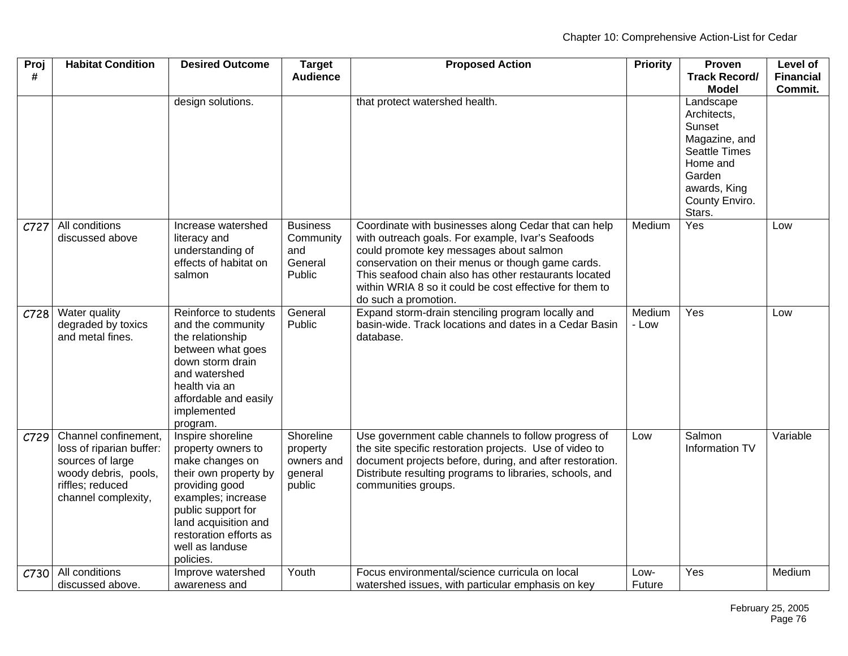| Proj<br>#        | <b>Habitat Condition</b>                                                                                                                | <b>Desired Outcome</b>                                                                                                                                                                                                              | <b>Target</b><br><b>Audience</b>                         | <b>Proposed Action</b>                                                                                                                                                                                                                                                                                                                                | <b>Priority</b> | Proven<br><b>Track Record/</b><br><b>Model</b>                                                                                                | Level of<br><b>Financial</b><br>Commit. |
|------------------|-----------------------------------------------------------------------------------------------------------------------------------------|-------------------------------------------------------------------------------------------------------------------------------------------------------------------------------------------------------------------------------------|----------------------------------------------------------|-------------------------------------------------------------------------------------------------------------------------------------------------------------------------------------------------------------------------------------------------------------------------------------------------------------------------------------------------------|-----------------|-----------------------------------------------------------------------------------------------------------------------------------------------|-----------------------------------------|
|                  |                                                                                                                                         | design solutions.                                                                                                                                                                                                                   |                                                          | that protect watershed health.                                                                                                                                                                                                                                                                                                                        |                 | Landscape<br>Architects,<br>Sunset<br>Magazine, and<br><b>Seattle Times</b><br>Home and<br>Garden<br>awards, King<br>County Enviro.<br>Stars. |                                         |
| C727             | All conditions<br>discussed above                                                                                                       | Increase watershed<br>literacy and<br>understanding of<br>effects of habitat on<br>salmon                                                                                                                                           | <b>Business</b><br>Community<br>and<br>General<br>Public | Coordinate with businesses along Cedar that can help<br>with outreach goals. For example, Ivar's Seafoods<br>could promote key messages about salmon<br>conservation on their menus or though game cards.<br>This seafood chain also has other restaurants located<br>within WRIA 8 so it could be cost effective for them to<br>do such a promotion. | Medium          | Yes                                                                                                                                           | Low                                     |
| C728             | Water quality<br>degraded by toxics<br>and metal fines.                                                                                 | Reinforce to students<br>and the community<br>the relationship<br>between what goes<br>down storm drain<br>and watershed<br>health via an<br>affordable and easily<br>implemented<br>program.                                       | General<br>Public                                        | Expand storm-drain stenciling program locally and<br>basin-wide. Track locations and dates in a Cedar Basin<br>database.                                                                                                                                                                                                                              | Medium<br>- Low | Yes                                                                                                                                           | Low                                     |
| C729             | Channel confinement,<br>loss of riparian buffer:<br>sources of large<br>woody debris, pools,<br>riffles; reduced<br>channel complexity, | Inspire shoreline<br>property owners to<br>make changes on<br>their own property by<br>providing good<br>examples; increase<br>public support for<br>land acquisition and<br>restoration efforts as<br>well as landuse<br>policies. | Shoreline<br>property<br>owners and<br>general<br>public | Use government cable channels to follow progress of<br>the site specific restoration projects. Use of video to<br>document projects before, during, and after restoration.<br>Distribute resulting programs to libraries, schools, and<br>communities groups.                                                                                         | Low             | Salmon<br>Information TV                                                                                                                      | Variable                                |
| C <sub>730</sub> | All conditions<br>discussed above.                                                                                                      | Improve watershed<br>awareness and                                                                                                                                                                                                  | Youth                                                    | Focus environmental/science curricula on local<br>watershed issues, with particular emphasis on key                                                                                                                                                                                                                                                   | Low-<br>Future  | Yes                                                                                                                                           | Medium                                  |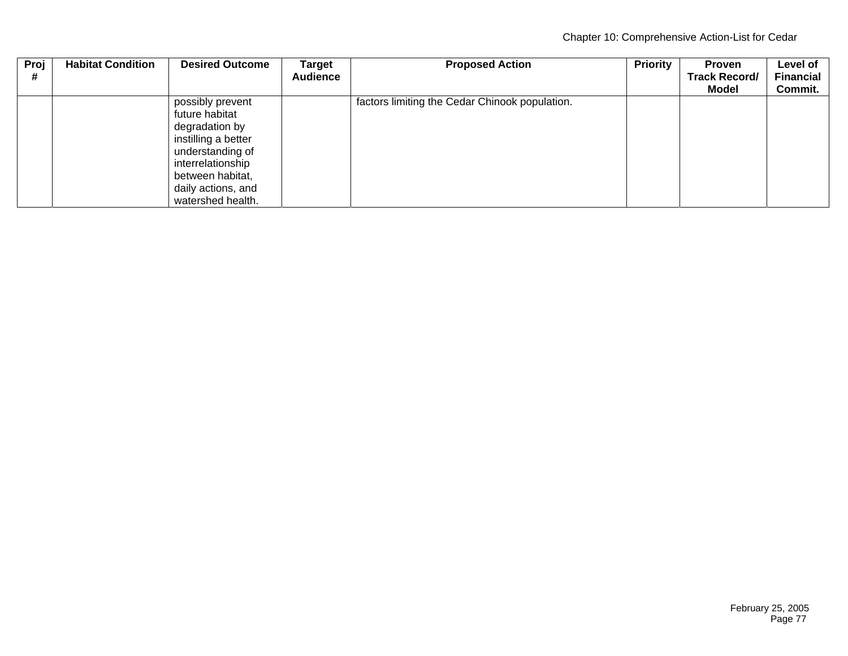| Proj | <b>Habitat Condition</b> | <b>Desired Outcome</b> | Target          | <b>Proposed Action</b>                         | <b>Priority</b> | <b>Proven</b>        | Level of         |
|------|--------------------------|------------------------|-----------------|------------------------------------------------|-----------------|----------------------|------------------|
| #    |                          |                        | <b>Audience</b> |                                                |                 | <b>Track Record/</b> | <b>Financial</b> |
|      |                          |                        |                 |                                                |                 | Model                | Commit.          |
|      |                          | possibly prevent       |                 | factors limiting the Cedar Chinook population. |                 |                      |                  |
|      |                          | future habitat         |                 |                                                |                 |                      |                  |
|      |                          | degradation by         |                 |                                                |                 |                      |                  |
|      |                          | instilling a better    |                 |                                                |                 |                      |                  |
|      |                          | understanding of       |                 |                                                |                 |                      |                  |
|      |                          | interrelationship      |                 |                                                |                 |                      |                  |
|      |                          | between habitat,       |                 |                                                |                 |                      |                  |
|      |                          | daily actions, and     |                 |                                                |                 |                      |                  |
|      |                          | watershed health.      |                 |                                                |                 |                      |                  |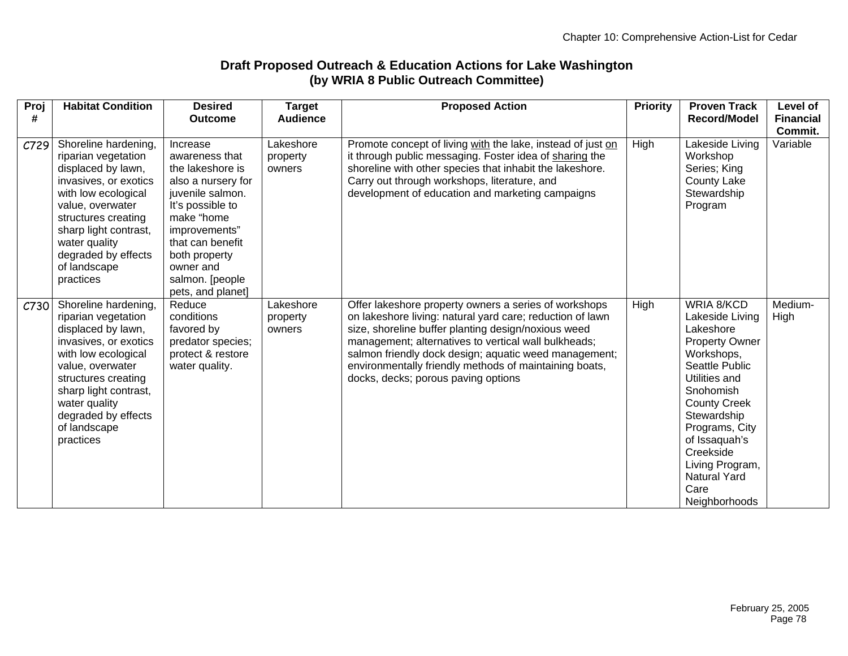## **Draft Proposed Outreach & Education Actions for Lake Washington (by WRIA 8 Public Outreach Committee)**

| Proj<br># | <b>Habitat Condition</b>                                                                                                                                                                                                                                   | <b>Desired</b><br><b>Outcome</b>                                                                                                                                                                                                      | <b>Target</b><br><b>Audience</b> | <b>Proposed Action</b>                                                                                                                                                                                                                                                                                                                                                                      | <b>Priority</b> | <b>Proven Track</b><br>Record/Model                                                                                                                                                                                                                                                        | Level of<br><b>Financial</b><br>Commit. |
|-----------|------------------------------------------------------------------------------------------------------------------------------------------------------------------------------------------------------------------------------------------------------------|---------------------------------------------------------------------------------------------------------------------------------------------------------------------------------------------------------------------------------------|----------------------------------|---------------------------------------------------------------------------------------------------------------------------------------------------------------------------------------------------------------------------------------------------------------------------------------------------------------------------------------------------------------------------------------------|-----------------|--------------------------------------------------------------------------------------------------------------------------------------------------------------------------------------------------------------------------------------------------------------------------------------------|-----------------------------------------|
| C729      | Shoreline hardening,<br>riparian vegetation<br>displaced by lawn,<br>invasives, or exotics<br>with low ecological<br>value, overwater<br>structures creating<br>sharp light contrast,<br>water quality<br>degraded by effects<br>of landscape<br>practices | Increase<br>awareness that<br>the lakeshore is<br>also a nursery for<br>juvenile salmon.<br>It's possible to<br>make "home<br>improvements"<br>that can benefit<br>both property<br>owner and<br>salmon. [people<br>pets, and planet] | Lakeshore<br>property<br>owners  | Promote concept of living with the lake, instead of just on<br>it through public messaging. Foster idea of sharing the<br>shoreline with other species that inhabit the lakeshore.<br>Carry out through workshops, literature, and<br>development of education and marketing campaigns                                                                                                      | High            | Lakeside Living<br>Workshop<br>Series; King<br><b>County Lake</b><br>Stewardship<br>Program                                                                                                                                                                                                | Variable                                |
| C730      | Shoreline hardening,<br>riparian vegetation<br>displaced by lawn,<br>invasives, or exotics<br>with low ecological<br>value, overwater<br>structures creating<br>sharp light contrast,<br>water quality<br>degraded by effects<br>of landscape<br>practices | Reduce<br>conditions<br>favored by<br>predator species;<br>protect & restore<br>water quality.                                                                                                                                        | Lakeshore<br>property<br>owners  | Offer lakeshore property owners a series of workshops<br>on lakeshore living: natural yard care; reduction of lawn<br>size, shoreline buffer planting design/noxious weed<br>management; alternatives to vertical wall bulkheads;<br>salmon friendly dock design; aquatic weed management;<br>environmentally friendly methods of maintaining boats,<br>docks, decks; porous paving options | High            | WRIA 8/KCD<br>Lakeside Living<br>Lakeshore<br><b>Property Owner</b><br>Workshops,<br>Seattle Public<br>Utilities and<br>Snohomish<br><b>County Creek</b><br>Stewardship<br>Programs, City<br>of Issaquah's<br>Creekside<br>Living Program,<br><b>Natural Yard</b><br>Care<br>Neighborhoods | Medium-<br>High                         |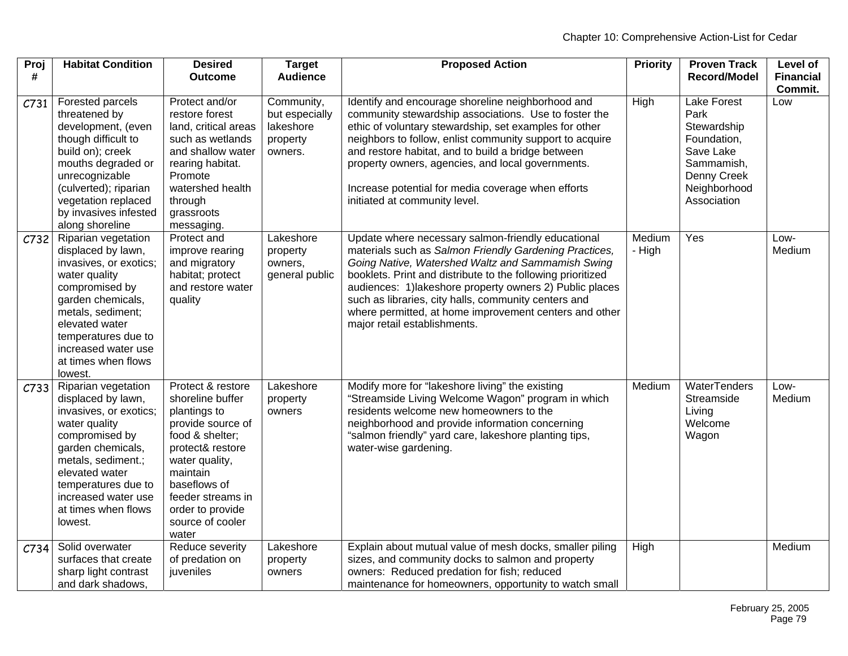| Proj<br># | <b>Habitat Condition</b>                                                                                                                                                                                                                            | <b>Desired</b><br><b>Outcome</b>                                                                                                                                                                                                      | <b>Target</b><br><b>Audience</b>                                 | <b>Proposed Action</b>                                                                                                                                                                                                                                                                                                                                                                                                                         | <b>Priority</b>  | <b>Proven Track</b><br><b>Record/Model</b>                                                                                        | Level of<br><b>Financial</b> |
|-----------|-----------------------------------------------------------------------------------------------------------------------------------------------------------------------------------------------------------------------------------------------------|---------------------------------------------------------------------------------------------------------------------------------------------------------------------------------------------------------------------------------------|------------------------------------------------------------------|------------------------------------------------------------------------------------------------------------------------------------------------------------------------------------------------------------------------------------------------------------------------------------------------------------------------------------------------------------------------------------------------------------------------------------------------|------------------|-----------------------------------------------------------------------------------------------------------------------------------|------------------------------|
|           |                                                                                                                                                                                                                                                     |                                                                                                                                                                                                                                       |                                                                  |                                                                                                                                                                                                                                                                                                                                                                                                                                                |                  |                                                                                                                                   | Commit.                      |
| C731      | Forested parcels<br>threatened by<br>development, (even<br>though difficult to<br>build on); creek<br>mouths degraded or<br>unrecognizable<br>(culverted); riparian<br>vegetation replaced<br>by invasives infested<br>along shoreline              | Protect and/or<br>restore forest<br>land, critical areas<br>such as wetlands<br>and shallow water<br>rearing habitat.<br>Promote<br>watershed health<br>through<br>grassroots<br>messaging.                                           | Community,<br>but especially<br>lakeshore<br>property<br>owners. | Identify and encourage shoreline neighborhood and<br>community stewardship associations. Use to foster the<br>ethic of voluntary stewardship, set examples for other<br>neighbors to follow, enlist community support to acquire<br>and restore habitat, and to build a bridge between<br>property owners, agencies, and local governments.<br>Increase potential for media coverage when efforts<br>initiated at community level.             | High             | <b>Lake Forest</b><br>Park<br>Stewardship<br>Foundation,<br>Save Lake<br>Sammamish,<br>Denny Creek<br>Neighborhood<br>Association | Low                          |
| C732      | Riparian vegetation<br>displaced by lawn,<br>invasives, or exotics;<br>water quality<br>compromised by<br>garden chemicals,<br>metals, sediment;<br>elevated water<br>temperatures due to<br>increased water use<br>at times when flows<br>lowest.  | Protect and<br>improve rearing<br>and migratory<br>habitat; protect<br>and restore water<br>quality                                                                                                                                   | Lakeshore<br>property<br>owners,<br>general public               | Update where necessary salmon-friendly educational<br>materials such as Salmon Friendly Gardening Practices,<br>Going Native, Watershed Waltz and Sammamish Swing<br>booklets. Print and distribute to the following prioritized<br>audiences: 1) lakeshore property owners 2) Public places<br>such as libraries, city halls, community centers and<br>where permitted, at home improvement centers and other<br>major retail establishments. | Medium<br>- High | Yes                                                                                                                               | Low-<br>Medium               |
| C733      | Riparian vegetation<br>displaced by lawn,<br>invasives, or exotics;<br>water quality<br>compromised by<br>garden chemicals,<br>metals, sediment.;<br>elevated water<br>temperatures due to<br>increased water use<br>at times when flows<br>lowest. | Protect & restore<br>shoreline buffer<br>plantings to<br>provide source of<br>food & shelter:<br>protect& restore<br>water quality,<br>maintain<br>baseflows of<br>feeder streams in<br>order to provide<br>source of cooler<br>water | Lakeshore<br>property<br>owners                                  | Modify more for "lakeshore living" the existing<br>"Streamside Living Welcome Wagon" program in which<br>residents welcome new homeowners to the<br>neighborhood and provide information concerning<br>"salmon friendly" yard care, lakeshore planting tips,<br>water-wise gardening.                                                                                                                                                          | Medium           | <b>WaterTenders</b><br>Streamside<br>Living<br>Welcome<br>Wagon                                                                   | Low-<br>Medium               |
| C734      | Solid overwater<br>surfaces that create<br>sharp light contrast<br>and dark shadows,                                                                                                                                                                | Reduce severity<br>of predation on<br>juveniles                                                                                                                                                                                       | Lakeshore<br>property<br>owners                                  | Explain about mutual value of mesh docks, smaller piling<br>sizes, and community docks to salmon and property<br>owners: Reduced predation for fish; reduced<br>maintenance for homeowners, opportunity to watch small                                                                                                                                                                                                                         | High             |                                                                                                                                   | Medium                       |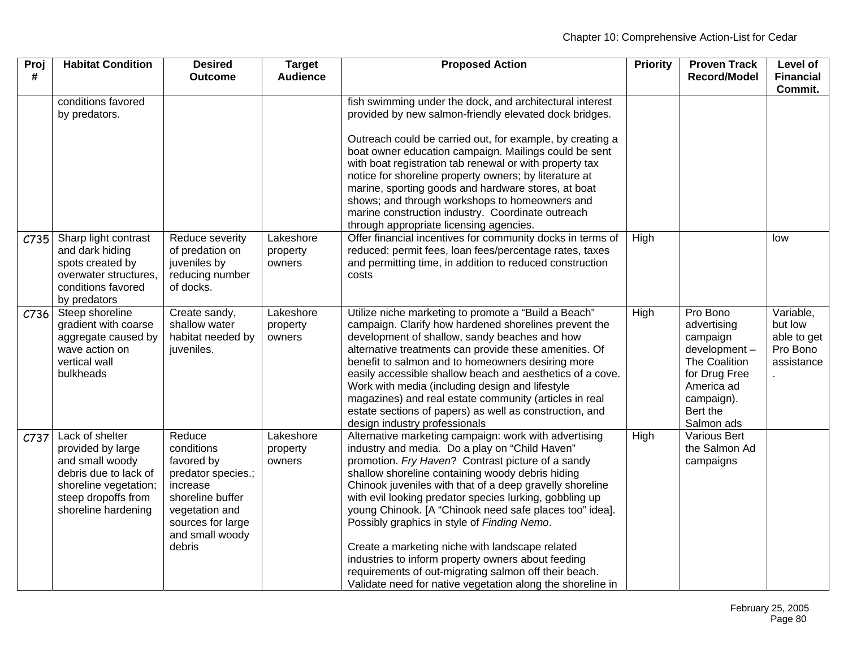| Proj<br># | <b>Habitat Condition</b>                                                                                                                                | <b>Desired</b><br><b>Outcome</b>                                                                                                                             | <b>Target</b><br><b>Audience</b> | <b>Proposed Action</b>                                                                                                                                                                                                                                                                                                                                                                                                                                                                                                                                                                                                                                                            | <b>Priority</b> | <b>Proven Track</b><br><b>Record/Model</b>                                                                                                  | Level of<br><b>Financial</b>                                  |
|-----------|---------------------------------------------------------------------------------------------------------------------------------------------------------|--------------------------------------------------------------------------------------------------------------------------------------------------------------|----------------------------------|-----------------------------------------------------------------------------------------------------------------------------------------------------------------------------------------------------------------------------------------------------------------------------------------------------------------------------------------------------------------------------------------------------------------------------------------------------------------------------------------------------------------------------------------------------------------------------------------------------------------------------------------------------------------------------------|-----------------|---------------------------------------------------------------------------------------------------------------------------------------------|---------------------------------------------------------------|
|           |                                                                                                                                                         |                                                                                                                                                              |                                  |                                                                                                                                                                                                                                                                                                                                                                                                                                                                                                                                                                                                                                                                                   |                 |                                                                                                                                             | Commit.                                                       |
|           | conditions favored<br>by predators.                                                                                                                     |                                                                                                                                                              |                                  | fish swimming under the dock, and architectural interest<br>provided by new salmon-friendly elevated dock bridges.                                                                                                                                                                                                                                                                                                                                                                                                                                                                                                                                                                |                 |                                                                                                                                             |                                                               |
|           |                                                                                                                                                         |                                                                                                                                                              |                                  | Outreach could be carried out, for example, by creating a<br>boat owner education campaign. Mailings could be sent<br>with boat registration tab renewal or with property tax<br>notice for shoreline property owners; by literature at<br>marine, sporting goods and hardware stores, at boat<br>shows; and through workshops to homeowners and<br>marine construction industry. Coordinate outreach<br>through appropriate licensing agencies.                                                                                                                                                                                                                                  |                 |                                                                                                                                             |                                                               |
| C735      | Sharp light contrast<br>and dark hiding<br>spots created by<br>overwater structures,<br>conditions favored<br>by predators                              | Reduce severity<br>of predation on<br>juveniles by<br>reducing number<br>of docks.                                                                           | Lakeshore<br>property<br>owners  | Offer financial incentives for community docks in terms of<br>reduced: permit fees, loan fees/percentage rates, taxes<br>and permitting time, in addition to reduced construction<br>costs                                                                                                                                                                                                                                                                                                                                                                                                                                                                                        | High            |                                                                                                                                             | low                                                           |
| C736      | Steep shoreline<br>gradient with coarse<br>aggregate caused by<br>wave action on<br>vertical wall<br>bulkheads                                          | Create sandy,<br>shallow water<br>habitat needed by<br>juveniles.                                                                                            | Lakeshore<br>property<br>owners  | Utilize niche marketing to promote a "Build a Beach"<br>campaign. Clarify how hardened shorelines prevent the<br>development of shallow, sandy beaches and how<br>alternative treatments can provide these amenities. Of<br>benefit to salmon and to homeowners desiring more<br>easily accessible shallow beach and aesthetics of a cove.<br>Work with media (including design and lifestyle<br>magazines) and real estate community (articles in real<br>estate sections of papers) as well as construction, and<br>design industry professionals                                                                                                                               | High            | Pro Bono<br>advertising<br>campaign<br>development-<br>The Coalition<br>for Drug Free<br>America ad<br>campaign).<br>Bert the<br>Salmon ads | Variable,<br>but low<br>able to get<br>Pro Bono<br>assistance |
| C737      | Lack of shelter<br>provided by large<br>and small woody<br>debris due to lack of<br>shoreline vegetation;<br>steep dropoffs from<br>shoreline hardening | Reduce<br>conditions<br>favored by<br>predator species.;<br>increase<br>shoreline buffer<br>vegetation and<br>sources for large<br>and small woody<br>debris | Lakeshore<br>property<br>owners  | Alternative marketing campaign: work with advertising<br>industry and media. Do a play on "Child Haven"<br>promotion. Fry Haven? Contrast picture of a sandy<br>shallow shoreline containing woody debris hiding<br>Chinook juveniles with that of a deep gravelly shoreline<br>with evil looking predator species lurking, gobbling up<br>young Chinook. [A "Chinook need safe places too" idea].<br>Possibly graphics in style of Finding Nemo.<br>Create a marketing niche with landscape related<br>industries to inform property owners about feeding<br>requirements of out-migrating salmon off their beach.<br>Validate need for native vegetation along the shoreline in | High            | Various Bert<br>the Salmon Ad<br>campaigns                                                                                                  |                                                               |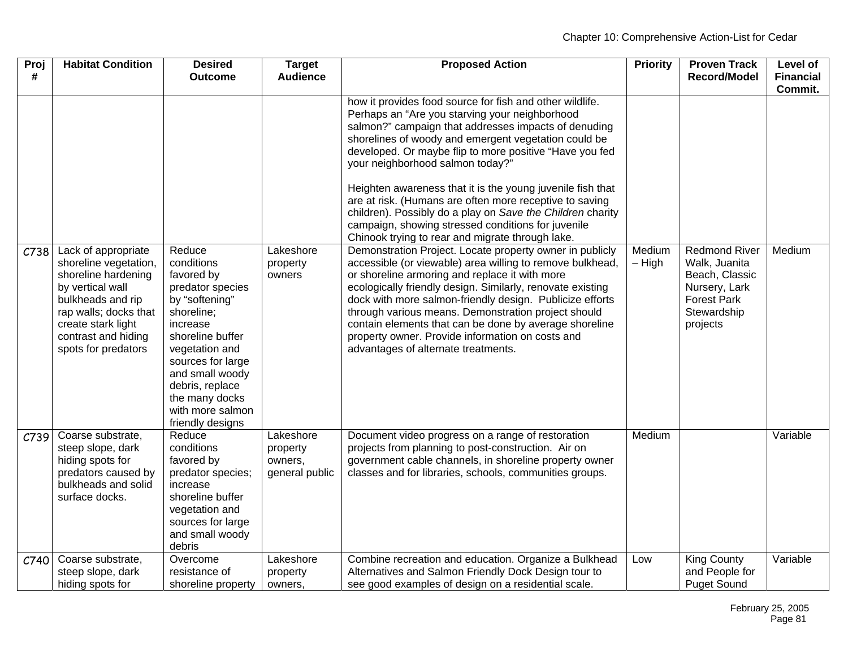| Proj<br># | <b>Habitat Condition</b>                                                                                                                                                                                  | <b>Desired</b><br><b>Outcome</b>                                                                                                                                                                                                                              | <b>Target</b><br><b>Audience</b>                   | <b>Proposed Action</b>                                                                                                                                                                                                                                                                                                                                                                                                                                                                                        | <b>Priority</b>    | <b>Proven Track</b><br>Record/Model                                                                                       | Level of<br><b>Financial</b> |
|-----------|-----------------------------------------------------------------------------------------------------------------------------------------------------------------------------------------------------------|---------------------------------------------------------------------------------------------------------------------------------------------------------------------------------------------------------------------------------------------------------------|----------------------------------------------------|---------------------------------------------------------------------------------------------------------------------------------------------------------------------------------------------------------------------------------------------------------------------------------------------------------------------------------------------------------------------------------------------------------------------------------------------------------------------------------------------------------------|--------------------|---------------------------------------------------------------------------------------------------------------------------|------------------------------|
|           |                                                                                                                                                                                                           |                                                                                                                                                                                                                                                               |                                                    | how it provides food source for fish and other wildlife.                                                                                                                                                                                                                                                                                                                                                                                                                                                      |                    |                                                                                                                           | Commit.                      |
|           |                                                                                                                                                                                                           |                                                                                                                                                                                                                                                               |                                                    | Perhaps an "Are you starving your neighborhood<br>salmon?" campaign that addresses impacts of denuding<br>shorelines of woody and emergent vegetation could be<br>developed. Or maybe flip to more positive "Have you fed<br>your neighborhood salmon today?"                                                                                                                                                                                                                                                 |                    |                                                                                                                           |                              |
|           |                                                                                                                                                                                                           |                                                                                                                                                                                                                                                               |                                                    | Heighten awareness that it is the young juvenile fish that<br>are at risk. (Humans are often more receptive to saving<br>children). Possibly do a play on Save the Children charity<br>campaign, showing stressed conditions for juvenile<br>Chinook trying to rear and migrate through lake.                                                                                                                                                                                                                 |                    |                                                                                                                           |                              |
| C738      | Lack of appropriate<br>shoreline vegetation,<br>shoreline hardening<br>by vertical wall<br>bulkheads and rip<br>rap walls; docks that<br>create stark light<br>contrast and hiding<br>spots for predators | Reduce<br>conditions<br>favored by<br>predator species<br>by "softening"<br>shoreline;<br>increase<br>shoreline buffer<br>vegetation and<br>sources for large<br>and small woody<br>debris, replace<br>the many docks<br>with more salmon<br>friendly designs | Lakeshore<br>property<br>owners                    | Demonstration Project. Locate property owner in publicly<br>accessible (or viewable) area willing to remove bulkhead,<br>or shoreline armoring and replace it with more<br>ecologically friendly design. Similarly, renovate existing<br>dock with more salmon-friendly design. Publicize efforts<br>through various means. Demonstration project should<br>contain elements that can be done by average shoreline<br>property owner. Provide information on costs and<br>advantages of alternate treatments. | Medium<br>$-$ High | <b>Redmond River</b><br>Walk, Juanita<br>Beach, Classic<br>Nursery, Lark<br><b>Forest Park</b><br>Stewardship<br>projects | Medium                       |
| C739      | Coarse substrate,<br>steep slope, dark<br>hiding spots for<br>predators caused by<br>bulkheads and solid<br>surface docks.                                                                                | Reduce<br>conditions<br>favored by<br>predator species;<br>increase<br>shoreline buffer<br>vegetation and<br>sources for large<br>and small woody<br>debris                                                                                                   | Lakeshore<br>property<br>owners,<br>general public | Document video progress on a range of restoration<br>projects from planning to post-construction. Air on<br>government cable channels, in shoreline property owner<br>classes and for libraries, schools, communities groups.                                                                                                                                                                                                                                                                                 | Medium             |                                                                                                                           | Variable                     |
| C740      | Coarse substrate,<br>steep slope, dark<br>hiding spots for                                                                                                                                                | Overcome<br>resistance of<br>shoreline property                                                                                                                                                                                                               | Lakeshore<br>property<br>owners,                   | Combine recreation and education. Organize a Bulkhead<br>Alternatives and Salmon Friendly Dock Design tour to<br>see good examples of design on a residential scale.                                                                                                                                                                                                                                                                                                                                          | Low                | <b>King County</b><br>and People for<br><b>Puget Sound</b>                                                                | Variable                     |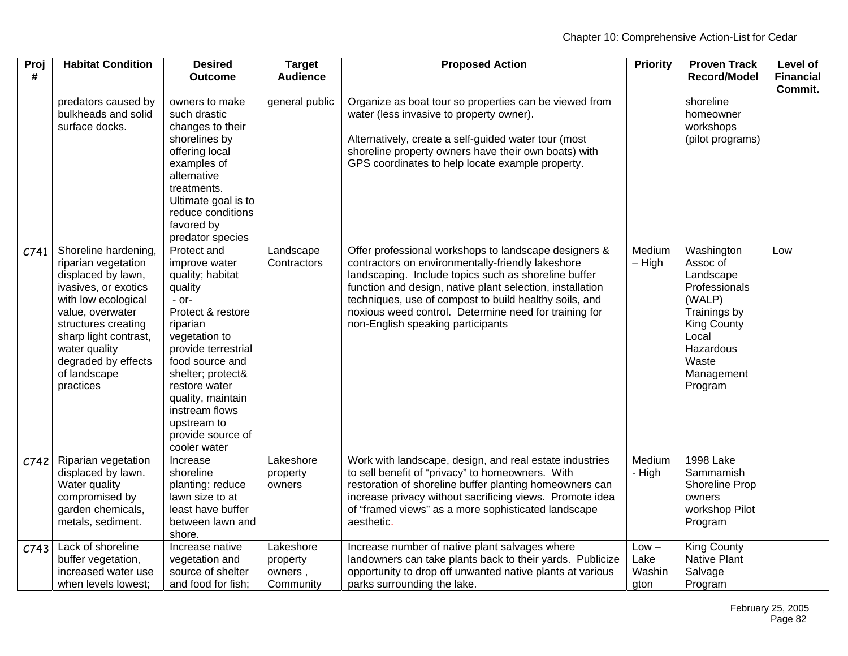| Proj<br># | <b>Habitat Condition</b>                                                                                                                                                                                                                                  | <b>Desired</b><br><b>Outcome</b>                                                                                                                                                                                                                                                                    | <b>Target</b><br><b>Audience</b>              | <b>Proposed Action</b>                                                                                                                                                                                                                                                                                                                                                                  | <b>Priority</b>                   | <b>Proven Track</b><br><b>Record/Model</b>                                                                                                            | Level of<br><b>Financial</b><br>Commit. |
|-----------|-----------------------------------------------------------------------------------------------------------------------------------------------------------------------------------------------------------------------------------------------------------|-----------------------------------------------------------------------------------------------------------------------------------------------------------------------------------------------------------------------------------------------------------------------------------------------------|-----------------------------------------------|-----------------------------------------------------------------------------------------------------------------------------------------------------------------------------------------------------------------------------------------------------------------------------------------------------------------------------------------------------------------------------------------|-----------------------------------|-------------------------------------------------------------------------------------------------------------------------------------------------------|-----------------------------------------|
|           | predators caused by<br>bulkheads and solid<br>surface docks.                                                                                                                                                                                              | owners to make<br>such drastic<br>changes to their<br>shorelines by<br>offering local<br>examples of<br>alternative<br>treatments.<br>Ultimate goal is to<br>reduce conditions<br>favored by<br>predator species                                                                                    | general public                                | Organize as boat tour so properties can be viewed from<br>water (less invasive to property owner).<br>Alternatively, create a self-guided water tour (most<br>shoreline property owners have their own boats) with<br>GPS coordinates to help locate example property.                                                                                                                  |                                   | shoreline<br>homeowner<br>workshops<br>(pilot programs)                                                                                               |                                         |
| C741      | Shoreline hardening,<br>riparian vegetation<br>displaced by lawn,<br>ivasives, or exotics<br>with low ecological<br>value, overwater<br>structures creating<br>sharp light contrast,<br>water quality<br>degraded by effects<br>of landscape<br>practices | Protect and<br>improve water<br>quality; habitat<br>quality<br>$-$ or-<br>Protect & restore<br>riparian<br>vegetation to<br>provide terrestrial<br>food source and<br>shelter; protect&<br>restore water<br>quality, maintain<br>instream flows<br>upstream to<br>provide source of<br>cooler water | Landscape<br>Contractors                      | Offer professional workshops to landscape designers &<br>contractors on environmentally-friendly lakeshore<br>landscaping. Include topics such as shoreline buffer<br>function and design, native plant selection, installation<br>techniques, use of compost to build healthy soils, and<br>noxious weed control. Determine need for training for<br>non-English speaking participants | Medium<br>$-$ High                | Washington<br>Assoc of<br>Landscape<br>Professionals<br>(WALP)<br>Trainings by<br>King County<br>Local<br>Hazardous<br>Waste<br>Management<br>Program | Low                                     |
| C742      | Riparian vegetation<br>displaced by lawn.<br>Water quality<br>compromised by<br>garden chemicals,<br>metals, sediment.                                                                                                                                    | Increase<br>shoreline<br>planting; reduce<br>lawn size to at<br>least have buffer<br>between lawn and<br>shore.                                                                                                                                                                                     | Lakeshore<br>property<br>owners               | Work with landscape, design, and real estate industries<br>to sell benefit of "privacy" to homeowners. With<br>restoration of shoreline buffer planting homeowners can<br>increase privacy without sacrificing views. Promote idea<br>of "framed views" as a more sophisticated landscape<br>aesthetic.                                                                                 | Medium<br>- High                  | <b>1998 Lake</b><br>Sammamish<br>Shoreline Prop<br>owners<br>workshop Pilot<br>Program                                                                |                                         |
| C743      | Lack of shoreline<br>buffer vegetation,<br>increased water use<br>when levels lowest:                                                                                                                                                                     | Increase native<br>vegetation and<br>source of shelter<br>and food for fish;                                                                                                                                                                                                                        | Lakeshore<br>property<br>owners,<br>Community | Increase number of native plant salvages where<br>landowners can take plants back to their yards. Publicize<br>opportunity to drop off unwanted native plants at various<br>parks surrounding the lake.                                                                                                                                                                                 | $Low -$<br>Lake<br>Washin<br>gton | <b>King County</b><br><b>Native Plant</b><br>Salvage<br>Program                                                                                       |                                         |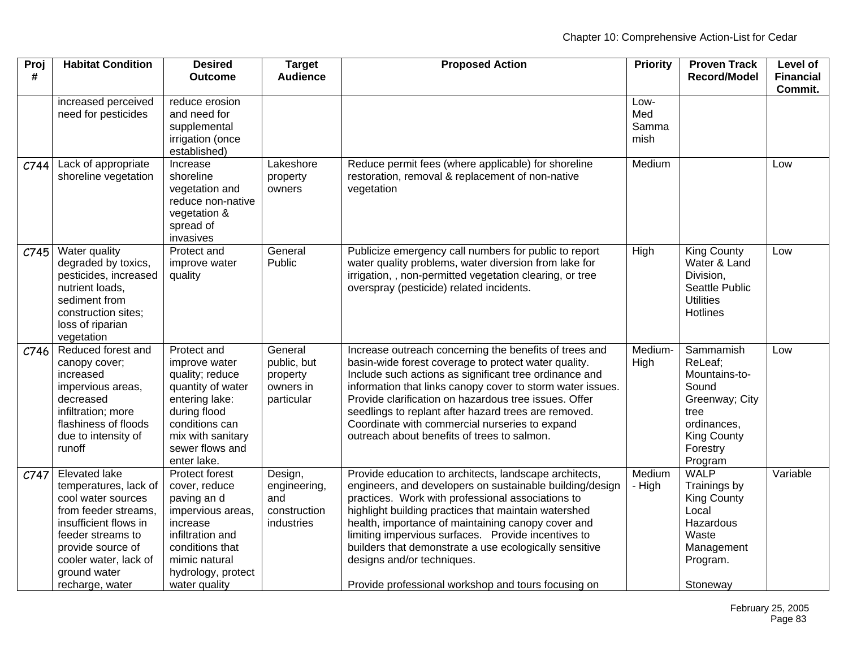| Proj<br># | <b>Habitat Condition</b>                                                                                                                                                                                            | <b>Desired</b><br><b>Outcome</b>                                                                                                                                                | <b>Target</b><br><b>Audience</b>                              | <b>Proposed Action</b>                                                                                                                                                                                                                                                                                                                                                                                                                                                                      | <b>Priority</b>              | <b>Proven Track</b><br><b>Record/Model</b>                                                                                           | Level of<br><b>Financial</b> |
|-----------|---------------------------------------------------------------------------------------------------------------------------------------------------------------------------------------------------------------------|---------------------------------------------------------------------------------------------------------------------------------------------------------------------------------|---------------------------------------------------------------|---------------------------------------------------------------------------------------------------------------------------------------------------------------------------------------------------------------------------------------------------------------------------------------------------------------------------------------------------------------------------------------------------------------------------------------------------------------------------------------------|------------------------------|--------------------------------------------------------------------------------------------------------------------------------------|------------------------------|
|           |                                                                                                                                                                                                                     |                                                                                                                                                                                 |                                                               |                                                                                                                                                                                                                                                                                                                                                                                                                                                                                             |                              |                                                                                                                                      | Commit.                      |
|           | increased perceived<br>need for pesticides                                                                                                                                                                          | reduce erosion<br>and need for<br>supplemental<br>irrigation (once<br>established)                                                                                              |                                                               |                                                                                                                                                                                                                                                                                                                                                                                                                                                                                             | Low-<br>Med<br>Samma<br>mish |                                                                                                                                      |                              |
| C744      | Lack of appropriate<br>shoreline vegetation                                                                                                                                                                         | Increase<br>shoreline<br>vegetation and<br>reduce non-native<br>vegetation &<br>spread of<br>invasives                                                                          | Lakeshore<br>property<br>owners                               | Reduce permit fees (where applicable) for shoreline<br>restoration, removal & replacement of non-native<br>vegetation                                                                                                                                                                                                                                                                                                                                                                       | Medium                       |                                                                                                                                      | Low                          |
| C745      | Water quality<br>degraded by toxics,<br>pesticides, increased<br>nutrient loads,<br>sediment from<br>construction sites;<br>loss of riparian<br>vegetation                                                          | Protect and<br>improve water<br>quality                                                                                                                                         | General<br>Public                                             | Publicize emergency call numbers for public to report<br>water quality problems, water diversion from lake for<br>irrigation, , non-permitted vegetation clearing, or tree<br>overspray (pesticide) related incidents.                                                                                                                                                                                                                                                                      | High                         | <b>King County</b><br>Water & Land<br>Division,<br>Seattle Public<br><b>Utilities</b><br>Hotlines                                    | Low                          |
| C746      | Reduced forest and<br>canopy cover;<br>increased<br>impervious areas,<br>decreased<br>infiltration; more<br>flashiness of floods<br>due to intensity of<br>runoff                                                   | Protect and<br>improve water<br>quality; reduce<br>quantity of water<br>entering lake:<br>during flood<br>conditions can<br>mix with sanitary<br>sewer flows and<br>enter lake. | General<br>public, but<br>property<br>owners in<br>particular | Increase outreach concerning the benefits of trees and<br>basin-wide forest coverage to protect water quality.<br>Include such actions as significant tree ordinance and<br>information that links canopy cover to storm water issues.<br>Provide clarification on hazardous tree issues. Offer<br>seedlings to replant after hazard trees are removed.<br>Coordinate with commercial nurseries to expand<br>outreach about benefits of trees to salmon.                                    | Medium-<br>High              | Sammamish<br>ReLeaf;<br>Mountains-to-<br>Sound<br>Greenway; City<br>tree<br>ordinances,<br><b>King County</b><br>Forestry<br>Program | Low                          |
| C747      | Elevated lake<br>temperatures, lack of<br>cool water sources<br>from feeder streams,<br>insufficient flows in<br>feeder streams to<br>provide source of<br>cooler water, lack of<br>ground water<br>recharge, water | Protect forest<br>cover, reduce<br>paving an d<br>impervious areas,<br>increase<br>infiltration and<br>conditions that<br>mimic natural<br>hydrology, protect<br>water quality  | Design,<br>engineering,<br>and<br>construction<br>industries  | Provide education to architects, landscape architects,<br>engineers, and developers on sustainable building/design<br>practices. Work with professional associations to<br>highlight building practices that maintain watershed<br>health, importance of maintaining canopy cover and<br>limiting impervious surfaces. Provide incentives to<br>builders that demonstrate a use ecologically sensitive<br>designs and/or techniques.<br>Provide professional workshop and tours focusing on | Medium<br>- High             | <b>WALP</b><br>Trainings by<br><b>King County</b><br>Local<br>Hazardous<br>Waste<br>Management<br>Program.<br>Stoneway               | Variable                     |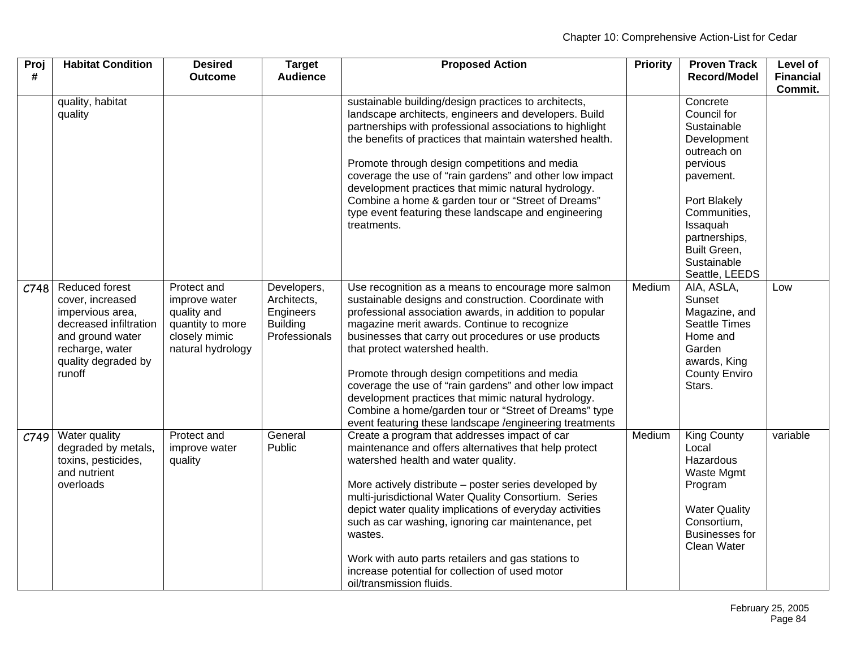| Proj<br># | <b>Habitat Condition</b>                                                                                                                                        | <b>Desired</b><br><b>Outcome</b>                                                                      | <b>Target</b><br><b>Audience</b>                                            | <b>Proposed Action</b>                                                                                                                                                                                                                                                                                                                                                                                                                                                                                                                                                                                   | <b>Priority</b> | <b>Proven Track</b><br><b>Record/Model</b>                                                                                                                                                                  | Level of<br><b>Financial</b><br>Commit. |
|-----------|-----------------------------------------------------------------------------------------------------------------------------------------------------------------|-------------------------------------------------------------------------------------------------------|-----------------------------------------------------------------------------|----------------------------------------------------------------------------------------------------------------------------------------------------------------------------------------------------------------------------------------------------------------------------------------------------------------------------------------------------------------------------------------------------------------------------------------------------------------------------------------------------------------------------------------------------------------------------------------------------------|-----------------|-------------------------------------------------------------------------------------------------------------------------------------------------------------------------------------------------------------|-----------------------------------------|
|           | quality, habitat<br>quality                                                                                                                                     |                                                                                                       |                                                                             | sustainable building/design practices to architects,<br>landscape architects, engineers and developers. Build<br>partnerships with professional associations to highlight<br>the benefits of practices that maintain watershed health.<br>Promote through design competitions and media<br>coverage the use of "rain gardens" and other low impact<br>development practices that mimic natural hydrology.<br>Combine a home & garden tour or "Street of Dreams"<br>type event featuring these landscape and engineering<br>treatments.                                                                   |                 | Concrete<br>Council for<br>Sustainable<br>Development<br>outreach on<br>pervious<br>pavement.<br>Port Blakely<br>Communities,<br>Issaquah<br>partnerships,<br>Built Green,<br>Sustainable<br>Seattle, LEEDS |                                         |
| C748      | <b>Reduced forest</b><br>cover, increased<br>impervious area,<br>decreased infiltration<br>and ground water<br>recharge, water<br>quality degraded by<br>runoff | Protect and<br>improve water<br>quality and<br>quantity to more<br>closely mimic<br>natural hydrology | Developers,<br>Architects,<br>Engineers<br><b>Building</b><br>Professionals | Use recognition as a means to encourage more salmon<br>sustainable designs and construction. Coordinate with<br>professional association awards, in addition to popular<br>magazine merit awards. Continue to recognize<br>businesses that carry out procedures or use products<br>that protect watershed health.<br>Promote through design competitions and media<br>coverage the use of "rain gardens" and other low impact<br>development practices that mimic natural hydrology.<br>Combine a home/garden tour or "Street of Dreams" type<br>event featuring these landscape /engineering treatments | Medium          | AIA, ASLA,<br>Sunset<br>Magazine, and<br>Seattle Times<br>Home and<br>Garden<br>awards, King<br><b>County Enviro</b><br>Stars.                                                                              | Low                                     |
| C749      | Water quality<br>degraded by metals,<br>toxins, pesticides,<br>and nutrient<br>overloads                                                                        | Protect and<br>improve water<br>quality                                                               | General<br>Public                                                           | Create a program that addresses impact of car<br>maintenance and offers alternatives that help protect<br>watershed health and water quality.<br>More actively distribute - poster series developed by<br>multi-jurisdictional Water Quality Consortium. Series<br>depict water quality implications of everyday activities<br>such as car washing, ignoring car maintenance, pet<br>wastes.<br>Work with auto parts retailers and gas stations to<br>increase potential for collection of used motor<br>oil/transmission fluids.                                                                        | Medium          | <b>King County</b><br>Local<br>Hazardous<br>Waste Mgmt<br>Program<br><b>Water Quality</b><br>Consortium,<br><b>Businesses for</b><br>Clean Water                                                            | variable                                |